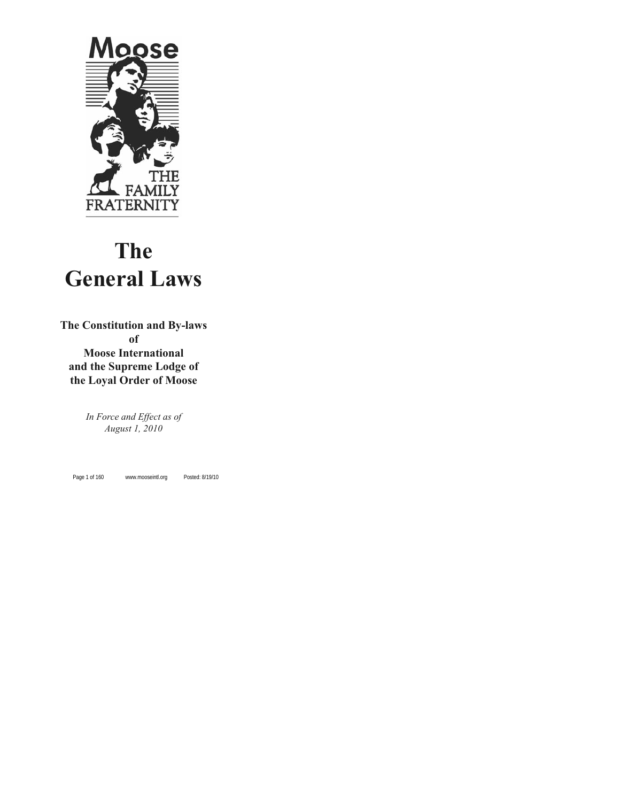

# **The General Laws**

**The Constitution and By-laws of Moose International and the Supreme Lodge of**

**the Loyal Order of Moose**

*In Force and Effect as of August 1, 2010*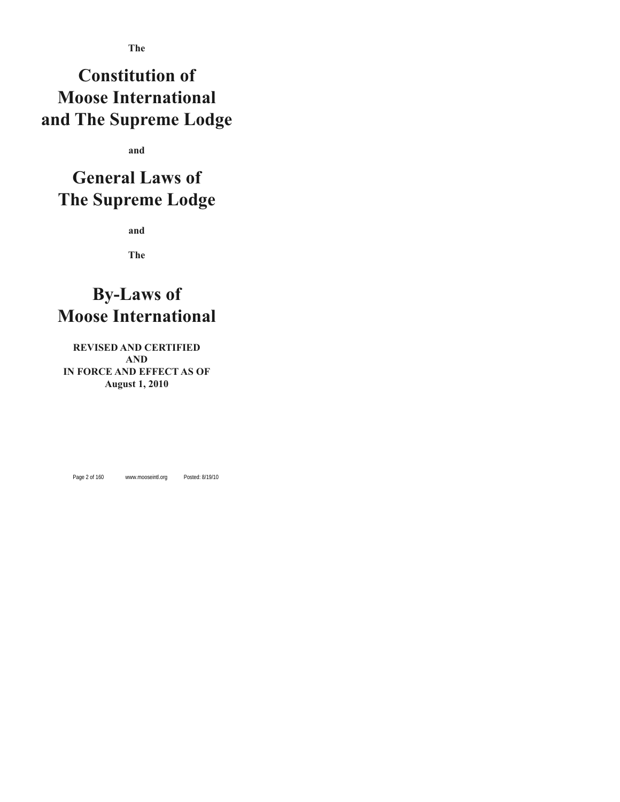## **Constitution of Moose International and The Supreme Lodge**

**and**

## **General Laws of The Supreme Lodge**

**and**

**The**

## **By-Laws of Moose International**

## **REVISED AND CERTIFIED AND IN FORCE AND EFFECT AS OF August 1, 2010**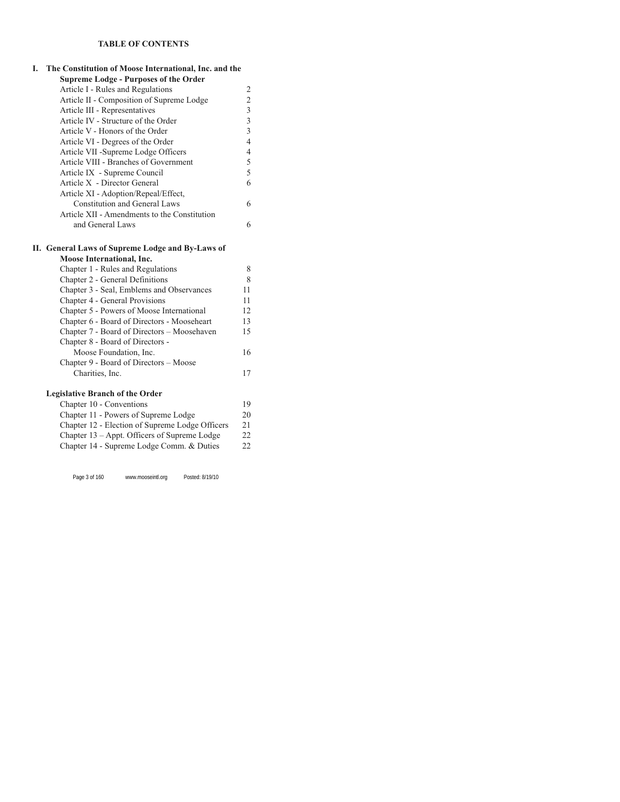## **TABLE OF CONTENTS**

| I. | The Constitution of Moose International, Inc. and the |                          |
|----|-------------------------------------------------------|--------------------------|
|    | <b>Supreme Lodge - Purposes of the Order</b>          |                          |
|    | Article I - Rules and Regulations                     | 2                        |
|    | Article II - Composition of Supreme Lodge             | $\overline{2}$           |
|    | Article III - Representatives                         | $\overline{3}$           |
|    | Article IV - Structure of the Order                   | $\overline{3}$           |
|    | Article V - Honors of the Order                       | $\overline{3}$           |
|    | Article VI - Degrees of the Order                     | $\overline{4}$           |
|    | Article VII -Supreme Lodge Officers                   | $\overline{\mathcal{L}}$ |
|    | Article VIII - Branches of Government                 | 5                        |
|    | Article IX - Supreme Council                          | 5                        |
|    | Article X - Director General                          | 6                        |
|    | Article XI - Adoption/Repeal/Effect,                  |                          |
|    | <b>Constitution and General Laws</b>                  | 6                        |
|    | Article XII - Amendments to the Constitution          |                          |
|    | and General Laws                                      | 6                        |
|    | II. General Laws of Supreme Lodge and By-Laws of      |                          |
|    | Moose International, Inc.                             |                          |
|    | Chapter 1 - Rules and Regulations                     | 8                        |
|    | Chapter 2 - General Definitions                       | 8                        |
|    | Chapter 3 - Seal, Emblems and Observances             | 11                       |
|    | Chapter 4 - General Provisions                        | 11                       |
|    | Chapter 5 - Powers of Moose International             | 12                       |
|    | Chapter 6 - Board of Directors - Mooseheart           | 13                       |
|    | Chapter 7 - Board of Directors - Moosehaven           | 15                       |
|    | Chapter 8 - Board of Directors -                      |                          |
|    | Moose Foundation, Inc.                                | 16                       |
|    | Chapter 9 - Board of Directors - Moose                |                          |
|    | Charities, Inc.                                       | 17                       |
|    | <b>Legislative Branch of the Order</b>                |                          |
|    | Chapter 10 - Conventions                              | 19                       |
|    | Chapter 11 - Powers of Supreme Lodge                  | 20                       |
|    | Chapter 12 - Election of Supreme Lodge Officers       | 21                       |
|    | Chapter 13 - Appt. Officers of Supreme Lodge          | 22                       |
|    | Chapter 14 - Supreme Lodge Comm. & Duties             | 22                       |
|    |                                                       |                          |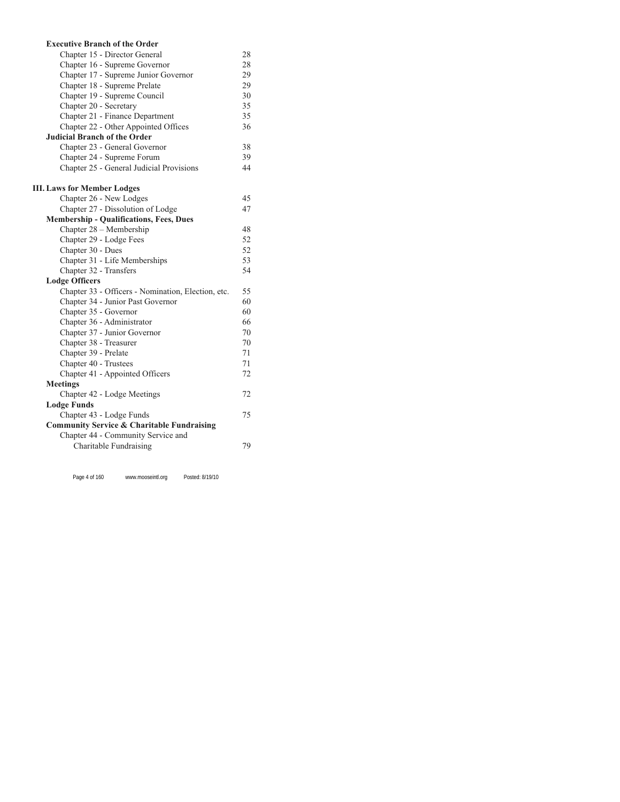| <b>Executive Branch of the Order</b>                  |    |
|-------------------------------------------------------|----|
| Chapter 15 - Director General                         | 28 |
| Chapter 16 - Supreme Governor                         | 28 |
| Chapter 17 - Supreme Junior Governor                  | 29 |
| Chapter 18 - Supreme Prelate                          | 29 |
| Chapter 19 - Supreme Council                          | 30 |
| Chapter 20 - Secretary                                | 35 |
| Chapter 21 - Finance Department                       | 35 |
| Chapter 22 - Other Appointed Offices                  | 36 |
| <b>Judicial Branch of the Order</b>                   |    |
| Chapter 23 - General Governor                         | 38 |
| Chapter 24 - Supreme Forum                            | 39 |
| Chapter 25 - General Judicial Provisions              | 44 |
| <b>III.</b> Laws for Member Lodges                    |    |
| Chapter 26 - New Lodges                               | 45 |
| Chapter 27 - Dissolution of Lodge                     | 47 |
| <b>Membership - Qualifications, Fees, Dues</b>        |    |
| Chapter 28 - Membership                               | 48 |
| Chapter 29 - Lodge Fees                               | 52 |
| Chapter 30 - Dues                                     | 52 |
| Chapter 31 - Life Memberships                         | 53 |
| Chapter 32 - Transfers                                | 54 |
| <b>Lodge Officers</b>                                 |    |
| Chapter 33 - Officers - Nomination, Election, etc.    | 55 |
| Chapter 34 - Junior Past Governor                     | 60 |
| Chapter 35 - Governor                                 | 60 |
| Chapter 36 - Administrator                            | 66 |
| Chapter 37 - Junior Governor                          | 70 |
| Chapter 38 - Treasurer                                | 70 |
| Chapter 39 - Prelate                                  | 71 |
| Chapter 40 - Trustees                                 | 71 |
| Chapter 41 - Appointed Officers                       | 72 |
| <b>Meetings</b>                                       |    |
| Chapter 42 - Lodge Meetings                           | 72 |
| <b>Lodge Funds</b>                                    |    |
| Chapter 43 - Lodge Funds                              | 75 |
| <b>Community Service &amp; Charitable Fundraising</b> |    |
| Chapter 44 - Community Service and                    |    |
| Charitable Fundraising                                | 79 |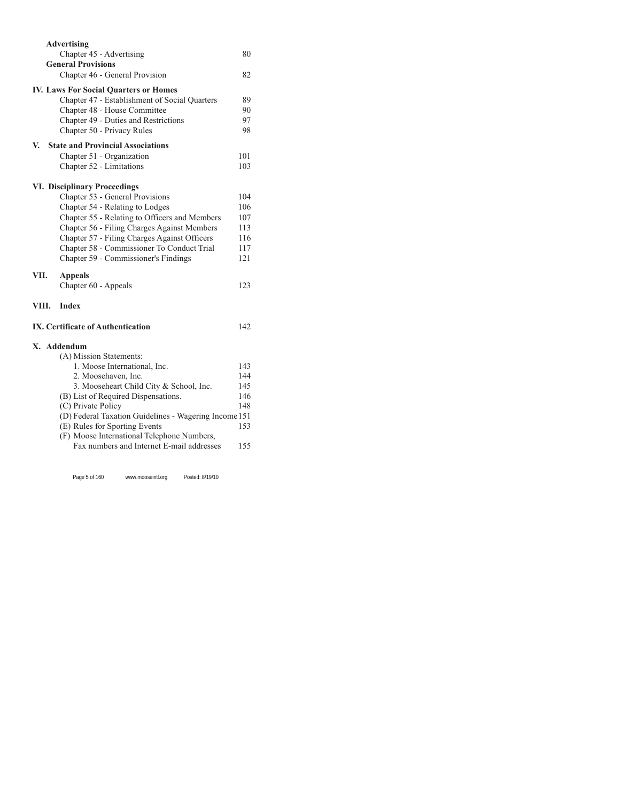|       | <b>Advertising</b>                                                                      |     |
|-------|-----------------------------------------------------------------------------------------|-----|
|       | Chapter 45 - Advertising                                                                | 80  |
|       | <b>General Provisions</b>                                                               |     |
|       | Chapter 46 - General Provision                                                          | 82  |
|       | <b>IV. Laws For Social Quarters or Homes</b>                                            |     |
|       | Chapter 47 - Establishment of Social Quarters                                           | 89  |
|       | Chapter 48 - House Committee                                                            | 90  |
|       | Chapter 49 - Duties and Restrictions                                                    | 97  |
|       | Chapter 50 - Privacy Rules                                                              | 98  |
| V.    | <b>State and Provincial Associations</b>                                                |     |
|       | Chapter 51 - Organization                                                               | 101 |
|       | Chapter 52 - Limitations                                                                | 103 |
|       | <b>VI. Disciplinary Proceedings</b>                                                     |     |
|       | Chapter 53 - General Provisions                                                         | 104 |
|       | Chapter 54 - Relating to Lodges                                                         | 106 |
|       | Chapter 55 - Relating to Officers and Members                                           | 107 |
|       | Chapter 56 - Filing Charges Against Members                                             | 113 |
|       | Chapter 57 - Filing Charges Against Officers                                            | 116 |
|       | Chapter 58 - Commissioner To Conduct Trial                                              | 117 |
|       | Chapter 59 - Commissioner's Findings                                                    | 121 |
| VII.  | <b>Appeals</b>                                                                          |     |
|       | Chapter 60 - Appeals                                                                    | 123 |
| VIII. | <b>Index</b>                                                                            |     |
|       | IX. Certificate of Authentication                                                       | 142 |
|       | X. Addendum                                                                             |     |
|       | (A) Mission Statements:                                                                 |     |
|       | 1. Moose International, Inc.                                                            | 143 |
|       | 2. Moosehaven, Inc.                                                                     | 144 |
|       | 3. Mooseheart Child City & School, Inc.                                                 | 145 |
|       | (B) List of Required Dispensations.                                                     | 146 |
|       | (C) Private Policy                                                                      | 148 |
|       | (D) Federal Taxation Guidelines - Wagering Income 151                                   |     |
|       | (E) Rules for Sporting Events                                                           | 153 |
|       | (F) Moose International Telephone Numbers,<br>Fax numbers and Internet E-mail addresses |     |
|       |                                                                                         | 155 |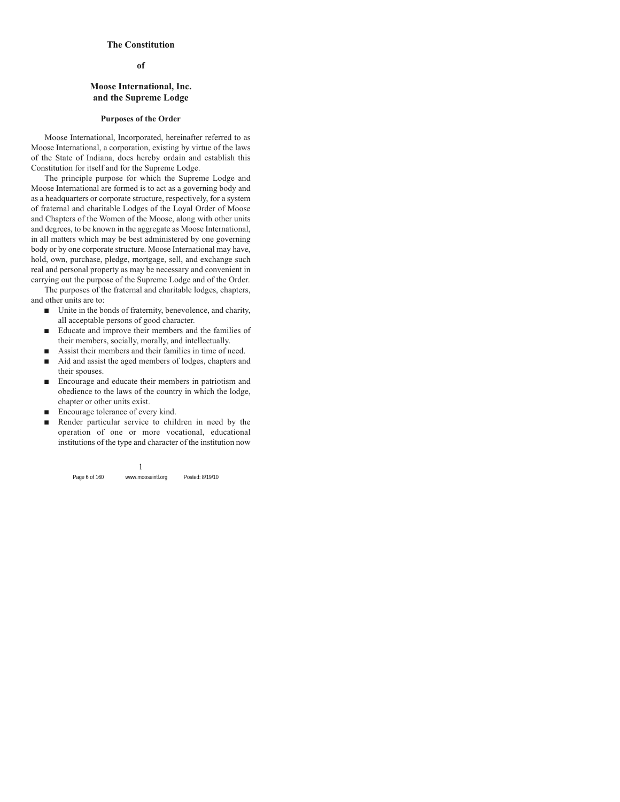#### **The Constitution**

**of**

### **Moose International, Inc. and the Supreme Lodge**

#### **Purposes of the Order**

Moose International, Incorporated, hereinafter referred to as Moose International, a corporation, existing by virtue of the laws of the State of Indiana, does hereby ordain and establish this Constitution for itself and for the Supreme Lodge.

The principle purpose for which the Supreme Lodge and Moose International are formed is to act as a governing body and as a headquarters or corporate structure, respectively, for a system of fraternal and charitable Lodges of the Loyal Order of Moose and Chapters of the Women of the Moose, along with other units and degrees, to be known in the aggregate as Moose International, in all matters which may be best administered by one governing body or by one corporate structure. Moose International may have, hold, own, purchase, pledge, mortgage, sell, and exchange such real and personal property as may be necessary and convenient in carrying out the purpose of the Supreme Lodge and of the Order.

The purposes of the fraternal and charitable lodges, chapters, and other units are to:

- $\blacksquare$  Unite in the bonds of fraternity, benevolence, and charity, all acceptable persons of good character.
- Educate and improve their members and the families of their members, socially, morally, and intellectually.
- $\blacksquare$  Assist their members and their families in time of need.
- $\blacksquare$  Aid and assist the aged members of lodges, chapters and their spouses.
- Encourage and educate their members in patriotism and obedience to the laws of the country in which the lodge, chapter or other units exist.
- $\blacksquare$  Encourage tolerance of every kind.
- Render particular service to children in need by the operation of one or more vocational, educational institutions of the type and character of the institution now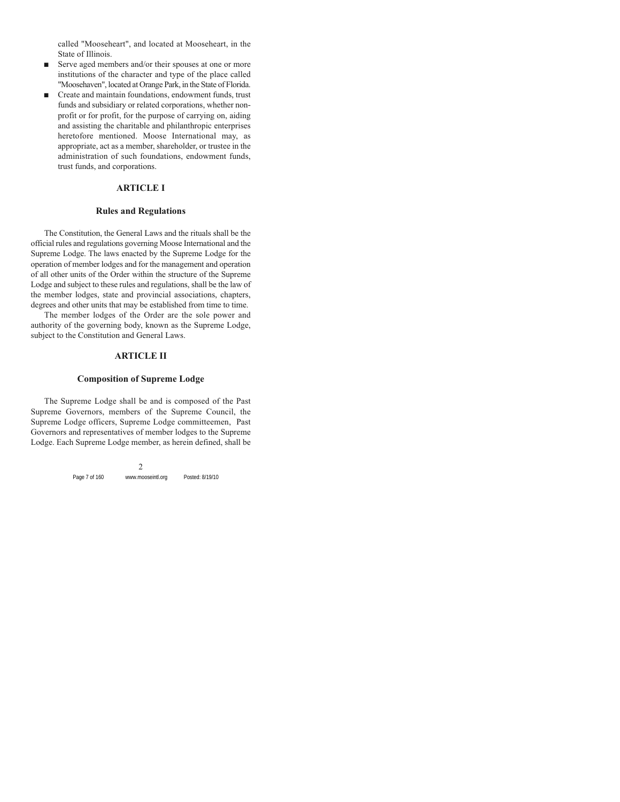called "Mooseheart", and located at Mooseheart, in the State of Illinois.

- $\blacksquare$  Serve aged members and/or their spouses at one or more institutions of the character and type of the place called "Moosehaven", located at Orange Park, in the State of Florida.
- Create and maintain foundations, endowment funds, trust funds and subsidiary or related corporations, whether nonprofit or for profit, for the purpose of carrying on, aiding and assisting the charitable and philanthropic enterprises heretofore mentioned. Moose International may, as appropriate, act as a member, shareholder, or trustee in the administration of such foundations, endowment funds, trust funds, and corporations.

#### **ARTICLE I**

#### **Rules and Regulations**

The Constitution, the General Laws and the rituals shall be the official rules and regulations governing Moose International and the Supreme Lodge. The laws enacted by the Supreme Lodge for the operation of member lodges and for the management and operation of all other units of the Order within the structure of the Supreme Lodge and subject to these rules and regulations, shall be the law of the member lodges, state and provincial associations, chapters, degrees and other units that may be established from time to time.

The member lodges of the Order are the sole power and authority of the governing body, known as the Supreme Lodge, subject to the Constitution and General Laws.

#### **ARTICLE II**

## **Composition of Supreme Lodge**

The Supreme Lodge shall be and is composed of the Past Supreme Governors, members of the Supreme Council, the Supreme Lodge officers, Supreme Lodge committeemen, Past Governors and representatives of member lodges to the Supreme Lodge. Each Supreme Lodge member, as herein defined, shall be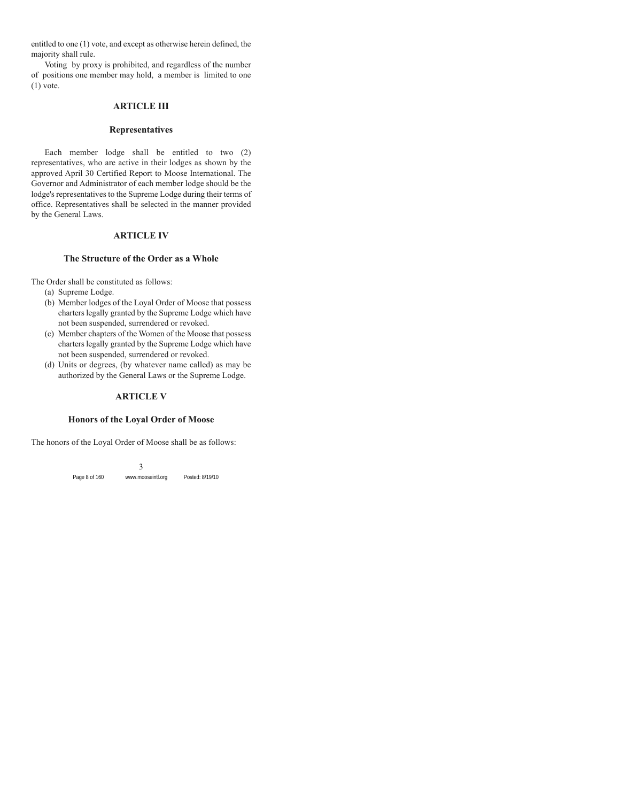entitled to one (1) vote, and except as otherwise herein defined, the majority shall rule.

Voting by proxy is prohibited, and regardless of the number of positions one member may hold, a member is limited to one  $(1)$  vote.

## **ARTICLE III**

#### **Representatives**

Each member lodge shall be entitled to two (2) representatives, who are active in their lodges as shown by the approved April 30 Certified Report to Moose International. The Governor and Administrator of each member lodge should be the lodge's representatives to the Supreme Lodge during their terms of office. Representatives shall be selected in the manner provided by the General Laws.

## **ARTICLE IV**

#### **The Structure of the Order as a Whole**

The Order shall be constituted as follows:

- (a) Supreme Lodge.
- (b) Member lodges of the Loyal Order of Moose that possess charters legally granted by the Supreme Lodge which have not been suspended, surrendered or revoked.
- (c) Member chapters of the Women of the Moose that possess charters legally granted by the Supreme Lodge which have not been suspended, surrendered or revoked.
- (d) Units or degrees, (by whatever name called) as may be authorized by the General Laws or the Supreme Lodge.

## **ARTICLE V**

#### **Honors of the Loyal Order of Moose**

The honors of the Loyal Order of Moose shall be as follows: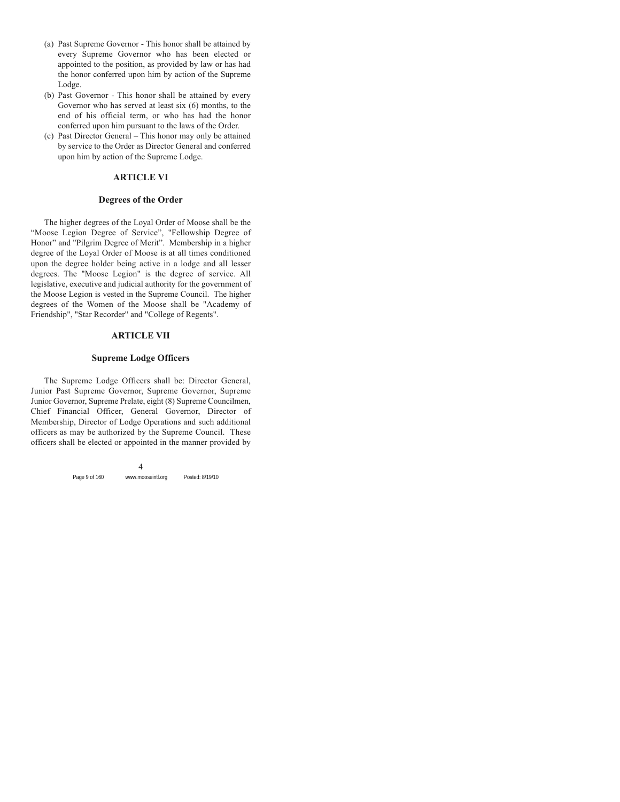- (a) Past Supreme Governor This honor shall be attained by every Supreme Governor who has been elected or appointed to the position, as provided by law or has had the honor conferred upon him by action of the Supreme Lodge.
- (b) Past Governor This honor shall be attained by every Governor who has served at least six (6) months, to the end of his official term, or who has had the honor conferred upon him pursuant to the laws of the Order.
- (c) Past Director General This honor may only be attained by service to the Order as Director General and conferred upon him by action of the Supreme Lodge.

## **ARTICLE VI**

#### **Degrees of the Order**

The higher degrees of the Loyal Order of Moose shall be the "Moose Legion Degree of Service", "Fellowship Degree of Honor" and "Pilgrim Degree of Merit". Membership in a higher degree of the Loyal Order of Moose is at all times conditioned upon the degree holder being active in a lodge and all lesser degrees. The "Moose Legion" is the degree of service. All legislative, executive and judicial authority for the government of the Moose Legion is vested in the Supreme Council. The higher degrees of the Women of the Moose shall be "Academy of Friendship", "Star Recorder" and "College of Regents".

#### **ARTICLE VII**

#### **Supreme Lodge Officers**

The Supreme Lodge Officers shall be: Director General, Junior Past Supreme Governor, Supreme Governor, Supreme Junior Governor, Supreme Prelate, eight (8) Supreme Councilmen, Chief Financial Officer, General Governor, Director of Membership, Director of Lodge Operations and such additional officers as may be authorized by the Supreme Council. These officers shall be elected or appointed in the manner provided by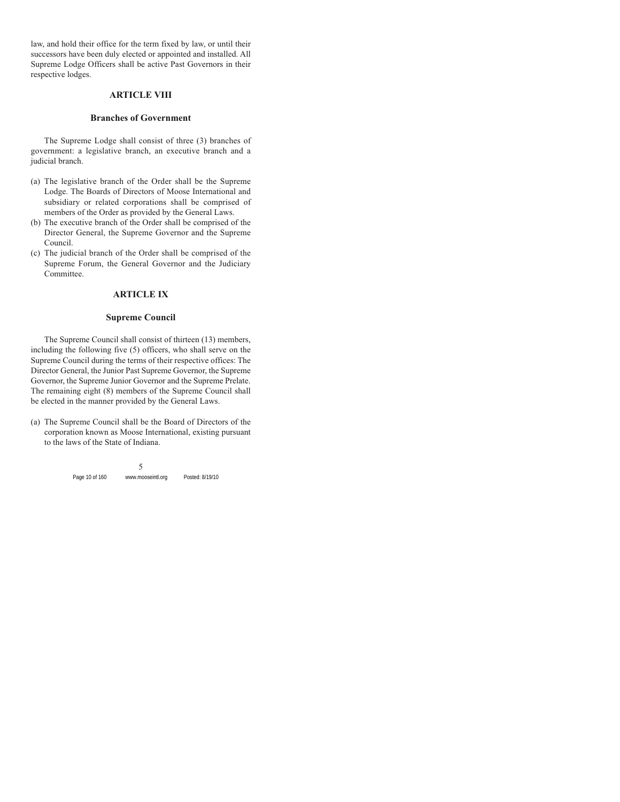law, and hold their office for the term fixed by law, or until their successors have been duly elected or appointed and installed. All Supreme Lodge Officers shall be active Past Governors in their respective lodges.

## **ARTICLE VIII**

#### **Branches of Government**

The Supreme Lodge shall consist of three (3) branches of government: a legislative branch, an executive branch and a judicial branch.

- (a) The legislative branch of the Order shall be the Supreme Lodge. The Boards of Directors of Moose International and subsidiary or related corporations shall be comprised of members of the Order as provided by the General Laws.
- (b) The executive branch of the Order shall be comprised of the Director General, the Supreme Governor and the Supreme Council.
- (c) The judicial branch of the Order shall be comprised of the Supreme Forum, the General Governor and the Judiciary Committee.

## **ARTICLE IX**

#### **Supreme Council**

The Supreme Council shall consist of thirteen (13) members, including the following five (5) officers, who shall serve on the Supreme Council during the terms of their respective offices: The Director General, the Junior Past Supreme Governor, the Supreme Governor, the Supreme Junior Governor and the Supreme Prelate. The remaining eight (8) members of the Supreme Council shall be elected in the manner provided by the General Laws.

(a) The Supreme Council shall be the Board of Directors of the corporation known as Moose International, existing pursuant to the laws of the State of Indiana.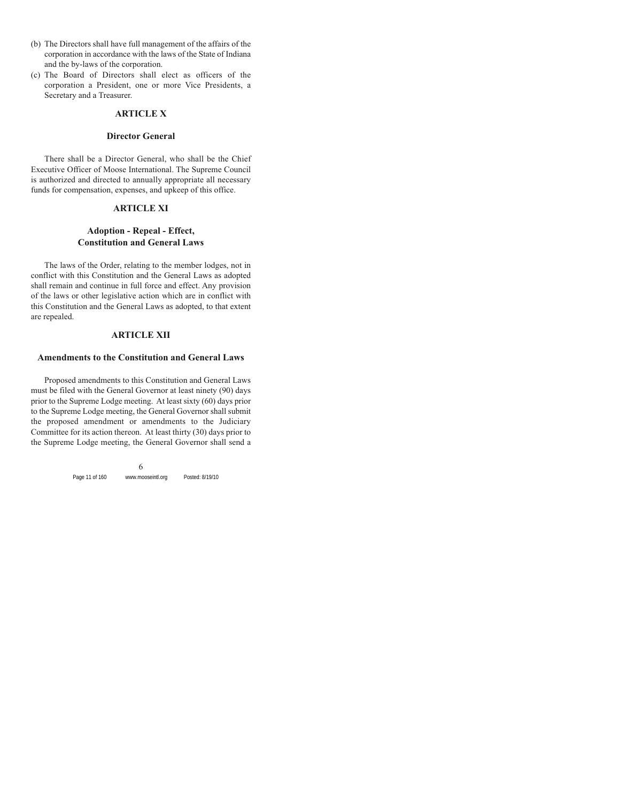- (b) The Directors shall have full management of the affairs of the corporation in accordance with the laws of the State of Indiana and the by-laws of the corporation.
- (c) The Board of Directors shall elect as officers of the corporation a President, one or more Vice Presidents, a Secretary and a Treasurer.

#### **ARTICLE X**

#### **Director General**

There shall be a Director General, who shall be the Chief Executive Officer of Moose International. The Supreme Council is authorized and directed to annually appropriate all necessary funds for compensation, expenses, and upkeep of this office.

#### **ARTICLE XI**

## **Adoption - Repeal - Effect, Constitution and General Laws**

The laws of the Order, relating to the member lodges, not in conflict with this Constitution and the General Laws as adopted shall remain and continue in full force and effect. Any provision of the laws or other legislative action which are in conflict with this Constitution and the General Laws as adopted, to that extent are repealed.

#### **ARTICLE XII**

#### **Amendments to the Constitution and General Laws**

Proposed amendments to this Constitution and General Laws must be filed with the General Governor at least ninety (90) days prior to the Supreme Lodge meeting. At least sixty (60) days prior to the Supreme Lodge meeting, the General Governor shall submit the proposed amendment or amendments to the Judiciary Committee for its action thereon. At least thirty (30) days prior to the Supreme Lodge meeting, the General Governor shall send a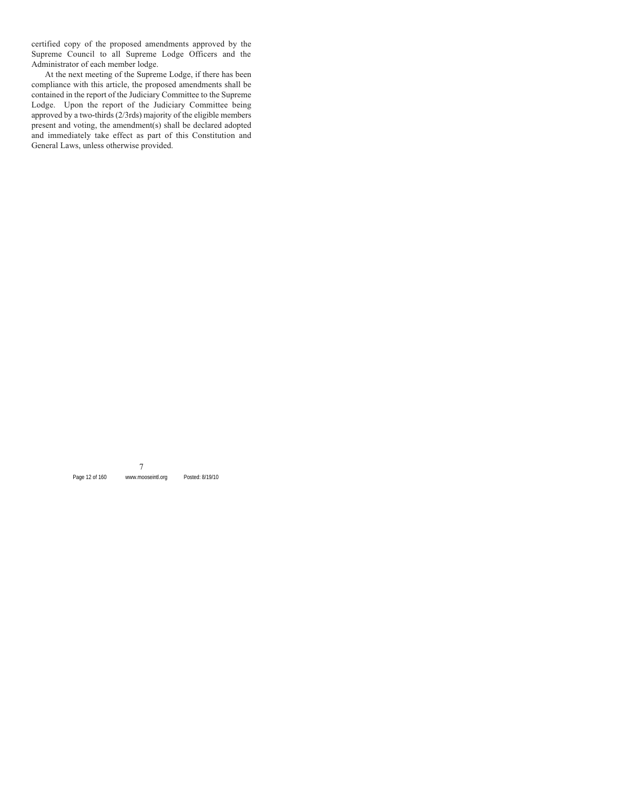certified copy of the proposed amendments approved by the Supreme Council to all Supreme Lodge Officers and the Administrator of each member lodge.

At the next meeting of the Supreme Lodge, if there has been compliance with this article, the proposed amendments shall be contained in the report of the Judiciary Committee to the Supreme Lodge. Upon the report of the Judiciary Committee being approved by a two-thirds (2/3rds) majority of the eligible members present and voting, the amendment(s) shall be declared adopted and immediately take effect as part of this Constitution and General Laws, unless otherwise provided.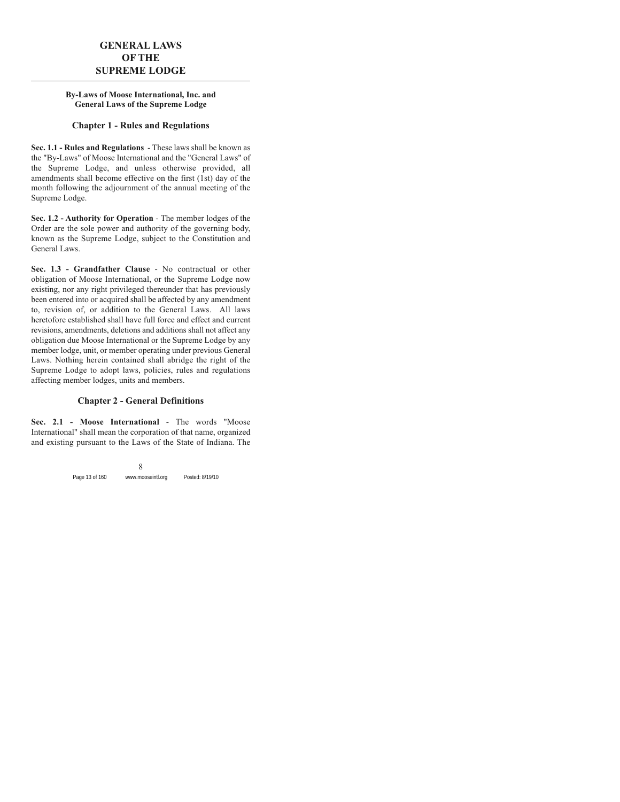## **GENERAL LAWS OF THE SUPREME LODGE**

#### **By-Laws of Moose International, Inc. and General Laws of the Supreme Lodge**

## **Chapter 1 - Rules and Regulations**

**Sec. 1.1 - Rules and Regulations** - These laws shall be known as the "By-Laws" of Moose International and the "General Laws" of the Supreme Lodge, and unless otherwise provided, all amendments shall become effective on the first (1st) day of the month following the adjournment of the annual meeting of the Supreme Lodge.

**Sec. 1.2 - Authority for Operation** - The member lodges of the Order are the sole power and authority of the governing body, known as the Supreme Lodge, subject to the Constitution and General Laws.

**Sec. 1.3 - Grandfather Clause** - No contractual or other obligation of Moose International, or the Supreme Lodge now existing, nor any right privileged thereunder that has previously been entered into or acquired shall be affected by any amendment to, revision of, or addition to the General Laws. All laws heretofore established shall have full force and effect and current revisions, amendments, deletions and additions shall not affect any obligation due Moose International or the Supreme Lodge by any member lodge, unit, or member operating under previous General Laws. Nothing herein contained shall abridge the right of the Supreme Lodge to adopt laws, policies, rules and regulations affecting member lodges, units and members.

## **Chapter 2 - General Definitions**

**Sec. 2.1 - Moose International** - The words "Moose International" shall mean the corporation of that name, organized and existing pursuant to the Laws of the State of Indiana. The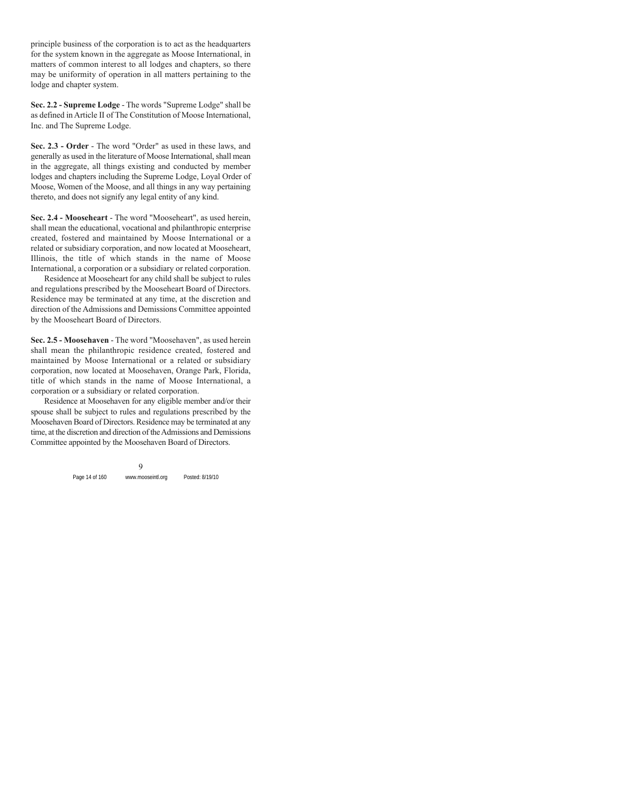principle business of the corporation is to act as the headquarters for the system known in the aggregate as Moose International, in matters of common interest to all lodges and chapters, so there may be uniformity of operation in all matters pertaining to the lodge and chapter system.

**Sec. 2.2 - Supreme Lodge** - The words "Supreme Lodge" shall be as defined in Article II of The Constitution of Moose International, Inc. and The Supreme Lodge.

**Sec. 2.3 - Order** - The word "Order" as used in these laws, and generally as used in the literature of Moose International, shall mean in the aggregate, all things existing and conducted by member lodges and chapters including the Supreme Lodge, Loyal Order of Moose, Women of the Moose, and all things in any way pertaining thereto, and does not signify any legal entity of any kind.

**Sec. 2.4 - Mooseheart** - The word "Mooseheart", as used herein, shall mean the educational, vocational and philanthropic enterprise created, fostered and maintained by Moose International or a related or subsidiary corporation, and now located at Mooseheart, Illinois, the title of which stands in the name of Moose International, a corporation or a subsidiary or related corporation.

Residence at Mooseheart for any child shall be subject to rules and regulations prescribed by the Mooseheart Board of Directors. Residence may be terminated at any time, at the discretion and direction of the Admissions and Demissions Committee appointed by the Mooseheart Board of Directors.

**Sec. 2.5 - Moosehaven** - The word "Moosehaven", as used herein shall mean the philanthropic residence created, fostered and maintained by Moose International or a related or subsidiary corporation, now located at Moosehaven, Orange Park, Florida, title of which stands in the name of Moose International, a corporation or a subsidiary or related corporation.

Residence at Moosehaven for any eligible member and/or their spouse shall be subject to rules and regulations prescribed by the Moosehaven Board of Directors. Residence may be terminated at any time, at the discretion and direction of the Admissions and Demissions Committee appointed by the Moosehaven Board of Directors.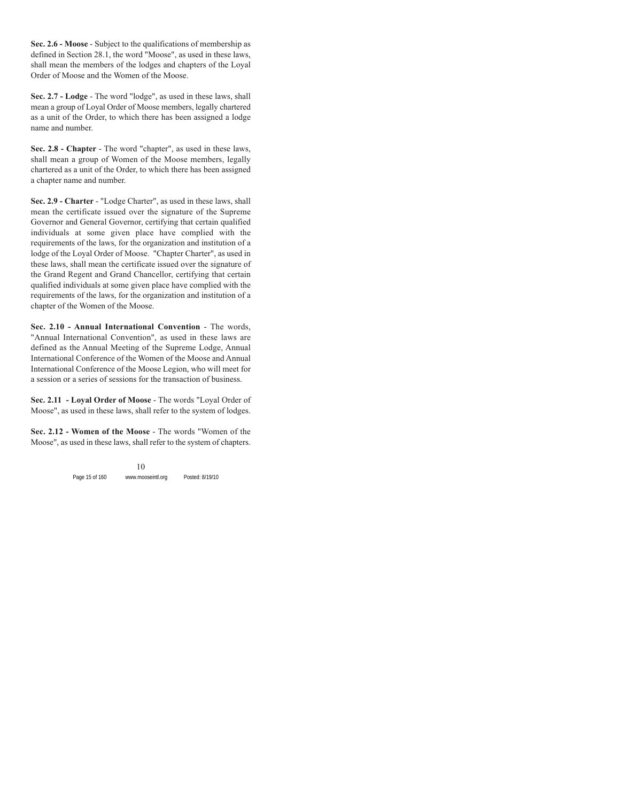**Sec. 2.6 - Moose** - Subject to the qualifications of membership as defined in Section 28.1, the word "Moose", as used in these laws, shall mean the members of the lodges and chapters of the Loyal Order of Moose and the Women of the Moose.

**Sec. 2.7 - Lodge** - The word "lodge", as used in these laws, shall mean a group of Loyal Order of Moose members, legally chartered as a unit of the Order, to which there has been assigned a lodge name and number.

**Sec. 2.8 - Chapter** - The word "chapter", as used in these laws, shall mean a group of Women of the Moose members, legally chartered as a unit of the Order, to which there has been assigned a chapter name and number.

**Sec. 2.9 - Charter** - "Lodge Charter", as used in these laws, shall mean the certificate issued over the signature of the Supreme Governor and General Governor, certifying that certain qualified individuals at some given place have complied with the requirements of the laws, for the organization and institution of a lodge of the Loyal Order of Moose. "Chapter Charter", as used in these laws, shall mean the certificate issued over the signature of the Grand Regent and Grand Chancellor, certifying that certain qualified individuals at some given place have complied with the requirements of the laws, for the organization and institution of a chapter of the Women of the Moose.

**Sec. 2.10 - Annual International Convention** - The words, "Annual International Convention", as used in these laws are defined as the Annual Meeting of the Supreme Lodge, Annual International Conference of the Women of the Moose and Annual International Conference of the Moose Legion, who will meet for a session or a series of sessions for the transaction of business.

**Sec. 2.11 - Loyal Order of Moose** - The words "Loyal Order of Moose", as used in these laws, shall refer to the system of lodges.

**Sec. 2.12 - Women of the Moose** - The words "Women of the Moose", as used in these laws, shall refer to the system of chapters.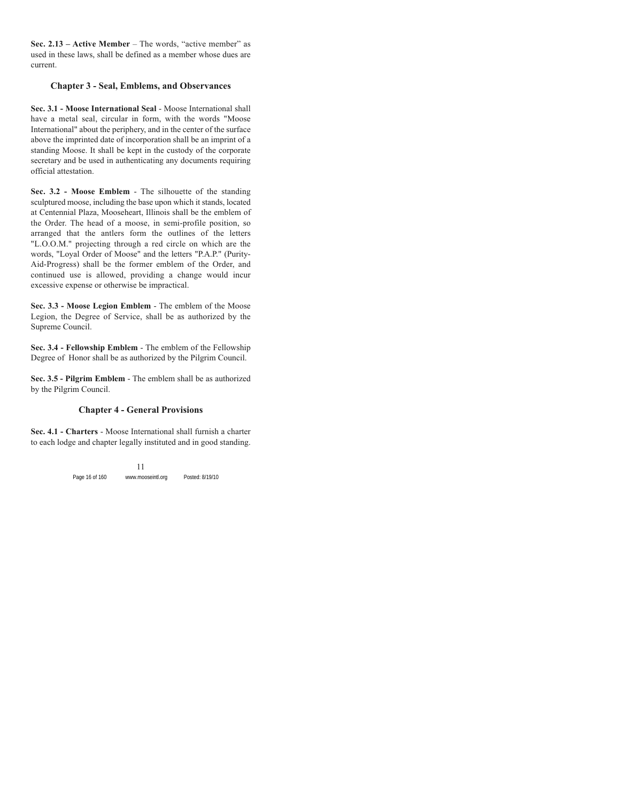**Sec. 2.13 – Active Member** – The words, "active member" as used in these laws, shall be defined as a member whose dues are current.

## **Chapter 3 - Seal, Emblems, and Observances**

**Sec. 3.1 - Moose International Seal** - Moose International shall have a metal seal, circular in form, with the words "Moose" International" about the periphery, and in the center of the surface above the imprinted date of incorporation shall be an imprint of a standing Moose. It shall be kept in the custody of the corporate secretary and be used in authenticating any documents requiring official attestation.

**Sec. 3.2 - Moose Emblem** - The silhouette of the standing sculptured moose, including the base upon which it stands, located at Centennial Plaza, Mooseheart, Illinois shall be the emblem of the Order. The head of a moose, in semi-profile position, so arranged that the antlers form the outlines of the letters "L.O.O.M." projecting through a red circle on which are the words, "Loyal Order of Moose" and the letters "P.A.P." (Purity-Aid-Progress) shall be the former emblem of the Order, and continued use is allowed, providing a change would incur excessive expense or otherwise be impractical.

**Sec. 3.3 - Moose Legion Emblem** - The emblem of the Moose Legion, the Degree of Service, shall be as authorized by the Supreme Council.

**Sec. 3.4 - Fellowship Emblem** - The emblem of the Fellowship Degree of Honor shall be as authorized by the Pilgrim Council.

**Sec. 3.5 - Pilgrim Emblem** - The emblem shall be as authorized by the Pilgrim Council.

## **Chapter 4 - General Provisions**

**Sec. 4.1 - Charters** - Moose International shall furnish a charter to each lodge and chapter legally instituted and in good standing.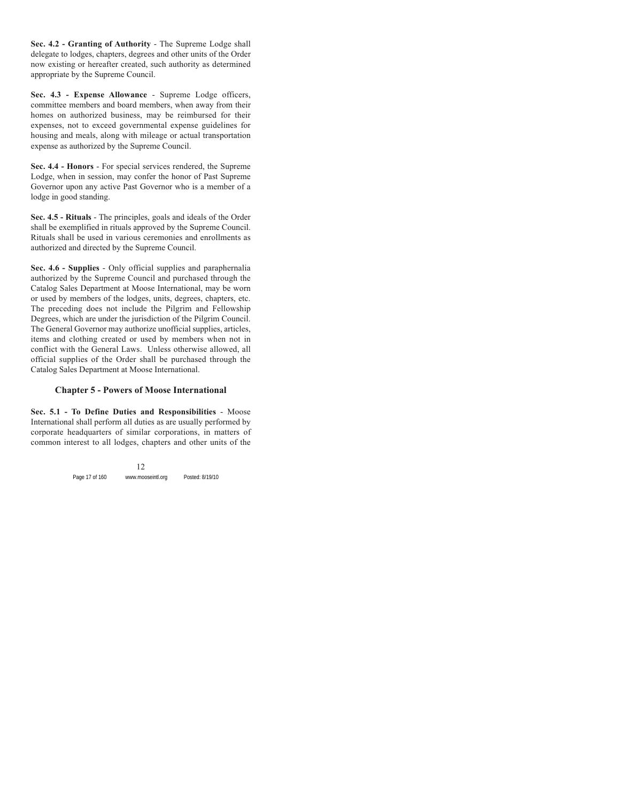**Sec. 4.2 - Granting of Authority** - The Supreme Lodge shall delegate to lodges, chapters, degrees and other units of the Order now existing or hereafter created, such authority as determined appropriate by the Supreme Council.

**Sec. 4.3 - Expense Allowance** - Supreme Lodge officers, committee members and board members, when away from their homes on authorized business, may be reimbursed for their expenses, not to exceed governmental expense guidelines for housing and meals, along with mileage or actual transportation expense as authorized by the Supreme Council.

**Sec. 4.4 - Honors** - For special services rendered, the Supreme Lodge, when in session, may confer the honor of Past Supreme Governor upon any active Past Governor who is a member of a lodge in good standing.

**Sec. 4.5 - Rituals** - The principles, goals and ideals of the Order shall be exemplified in rituals approved by the Supreme Council. Rituals shall be used in various ceremonies and enrollments as authorized and directed by the Supreme Council.

**Sec. 4.6 - Supplies** - Only official supplies and paraphernalia authorized by the Supreme Council and purchased through the Catalog Sales Department at Moose International, may be worn or used by members of the lodges, units, degrees, chapters, etc. The preceding does not include the Pilgrim and Fellowship Degrees, which are under the jurisdiction of the Pilgrim Council. The General Governor may authorize unofficial supplies, articles, items and clothing created or used by members when not in conflict with the General Laws. Unless otherwise allowed, all official supplies of the Order shall be purchased through the Catalog Sales Department at Moose International.

## **Chapter 5 - Powers of Moose International**

**Sec. 5.1 - To Define Duties and Responsibilities** - Moose International shall perform all duties as are usually performed by corporate headquarters of similar corporations, in matters of common interest to all lodges, chapters and other units of the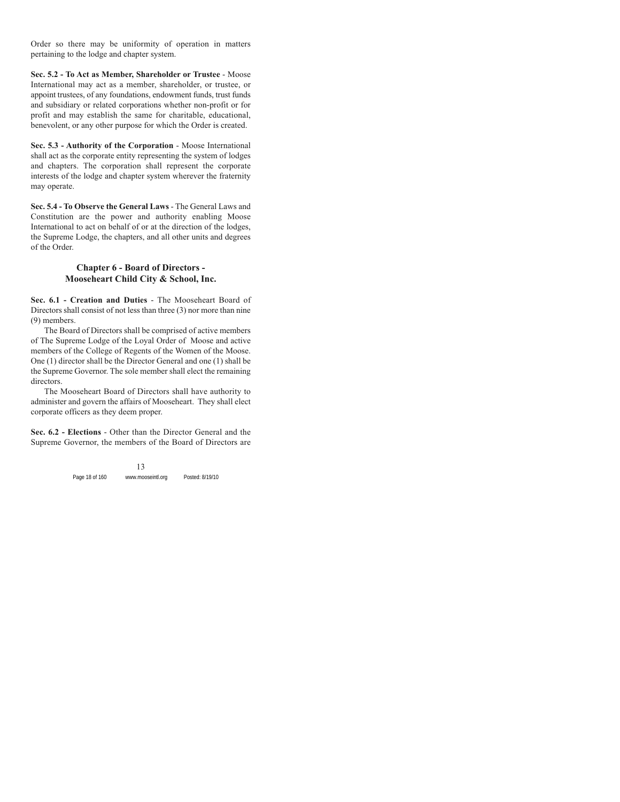Order so there may be uniformity of operation in matters pertaining to the lodge and chapter system.

**Sec. 5.2 - To Act as Member, Shareholder or Trustee** - Moose International may act as a member, shareholder, or trustee, or appoint trustees, of any foundations, endowment funds, trust funds and subsidiary or related corporations whether non-profit or for profit and may establish the same for charitable, educational, benevolent, or any other purpose for which the Order is created.

**Sec. 5.3 - Authority of the Corporation** - Moose International shall act as the corporate entity representing the system of lodges and chapters. The corporation shall represent the corporate interests of the lodge and chapter system wherever the fraternity may operate.

**Sec. 5.4 - To Observe the General Laws** - The General Laws and Constitution are the power and authority enabling Moose International to act on behalf of or at the direction of the lodges, the Supreme Lodge, the chapters, and all other units and degrees of the Order.

## **Chapter 6 - Board of Directors - Mooseheart Child City & School, Inc.**

**Sec. 6.1 - Creation and Duties** - The Mooseheart Board of Directors shall consist of not less than three (3) nor more than nine (9) members.

The Board of Directors shall be comprised of active members of The Supreme Lodge of the Loyal Order of Moose and active members of the College of Regents of the Women of the Moose. One (1) director shall be the Director General and one (1) shall be the Supreme Governor. The sole member shall elect the remaining directors.

The Mooseheart Board of Directors shall have authority to administer and govern the affairs of Mooseheart. They shall elect corporate officers as they deem proper.

**Sec. 6.2 - Elections** - Other than the Director General and the Supreme Governor, the members of the Board of Directors are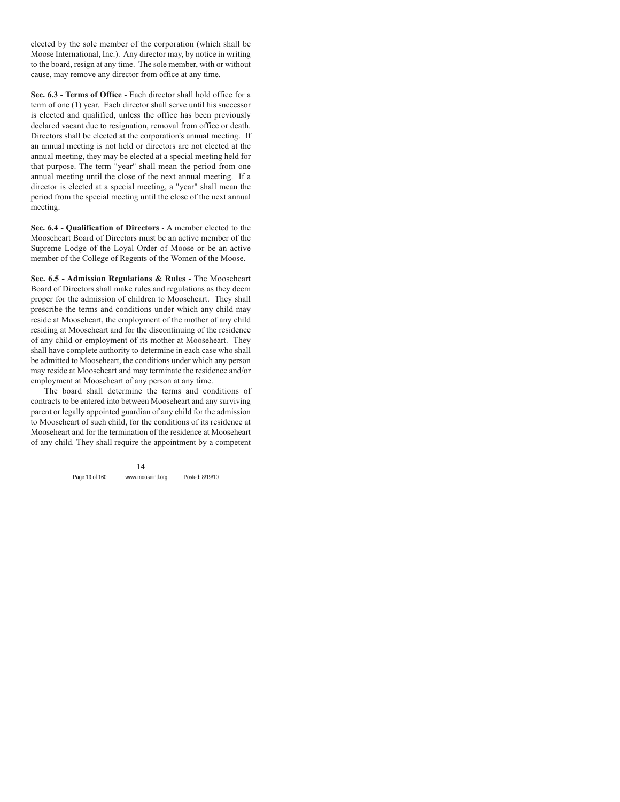elected by the sole member of the corporation (which shall be Moose International, Inc.). Any director may, by notice in writing to the board, resign at any time. The sole member, with or without cause, may remove any director from office at any time.

**Sec. 6.3 - Terms of Office** - Each director shall hold office for a term of one (1) year. Each director shall serve until his successor is elected and qualified, unless the office has been previously declared vacant due to resignation, removal from office or death. Directors shall be elected at the corporation's annual meeting. If an annual meeting is not held or directors are not elected at the annual meeting, they may be elected at a special meeting held for that purpose. The term "year" shall mean the period from one annual meeting until the close of the next annual meeting. If a director is elected at a special meeting, a "year" shall mean the period from the special meeting until the close of the next annual meeting.

**Sec. 6.4 - Qualification of Directors** - A member elected to the Mooseheart Board of Directors must be an active member of the Supreme Lodge of the Loyal Order of Moose or be an active member of the College of Regents of the Women of the Moose.

**Sec. 6.5 - Admission Regulations & Rules** - The Mooseheart Board of Directors shall make rules and regulations as they deem proper for the admission of children to Mooseheart. They shall prescribe the terms and conditions under which any child may reside at Mooseheart, the employment of the mother of any child residing at Mooseheart and for the discontinuing of the residence of any child or employment of its mother at Mooseheart. They shall have complete authority to determine in each case who shall be admitted to Mooseheart, the conditions under which any person may reside at Mooseheart and may terminate the residence and/or employment at Mooseheart of any person at any time.

The board shall determine the terms and conditions of contracts to be entered into between Mooseheart and any surviving parent or legally appointed guardian of any child for the admission to Mooseheart of such child, for the conditions of its residence at Mooseheart and for the termination of the residence at Mooseheart of any child. They shall require the appointment by a competent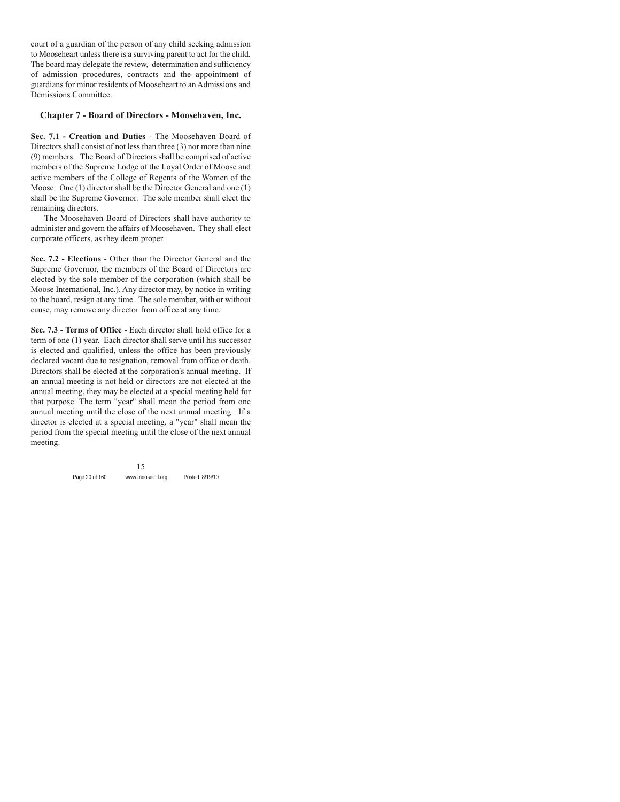court of a guardian of the person of any child seeking admission to Mooseheart unless there is a surviving parent to act for the child. The board may delegate the review, determination and sufficiency of admission procedures, contracts and the appointment of guardians for minor residents of Mooseheart to an Admissions and Demissions Committee.

## **Chapter 7 - Board of Directors - Moosehaven, Inc.**

**Sec. 7.1 - Creation and Duties** - The Moosehaven Board of Directors shall consist of not less than three (3) nor more than nine (9) members. The Board of Directors shall be comprised of active members of the Supreme Lodge of the Loyal Order of Moose and active members of the College of Regents of the Women of the Moose. One (1) director shall be the Director General and one (1) shall be the Supreme Governor. The sole member shall elect the remaining directors.

The Moosehaven Board of Directors shall have authority to administer and govern the affairs of Moosehaven. They shall elect corporate officers, as they deem proper.

**Sec. 7.2 - Elections** - Other than the Director General and the Supreme Governor, the members of the Board of Directors are elected by the sole member of the corporation (which shall be Moose International, Inc.). Any director may, by notice in writing to the board, resign at any time. The sole member, with or without cause, may remove any director from office at any time.

**Sec. 7.3 - Terms of Office** - Each director shall hold office for a term of one (1) year. Each director shall serve until his successor is elected and qualified, unless the office has been previously declared vacant due to resignation, removal from office or death. Directors shall be elected at the corporation's annual meeting. If an annual meeting is not held or directors are not elected at the annual meeting, they may be elected at a special meeting held for that purpose. The term "year" shall mean the period from one annual meeting until the close of the next annual meeting. If a director is elected at a special meeting, a "year" shall mean the period from the special meeting until the close of the next annual meeting.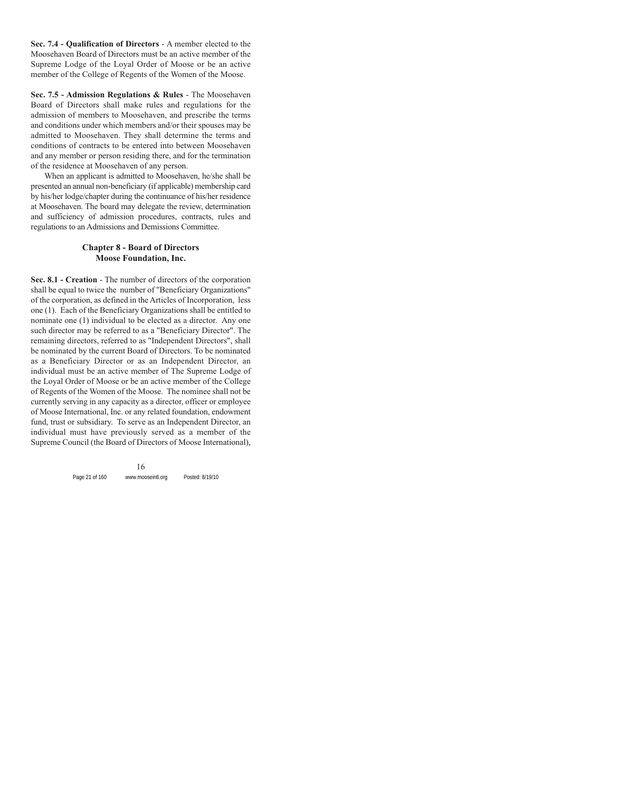**Sec. 7.4 - Qualification of Directors** - A member elected to the Moosehaven Board of Directors must be an active member of the Supreme Lodge of the Loyal Order of Moose or be an active member of the College of Regents of the Women of the Moose.

**Sec. 7.5 - Admission Regulations & Rules** - The Moosehaven Board of Directors shall make rules and regulations for the admission of members to Moosehaven, and prescribe the terms and conditions under which members and/or their spouses may be admitted to Moosehaven. They shall determine the terms and conditions of contracts to be entered into between Moosehaven and any member or person residing there, and for the termination of the residence at Moosehaven of any person.

When an applicant is admitted to Moosehaven, he/she shall be presented an annual non-beneficiary (if applicable) membership card by his/her lodge/chapter during the continuance of his/her residence at Moosehaven. The board may delegate the review, determination and sufficiency of admission procedures, contracts, rules and regulations to an Admissions and Demissions Committee.

#### **Chapter 8 - Board of Directors Moose Foundation, Inc.**

**Sec. 8.1 - Creation** - The number of directors of the corporation shall be equal to twice the number of "Beneficiary Organizations" of the corporation, as defined in the Articles of Incorporation, less one (1). Each of the Beneficiary Organizations shall be entitled to nominate one (1) individual to be elected as a director. Any one such director may be referred to as a "Beneficiary Director". The remaining directors, referred to as "Independent Directors", shall be nominated by the current Board of Directors. To be nominated as a Beneficiary Director or as an Independent Director, an individual must be an active member of The Supreme Lodge of the Loyal Order of Moose or be an active member of the College of Regents of the Women of the Moose. The nominee shall not be currently serving in any capacity as a director, officer or employee of Moose International, Inc. or any related foundation, endowment fund, trust or subsidiary. To serve as an Independent Director, an individual must have previously served as a member of the Supreme Council (the Board of Directors of Moose International),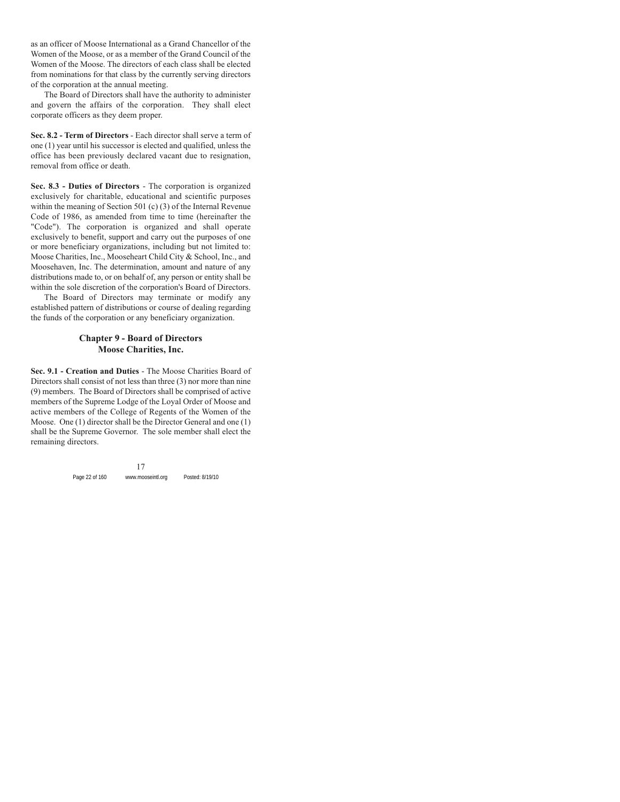as an officer of Moose International as a Grand Chancellor of the Women of the Moose, or as a member of the Grand Council of the Women of the Moose. The directors of each class shall be elected from nominations for that class by the currently serving directors of the corporation at the annual meeting.

The Board of Directors shall have the authority to administer and govern the affairs of the corporation. They shall elect corporate officers as they deem proper.

**Sec. 8.2 - Term of Directors** - Each director shall serve a term of one (1) year until his successor is elected and qualified, unless the office has been previously declared vacant due to resignation, removal from office or death.

**Sec. 8.3 - Duties of Directors** - The corporation is organized exclusively for charitable, educational and scientific purposes within the meaning of Section 501 (c) (3) of the Internal Revenue Code of 1986, as amended from time to time (hereinafter the "Code"). The corporation is organized and shall operate exclusively to benefit, support and carry out the purposes of one or more beneficiary organizations, including but not limited to: Moose Charities, Inc., Mooseheart Child City & School, Inc., and Moosehaven, Inc. The determination, amount and nature of any distributions made to, or on behalf of, any person or entity shall be within the sole discretion of the corporation's Board of Directors.

The Board of Directors may terminate or modify any established pattern of distributions or course of dealing regarding the funds of the corporation or any beneficiary organization.

## **Chapter 9 - Board of Directors Moose Charities, Inc.**

**Sec. 9.1 - Creation and Duties** - The Moose Charities Board of Directors shall consist of not less than three (3) nor more than nine (9) members. The Board of Directors shall be comprised of active members of the Supreme Lodge of the Loyal Order of Moose and active members of the College of Regents of the Women of the Moose. One (1) director shall be the Director General and one (1) shall be the Supreme Governor. The sole member shall elect the remaining directors.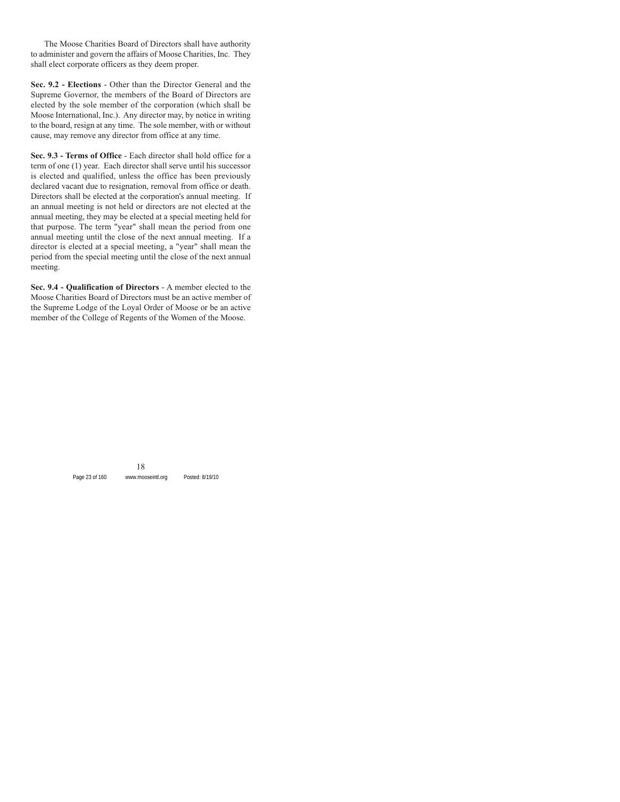The Moose Charities Board of Directors shall have authority to administer and govern the affairs of Moose Charities, Inc. They shall elect corporate officers as they deem proper.

**Sec. 9.2 - Elections** - Other than the Director General and the Supreme Governor, the members of the Board of Directors are elected by the sole member of the corporation (which shall be Moose International, Inc.). Any director may, by notice in writing to the board, resign at any time. The sole member, with or without cause, may remove any director from office at any time.

**Sec. 9.3 - Terms of Office** - Each director shall hold office for a term of one (1) year. Each director shall serve until his successor is elected and qualified, unless the office has been previously declared vacant due to resignation, removal from office or death. Directors shall be elected at the corporation's annual meeting. If an annual meeting is not held or directors are not elected at the annual meeting, they may be elected at a special meeting held for that purpose. The term "year" shall mean the period from one annual meeting until the close of the next annual meeting. If a director is elected at a special meeting, a "year" shall mean the period from the special meeting until the close of the next annual meeting.

**Sec. 9.4 - Qualification of Directors** - A member elected to the Moose Charities Board of Directors must be an active member of the Supreme Lodge of the Loyal Order of Moose or be an active member of the College of Regents of the Women of the Moose.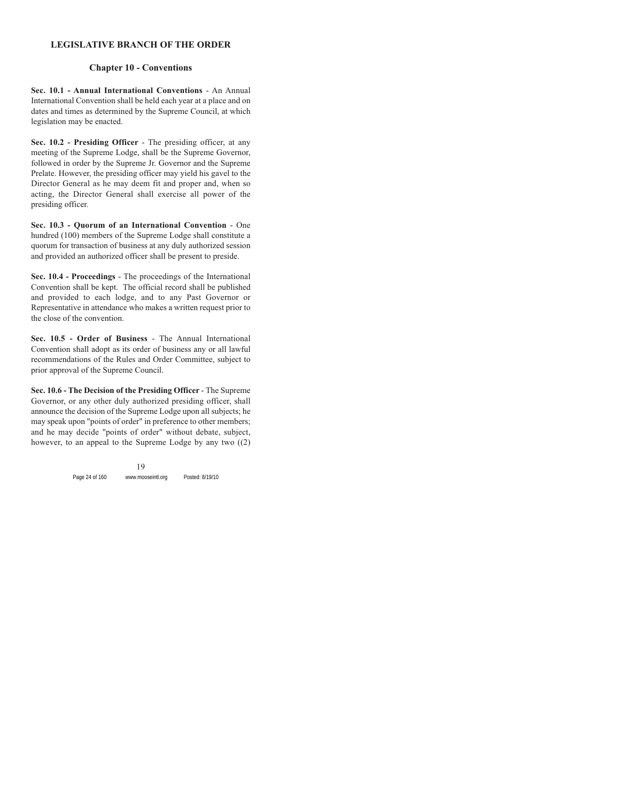## **LEGISLATIVE BRANCH OF THE ORDER**

## **Chapter 10 - Conventions**

**Sec. 10.1 - Annual International Conventions** - An Annual International Convention shall be held each year at a place and on dates and times as determined by the Supreme Council, at which legislation may be enacted.

**Sec. 10.2 - Presiding Officer** - The presiding officer, at any meeting of the Supreme Lodge, shall be the Supreme Governor, followed in order by the Supreme Jr. Governor and the Supreme Prelate. However, the presiding officer may yield his gavel to the Director General as he may deem fit and proper and, when so acting, the Director General shall exercise all power of the presiding officer.

**Sec. 10.3 - Quorum of an International Convention** - One hundred (100) members of the Supreme Lodge shall constitute a quorum for transaction of business at any duly authorized session and provided an authorized officer shall be present to preside.

**Sec. 10.4 - Proceedings** - The proceedings of the International Convention shall be kept. The official record shall be published and provided to each lodge, and to any Past Governor or Representative in attendance who makes a written request prior to the close of the convention.

**Sec. 10.5 - Order of Business** - The Annual International Convention shall adopt as its order of business any or all lawful recommendations of the Rules and Order Committee, subject to prior approval of the Supreme Council.

**Sec. 10.6 - The Decision of the Presiding Officer** - The Supreme Governor, or any other duly authorized presiding officer, shall announce the decision of the Supreme Lodge upon all subjects; he may speak upon "points of order" in preference to other members; and he may decide "points of order" without debate, subject, however, to an appeal to the Supreme Lodge by any two ((2)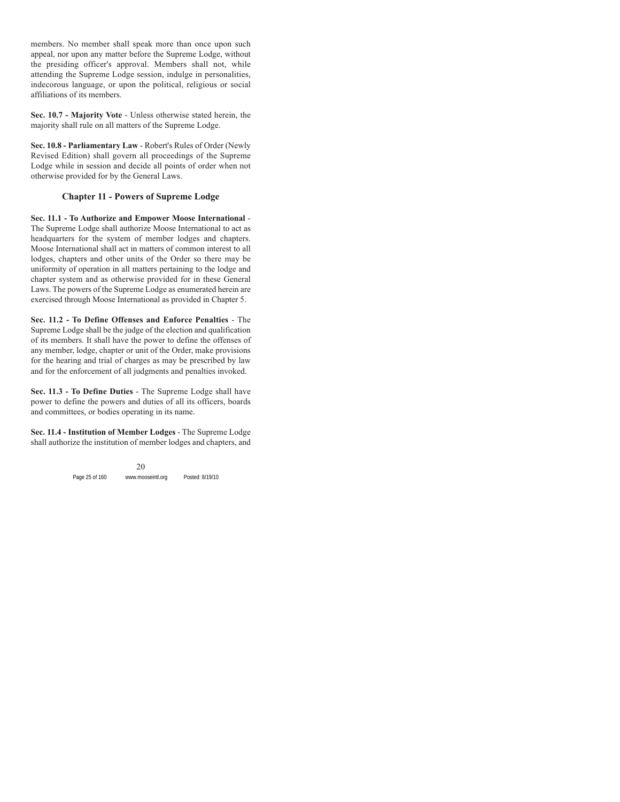members. No member shall speak more than once upon such appeal, nor upon any matter before the Supreme Lodge, without the presiding officer's approval. Members shall not, while attending the Supreme Lodge session, indulge in personalities, indecorous language, or upon the political, religious or social affiliations of its members.

**Sec. 10.7 - Majority Vote** - Unless otherwise stated herein, the majority shall rule on all matters of the Supreme Lodge.

**Sec. 10.8 - Parliamentary Law** - Robert's Rules of Order (Newly Revised Edition) shall govern all proceedings of the Supreme Lodge while in session and decide all points of order when not otherwise provided for by the General Laws.

## **Chapter 11 - Powers of Supreme Lodge**

**Sec. 11.1 - To Authorize and Empower Moose International** - The Supreme Lodge shall authorize Moose International to act as headquarters for the system of member lodges and chapters. Moose International shall act in matters of common interest to all lodges, chapters and other units of the Order so there may be uniformity of operation in all matters pertaining to the lodge and chapter system and as otherwise provided for in these General Laws. The powers of the Supreme Lodge as enumerated herein are exercised through Moose International as provided in Chapter 5.

**Sec. 11.2 - To Define Offenses and Enforce Penalties** - The Supreme Lodge shall be the judge of the election and qualification of its members. It shall have the power to define the offenses of any member, lodge, chapter or unit of the Order, make provisions for the hearing and trial of charges as may be prescribed by law and for the enforcement of all judgments and penalties invoked.

**Sec. 11.3 - To Define Duties** - The Supreme Lodge shall have power to define the powers and duties of all its officers, boards and committees, or bodies operating in its name.

**Sec. 11.4 - Institution of Member Lodges** - The Supreme Lodge shall authorize the institution of member lodges and chapters, and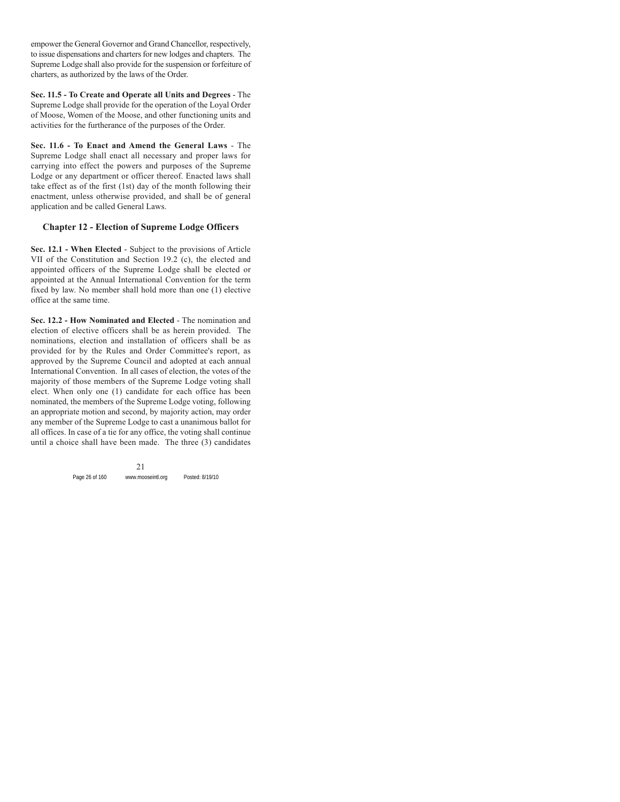empower the General Governor and Grand Chancellor, respectively, to issue dispensations and charters for new lodges and chapters. The Supreme Lodge shall also provide for the suspension or forfeiture of charters, as authorized by the laws of the Order.

**Sec. 11.5 - To Create and Operate all Units and Degrees** - The Supreme Lodge shall provide for the operation of the Loyal Order of Moose, Women of the Moose, and other functioning units and activities for the furtherance of the purposes of the Order.

**Sec. 11.6 - To Enact and Amend the General Laws** - The Supreme Lodge shall enact all necessary and proper laws for carrying into effect the powers and purposes of the Supreme Lodge or any department or officer thereof. Enacted laws shall take effect as of the first (1st) day of the month following their enactment, unless otherwise provided, and shall be of general application and be called General Laws.

## **Chapter 12 - Election of Supreme Lodge Officers**

**Sec. 12.1 - When Elected** - Subject to the provisions of Article VII of the Constitution and Section 19.2 (c), the elected and appointed officers of the Supreme Lodge shall be elected or appointed at the Annual International Convention for the term fixed by law. No member shall hold more than one (1) elective office at the same time.

**Sec. 12.2 - How Nominated and Elected** - The nomination and election of elective officers shall be as herein provided. The nominations, election and installation of officers shall be as provided for by the Rules and Order Committee's report, as approved by the Supreme Council and adopted at each annual International Convention. In all cases of election, the votes of the majority of those members of the Supreme Lodge voting shall elect. When only one (1) candidate for each office has been nominated, the members of the Supreme Lodge voting, following an appropriate motion and second, by majority action, may order any member of the Supreme Lodge to cast a unanimous ballot for all offices. In case of a tie for any office, the voting shall continue until a choice shall have been made. The three (3) candidates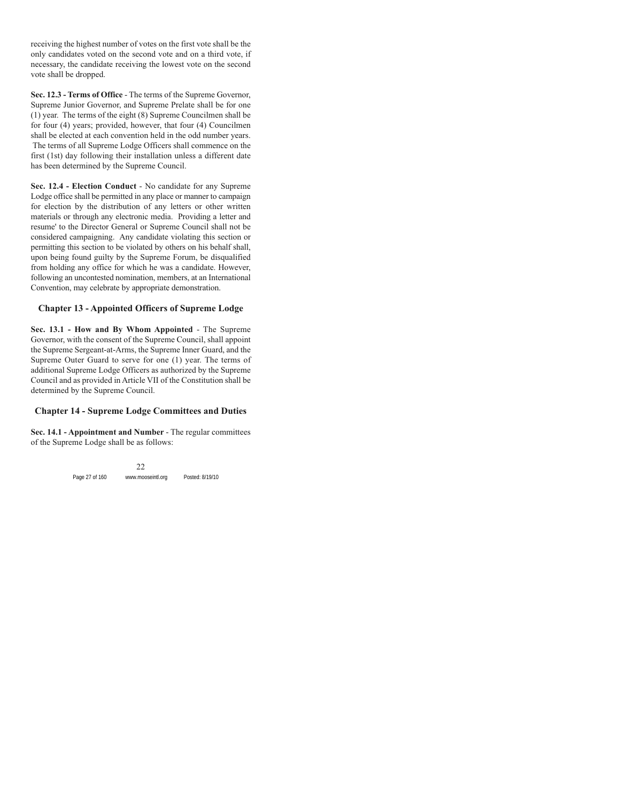receiving the highest number of votes on the first vote shall be the only candidates voted on the second vote and on a third vote, if necessary, the candidate receiving the lowest vote on the second vote shall be dropped.

**Sec. 12.3 - Terms of Office** - The terms of the Supreme Governor, Supreme Junior Governor, and Supreme Prelate shall be for one (1) year. The terms of the eight (8) Supreme Councilmen shall be for four (4) years; provided, however, that four (4) Councilmen shall be elected at each convention held in the odd number years. The terms of all Supreme Lodge Officers shall commence on the first (1st) day following their installation unless a different date has been determined by the Supreme Council.

**Sec. 12.4 - Election Conduct** - No candidate for any Supreme Lodge office shall be permitted in any place or manner to campaign for election by the distribution of any letters or other written materials or through any electronic media. Providing a letter and resume' to the Director General or Supreme Council shall not be considered campaigning. Any candidate violating this section or permitting this section to be violated by others on his behalf shall, upon being found guilty by the Supreme Forum, be disqualified from holding any office for which he was a candidate. However, following an uncontested nomination, members, at an International Convention, may celebrate by appropriate demonstration.

## **Chapter 13 - Appointed Officers of Supreme Lodge**

**Sec. 13.1 - How and By Whom Appointed** - The Supreme Governor, with the consent of the Supreme Council, shall appoint the Supreme Sergeant-at-Arms, the Supreme Inner Guard, and the Supreme Outer Guard to serve for one (1) year. The terms of additional Supreme Lodge Officers as authorized by the Supreme Council and as provided in Article VII of the Constitution shall be determined by the Supreme Council.

## **Chapter 14 - Supreme Lodge Committees and Duties**

**Sec. 14.1 - Appointment and Number** - The regular committees of the Supreme Lodge shall be as follows: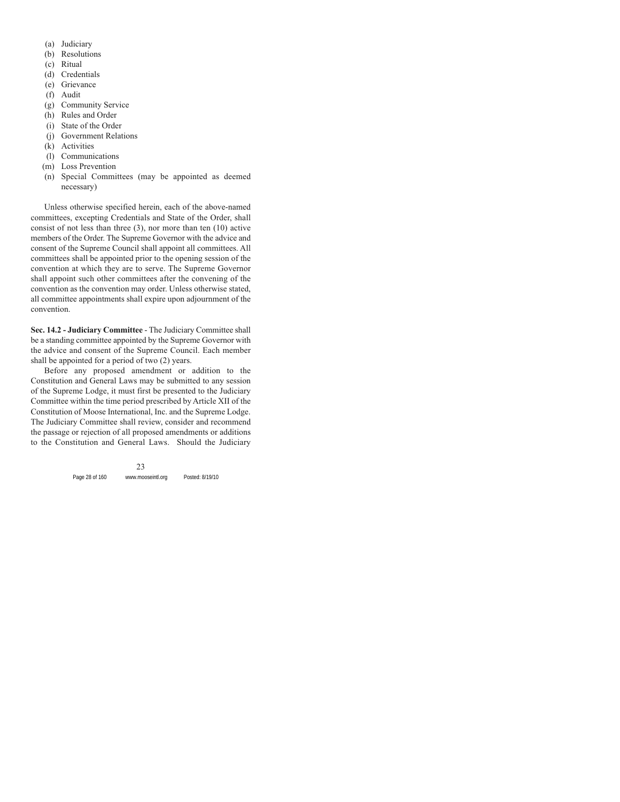- (a) Judiciary
- (b) Resolutions
- (c) Ritual
- (d) Credentials
- (e) Grievance
- (f) Audit
- (g) Community Service
- (h) Rules and Order
- (i) State of the Order
- (j) Government Relations
- (k) Activities
- (l) Communications
- (m) Loss Prevention
- (n) Special Committees (may be appointed as deemed necessary)

Unless otherwise specified herein, each of the above-named committees, excepting Credentials and State of the Order, shall consist of not less than three (3), nor more than ten (10) active members of the Order. The Supreme Governor with the advice and consent of the Supreme Council shall appoint all committees. All committees shall be appointed prior to the opening session of the convention at which they are to serve. The Supreme Governor shall appoint such other committees after the convening of the convention as the convention may order. Unless otherwise stated, all committee appointments shall expire upon adjournment of the convention.

**Sec. 14.2 - Judiciary Committee** - The Judiciary Committee shall be a standing committee appointed by the Supreme Governor with the advice and consent of the Supreme Council. Each member shall be appointed for a period of two (2) years.

Before any proposed amendment or addition to the Constitution and General Laws may be submitted to any session of the Supreme Lodge, it must first be presented to the Judiciary Committee within the time period prescribed by Article XII of the Constitution of Moose International, Inc. and the Supreme Lodge. The Judiciary Committee shall review, consider and recommend the passage or rejection of all proposed amendments or additions to the Constitution and General Laws. Should the Judiciary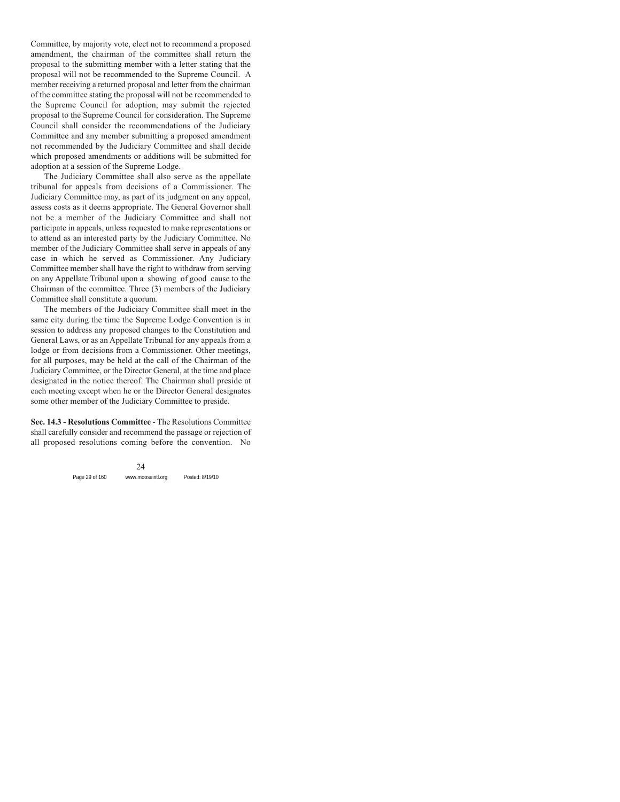Committee, by majority vote, elect not to recommend a proposed amendment, the chairman of the committee shall return the proposal to the submitting member with a letter stating that the proposal will not be recommended to the Supreme Council. A member receiving a returned proposal and letter from the chairman of the committee stating the proposal will not be recommended to the Supreme Council for adoption, may submit the rejected proposal to the Supreme Council for consideration. The Supreme Council shall consider the recommendations of the Judiciary Committee and any member submitting a proposed amendment not recommended by the Judiciary Committee and shall decide which proposed amendments or additions will be submitted for adoption at a session of the Supreme Lodge.

The Judiciary Committee shall also serve as the appellate tribunal for appeals from decisions of a Commissioner. The Judiciary Committee may, as part of its judgment on any appeal, assess costs as it deems appropriate. The General Governor shall not be a member of the Judiciary Committee and shall not participate in appeals, unless requested to make representations or to attend as an interested party by the Judiciary Committee. No member of the Judiciary Committee shall serve in appeals of any case in which he served as Commissioner. Any Judiciary Committee member shall have the right to withdraw from serving on any Appellate Tribunal upon a showing of good cause to the Chairman of the committee. Three (3) members of the Judiciary Committee shall constitute a quorum.

The members of the Judiciary Committee shall meet in the same city during the time the Supreme Lodge Convention is in session to address any proposed changes to the Constitution and General Laws, or as an Appellate Tribunal for any appeals from a lodge or from decisions from a Commissioner. Other meetings, for all purposes, may be held at the call of the Chairman of the Judiciary Committee, or the Director General, at the time and place designated in the notice thereof. The Chairman shall preside at each meeting except when he or the Director General designates some other member of the Judiciary Committee to preside.

**Sec. 14.3 - Resolutions Committee** - The Resolutions Committee shall carefully consider and recommend the passage or rejection of all proposed resolutions coming before the convention. No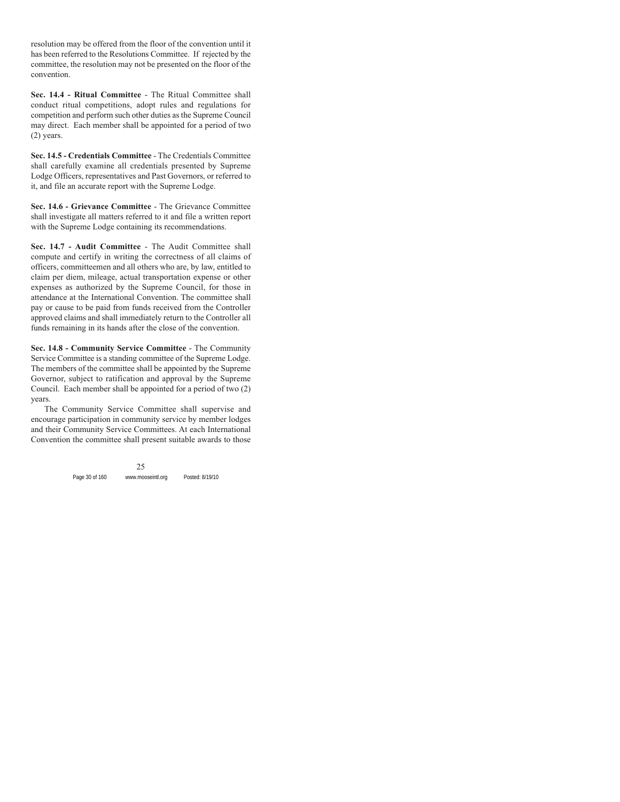resolution may be offered from the floor of the convention until it has been referred to the Resolutions Committee. If rejected by the committee, the resolution may not be presented on the floor of the convention.

**Sec. 14.4 - Ritual Committee** - The Ritual Committee shall conduct ritual competitions, adopt rules and regulations for competition and perform such other duties as the Supreme Council may direct. Each member shall be appointed for a period of two (2) years.

**Sec. 14.5 - Credentials Committee** - The Credentials Committee shall carefully examine all credentials presented by Supreme Lodge Officers, representatives and Past Governors, or referred to it, and file an accurate report with the Supreme Lodge.

**Sec. 14.6 - Grievance Committee** - The Grievance Committee shall investigate all matters referred to it and file a written report with the Supreme Lodge containing its recommendations.

**Sec. 14.7 - Audit Committee** - The Audit Committee shall compute and certify in writing the correctness of all claims of officers, committeemen and all others who are, by law, entitled to claim per diem, mileage, actual transportation expense or other expenses as authorized by the Supreme Council, for those in attendance at the International Convention. The committee shall pay or cause to be paid from funds received from the Controller approved claims and shall immediately return to the Controller all funds remaining in its hands after the close of the convention.

**Sec. 14.8 - Community Service Committee** - The Community Service Committee is a standing committee of the Supreme Lodge. The members of the committee shall be appointed by the Supreme Governor, subject to ratification and approval by the Supreme Council. Each member shall be appointed for a period of two (2) years.

The Community Service Committee shall supervise and encourage participation in community service by member lodges and their Community Service Committees. At each International Convention the committee shall present suitable awards to those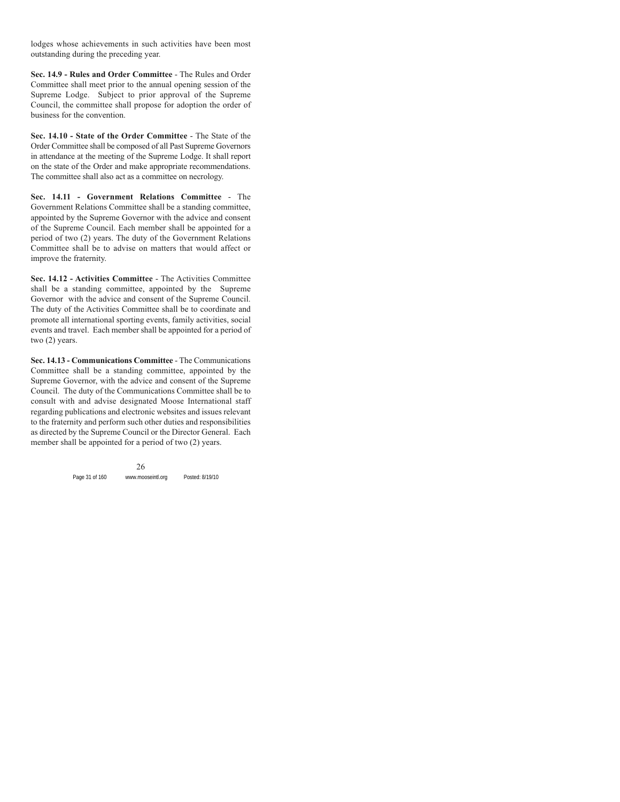lodges whose achievements in such activities have been most outstanding during the preceding year.

**Sec. 14.9 - Rules and Order Committee** - The Rules and Order Committee shall meet prior to the annual opening session of the Supreme Lodge. Subject to prior approval of the Supreme Council, the committee shall propose for adoption the order of business for the convention.

**Sec. 14.10 - State of the Order Committee** - The State of the Order Committee shall be composed of all Past Supreme Governors in attendance at the meeting of the Supreme Lodge. It shall report on the state of the Order and make appropriate recommendations. The committee shall also act as a committee on necrology.

**Sec. 14.11 - Government Relations Committee** - The Government Relations Committee shall be a standing committee, appointed by the Supreme Governor with the advice and consent of the Supreme Council. Each member shall be appointed for a period of two (2) years. The duty of the Government Relations Committee shall be to advise on matters that would affect or improve the fraternity.

**Sec. 14.12 - Activities Committee** - The Activities Committee shall be a standing committee, appointed by the Supreme Governor with the advice and consent of the Supreme Council. The duty of the Activities Committee shall be to coordinate and promote all international sporting events, family activities, social events and travel. Each member shall be appointed for a period of two (2) years.

**Sec. 14.13 - Communications Committee** - The Communications Committee shall be a standing committee, appointed by the Supreme Governor, with the advice and consent of the Supreme Council. The duty of the Communications Committee shall be to consult with and advise designated Moose International staff regarding publications and electronic websites and issues relevant to the fraternity and perform such other duties and responsibilities as directed by the Supreme Council or the Director General. Each member shall be appointed for a period of two (2) years.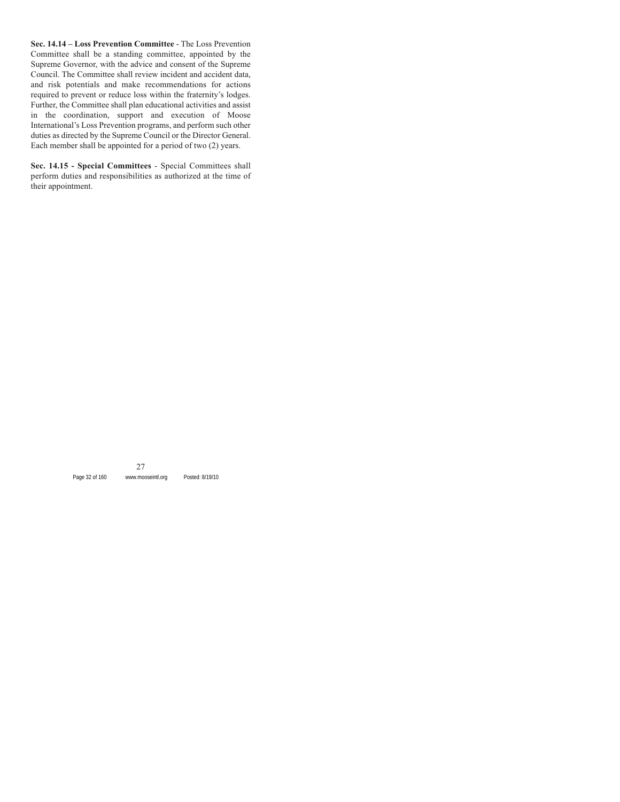**Sec. 14.14 – Loss Prevention Committee** - The Loss Prevention Committee shall be a standing committee, appointed by the Supreme Governor, with the advice and consent of the Supreme Council. The Committee shall review incident and accident data, and risk potentials and make recommendations for actions required to prevent or reduce loss within the fraternity's lodges. Further, the Committee shall plan educational activities and assist in the coordination, support and execution of Moose International's Loss Prevention programs, and perform such other duties as directed by the Supreme Council or the Director General. Each member shall be appointed for a period of two (2) years.

**Sec. 14.15 - Special Committees** - Special Committees shall perform duties and responsibilities as authorized at the time of their appointment.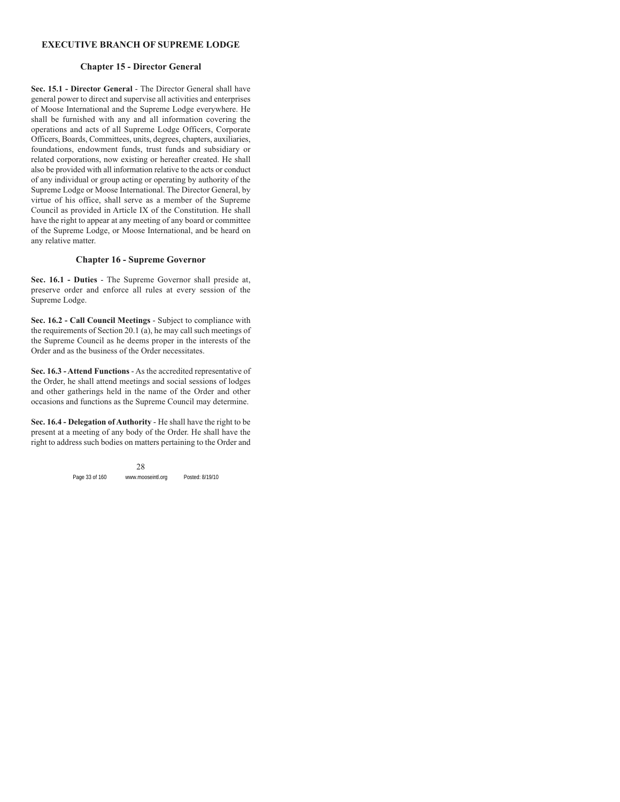## **EXECUTIVE BRANCH OF SUPREME LODGE**

## **Chapter 15 - Director General**

**Sec. 15.1 - Director General** - The Director General shall have general power to direct and supervise all activities and enterprises of Moose International and the Supreme Lodge everywhere. He shall be furnished with any and all information covering the operations and acts of all Supreme Lodge Officers, Corporate Officers, Boards, Committees, units, degrees, chapters, auxiliaries, foundations, endowment funds, trust funds and subsidiary or related corporations, now existing or hereafter created. He shall also be provided with all information relative to the acts or conduct of any individual or group acting or operating by authority of the Supreme Lodge or Moose International. The Director General, by virtue of his office, shall serve as a member of the Supreme Council as provided in Article IX of the Constitution. He shall have the right to appear at any meeting of any board or committee of the Supreme Lodge, or Moose International, and be heard on any relative matter.

## **Chapter 16 - Supreme Governor**

**Sec. 16.1 - Duties** - The Supreme Governor shall preside at, preserve order and enforce all rules at every session of the Supreme Lodge.

**Sec. 16.2 - Call Council Meetings** - Subject to compliance with the requirements of Section 20.1 (a), he may call such meetings of the Supreme Council as he deems proper in the interests of the Order and as the business of the Order necessitates.

**Sec. 16.3 - Attend Functions** - As the accredited representative of the Order, he shall attend meetings and social sessions of lodges and other gatherings held in the name of the Order and other occasions and functions as the Supreme Council may determine.

**Sec. 16.4 - Delegation of Authority** - He shall have the right to be present at a meeting of any body of the Order. He shall have the right to address such bodies on matters pertaining to the Order and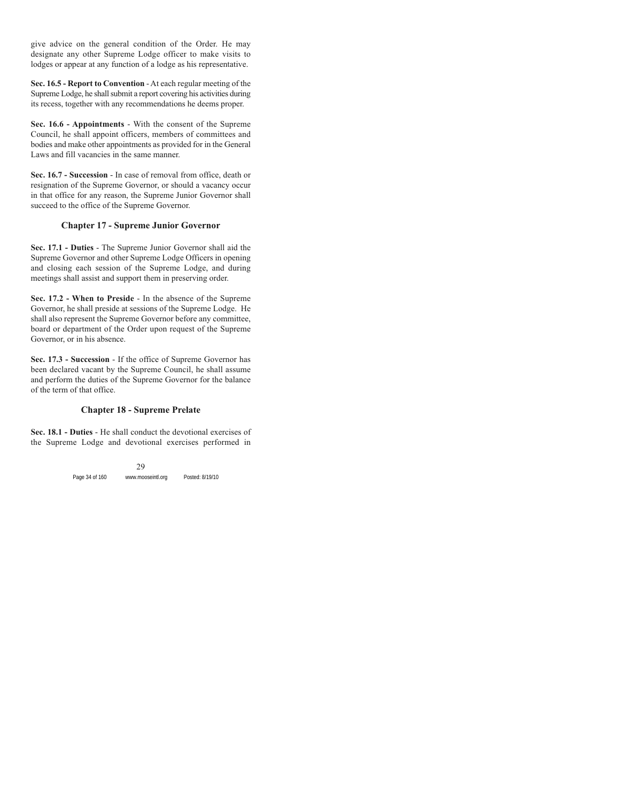give advice on the general condition of the Order. He may designate any other Supreme Lodge officer to make visits to lodges or appear at any function of a lodge as his representative.

**Sec. 16.5 - Report to Convention** - At each regular meeting of the Supreme Lodge, he shall submit a report covering his activities during its recess, together with any recommendations he deems proper.

**Sec. 16.6 - Appointments** - With the consent of the Supreme Council, he shall appoint officers, members of committees and bodies and make other appointments as provided for in the General Laws and fill vacancies in the same manner.

**Sec. 16.7 - Succession** - In case of removal from office, death or resignation of the Supreme Governor, or should a vacancy occur in that office for any reason, the Supreme Junior Governor shall succeed to the office of the Supreme Governor.

## **Chapter 17 - Supreme Junior Governor**

**Sec. 17.1 - Duties** - The Supreme Junior Governor shall aid the Supreme Governor and other Supreme Lodge Officers in opening and closing each session of the Supreme Lodge, and during meetings shall assist and support them in preserving order.

**Sec. 17.2 - When to Preside** - In the absence of the Supreme Governor, he shall preside at sessions of the Supreme Lodge. He shall also represent the Supreme Governor before any committee, board or department of the Order upon request of the Supreme Governor, or in his absence.

**Sec. 17.3 - Succession** - If the office of Supreme Governor has been declared vacant by the Supreme Council, he shall assume and perform the duties of the Supreme Governor for the balance of the term of that office.

## **Chapter 18 - Supreme Prelate**

**Sec. 18.1 - Duties** - He shall conduct the devotional exercises of the Supreme Lodge and devotional exercises performed in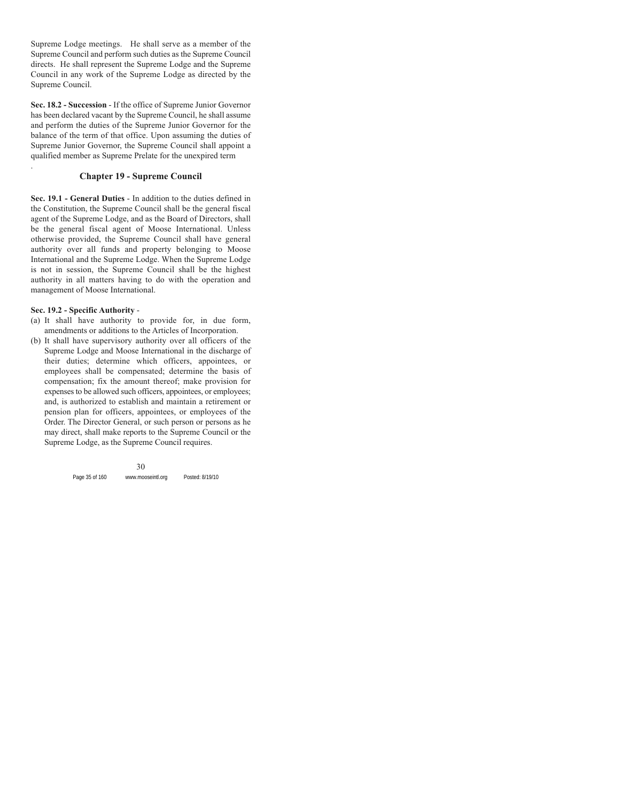Supreme Lodge meetings. He shall serve as a member of the Supreme Council and perform such duties as the Supreme Council directs. He shall represent the Supreme Lodge and the Supreme Council in any work of the Supreme Lodge as directed by the Supreme Council.

**Sec. 18.2 - Succession** - If the office of Supreme Junior Governor has been declared vacant by the Supreme Council, he shall assume and perform the duties of the Supreme Junior Governor for the balance of the term of that office. Upon assuming the duties of Supreme Junior Governor, the Supreme Council shall appoint a qualified member as Supreme Prelate for the unexpired term

## **Chapter 19 - Supreme Council**

**Sec. 19.1 - General Duties** - In addition to the duties defined in the Constitution, the Supreme Council shall be the general fiscal agent of the Supreme Lodge, and as the Board of Directors, shall be the general fiscal agent of Moose International. Unless otherwise provided, the Supreme Council shall have general authority over all funds and property belonging to Moose International and the Supreme Lodge. When the Supreme Lodge is not in session, the Supreme Council shall be the highest authority in all matters having to do with the operation and management of Moose International.

#### **Sec. 19.2 - Specific Authority** -

.

- (a) It shall have authority to provide for, in due form, amendments or additions to the Articles of Incorporation.
- (b) It shall have supervisory authority over all officers of the Supreme Lodge and Moose International in the discharge of their duties; determine which officers, appointees, or employees shall be compensated; determine the basis of compensation; fix the amount thereof; make provision for expenses to be allowed such officers, appointees, or employees; and, is authorized to establish and maintain a retirement or pension plan for officers, appointees, or employees of the Order. The Director General, or such person or persons as he may direct, shall make reports to the Supreme Council or the Supreme Lodge, as the Supreme Council requires.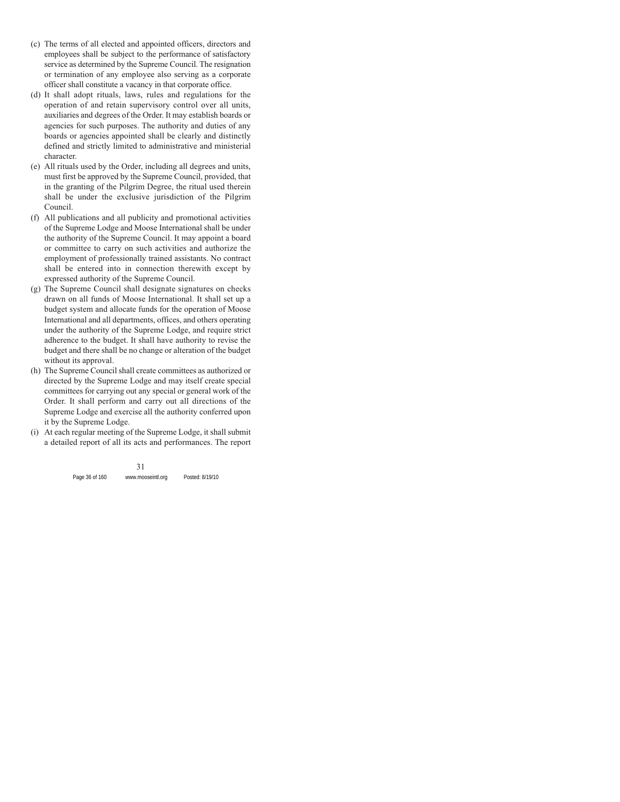- (c) The terms of all elected and appointed officers, directors and employees shall be subject to the performance of satisfactory service as determined by the Supreme Council. The resignation or termination of any employee also serving as a corporate officer shall constitute a vacancy in that corporate office.
- (d) It shall adopt rituals, laws, rules and regulations for the operation of and retain supervisory control over all units, auxiliaries and degrees of the Order. It may establish boards or agencies for such purposes. The authority and duties of any boards or agencies appointed shall be clearly and distinctly defined and strictly limited to administrative and ministerial character.
- (e) All rituals used by the Order, including all degrees and units, must first be approved by the Supreme Council, provided, that in the granting of the Pilgrim Degree, the ritual used therein shall be under the exclusive jurisdiction of the Pilgrim Council.
- (f) All publications and all publicity and promotional activities of the Supreme Lodge and Moose International shall be under the authority of the Supreme Council. It may appoint a board or committee to carry on such activities and authorize the employment of professionally trained assistants. No contract shall be entered into in connection therewith except by expressed authority of the Supreme Council.
- (g) The Supreme Council shall designate signatures on checks drawn on all funds of Moose International. It shall set up a budget system and allocate funds for the operation of Moose International and all departments, offices, and others operating under the authority of the Supreme Lodge, and require strict adherence to the budget. It shall have authority to revise the budget and there shall be no change or alteration of the budget without its approval.
- (h) The Supreme Council shall create committees as authorized or directed by the Supreme Lodge and may itself create special committees for carrying out any special or general work of the Order. It shall perform and carry out all directions of the Supreme Lodge and exercise all the authority conferred upon it by the Supreme Lodge.
- (i) At each regular meeting of the Supreme Lodge, it shall submit a detailed report of all its acts and performances. The report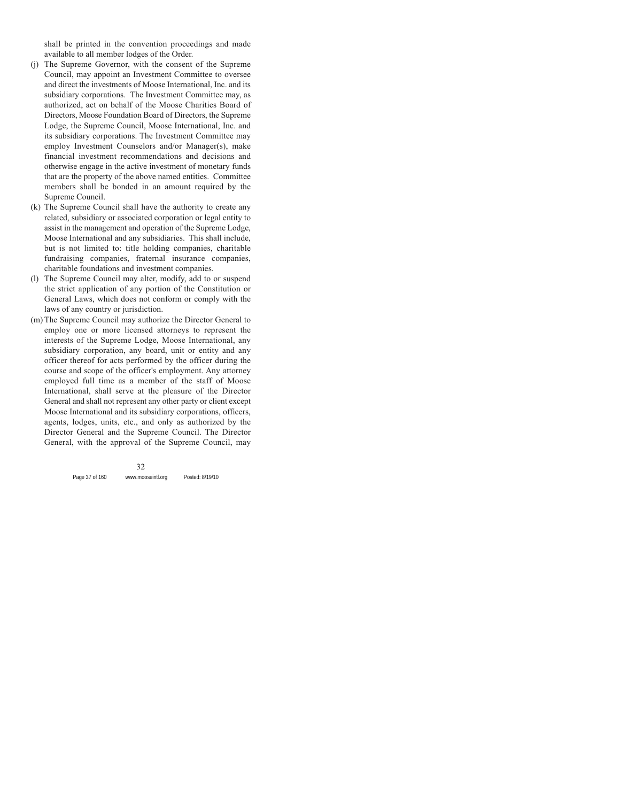shall be printed in the convention proceedings and made available to all member lodges of the Order.

- (j) The Supreme Governor, with the consent of the Supreme Council, may appoint an Investment Committee to oversee and direct the investments of Moose International, Inc. and its subsidiary corporations. The Investment Committee may, as authorized, act on behalf of the Moose Charities Board of Directors, Moose Foundation Board of Directors, the Supreme Lodge, the Supreme Council, Moose International, Inc. and its subsidiary corporations. The Investment Committee may employ Investment Counselors and/or Manager(s), make financial investment recommendations and decisions and otherwise engage in the active investment of monetary funds that are the property of the above named entities. Committee members shall be bonded in an amount required by the Supreme Council.
- (k) The Supreme Council shall have the authority to create any related, subsidiary or associated corporation or legal entity to assist in the management and operation of the Supreme Lodge, Moose International and any subsidiaries. This shall include, but is not limited to: title holding companies, charitable fundraising companies, fraternal insurance companies, charitable foundations and investment companies.
- (l) The Supreme Council may alter, modify, add to or suspend the strict application of any portion of the Constitution or General Laws, which does not conform or comply with the laws of any country or jurisdiction.
- (m) The Supreme Council may authorize the Director General to employ one or more licensed attorneys to represent the interests of the Supreme Lodge, Moose International, any subsidiary corporation, any board, unit or entity and any officer thereof for acts performed by the officer during the course and scope of the officer's employment. Any attorney employed full time as a member of the staff of Moose International, shall serve at the pleasure of the Director General and shall not represent any other party or client except Moose International and its subsidiary corporations, officers, agents, lodges, units, etc., and only as authorized by the Director General and the Supreme Council. The Director General, with the approval of the Supreme Council, may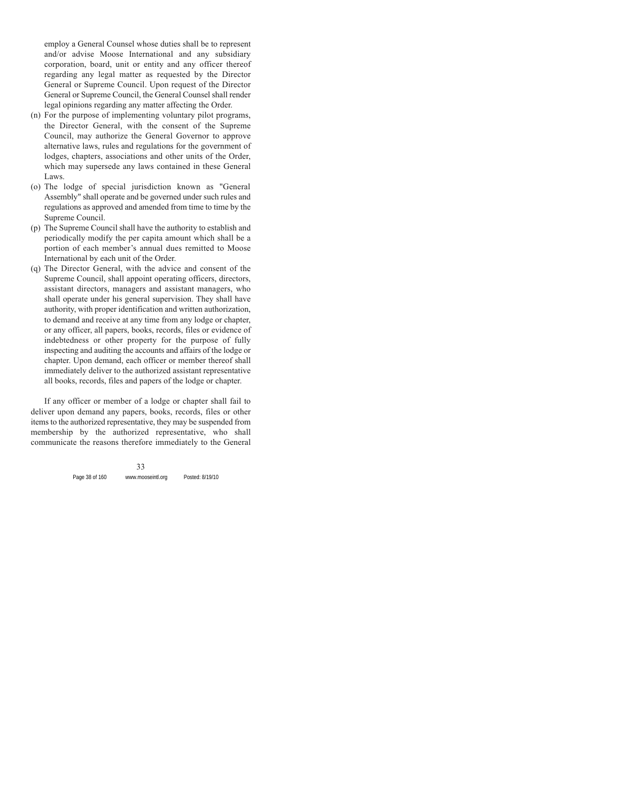employ a General Counsel whose duties shall be to represent and/or advise Moose International and any subsidiary corporation, board, unit or entity and any officer thereof regarding any legal matter as requested by the Director General or Supreme Council. Upon request of the Director General or Supreme Council, the General Counsel shall render legal opinions regarding any matter affecting the Order.

- (n) For the purpose of implementing voluntary pilot programs, the Director General, with the consent of the Supreme Council, may authorize the General Governor to approve alternative laws, rules and regulations for the government of lodges, chapters, associations and other units of the Order, which may supersede any laws contained in these General Laws.
- (o) The lodge of special jurisdiction known as "General Assembly" shall operate and be governed under such rules and regulations as approved and amended from time to time by the Supreme Council.
- (p) The Supreme Council shall have the authority to establish and periodically modify the per capita amount which shall be a portion of each member's annual dues remitted to Moose International by each unit of the Order.
- (q) The Director General, with the advice and consent of the Supreme Council, shall appoint operating officers, directors, assistant directors, managers and assistant managers, who shall operate under his general supervision. They shall have authority, with proper identification and written authorization, to demand and receive at any time from any lodge or chapter, or any officer, all papers, books, records, files or evidence of indebtedness or other property for the purpose of fully inspecting and auditing the accounts and affairs of the lodge or chapter. Upon demand, each officer or member thereof shall immediately deliver to the authorized assistant representative all books, records, files and papers of the lodge or chapter.

If any officer or member of a lodge or chapter shall fail to deliver upon demand any papers, books, records, files or other items to the authorized representative, they may be suspended from membership by the authorized representative, who shall communicate the reasons therefore immediately to the General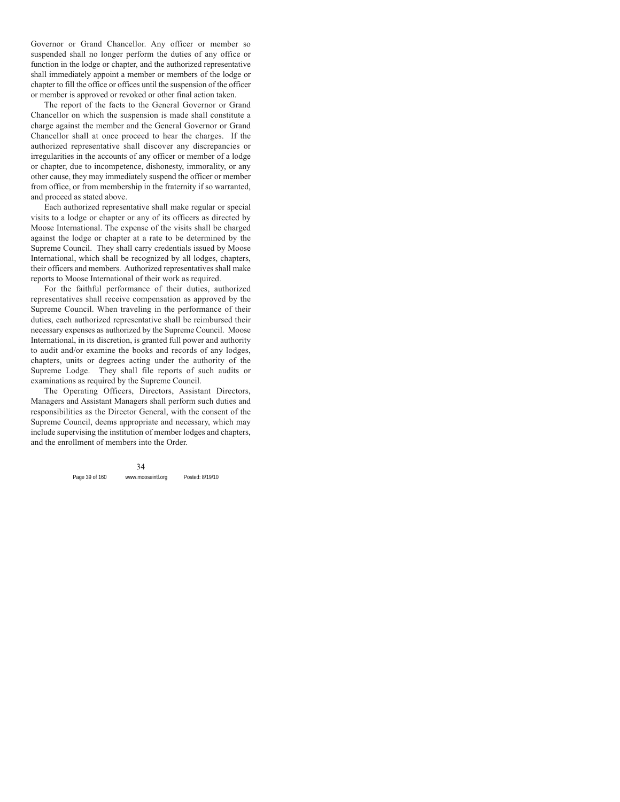Governor or Grand Chancellor. Any officer or member so suspended shall no longer perform the duties of any office or function in the lodge or chapter, and the authorized representative shall immediately appoint a member or members of the lodge or chapter to fill the office or offices until the suspension of the officer or member is approved or revoked or other final action taken.

The report of the facts to the General Governor or Grand Chancellor on which the suspension is made shall constitute a charge against the member and the General Governor or Grand Chancellor shall at once proceed to hear the charges. If the authorized representative shall discover any discrepancies or irregularities in the accounts of any officer or member of a lodge or chapter, due to incompetence, dishonesty, immorality, or any other cause, they may immediately suspend the officer or member from office, or from membership in the fraternity if so warranted, and proceed as stated above.

Each authorized representative shall make regular or special visits to a lodge or chapter or any of its officers as directed by Moose International. The expense of the visits shall be charged against the lodge or chapter at a rate to be determined by the Supreme Council. They shall carry credentials issued by Moose International, which shall be recognized by all lodges, chapters, their officers and members. Authorized representatives shall make reports to Moose International of their work as required.

For the faithful performance of their duties, authorized representatives shall receive compensation as approved by the Supreme Council. When traveling in the performance of their duties, each authorized representative shall be reimbursed their necessary expenses as authorized by the Supreme Council. Moose International, in its discretion, is granted full power and authority to audit and/or examine the books and records of any lodges, chapters, units or degrees acting under the authority of the Supreme Lodge. They shall file reports of such audits or examinations as required by the Supreme Council.

The Operating Officers, Directors, Assistant Directors, Managers and Assistant Managers shall perform such duties and responsibilities as the Director General, with the consent of the Supreme Council, deems appropriate and necessary, which may include supervising the institution of member lodges and chapters, and the enrollment of members into the Order.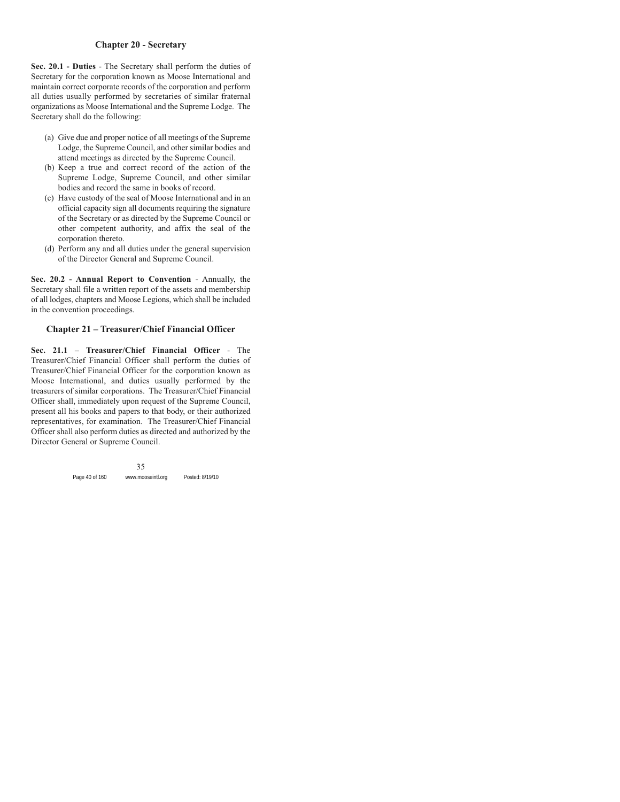# **Chapter 20 - Secretary**

**Sec. 20.1 - Duties** - The Secretary shall perform the duties of Secretary for the corporation known as Moose International and maintain correct corporate records of the corporation and perform all duties usually performed by secretaries of similar fraternal organizations as Moose International and the Supreme Lodge. The Secretary shall do the following:

- (a) Give due and proper notice of all meetings of the Supreme Lodge, the Supreme Council, and other similar bodies and attend meetings as directed by the Supreme Council.
- (b) Keep a true and correct record of the action of the Supreme Lodge, Supreme Council, and other similar bodies and record the same in books of record.
- (c) Have custody of the seal of Moose International and in an official capacity sign all documents requiring the signature of the Secretary or as directed by the Supreme Council or other competent authority, and affix the seal of the corporation thereto.
- (d) Perform any and all duties under the general supervision of the Director General and Supreme Council.

**Sec. 20.2 - Annual Report to Convention** - Annually, the Secretary shall file a written report of the assets and membership of all lodges, chapters and Moose Legions, which shall be included in the convention proceedings.

### **Chapter 21 – Treasurer/Chief Financial Officer**

**Sec. 21.1 – Treasurer/Chief Financial Officer** - The Treasurer/Chief Financial Officer shall perform the duties of Treasurer/Chief Financial Officer for the corporation known as Moose International, and duties usually performed by the treasurers of similar corporations. The Treasurer/Chief Financial Officer shall, immediately upon request of the Supreme Council, present all his books and papers to that body, or their authorized representatives, for examination. The Treasurer/Chief Financial Officer shall also perform duties as directed and authorized by the Director General or Supreme Council.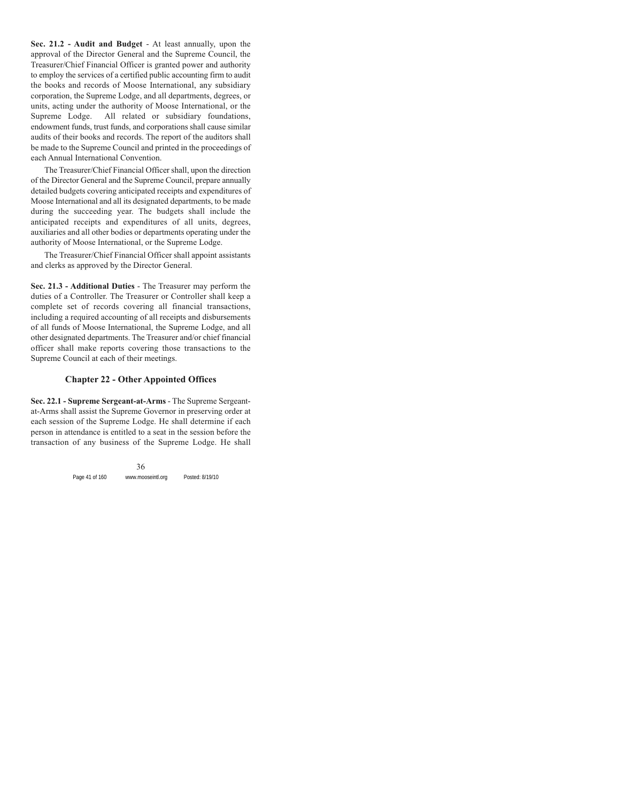**Sec. 21.2 - Audit and Budget** - At least annually, upon the approval of the Director General and the Supreme Council, the Treasurer/Chief Financial Officer is granted power and authority to employ the services of a certified public accounting firm to audit the books and records of Moose International, any subsidiary corporation, the Supreme Lodge, and all departments, degrees, or units, acting under the authority of Moose International, or the Supreme Lodge. All related or subsidiary foundations, endowment funds, trust funds, and corporations shall cause similar audits of their books and records. The report of the auditors shall be made to the Supreme Council and printed in the proceedings of each Annual International Convention.

The Treasurer/Chief Financial Officer shall, upon the direction of the Director General and the Supreme Council, prepare annually detailed budgets covering anticipated receipts and expenditures of Moose International and all its designated departments, to be made during the succeeding year. The budgets shall include the anticipated receipts and expenditures of all units, degrees, auxiliaries and all other bodies or departments operating under the authority of Moose International, or the Supreme Lodge.

The Treasurer/Chief Financial Officer shall appoint assistants and clerks as approved by the Director General.

**Sec. 21.3 - Additional Duties** - The Treasurer may perform the duties of a Controller. The Treasurer or Controller shall keep a complete set of records covering all financial transactions, including a required accounting of all receipts and disbursements of all funds of Moose International, the Supreme Lodge, and all other designated departments. The Treasurer and/or chief financial officer shall make reports covering those transactions to the Supreme Council at each of their meetings.

# **Chapter 22 - Other Appointed Offices**

**Sec. 22.1 - Supreme Sergeant-at-Arms** - The Supreme Sergeantat-Arms shall assist the Supreme Governor in preserving order at each session of the Supreme Lodge. He shall determine if each person in attendance is entitled to a seat in the session before the transaction of any business of the Supreme Lodge. He shall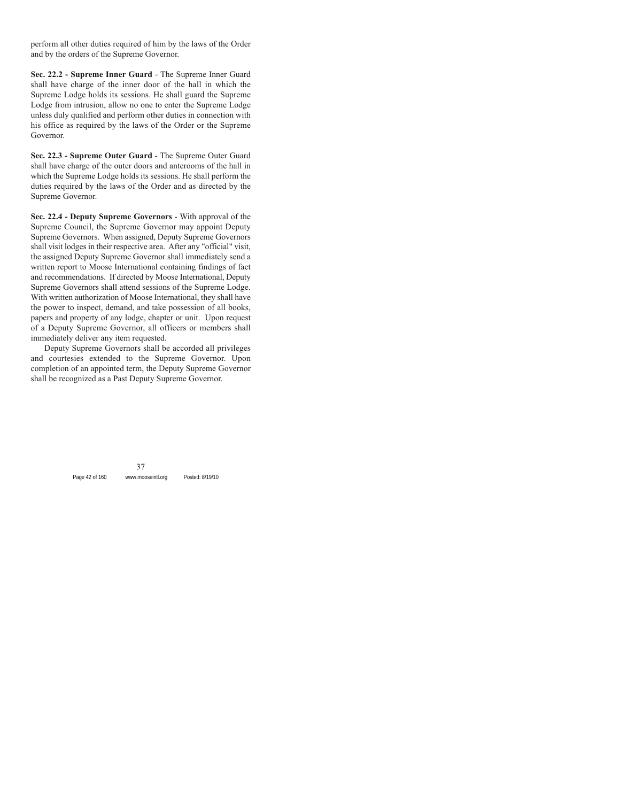perform all other duties required of him by the laws of the Order and by the orders of the Supreme Governor.

**Sec. 22.2 - Supreme Inner Guard** - The Supreme Inner Guard shall have charge of the inner door of the hall in which the Supreme Lodge holds its sessions. He shall guard the Supreme Lodge from intrusion, allow no one to enter the Supreme Lodge unless duly qualified and perform other duties in connection with his office as required by the laws of the Order or the Supreme Governor.

**Sec. 22.3 - Supreme Outer Guard** - The Supreme Outer Guard shall have charge of the outer doors and anterooms of the hall in which the Supreme Lodge holds its sessions. He shall perform the duties required by the laws of the Order and as directed by the Supreme Governor.

**Sec. 22.4 - Deputy Supreme Governors** - With approval of the Supreme Council, the Supreme Governor may appoint Deputy Supreme Governors. When assigned, Deputy Supreme Governors shall visit lodges in their respective area. After any "official" visit, the assigned Deputy Supreme Governor shall immediately send a written report to Moose International containing findings of fact and recommendations. If directed by Moose International, Deputy Supreme Governors shall attend sessions of the Supreme Lodge. With written authorization of Moose International, they shall have the power to inspect, demand, and take possession of all books, papers and property of any lodge, chapter or unit. Upon request of a Deputy Supreme Governor, all officers or members shall immediately deliver any item requested.

Deputy Supreme Governors shall be accorded all privileges and courtesies extended to the Supreme Governor. Upon completion of an appointed term, the Deputy Supreme Governor shall be recognized as a Past Deputy Supreme Governor.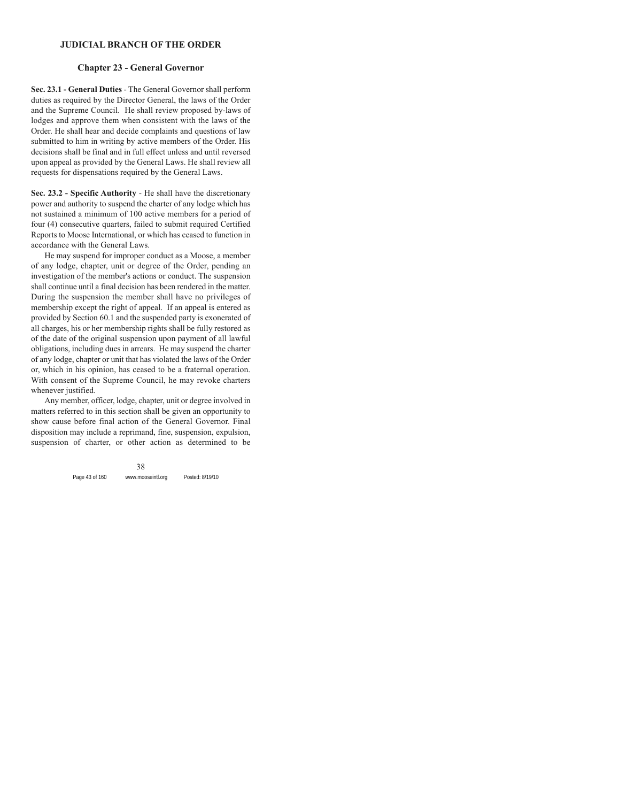#### **JUDICIAL BRANCH OF THE ORDER**

#### **Chapter 23 - General Governor**

**Sec. 23.1 - General Duties** - The General Governor shall perform duties as required by the Director General, the laws of the Order and the Supreme Council. He shall review proposed by-laws of lodges and approve them when consistent with the laws of the Order. He shall hear and decide complaints and questions of law submitted to him in writing by active members of the Order. His decisions shall be final and in full effect unless and until reversed upon appeal as provided by the General Laws. He shall review all requests for dispensations required by the General Laws.

**Sec. 23.2 - Specific Authority** - He shall have the discretionary power and authority to suspend the charter of any lodge which has not sustained a minimum of 100 active members for a period of four (4) consecutive quarters, failed to submit required Certified Reports to Moose International, or which has ceased to function in accordance with the General Laws.

He may suspend for improper conduct as a Moose, a member of any lodge, chapter, unit or degree of the Order, pending an investigation of the member's actions or conduct. The suspension shall continue until a final decision has been rendered in the matter. During the suspension the member shall have no privileges of membership except the right of appeal. If an appeal is entered as provided by Section 60.1 and the suspended party is exonerated of all charges, his or her membership rights shall be fully restored as of the date of the original suspension upon payment of all lawful obligations, including dues in arrears. He may suspend the charter of any lodge, chapter or unit that has violated the laws of the Order or, which in his opinion, has ceased to be a fraternal operation. With consent of the Supreme Council, he may revoke charters whenever justified.

Any member, officer, lodge, chapter, unit or degree involved in matters referred to in this section shall be given an opportunity to show cause before final action of the General Governor. Final disposition may include a reprimand, fine, suspension, expulsion, suspension of charter, or other action as determined to be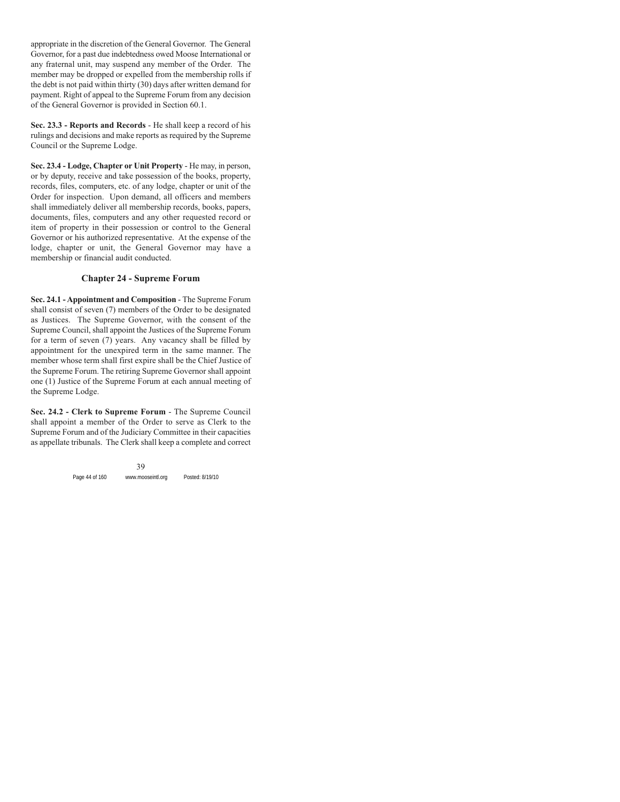appropriate in the discretion of the General Governor. The General Governor, for a past due indebtedness owed Moose International or any fraternal unit, may suspend any member of the Order. The member may be dropped or expelled from the membership rolls if the debt is not paid within thirty (30) days after written demand for payment. Right of appeal to the Supreme Forum from any decision of the General Governor is provided in Section 60.1.

**Sec. 23.3 - Reports and Records** - He shall keep a record of his rulings and decisions and make reports as required by the Supreme Council or the Supreme Lodge.

**Sec. 23.4 - Lodge, Chapter or Unit Property** - He may, in person, or by deputy, receive and take possession of the books, property, records, files, computers, etc. of any lodge, chapter or unit of the Order for inspection. Upon demand, all officers and members shall immediately deliver all membership records, books, papers, documents, files, computers and any other requested record or item of property in their possession or control to the General Governor or his authorized representative. At the expense of the lodge, chapter or unit, the General Governor may have a membership or financial audit conducted.

# **Chapter 24 - Supreme Forum**

**Sec. 24.1 - Appointment and Composition** - The Supreme Forum shall consist of seven (7) members of the Order to be designated as Justices. The Supreme Governor, with the consent of the Supreme Council, shall appoint the Justices of the Supreme Forum for a term of seven (7) years. Any vacancy shall be filled by appointment for the unexpired term in the same manner. The member whose term shall first expire shall be the Chief Justice of the Supreme Forum. The retiring Supreme Governor shall appoint one (1) Justice of the Supreme Forum at each annual meeting of the Supreme Lodge.

**Sec. 24.2 - Clerk to Supreme Forum** - The Supreme Council shall appoint a member of the Order to serve as Clerk to the Supreme Forum and of the Judiciary Committee in their capacities as appellate tribunals. The Clerk shall keep a complete and correct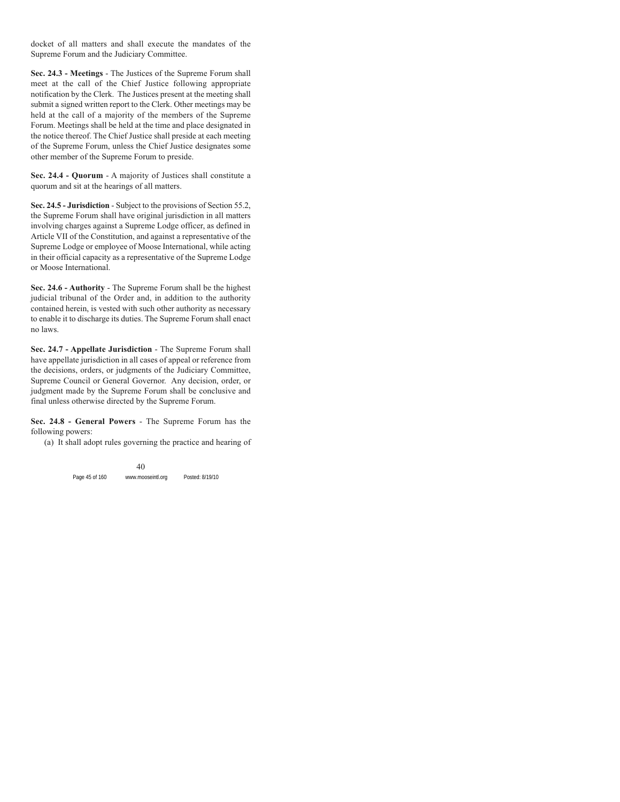docket of all matters and shall execute the mandates of the Supreme Forum and the Judiciary Committee.

**Sec. 24.3 - Meetings** - The Justices of the Supreme Forum shall meet at the call of the Chief Justice following appropriate notification by the Clerk. The Justices present at the meeting shall submit a signed written report to the Clerk. Other meetings may be held at the call of a majority of the members of the Supreme Forum. Meetings shall be held at the time and place designated in the notice thereof. The Chief Justice shall preside at each meeting of the Supreme Forum, unless the Chief Justice designates some other member of the Supreme Forum to preside.

**Sec. 24.4 - Quorum** - A majority of Justices shall constitute a quorum and sit at the hearings of all matters.

**Sec. 24.5 - Jurisdiction** - Subject to the provisions of Section 55.2, the Supreme Forum shall have original jurisdiction in all matters involving charges against a Supreme Lodge officer, as defined in Article VII of the Constitution, and against a representative of the Supreme Lodge or employee of Moose International, while acting in their official capacity as a representative of the Supreme Lodge or Moose International.

**Sec. 24.6 - Authority** - The Supreme Forum shall be the highest judicial tribunal of the Order and, in addition to the authority contained herein, is vested with such other authority as necessary to enable it to discharge its duties. The Supreme Forum shall enact no laws.

**Sec. 24.7 - Appellate Jurisdiction** - The Supreme Forum shall have appellate jurisdiction in all cases of appeal or reference from the decisions, orders, or judgments of the Judiciary Committee, Supreme Council or General Governor. Any decision, order, or judgment made by the Supreme Forum shall be conclusive and final unless otherwise directed by the Supreme Forum.

**Sec. 24.8 - General Powers** - The Supreme Forum has the following powers:

(a) It shall adopt rules governing the practice and hearing of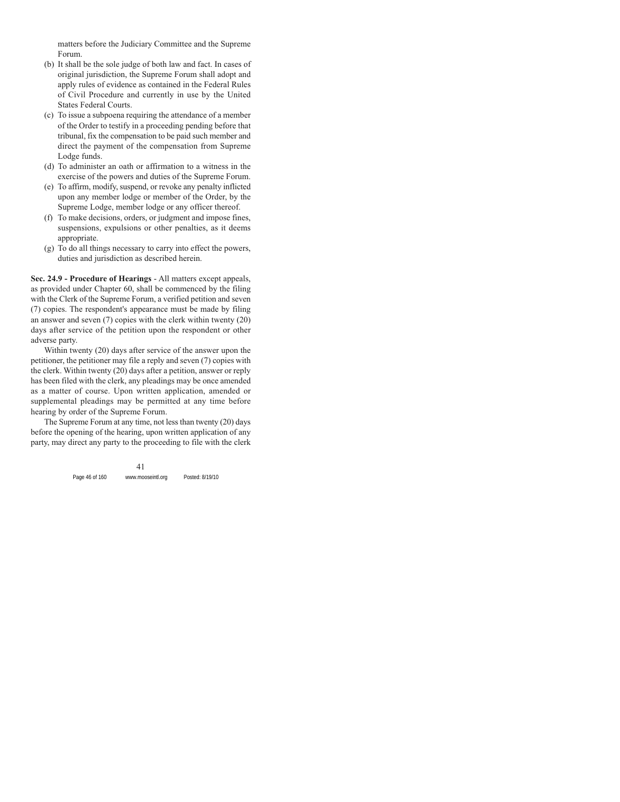matters before the Judiciary Committee and the Supreme Forum.

- (b) It shall be the sole judge of both law and fact. In cases of original jurisdiction, the Supreme Forum shall adopt and apply rules of evidence as contained in the Federal Rules of Civil Procedure and currently in use by the United States Federal Courts.
- (c) To issue a subpoena requiring the attendance of a member of the Order to testify in a proceeding pending before that tribunal, fix the compensation to be paid such member and direct the payment of the compensation from Supreme Lodge funds.
- (d) To administer an oath or affirmation to a witness in the exercise of the powers and duties of the Supreme Forum.
- (e) To affirm, modify, suspend, or revoke any penalty inflicted upon any member lodge or member of the Order, by the Supreme Lodge, member lodge or any officer thereof.
- (f) To make decisions, orders, or judgment and impose fines, suspensions, expulsions or other penalties, as it deems appropriate.
- (g) To do all things necessary to carry into effect the powers, duties and jurisdiction as described herein.

**Sec. 24.9 - Procedure of Hearings** - All matters except appeals, as provided under Chapter 60, shall be commenced by the filing with the Clerk of the Supreme Forum, a verified petition and seven (7) copies. The respondent's appearance must be made by filing an answer and seven (7) copies with the clerk within twenty (20) days after service of the petition upon the respondent or other adverse party.

Within twenty (20) days after service of the answer upon the petitioner, the petitioner may file a reply and seven (7) copies with the clerk. Within twenty (20) days after a petition, answer or reply has been filed with the clerk, any pleadings may be once amended as a matter of course. Upon written application, amended or supplemental pleadings may be permitted at any time before hearing by order of the Supreme Forum.

The Supreme Forum at any time, not less than twenty (20) days before the opening of the hearing, upon written application of any party, may direct any party to the proceeding to file with the clerk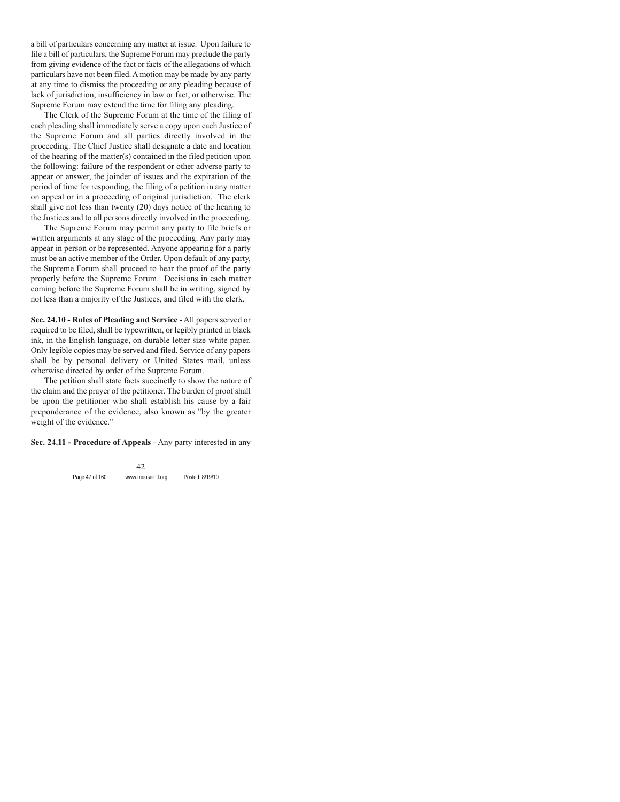a bill of particulars concerning any matter at issue. Upon failure to file a bill of particulars, the Supreme Forum may preclude the party from giving evidence of the fact or facts of the allegations of which particulars have not been filed. A motion may be made by any party at any time to dismiss the proceeding or any pleading because of lack of jurisdiction, insufficiency in law or fact, or otherwise. The Supreme Forum may extend the time for filing any pleading.

The Clerk of the Supreme Forum at the time of the filing of each pleading shall immediately serve a copy upon each Justice of the Supreme Forum and all parties directly involved in the proceeding. The Chief Justice shall designate a date and location of the hearing of the matter(s) contained in the filed petition upon the following: failure of the respondent or other adverse party to appear or answer, the joinder of issues and the expiration of the period of time for responding, the filing of a petition in any matter on appeal or in a proceeding of original jurisdiction. The clerk shall give not less than twenty (20) days notice of the hearing to the Justices and to all persons directly involved in the proceeding.

The Supreme Forum may permit any party to file briefs or written arguments at any stage of the proceeding. Any party may appear in person or be represented. Anyone appearing for a party must be an active member of the Order. Upon default of any party, the Supreme Forum shall proceed to hear the proof of the party properly before the Supreme Forum. Decisions in each matter coming before the Supreme Forum shall be in writing, signed by not less than a majority of the Justices, and filed with the clerk.

**Sec. 24.10 - Rules of Pleading and Service** - All papers served or required to be filed, shall be typewritten, or legibly printed in black ink, in the English language, on durable letter size white paper. Only legible copies may be served and filed. Service of any papers shall be by personal delivery or United States mail, unless otherwise directed by order of the Supreme Forum.

The petition shall state facts succinctly to show the nature of the claim and the prayer of the petitioner. The burden of proof shall be upon the petitioner who shall establish his cause by a fair preponderance of the evidence, also known as "by the greater weight of the evidence."

**Sec. 24.11 - Procedure of Appeals** - Any party interested in any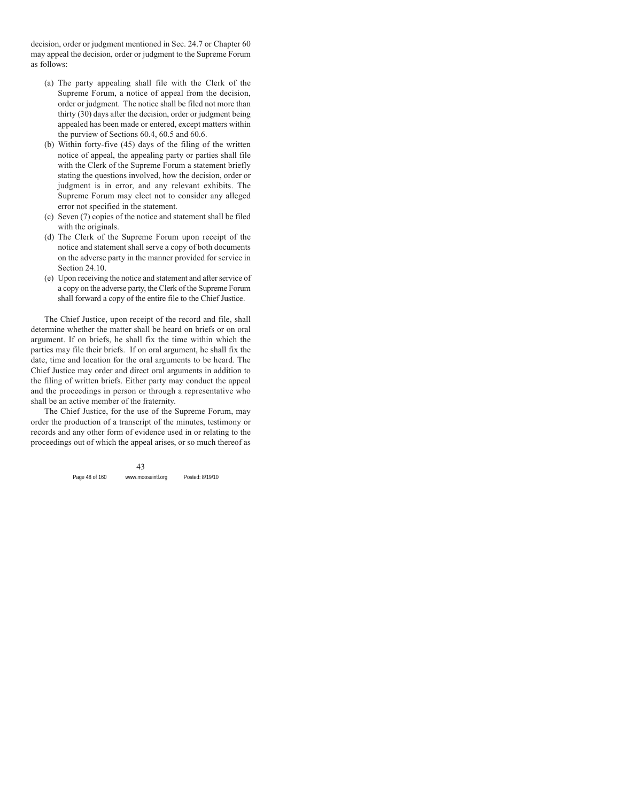decision, order or judgment mentioned in Sec. 24.7 or Chapter 60 may appeal the decision, order or judgment to the Supreme Forum as follows:

- (a) The party appealing shall file with the Clerk of the Supreme Forum, a notice of appeal from the decision, order or judgment. The notice shall be filed not more than thirty (30) days after the decision, order or judgment being appealed has been made or entered, except matters within the purview of Sections 60.4, 60.5 and 60.6.
- (b) Within forty-five (45) days of the filing of the written notice of appeal, the appealing party or parties shall file with the Clerk of the Supreme Forum a statement briefly stating the questions involved, how the decision, order or judgment is in error, and any relevant exhibits. The Supreme Forum may elect not to consider any alleged error not specified in the statement.
- (c) Seven (7) copies of the notice and statement shall be filed with the originals.
- (d) The Clerk of the Supreme Forum upon receipt of the notice and statement shall serve a copy of both documents on the adverse party in the manner provided for service in Section 24.10.
- (e) Upon receiving the notice and statement and after service of a copy on the adverse party, the Clerk of the Supreme Forum shall forward a copy of the entire file to the Chief Justice.

The Chief Justice, upon receipt of the record and file, shall determine whether the matter shall be heard on briefs or on oral argument. If on briefs, he shall fix the time within which the parties may file their briefs. If on oral argument, he shall fix the date, time and location for the oral arguments to be heard. The Chief Justice may order and direct oral arguments in addition to the filing of written briefs. Either party may conduct the appeal and the proceedings in person or through a representative who shall be an active member of the fraternity.

The Chief Justice, for the use of the Supreme Forum, may order the production of a transcript of the minutes, testimony or records and any other form of evidence used in or relating to the proceedings out of which the appeal arises, or so much thereof as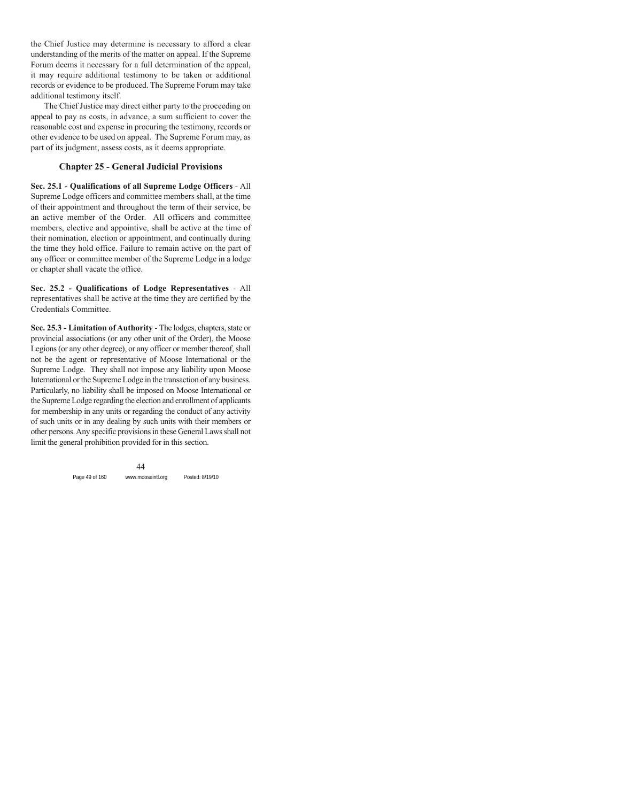the Chief Justice may determine is necessary to afford a clear understanding of the merits of the matter on appeal. If the Supreme Forum deems it necessary for a full determination of the appeal, it may require additional testimony to be taken or additional records or evidence to be produced. The Supreme Forum may take additional testimony itself.

The Chief Justice may direct either party to the proceeding on appeal to pay as costs, in advance, a sum sufficient to cover the reasonable cost and expense in procuring the testimony, records or other evidence to be used on appeal. The Supreme Forum may, as part of its judgment, assess costs, as it deems appropriate.

# **Chapter 25 - General Judicial Provisions**

**Sec. 25.1 - Qualifications of all Supreme Lodge Officers** - All Supreme Lodge officers and committee members shall, at the time of their appointment and throughout the term of their service, be an active member of the Order. All officers and committee members, elective and appointive, shall be active at the time of their nomination, election or appointment, and continually during the time they hold office. Failure to remain active on the part of any officer or committee member of the Supreme Lodge in a lodge or chapter shall vacate the office.

**Sec. 25.2 - Qualifications of Lodge Representatives** - All representatives shall be active at the time they are certified by the Credentials Committee.

**Sec. 25.3 - Limitation of Authority** - The lodges, chapters, state or provincial associations (or any other unit of the Order), the Moose Legions (or any other degree), or any officer or member thereof, shall not be the agent or representative of Moose International or the Supreme Lodge. They shall not impose any liability upon Moose International or the Supreme Lodge in the transaction of any business. Particularly, no liability shall be imposed on Moose International or the Supreme Lodge regarding the election and enrollment of applicants for membership in any units or regarding the conduct of any activity of such units or in any dealing by such units with their members or other persons. Any specific provisions in these General Laws shall not limit the general prohibition provided for in this section.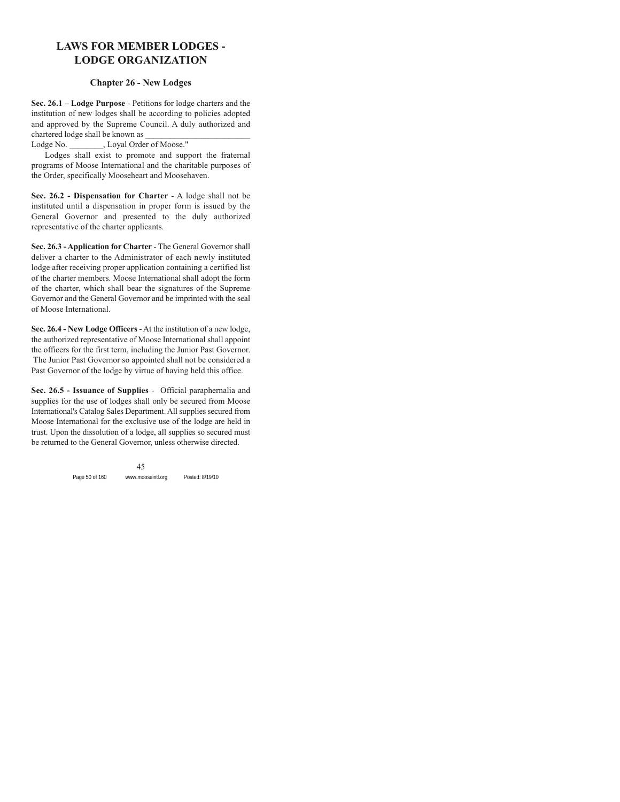# **LAWS FOR MEMBER LODGES - LODGE ORGANIZATION**

### **Chapter 26 - New Lodges**

**Sec. 26.1 – Lodge Purpose** - Petitions for lodge charters and the institution of new lodges shall be according to policies adopted and approved by the Supreme Council. A duly authorized and chartered lodge shall be known as \_\_\_\_\_\_\_\_\_\_\_\_\_\_\_\_\_\_\_\_\_\_\_\_\_

Lodge No. \_\_\_\_\_\_\_, Loyal Order of Moose."

Lodges shall exist to promote and support the fraternal programs of Moose International and the charitable purposes of the Order, specifically Mooseheart and Moosehaven.

**Sec. 26.2 - Dispensation for Charter** - A lodge shall not be instituted until a dispensation in proper form is issued by the General Governor and presented to the duly authorized representative of the charter applicants.

**Sec. 26.3 - Application for Charter** - The General Governor shall deliver a charter to the Administrator of each newly instituted lodge after receiving proper application containing a certified list of the charter members. Moose International shall adopt the form of the charter, which shall bear the signatures of the Supreme Governor and the General Governor and be imprinted with the seal of Moose International.

**Sec. 26.4 - New Lodge Officers** - At the institution of a new lodge, the authorized representative of Moose International shall appoint the officers for the first term, including the Junior Past Governor. The Junior Past Governor so appointed shall not be considered a Past Governor of the lodge by virtue of having held this office.

**Sec. 26.5 - Issuance of Supplies** - Official paraphernalia and supplies for the use of lodges shall only be secured from Moose International's Catalog Sales Department. All supplies secured from Moose International for the exclusive use of the lodge are held in trust. Upon the dissolution of a lodge, all supplies so secured must be returned to the General Governor, unless otherwise directed.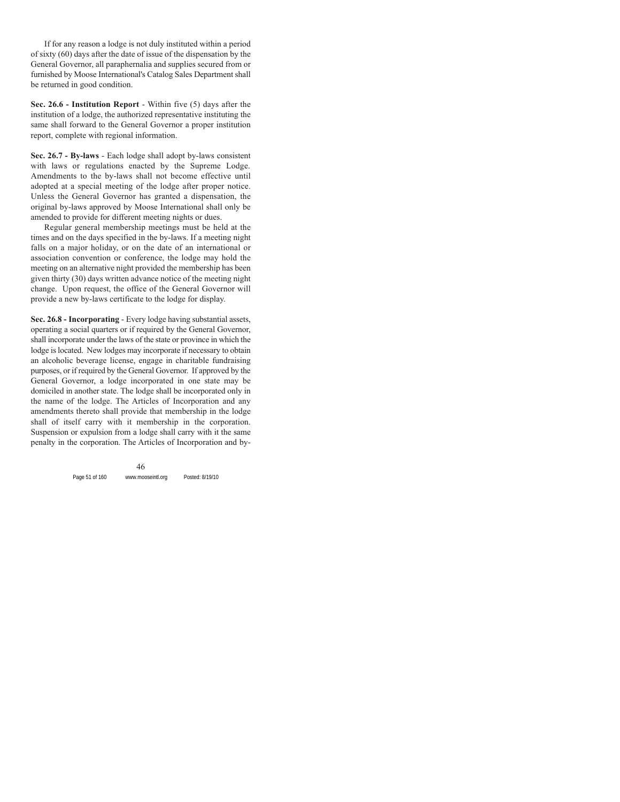If for any reason a lodge is not duly instituted within a period of sixty (60) days after the date of issue of the dispensation by the General Governor, all paraphernalia and supplies secured from or furnished by Moose International's Catalog Sales Department shall be returned in good condition.

**Sec. 26.6 - Institution Report** - Within five (5) days after the institution of a lodge, the authorized representative instituting the same shall forward to the General Governor a proper institution report, complete with regional information.

**Sec. 26.7 - By-laws** - Each lodge shall adopt by-laws consistent with laws or regulations enacted by the Supreme Lodge. Amendments to the by-laws shall not become effective until adopted at a special meeting of the lodge after proper notice. Unless the General Governor has granted a dispensation, the original by-laws approved by Moose International shall only be amended to provide for different meeting nights or dues.

Regular general membership meetings must be held at the times and on the days specified in the by-laws. If a meeting night falls on a major holiday, or on the date of an international or association convention or conference, the lodge may hold the meeting on an alternative night provided the membership has been given thirty (30) days written advance notice of the meeting night change. Upon request, the office of the General Governor will provide a new by-laws certificate to the lodge for display.

**Sec. 26.8 - Incorporating** - Every lodge having substantial assets, operating a social quarters or if required by the General Governor, shall incorporate under the laws of the state or province in which the lodge is located. New lodges may incorporate if necessary to obtain an alcoholic beverage license, engage in charitable fundraising purposes, or if required by the General Governor. If approved by the General Governor, a lodge incorporated in one state may be domiciled in another state. The lodge shall be incorporated only in the name of the lodge. The Articles of Incorporation and any amendments thereto shall provide that membership in the lodge shall of itself carry with it membership in the corporation. Suspension or expulsion from a lodge shall carry with it the same penalty in the corporation. The Articles of Incorporation and by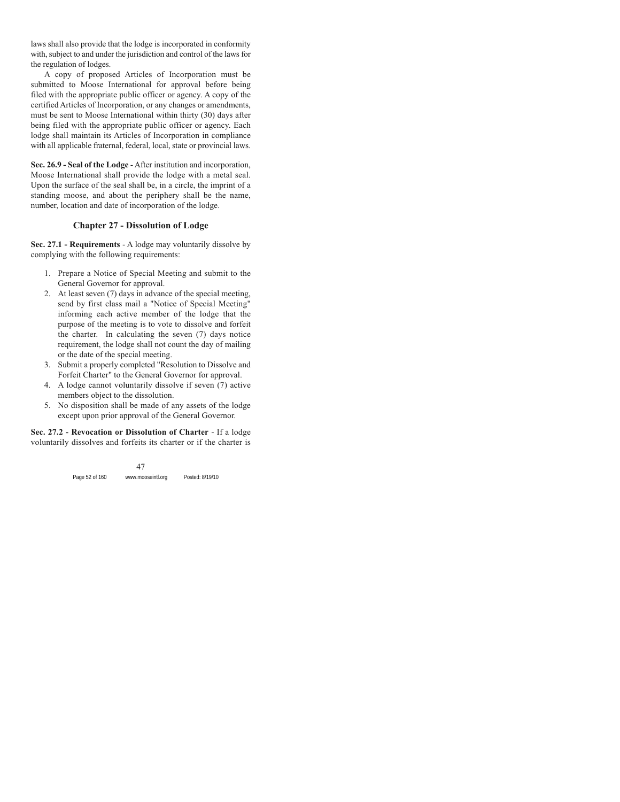laws shall also provide that the lodge is incorporated in conformity with, subject to and under the jurisdiction and control of the laws for the regulation of lodges.

A copy of proposed Articles of Incorporation must be submitted to Moose International for approval before being filed with the appropriate public officer or agency. A copy of the certified Articles of Incorporation, or any changes or amendments, must be sent to Moose International within thirty (30) days after being filed with the appropriate public officer or agency. Each lodge shall maintain its Articles of Incorporation in compliance with all applicable fraternal, federal, local, state or provincial laws.

**Sec. 26.9 - Seal of the Lodge** - After institution and incorporation, Moose International shall provide the lodge with a metal seal. Upon the surface of the seal shall be, in a circle, the imprint of a standing moose, and about the periphery shall be the name, number, location and date of incorporation of the lodge.

# **Chapter 27 - Dissolution of Lodge**

**Sec. 27.1 - Requirements** - A lodge may voluntarily dissolve by complying with the following requirements:

- 1. Prepare a Notice of Special Meeting and submit to the General Governor for approval.
- 2. At least seven (7) days in advance of the special meeting, send by first class mail a "Notice of Special Meeting" informing each active member of the lodge that the purpose of the meeting is to vote to dissolve and forfeit the charter. In calculating the seven (7) days notice requirement, the lodge shall not count the day of mailing or the date of the special meeting.
- 3. Submit a properly completed "Resolution to Dissolve and Forfeit Charter" to the General Governor for approval.
- 4. A lodge cannot voluntarily dissolve if seven (7) active members object to the dissolution.
- 5. No disposition shall be made of any assets of the lodge except upon prior approval of the General Governor.

**Sec. 27.2 - Revocation or Dissolution of Charter** - If a lodge voluntarily dissolves and forfeits its charter or if the charter is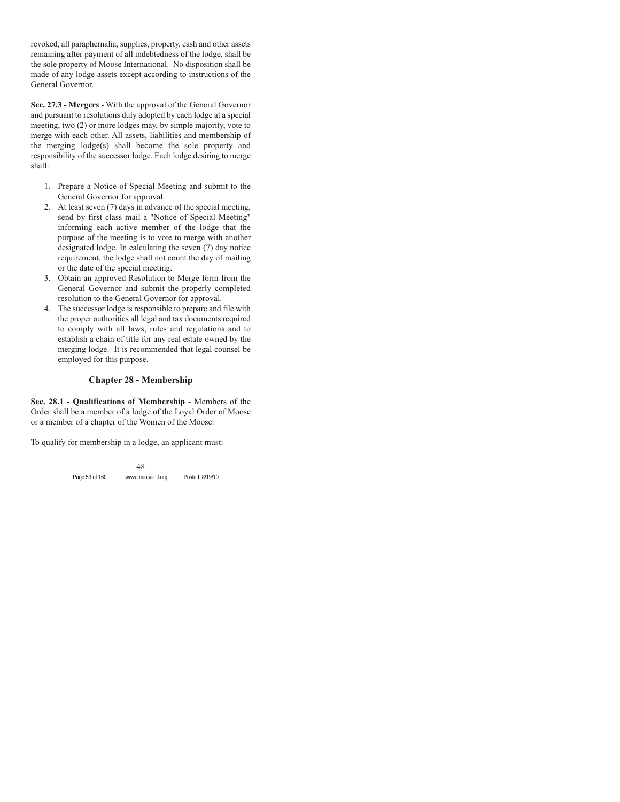revoked, all paraphernalia, supplies, property, cash and other assets remaining after payment of all indebtedness of the lodge, shall be the sole property of Moose International. No disposition shall be made of any lodge assets except according to instructions of the General Governor.

**Sec. 27.3 - Mergers** - With the approval of the General Governor and pursuant to resolutions duly adopted by each lodge at a special meeting, two (2) or more lodges may, by simple majority, vote to merge with each other. All assets, liabilities and membership of the merging lodge(s) shall become the sole property and responsibility of the successor lodge. Each lodge desiring to merge shall:

- 1. Prepare a Notice of Special Meeting and submit to the General Governor for approval.
- 2. At least seven (7) days in advance of the special meeting, send by first class mail a "Notice of Special Meeting" informing each active member of the lodge that the purpose of the meeting is to vote to merge with another designated lodge. In calculating the seven (7) day notice requirement, the lodge shall not count the day of mailing or the date of the special meeting.
- 3. Obtain an approved Resolution to Merge form from the General Governor and submit the properly completed resolution to the General Governor for approval.
- 4. The successor lodge is responsible to prepare and file with the proper authorities all legal and tax documents required to comply with all laws, rules and regulations and to establish a chain of title for any real estate owned by the merging lodge. It is recommended that legal counsel be employed for this purpose.

# **Chapter 28 - Membership**

**Sec. 28.1 - Qualifications of Membership** - Members of the Order shall be a member of a lodge of the Loyal Order of Moose or a member of a chapter of the Women of the Moose.

To qualify for membership in a lodge, an applicant must: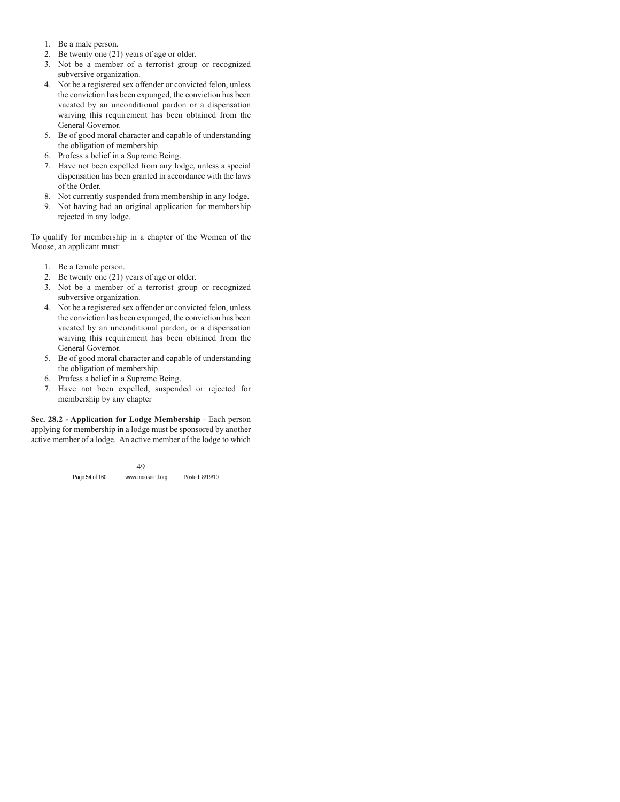- 1. Be a male person.
- 2. Be twenty one (21) years of age or older.
- 3. Not be a member of a terrorist group or recognized subversive organization.
- 4. Not be a registered sex offender or convicted felon, unless the conviction has been expunged, the conviction has been vacated by an unconditional pardon or a dispensation waiving this requirement has been obtained from the General Governor.
- 5. Be of good moral character and capable of understanding the obligation of membership.
- 6. Profess a belief in a Supreme Being.
- 7. Have not been expelled from any lodge, unless a special dispensation has been granted in accordance with the laws of the Order.
- 8. Not currently suspended from membership in any lodge.
- 9. Not having had an original application for membership rejected in any lodge.

To qualify for membership in a chapter of the Women of the Moose, an applicant must:

- 1. Be a female person.
- 2. Be twenty one (21) years of age or older.
- 3. Not be a member of a terrorist group or recognized subversive organization.
- 4. Not be a registered sex offender or convicted felon, unless the conviction has been expunged, the conviction has been vacated by an unconditional pardon, or a dispensation waiving this requirement has been obtained from the General Governor.
- 5. Be of good moral character and capable of understanding the obligation of membership.
- 6. Profess a belief in a Supreme Being.
- 7. Have not been expelled, suspended or rejected for membership by any chapter

**Sec. 28.2 - Application for Lodge Membership** - Each person applying for membership in a lodge must be sponsored by another active member of a lodge. An active member of the lodge to which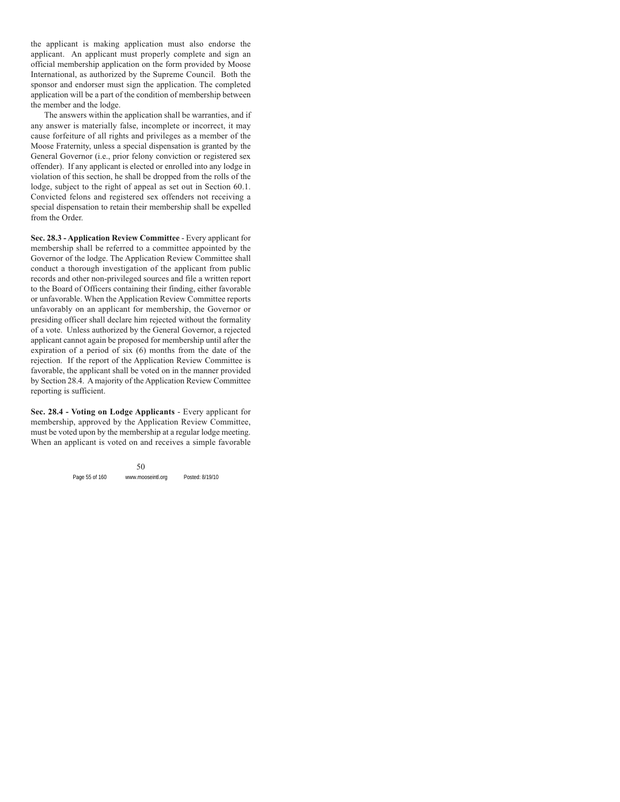the applicant is making application must also endorse the applicant. An applicant must properly complete and sign an official membership application on the form provided by Moose International, as authorized by the Supreme Council. Both the sponsor and endorser must sign the application. The completed application will be a part of the condition of membership between the member and the lodge.

The answers within the application shall be warranties, and if any answer is materially false, incomplete or incorrect, it may cause forfeiture of all rights and privileges as a member of the Moose Fraternity, unless a special dispensation is granted by the General Governor (i.e., prior felony conviction or registered sex offender). If any applicant is elected or enrolled into any lodge in violation of this section, he shall be dropped from the rolls of the lodge, subject to the right of appeal as set out in Section 60.1. Convicted felons and registered sex offenders not receiving a special dispensation to retain their membership shall be expelled from the Order.

**Sec. 28.3 - Application Review Committee** - Every applicant for membership shall be referred to a committee appointed by the Governor of the lodge. The Application Review Committee shall conduct a thorough investigation of the applicant from public records and other non-privileged sources and file a written report to the Board of Officers containing their finding, either favorable or unfavorable. When the Application Review Committee reports unfavorably on an applicant for membership, the Governor or presiding officer shall declare him rejected without the formality of a vote. Unless authorized by the General Governor, a rejected applicant cannot again be proposed for membership until after the expiration of a period of six (6) months from the date of the rejection. If the report of the Application Review Committee is favorable, the applicant shall be voted on in the manner provided by Section 28.4. A majority of the Application Review Committee reporting is sufficient.

**Sec. 28.4 - Voting on Lodge Applicants** - Every applicant for membership, approved by the Application Review Committee, must be voted upon by the membership at a regular lodge meeting. When an applicant is voted on and receives a simple favorable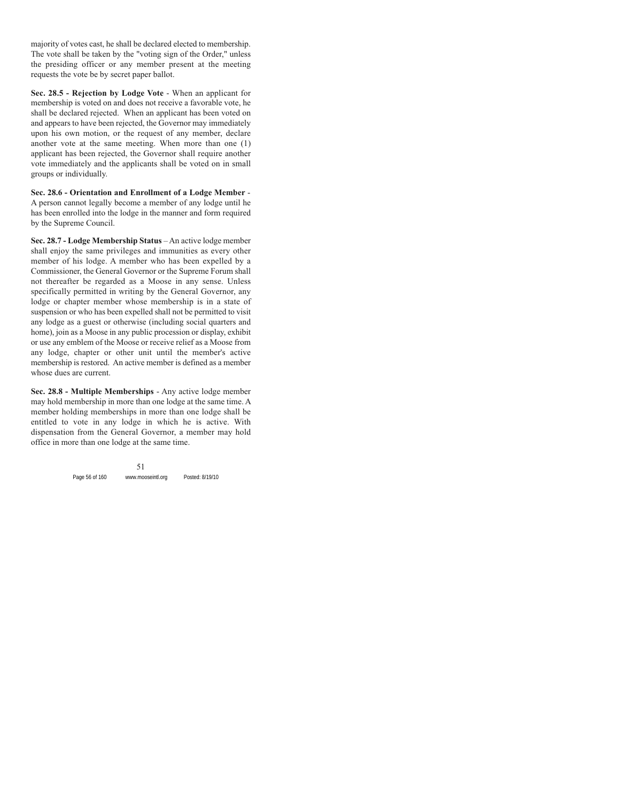majority of votes cast, he shall be declared elected to membership. The vote shall be taken by the "voting sign of the Order," unless the presiding officer or any member present at the meeting requests the vote be by secret paper ballot.

**Sec. 28.5 - Rejection by Lodge Vote** - When an applicant for membership is voted on and does not receive a favorable vote, he shall be declared rejected. When an applicant has been voted on and appears to have been rejected, the Governor may immediately upon his own motion, or the request of any member, declare another vote at the same meeting. When more than one (1) applicant has been rejected, the Governor shall require another vote immediately and the applicants shall be voted on in small groups or individually.

**Sec. 28.6 - Orientation and Enrollment of a Lodge Member** - A person cannot legally become a member of any lodge until he has been enrolled into the lodge in the manner and form required by the Supreme Council.

**Sec. 28.7 - Lodge Membership Status** – An active lodge member shall enjoy the same privileges and immunities as every other member of his lodge. A member who has been expelled by a Commissioner, the General Governor or the Supreme Forum shall not thereafter be regarded as a Moose in any sense. Unless specifically permitted in writing by the General Governor, any lodge or chapter member whose membership is in a state of suspension or who has been expelled shall not be permitted to visit any lodge as a guest or otherwise (including social quarters and home), join as a Moose in any public procession or display, exhibit or use any emblem of the Moose or receive relief as a Moose from any lodge, chapter or other unit until the member's active membership is restored. An active member is defined as a member whose dues are current.

**Sec. 28.8 - Multiple Memberships** - Any active lodge member may hold membership in more than one lodge at the same time. A member holding memberships in more than one lodge shall be entitled to vote in any lodge in which he is active. With dispensation from the General Governor, a member may hold office in more than one lodge at the same time.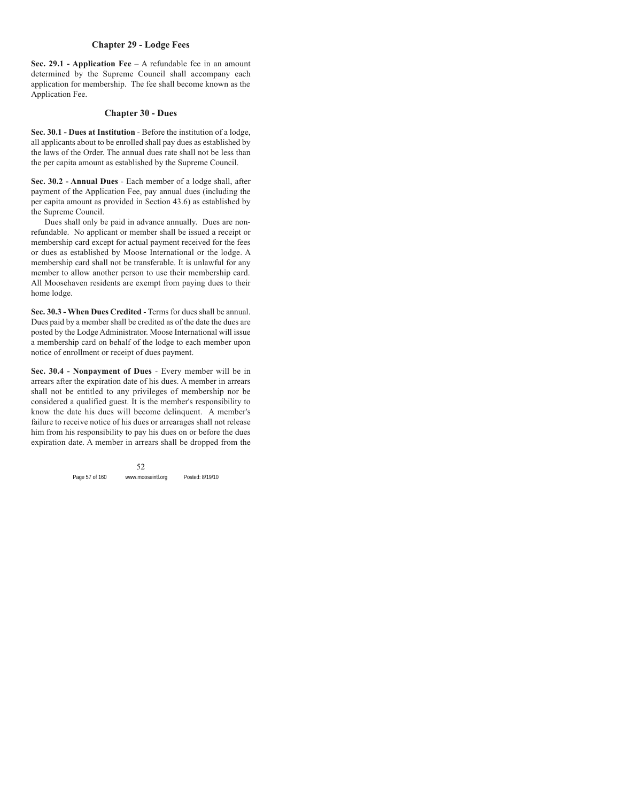# **Chapter 29 - Lodge Fees**

**Sec. 29.1 - Application Fee** – A refundable fee in an amount determined by the Supreme Council shall accompany each application for membership. The fee shall become known as the Application Fee.

# **Chapter 30 - Dues**

**Sec. 30.1 - Dues at Institution** - Before the institution of a lodge, all applicants about to be enrolled shall pay dues as established by the laws of the Order. The annual dues rate shall not be less than the per capita amount as established by the Supreme Council.

**Sec. 30.2 - Annual Dues** - Each member of a lodge shall, after payment of the Application Fee, pay annual dues (including the per capita amount as provided in Section 43.6) as established by the Supreme Council.

Dues shall only be paid in advance annually. Dues are nonrefundable. No applicant or member shall be issued a receipt or membership card except for actual payment received for the fees or dues as established by Moose International or the lodge. A membership card shall not be transferable. It is unlawful for any member to allow another person to use their membership card. All Moosehaven residents are exempt from paying dues to their home lodge.

**Sec. 30.3 - When Dues Credited** - Terms for dues shall be annual. Dues paid by a member shall be credited as of the date the dues are posted by the Lodge Administrator. Moose International will issue a membership card on behalf of the lodge to each member upon notice of enrollment or receipt of dues payment.

**Sec. 30.4 - Nonpayment of Dues** - Every member will be in arrears after the expiration date of his dues. A member in arrears shall not be entitled to any privileges of membership nor be considered a qualified guest. It is the member's responsibility to know the date his dues will become delinquent. A member's failure to receive notice of his dues or arrearages shall not release him from his responsibility to pay his dues on or before the dues expiration date. A member in arrears shall be dropped from the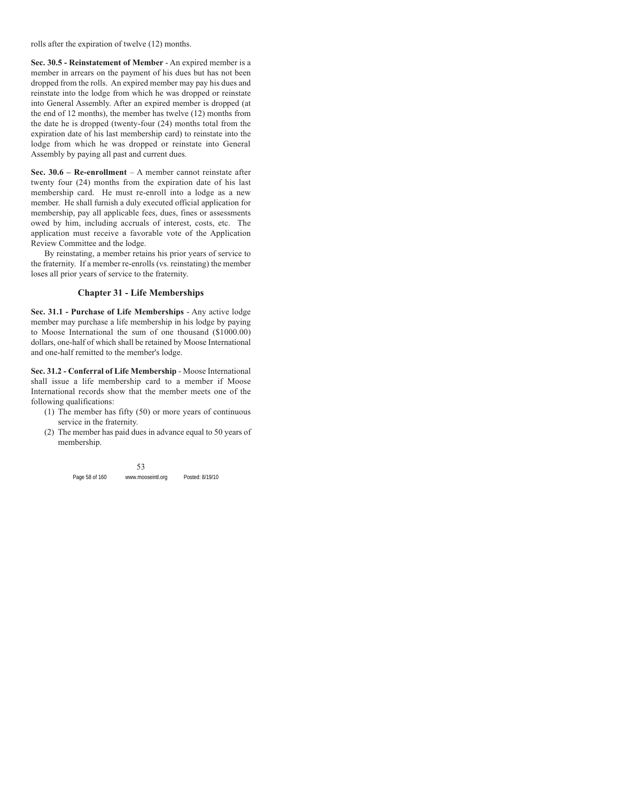rolls after the expiration of twelve (12) months.

**Sec. 30.5 - Reinstatement of Member** - An expired member is a member in arrears on the payment of his dues but has not been dropped from the rolls. An expired member may pay his dues and reinstate into the lodge from which he was dropped or reinstate into General Assembly. After an expired member is dropped (at the end of 12 months), the member has twelve (12) months from the date he is dropped (twenty-four (24) months total from the expiration date of his last membership card) to reinstate into the lodge from which he was dropped or reinstate into General Assembly by paying all past and current dues.

**Sec. 30.6 – Re-enrollment** – A member cannot reinstate after twenty four (24) months from the expiration date of his last membership card. He must re-enroll into a lodge as a new member. He shall furnish a duly executed official application for membership, pay all applicable fees, dues, fines or assessments owed by him, including accruals of interest, costs, etc. The application must receive a favorable vote of the Application Review Committee and the lodge.

By reinstating, a member retains his prior years of service to the fraternity. If a member re-enrolls (vs. reinstating) the member loses all prior years of service to the fraternity.

# **Chapter 31 - Life Memberships**

**Sec. 31.1 - Purchase of Life Memberships** - Any active lodge member may purchase a life membership in his lodge by paying to Moose International the sum of one thousand (\$1000.00) dollars, one-half of which shall be retained by Moose International and one-half remitted to the member's lodge.

**Sec. 31.2 - Conferral of Life Membership** - Moose International shall issue a life membership card to a member if Moose International records show that the member meets one of the following qualifications:

- (1) The member has fifty (50) or more years of continuous service in the fraternity.
- (2) The member has paid dues in advance equal to 50 years of membership.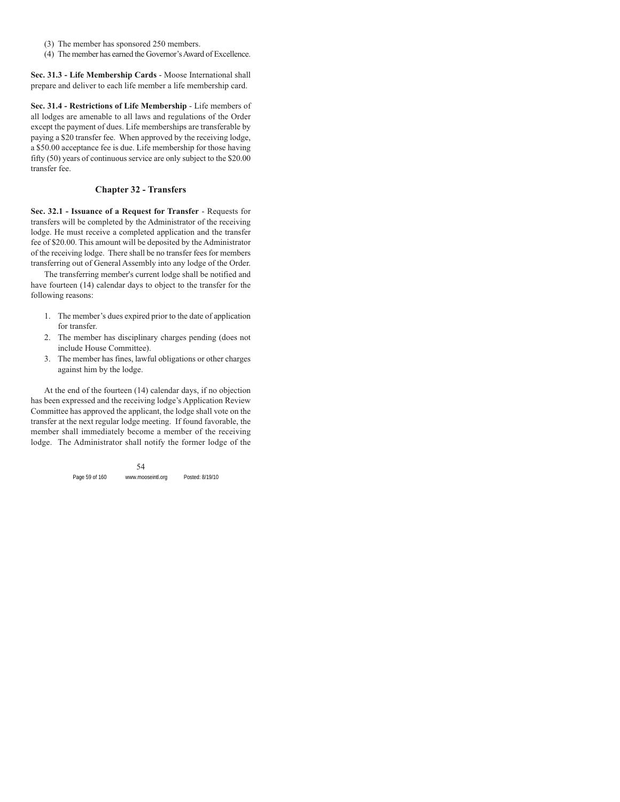- (3) The member has sponsored 250 members.
- (4) The member has earned the Governor's Award of Excellence.

**Sec. 31.3 - Life Membership Cards** - Moose International shall prepare and deliver to each life member a life membership card.

**Sec. 31.4 - Restrictions of Life Membership** - Life members of all lodges are amenable to all laws and regulations of the Order except the payment of dues. Life memberships are transferable by paying a \$20 transfer fee. When approved by the receiving lodge, a \$50.00 acceptance fee is due. Life membership for those having fifty (50) years of continuous service are only subject to the \$20.00 transfer fee.

# **Chapter 32 - Transfers**

**Sec. 32.1 - Issuance of a Request for Transfer** - Requests for transfers will be completed by the Administrator of the receiving lodge. He must receive a completed application and the transfer fee of \$20.00. This amount will be deposited by the Administrator of the receiving lodge. There shall be no transfer fees for members transferring out of General Assembly into any lodge of the Order.

The transferring member's current lodge shall be notified and have fourteen (14) calendar days to object to the transfer for the following reasons:

- 1. The member's dues expired prior to the date of application for transfer.
- 2. The member has disciplinary charges pending (does not include House Committee).
- 3. The member has fines, lawful obligations or other charges against him by the lodge.

At the end of the fourteen (14) calendar days, if no objection has been expressed and the receiving lodge's Application Review Committee has approved the applicant, the lodge shall vote on the transfer at the next regular lodge meeting. If found favorable, the member shall immediately become a member of the receiving lodge. The Administrator shall notify the former lodge of the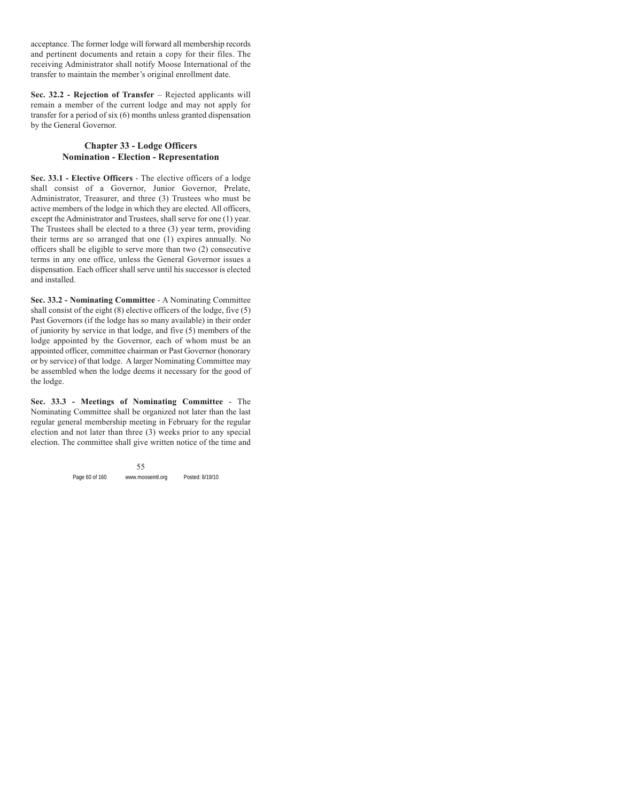acceptance. The former lodge will forward all membership records and pertinent documents and retain a copy for their files. The receiving Administrator shall notify Moose International of the transfer to maintain the member's original enrollment date.

**Sec. 32.2 - Rejection of Transfer** – Rejected applicants will remain a member of the current lodge and may not apply for transfer for a period of six (6) months unless granted dispensation by the General Governor.

# **Chapter 33 - Lodge Officers Nomination - Election - Representation**

**Sec. 33.1 - Elective Officers** - The elective officers of a lodge shall consist of a Governor, Junior Governor, Prelate, Administrator, Treasurer, and three (3) Trustees who must be active members of the lodge in which they are elected. All officers, except the Administrator and Trustees, shall serve for one (1) year. The Trustees shall be elected to a three (3) year term, providing their terms are so arranged that one (1) expires annually. No officers shall be eligible to serve more than two (2) consecutive terms in any one office, unless the General Governor issues a dispensation. Each officer shall serve until his successor is elected and installed.

**Sec. 33.2 - Nominating Committee** - A Nominating Committee shall consist of the eight (8) elective officers of the lodge, five (5) Past Governors (if the lodge has so many available) in their order of juniority by service in that lodge, and five (5) members of the lodge appointed by the Governor, each of whom must be an appointed officer, committee chairman or Past Governor (honorary or by service) of that lodge. A larger Nominating Committee may be assembled when the lodge deems it necessary for the good of the lodge.

**Sec. 33.3 - Meetings of Nominating Committee** - The Nominating Committee shall be organized not later than the last regular general membership meeting in February for the regular election and not later than three (3) weeks prior to any special election. The committee shall give written notice of the time and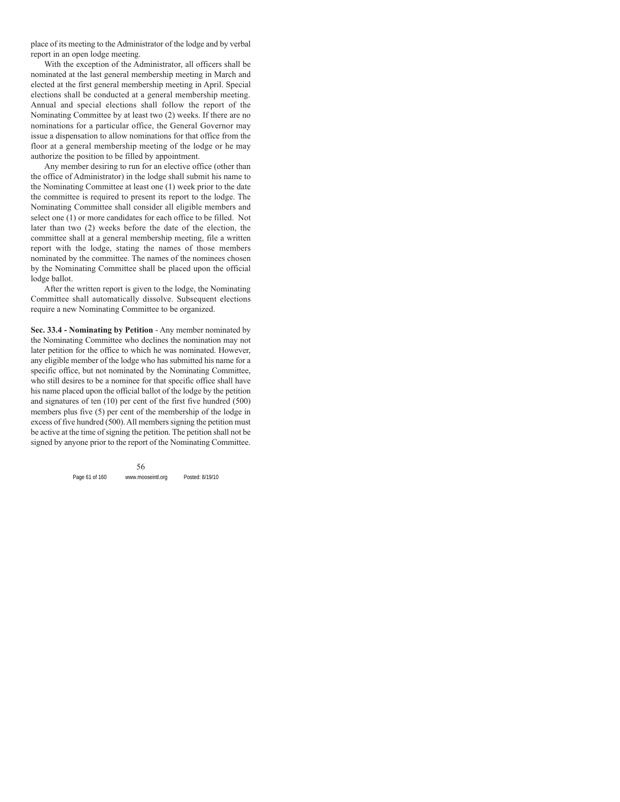place of its meeting to the Administrator of the lodge and by verbal report in an open lodge meeting.

With the exception of the Administrator, all officers shall be nominated at the last general membership meeting in March and elected at the first general membership meeting in April. Special elections shall be conducted at a general membership meeting. Annual and special elections shall follow the report of the Nominating Committee by at least two (2) weeks. If there are no nominations for a particular office, the General Governor may issue a dispensation to allow nominations for that office from the floor at a general membership meeting of the lodge or he may authorize the position to be filled by appointment.

Any member desiring to run for an elective office (other than the office of Administrator) in the lodge shall submit his name to the Nominating Committee at least one (1) week prior to the date the committee is required to present its report to the lodge. The Nominating Committee shall consider all eligible members and select one (1) or more candidates for each office to be filled. Not later than two (2) weeks before the date of the election, the committee shall at a general membership meeting, file a written report with the lodge, stating the names of those members nominated by the committee. The names of the nominees chosen by the Nominating Committee shall be placed upon the official lodge ballot.

After the written report is given to the lodge, the Nominating Committee shall automatically dissolve. Subsequent elections require a new Nominating Committee to be organized.

**Sec. 33.4 - Nominating by Petition** - Any member nominated by the Nominating Committee who declines the nomination may not later petition for the office to which he was nominated. However, any eligible member of the lodge who has submitted his name for a specific office, but not nominated by the Nominating Committee, who still desires to be a nominee for that specific office shall have his name placed upon the official ballot of the lodge by the petition and signatures of ten (10) per cent of the first five hundred (500) members plus five (5) per cent of the membership of the lodge in excess of five hundred (500). All members signing the petition must be active at the time of signing the petition. The petition shall not be signed by anyone prior to the report of the Nominating Committee.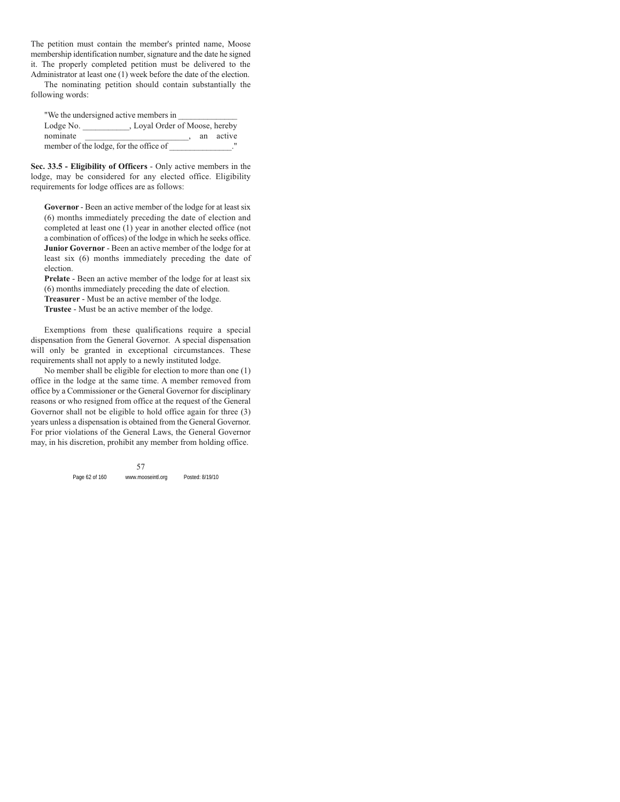The petition must contain the member's printed name, Moose membership identification number, signature and the date he signed it. The properly completed petition must be delivered to the Administrator at least one (1) week before the date of the election.

The nominating petition should contain substantially the following words:

"We the undersigned active members in Lodge No. \_\_\_\_\_\_\_\_\_\_\_, Loyal Order of Moose, hereby nominate \_\_\_\_\_\_\_\_\_\_\_\_\_\_\_\_\_\_\_\_\_\_\_\_\_\_\_\_\_\_\_\_, an active member of the lodge, for the office of \_\_\_\_\_\_\_\_\_\_\_\_\_."

**Sec. 33.5 - Eligibility of Officers** - Only active members in the lodge, may be considered for any elected office. Eligibility requirements for lodge offices are as follows:

**Governor** - Been an active member of the lodge for at least six (6) months immediately preceding the date of election and completed at least one (1) year in another elected office (not a combination of offices) of the lodge in which he seeks office. **Junior Governor** - Been an active member of the lodge for at least six (6) months immediately preceding the date of election.

**Prelate** - Been an active member of the lodge for at least six (6) months immediately preceding the date of election.

**Treasurer** - Must be an active member of the lodge.

**Trustee** - Must be an active member of the lodge.

Exemptions from these qualifications require a special dispensation from the General Governor. A special dispensation will only be granted in exceptional circumstances. These requirements shall not apply to a newly instituted lodge.

No member shall be eligible for election to more than one (1) office in the lodge at the same time. A member removed from office by a Commissioner or the General Governor for disciplinary reasons or who resigned from office at the request of the General Governor shall not be eligible to hold office again for three (3) years unless a dispensation is obtained from the General Governor. For prior violations of the General Laws, the General Governor may, in his discretion, prohibit any member from holding office.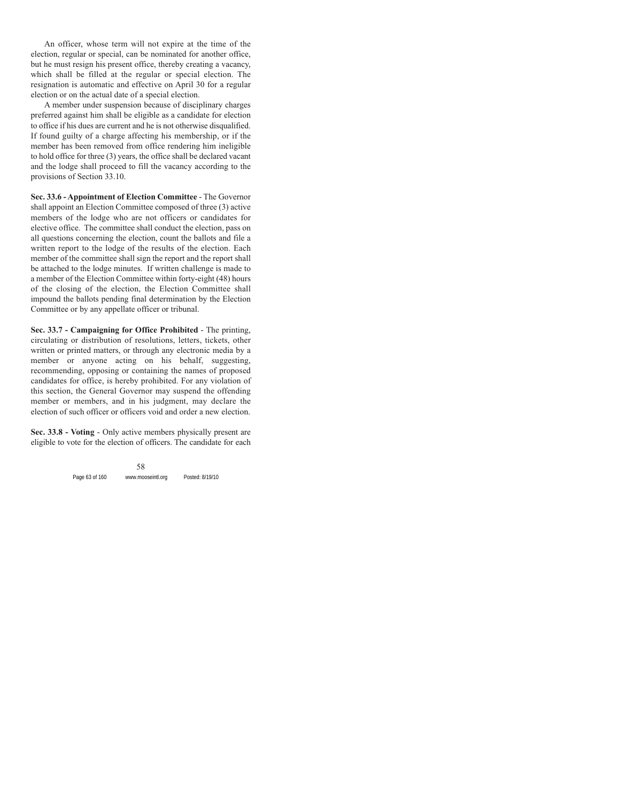An officer, whose term will not expire at the time of the election, regular or special, can be nominated for another office, but he must resign his present office, thereby creating a vacancy, which shall be filled at the regular or special election. The resignation is automatic and effective on April 30 for a regular election or on the actual date of a special election.

A member under suspension because of disciplinary charges preferred against him shall be eligible as a candidate for election to office if his dues are current and he is not otherwise disqualified. If found guilty of a charge affecting his membership, or if the member has been removed from office rendering him ineligible to hold office for three (3) years, the office shall be declared vacant and the lodge shall proceed to fill the vacancy according to the provisions of Section 33.10.

**Sec. 33.6 - Appointment of Election Committee** - The Governor shall appoint an Election Committee composed of three (3) active members of the lodge who are not officers or candidates for elective office. The committee shall conduct the election, pass on all questions concerning the election, count the ballots and file a written report to the lodge of the results of the election. Each member of the committee shall sign the report and the report shall be attached to the lodge minutes. If written challenge is made to a member of the Election Committee within forty-eight (48) hours of the closing of the election, the Election Committee shall impound the ballots pending final determination by the Election Committee or by any appellate officer or tribunal.

**Sec. 33.7 - Campaigning for Office Prohibited** - The printing, circulating or distribution of resolutions, letters, tickets, other written or printed matters, or through any electronic media by a member or anyone acting on his behalf, suggesting, recommending, opposing or containing the names of proposed candidates for office, is hereby prohibited. For any violation of this section, the General Governor may suspend the offending member or members, and in his judgment, may declare the election of such officer or officers void and order a new election.

**Sec. 33.8 - Voting** - Only active members physically present are eligible to vote for the election of officers. The candidate for each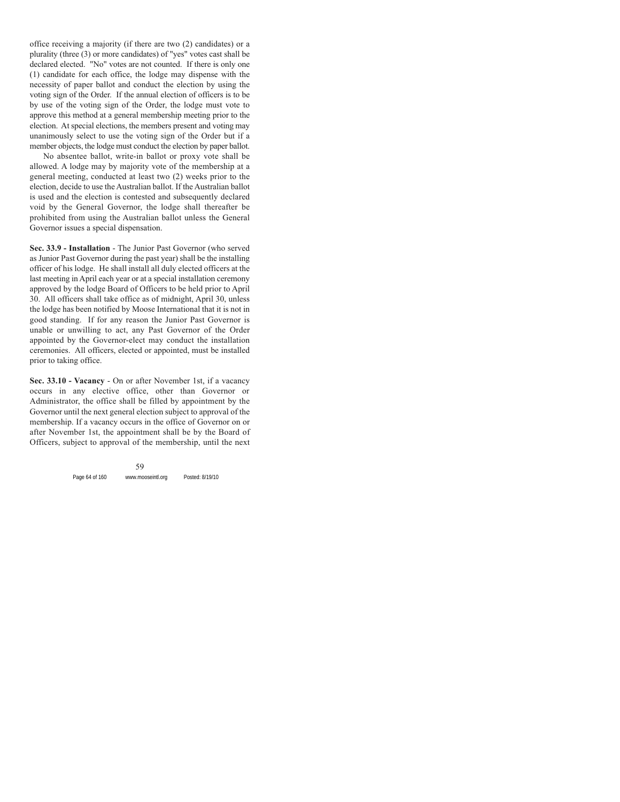office receiving a majority (if there are two (2) candidates) or a plurality (three (3) or more candidates) of "yes" votes cast shall be declared elected. "No" votes are not counted. If there is only one (1) candidate for each office, the lodge may dispense with the necessity of paper ballot and conduct the election by using the voting sign of the Order. If the annual election of officers is to be by use of the voting sign of the Order, the lodge must vote to approve this method at a general membership meeting prior to the election. At special elections, the members present and voting may unanimously select to use the voting sign of the Order but if a member objects, the lodge must conduct the election by paper ballot.

No absentee ballot, write-in ballot or proxy vote shall be allowed. A lodge may by majority vote of the membership at a general meeting, conducted at least two (2) weeks prior to the election, decide to use the Australian ballot. If the Australian ballot is used and the election is contested and subsequently declared void by the General Governor, the lodge shall thereafter be prohibited from using the Australian ballot unless the General Governor issues a special dispensation.

**Sec. 33.9 - Installation** - The Junior Past Governor (who served as Junior Past Governor during the past year) shall be the installing officer of his lodge. He shall install all duly elected officers at the last meeting in April each year or at a special installation ceremony approved by the lodge Board of Officers to be held prior to April 30. All officers shall take office as of midnight, April 30, unless the lodge has been notified by Moose International that it is not in good standing. If for any reason the Junior Past Governor is unable or unwilling to act, any Past Governor of the Order appointed by the Governor-elect may conduct the installation ceremonies. All officers, elected or appointed, must be installed prior to taking office.

**Sec. 33.10 - Vacancy** - On or after November 1st, if a vacancy occurs in any elective office, other than Governor or Administrator, the office shall be filled by appointment by the Governor until the next general election subject to approval of the membership. If a vacancy occurs in the office of Governor on or after November 1st, the appointment shall be by the Board of Officers, subject to approval of the membership, until the next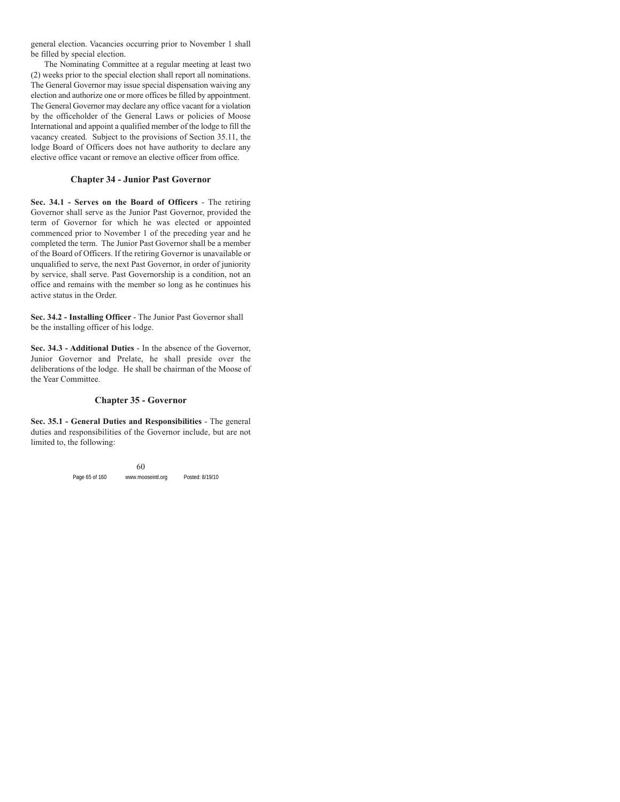general election. Vacancies occurring prior to November 1 shall be filled by special election.

The Nominating Committee at a regular meeting at least two (2) weeks prior to the special election shall report all nominations. The General Governor may issue special dispensation waiving any election and authorize one or more offices be filled by appointment. The General Governor may declare any office vacant for a violation by the officeholder of the General Laws or policies of Moose International and appoint a qualified member of the lodge to fill the vacancy created. Subject to the provisions of Section 35.11, the lodge Board of Officers does not have authority to declare any elective office vacant or remove an elective officer from office.

### **Chapter 34 - Junior Past Governor**

**Sec. 34.1 - Serves on the Board of Officers** - The retiring Governor shall serve as the Junior Past Governor, provided the term of Governor for which he was elected or appointed commenced prior to November 1 of the preceding year and he completed the term. The Junior Past Governor shall be a member of the Board of Officers. If the retiring Governor is unavailable or unqualified to serve, the next Past Governor, in order of juniority by service, shall serve. Past Governorship is a condition, not an office and remains with the member so long as he continues his active status in the Order.

**Sec. 34.2 - Installing Officer** - The Junior Past Governor shall be the installing officer of his lodge.

**Sec. 34.3 - Additional Duties** - In the absence of the Governor, Junior Governor and Prelate, he shall preside over the deliberations of the lodge. He shall be chairman of the Moose of the Year Committee.

#### **Chapter 35 - Governor**

**Sec. 35.1 - General Duties and Responsibilities** - The general duties and responsibilities of the Governor include, but are not limited to, the following: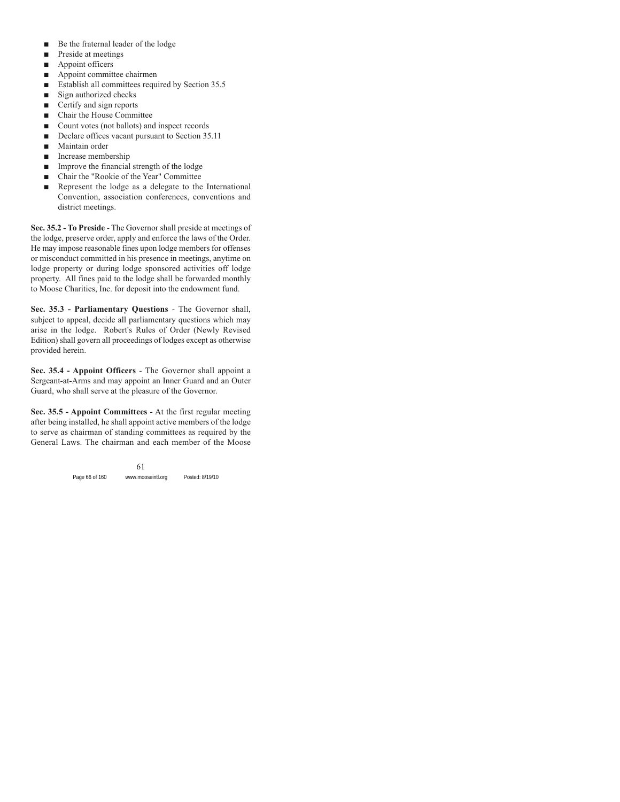- Be the fraternal leader of the lodge
- $\blacksquare$  Preside at meetings
- $\blacksquare$  Appoint officers
- $\blacksquare$  Appoint committee chairmen
- $\blacksquare$  Establish all committees required by Section 35.5
- $\blacksquare$  Sign authorized checks
- $\blacksquare$  Certify and sign reports
- Chair the House Committee
- Count votes (not ballots) and inspect records
- Declare offices vacant pursuant to Section 35.11
- Maintain order
- $\blacksquare$  Increase membership
- $\blacksquare$  Improve the financial strength of the lodge
- Chair the "Rookie of the Year" Committee
- $\blacksquare$  Represent the lodge as a delegate to the International Convention, association conferences, conventions and district meetings.

**Sec. 35.2 - To Preside** - The Governor shall preside at meetings of the lodge, preserve order, apply and enforce the laws of the Order. He may impose reasonable fines upon lodge members for offenses or misconduct committed in his presence in meetings, anytime on lodge property or during lodge sponsored activities off lodge property. All fines paid to the lodge shall be forwarded monthly to Moose Charities, Inc. for deposit into the endowment fund.

**Sec. 35.3 - Parliamentary Questions** - The Governor shall, subject to appeal, decide all parliamentary questions which may arise in the lodge. Robert's Rules of Order (Newly Revised Edition) shall govern all proceedings of lodges except as otherwise provided herein.

**Sec. 35.4 - Appoint Officers** - The Governor shall appoint a Sergeant-at-Arms and may appoint an Inner Guard and an Outer Guard, who shall serve at the pleasure of the Governor.

**Sec. 35.5 - Appoint Committees** - At the first regular meeting after being installed, he shall appoint active members of the lodge to serve as chairman of standing committees as required by the General Laws. The chairman and each member of the Moose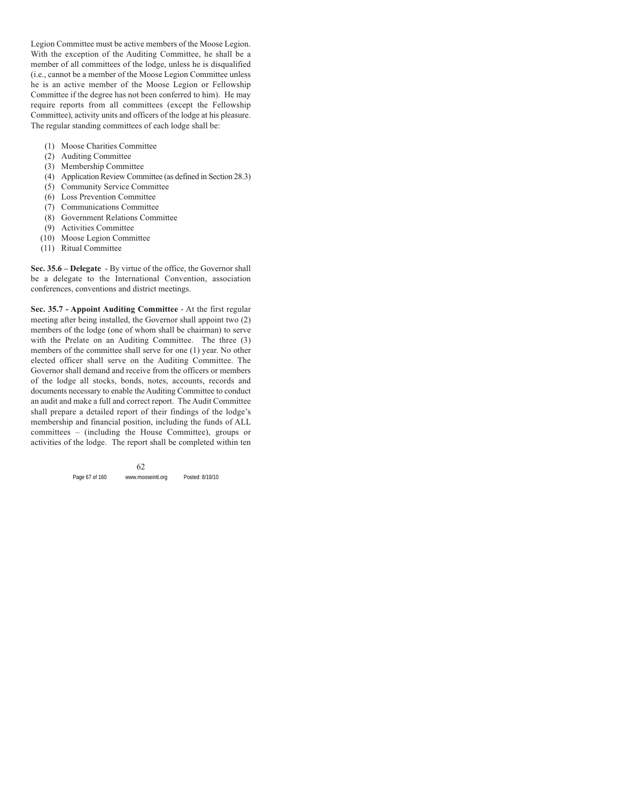Legion Committee must be active members of the Moose Legion. With the exception of the Auditing Committee, he shall be a member of all committees of the lodge, unless he is disqualified (i.e., cannot be a member of the Moose Legion Committee unless he is an active member of the Moose Legion or Fellowship Committee if the degree has not been conferred to him). He may require reports from all committees (except the Fellowship Committee), activity units and officers of the lodge at his pleasure. The regular standing committees of each lodge shall be:

- (1) Moose Charities Committee
- (2) Auditing Committee
- (3) Membership Committee
- (4) Application Review Committee (as defined in Section 28.3)
- (5) Community Service Committee
- (6) Loss Prevention Committee
- (7) Communications Committee
- (8) Government Relations Committee
- (9) Activities Committee
- (10) Moose Legion Committee
- (11) Ritual Committee

**Sec. 35.6 – Delegate** - By virtue of the office, the Governor shall be a delegate to the International Convention, association conferences, conventions and district meetings.

**Sec. 35.7 - Appoint Auditing Committee** - At the first regular meeting after being installed, the Governor shall appoint two (2) members of the lodge (one of whom shall be chairman) to serve with the Prelate on an Auditing Committee. The three (3) members of the committee shall serve for one (1) year. No other elected officer shall serve on the Auditing Committee. The Governor shall demand and receive from the officers or members of the lodge all stocks, bonds, notes, accounts, records and documents necessary to enable the Auditing Committee to conduct an audit and make a full and correct report. The Audit Committee shall prepare a detailed report of their findings of the lodge's membership and financial position, including the funds of ALL committees – (including the House Committee), groups or activities of the lodge. The report shall be completed within ten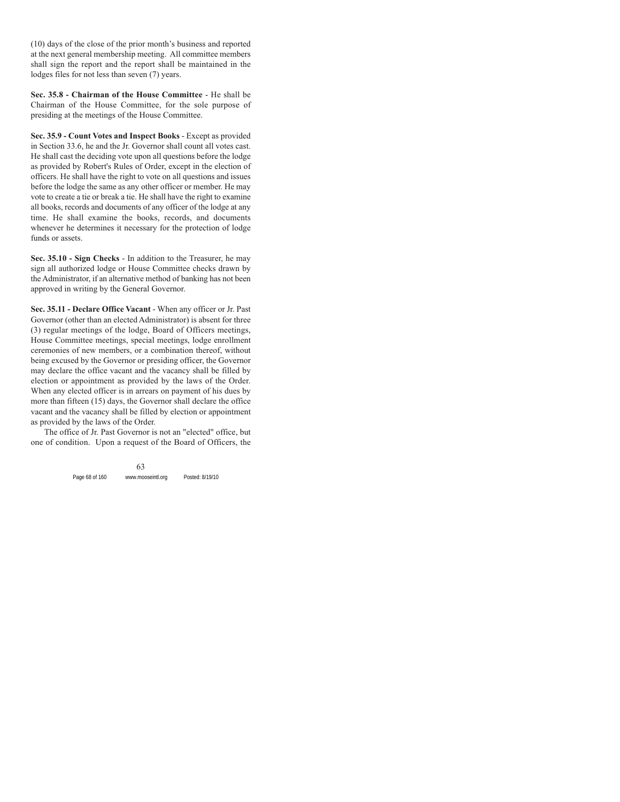(10) days of the close of the prior month's business and reported at the next general membership meeting. All committee members shall sign the report and the report shall be maintained in the lodges files for not less than seven (7) years.

**Sec. 35.8 - Chairman of the House Committee** - He shall be Chairman of the House Committee, for the sole purpose of presiding at the meetings of the House Committee.

**Sec. 35.9 - Count Votes and Inspect Books** - Except as provided in Section 33.6, he and the Jr. Governor shall count all votes cast. He shall cast the deciding vote upon all questions before the lodge as provided by Robert's Rules of Order, except in the election of officers. He shall have the right to vote on all questions and issues before the lodge the same as any other officer or member. He may vote to create a tie or break a tie. He shall have the right to examine all books, records and documents of any officer of the lodge at any time. He shall examine the books, records, and documents whenever he determines it necessary for the protection of lodge funds or assets.

**Sec. 35.10 - Sign Checks** - In addition to the Treasurer, he may sign all authorized lodge or House Committee checks drawn by the Administrator, if an alternative method of banking has not been approved in writing by the General Governor.

**Sec. 35.11 - Declare Office Vacant** - When any officer or Jr. Past Governor (other than an elected Administrator) is absent for three (3) regular meetings of the lodge, Board of Officers meetings, House Committee meetings, special meetings, lodge enrollment ceremonies of new members, or a combination thereof, without being excused by the Governor or presiding officer, the Governor may declare the office vacant and the vacancy shall be filled by election or appointment as provided by the laws of the Order. When any elected officer is in arrears on payment of his dues by more than fifteen (15) days, the Governor shall declare the office vacant and the vacancy shall be filled by election or appointment as provided by the laws of the Order.

The office of Jr. Past Governor is not an "elected" office, but one of condition. Upon a request of the Board of Officers, the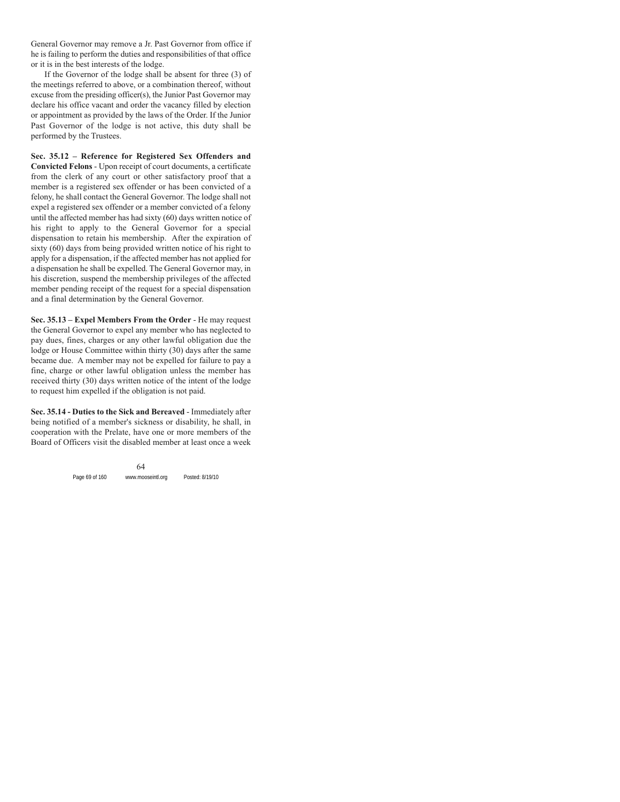General Governor may remove a Jr. Past Governor from office if he is failing to perform the duties and responsibilities of that office or it is in the best interests of the lodge.

If the Governor of the lodge shall be absent for three (3) of the meetings referred to above, or a combination thereof, without excuse from the presiding officer(s), the Junior Past Governor may declare his office vacant and order the vacancy filled by election or appointment as provided by the laws of the Order. If the Junior Past Governor of the lodge is not active, this duty shall be performed by the Trustees.

**Sec. 35.12 – Reference for Registered Sex Offenders and Convicted Felons** - Upon receipt of court documents, a certificate from the clerk of any court or other satisfactory proof that a member is a registered sex offender or has been convicted of a felony, he shall contact the General Governor. The lodge shall not expel a registered sex offender or a member convicted of a felony until the affected member has had sixty (60) days written notice of his right to apply to the General Governor for a special dispensation to retain his membership. After the expiration of sixty (60) days from being provided written notice of his right to apply for a dispensation, if the affected member has not applied for a dispensation he shall be expelled. The General Governor may, in his discretion, suspend the membership privileges of the affected member pending receipt of the request for a special dispensation and a final determination by the General Governor.

**Sec. 35.13 – Expel Members From the Order** - He may request the General Governor to expel any member who has neglected to pay dues, fines, charges or any other lawful obligation due the lodge or House Committee within thirty (30) days after the same became due. A member may not be expelled for failure to pay a fine, charge or other lawful obligation unless the member has received thirty (30) days written notice of the intent of the lodge to request him expelled if the obligation is not paid.

**Sec. 35.14 - Duties to the Sick and Bereaved** - Immediately after being notified of a member's sickness or disability, he shall, in cooperation with the Prelate, have one or more members of the Board of Officers visit the disabled member at least once a week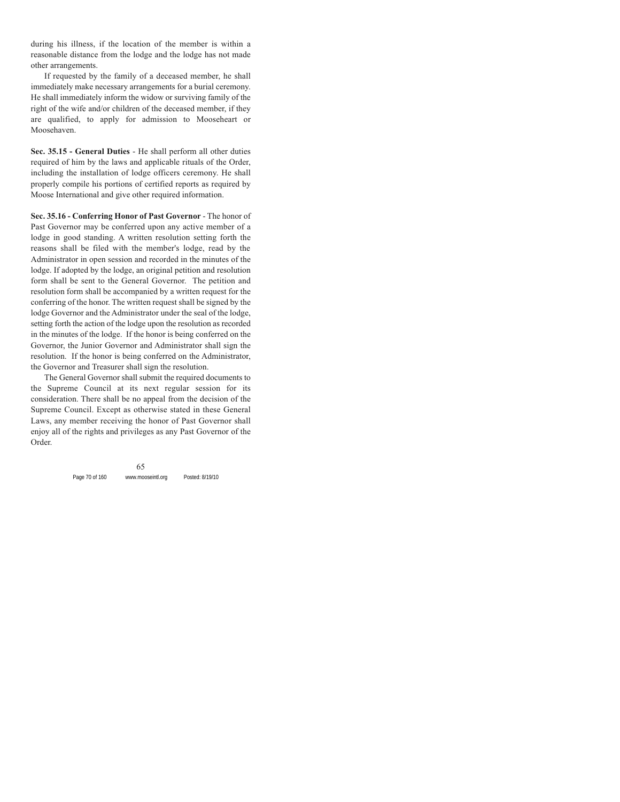during his illness, if the location of the member is within a reasonable distance from the lodge and the lodge has not made other arrangements.

If requested by the family of a deceased member, he shall immediately make necessary arrangements for a burial ceremony. He shall immediately inform the widow or surviving family of the right of the wife and/or children of the deceased member, if they are qualified, to apply for admission to Mooseheart or Moosehaven.

**Sec. 35.15 - General Duties** - He shall perform all other duties required of him by the laws and applicable rituals of the Order, including the installation of lodge officers ceremony. He shall properly compile his portions of certified reports as required by Moose International and give other required information.

**Sec. 35.16 - Conferring Honor of Past Governor** - The honor of Past Governor may be conferred upon any active member of a lodge in good standing. A written resolution setting forth the reasons shall be filed with the member's lodge, read by the Administrator in open session and recorded in the minutes of the lodge. If adopted by the lodge, an original petition and resolution form shall be sent to the General Governor. The petition and resolution form shall be accompanied by a written request for the conferring of the honor. The written request shall be signed by the lodge Governor and the Administrator under the seal of the lodge, setting forth the action of the lodge upon the resolution as recorded in the minutes of the lodge. If the honor is being conferred on the Governor, the Junior Governor and Administrator shall sign the resolution. If the honor is being conferred on the Administrator, the Governor and Treasurer shall sign the resolution.

The General Governor shall submit the required documents to the Supreme Council at its next regular session for its consideration. There shall be no appeal from the decision of the Supreme Council. Except as otherwise stated in these General Laws, any member receiving the honor of Past Governor shall enjoy all of the rights and privileges as any Past Governor of the Order.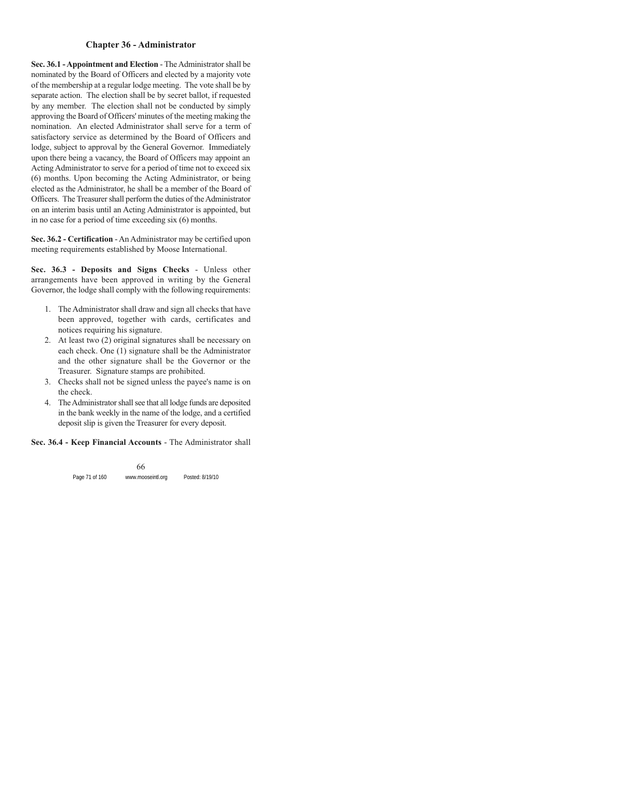# **Chapter 36 - Administrator**

**Sec. 36.1 - Appointment and Election** - The Administrator shall be nominated by the Board of Officers and elected by a majority vote of the membership at a regular lodge meeting. The vote shall be by separate action. The election shall be by secret ballot, if requested by any member. The election shall not be conducted by simply approving the Board of Officers' minutes of the meeting making the nomination. An elected Administrator shall serve for a term of satisfactory service as determined by the Board of Officers and lodge, subject to approval by the General Governor. Immediately upon there being a vacancy, the Board of Officers may appoint an Acting Administrator to serve for a period of time not to exceed six (6) months. Upon becoming the Acting Administrator, or being elected as the Administrator, he shall be a member of the Board of Officers. The Treasurer shall perform the duties of the Administrator on an interim basis until an Acting Administrator is appointed, but in no case for a period of time exceeding six (6) months.

**Sec. 36.2 - Certification** - An Administrator may be certified upon meeting requirements established by Moose International.

**Sec. 36.3 - Deposits and Signs Checks** - Unless other arrangements have been approved in writing by the General Governor, the lodge shall comply with the following requirements:

- 1. The Administrator shall draw and sign all checks that have been approved, together with cards, certificates and notices requiring his signature.
- 2. At least two (2) original signatures shall be necessary on each check. One (1) signature shall be the Administrator and the other signature shall be the Governor or the Treasurer. Signature stamps are prohibited.
- 3. Checks shall not be signed unless the payee's name is on the check.
- 4. The Administrator shall see that all lodge funds are deposited in the bank weekly in the name of the lodge, and a certified deposit slip is given the Treasurer for every deposit.

#### **Sec. 36.4 - Keep Financial Accounts** - The Administrator shall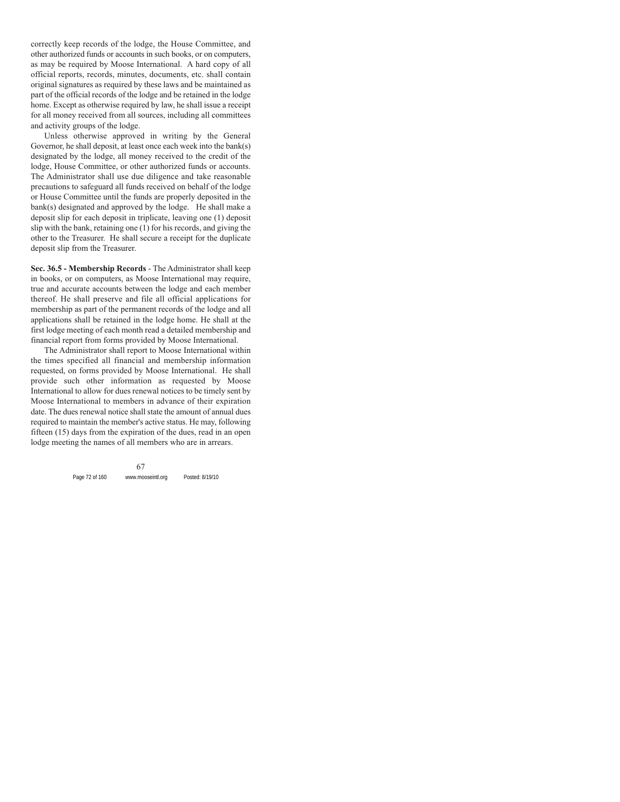correctly keep records of the lodge, the House Committee, and other authorized funds or accounts in such books, or on computers, as may be required by Moose International. A hard copy of all official reports, records, minutes, documents, etc. shall contain original signatures as required by these laws and be maintained as part of the official records of the lodge and be retained in the lodge home. Except as otherwise required by law, he shall issue a receipt for all money received from all sources, including all committees and activity groups of the lodge.

Unless otherwise approved in writing by the General Governor, he shall deposit, at least once each week into the bank(s) designated by the lodge, all money received to the credit of the lodge, House Committee, or other authorized funds or accounts. The Administrator shall use due diligence and take reasonable precautions to safeguard all funds received on behalf of the lodge or House Committee until the funds are properly deposited in the bank(s) designated and approved by the lodge. He shall make a deposit slip for each deposit in triplicate, leaving one (1) deposit slip with the bank, retaining one (1) for his records, and giving the other to the Treasurer. He shall secure a receipt for the duplicate deposit slip from the Treasurer.

**Sec. 36.5 - Membership Records** - The Administrator shall keep in books, or on computers, as Moose International may require, true and accurate accounts between the lodge and each member thereof. He shall preserve and file all official applications for membership as part of the permanent records of the lodge and all applications shall be retained in the lodge home. He shall at the first lodge meeting of each month read a detailed membership and financial report from forms provided by Moose International.

The Administrator shall report to Moose International within the times specified all financial and membership information requested, on forms provided by Moose International. He shall provide such other information as requested by Moose International to allow for dues renewal notices to be timely sent by Moose International to members in advance of their expiration date. The dues renewal notice shall state the amount of annual dues required to maintain the member's active status. He may, following fifteen (15) days from the expiration of the dues, read in an open lodge meeting the names of all members who are in arrears.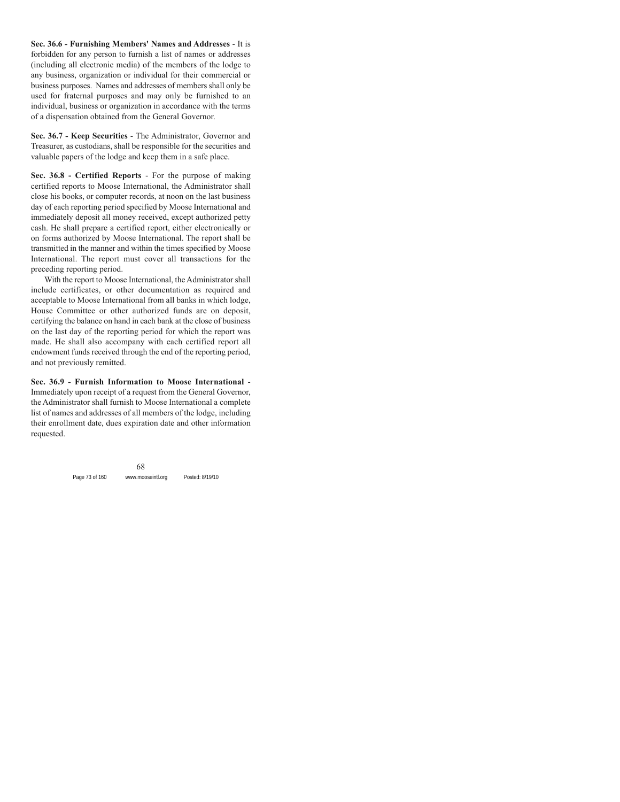**Sec. 36.6 - Furnishing Members' Names and Addresses** - It is forbidden for any person to furnish a list of names or addresses (including all electronic media) of the members of the lodge to any business, organization or individual for their commercial or business purposes. Names and addresses of members shall only be used for fraternal purposes and may only be furnished to an individual, business or organization in accordance with the terms of a dispensation obtained from the General Governor.

**Sec. 36.7 - Keep Securities** - The Administrator, Governor and Treasurer, as custodians, shall be responsible for the securities and valuable papers of the lodge and keep them in a safe place.

**Sec. 36.8 - Certified Reports** - For the purpose of making certified reports to Moose International, the Administrator shall close his books, or computer records, at noon on the last business day of each reporting period specified by Moose International and immediately deposit all money received, except authorized petty cash. He shall prepare a certified report, either electronically or on forms authorized by Moose International. The report shall be transmitted in the manner and within the times specified by Moose International. The report must cover all transactions for the preceding reporting period.

With the report to Moose International, the Administrator shall include certificates, or other documentation as required and acceptable to Moose International from all banks in which lodge, House Committee or other authorized funds are on deposit, certifying the balance on hand in each bank at the close of business on the last day of the reporting period for which the report was made. He shall also accompany with each certified report all endowment funds received through the end of the reporting period, and not previously remitted.

**Sec. 36.9 - Furnish Information to Moose International** - Immediately upon receipt of a request from the General Governor, the Administrator shall furnish to Moose International a complete list of names and addresses of all members of the lodge, including their enrollment date, dues expiration date and other information requested.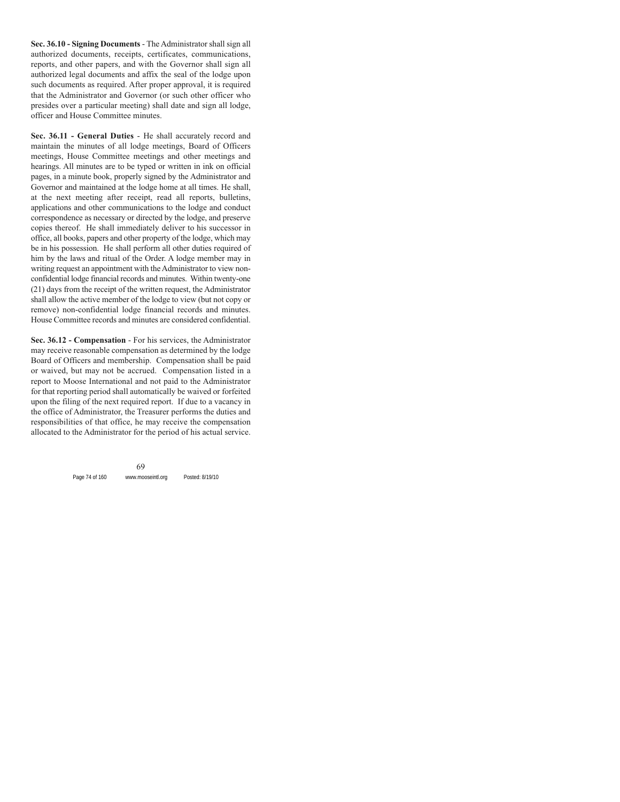**Sec. 36.10 - Signing Documents** - The Administrator shall sign all authorized documents, receipts, certificates, communications, reports, and other papers, and with the Governor shall sign all authorized legal documents and affix the seal of the lodge upon such documents as required. After proper approval, it is required that the Administrator and Governor (or such other officer who presides over a particular meeting) shall date and sign all lodge, officer and House Committee minutes.

**Sec. 36.11 - General Duties** - He shall accurately record and maintain the minutes of all lodge meetings, Board of Officers meetings, House Committee meetings and other meetings and hearings. All minutes are to be typed or written in ink on official pages, in a minute book, properly signed by the Administrator and Governor and maintained at the lodge home at all times. He shall, at the next meeting after receipt, read all reports, bulletins, applications and other communications to the lodge and conduct correspondence as necessary or directed by the lodge, and preserve copies thereof. He shall immediately deliver to his successor in office, all books, papers and other property of the lodge, which may be in his possession. He shall perform all other duties required of him by the laws and ritual of the Order. A lodge member may in writing request an appointment with the Administrator to view nonconfidential lodge financial records and minutes. Within twenty-one (21) days from the receipt of the written request, the Administrator shall allow the active member of the lodge to view (but not copy or remove) non-confidential lodge financial records and minutes. House Committee records and minutes are considered confidential.

**Sec. 36.12 - Compensation** - For his services, the Administrator may receive reasonable compensation as determined by the lodge Board of Officers and membership. Compensation shall be paid or waived, but may not be accrued. Compensation listed in a report to Moose International and not paid to the Administrator for that reporting period shall automatically be waived or forfeited upon the filing of the next required report. If due to a vacancy in the office of Administrator, the Treasurer performs the duties and responsibilities of that office, he may receive the compensation allocated to the Administrator for the period of his actual service.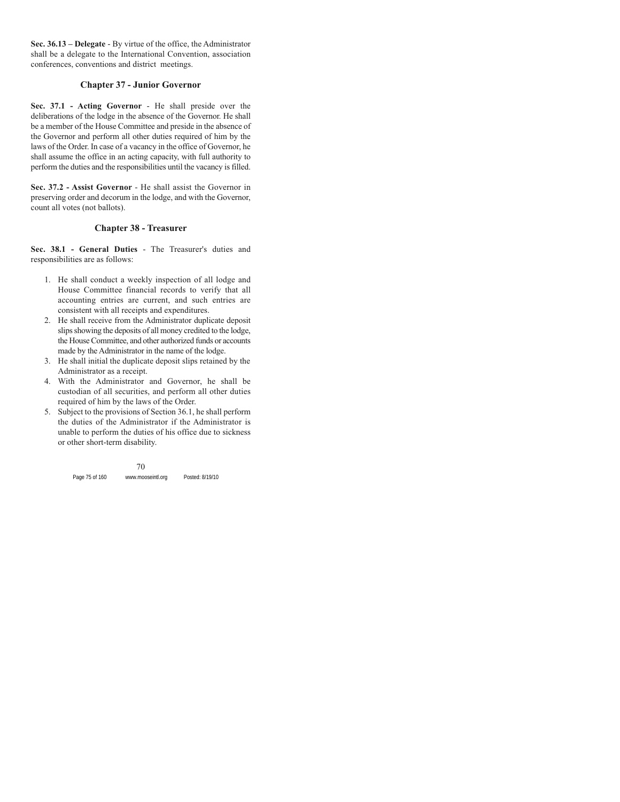**Sec. 36.13 – Delegate** - By virtue of the office, the Administrator shall be a delegate to the International Convention, association conferences, conventions and district meetings.

### **Chapter 37 - Junior Governor**

**Sec. 37.1 - Acting Governor** - He shall preside over the deliberations of the lodge in the absence of the Governor. He shall be a member of the House Committee and preside in the absence of the Governor and perform all other duties required of him by the laws of the Order. In case of a vacancy in the office of Governor, he shall assume the office in an acting capacity, with full authority to perform the duties and the responsibilities until the vacancy is filled.

**Sec. 37.2 - Assist Governor** - He shall assist the Governor in preserving order and decorum in the lodge, and with the Governor, count all votes (not ballots).

### **Chapter 38 - Treasurer**

**Sec. 38.1 - General Duties** - The Treasurer's duties and responsibilities are as follows:

- 1. He shall conduct a weekly inspection of all lodge and House Committee financial records to verify that all accounting entries are current, and such entries are consistent with all receipts and expenditures.
- 2. He shall receive from the Administrator duplicate deposit slips showing the deposits of all money credited to the lodge, the House Committee, and other authorized funds or accounts made by the Administrator in the name of the lodge.
- 3. He shall initial the duplicate deposit slips retained by the Administrator as a receipt.
- 4. With the Administrator and Governor, he shall be custodian of all securities, and perform all other duties required of him by the laws of the Order.
- 5. Subject to the provisions of Section 36.1, he shall perform the duties of the Administrator if the Administrator is unable to perform the duties of his office due to sickness or other short-term disability.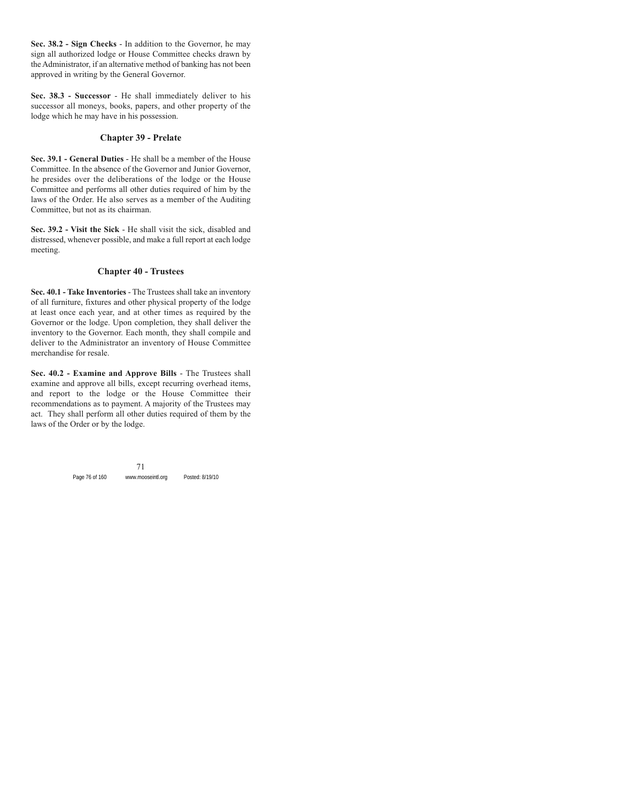**Sec. 38.2 - Sign Checks** - In addition to the Governor, he may sign all authorized lodge or House Committee checks drawn by the Administrator, if an alternative method of banking has not been approved in writing by the General Governor.

**Sec. 38.3 - Successor** - He shall immediately deliver to his successor all moneys, books, papers, and other property of the lodge which he may have in his possession.

### **Chapter 39 - Prelate**

**Sec. 39.1 - General Duties** - He shall be a member of the House Committee. In the absence of the Governor and Junior Governor, he presides over the deliberations of the lodge or the House Committee and performs all other duties required of him by the laws of the Order. He also serves as a member of the Auditing Committee, but not as its chairman.

**Sec. 39.2 - Visit the Sick** - He shall visit the sick, disabled and distressed, whenever possible, and make a full report at each lodge meeting.

## **Chapter 40 - Trustees**

**Sec. 40.1 - Take Inventories** - The Trustees shall take an inventory of all furniture, fixtures and other physical property of the lodge at least once each year, and at other times as required by the Governor or the lodge. Upon completion, they shall deliver the inventory to the Governor. Each month, they shall compile and deliver to the Administrator an inventory of House Committee merchandise for resale.

**Sec. 40.2 - Examine and Approve Bills** - The Trustees shall examine and approve all bills, except recurring overhead items, and report to the lodge or the House Committee their recommendations as to payment. A majority of the Trustees may act. They shall perform all other duties required of them by the laws of the Order or by the lodge.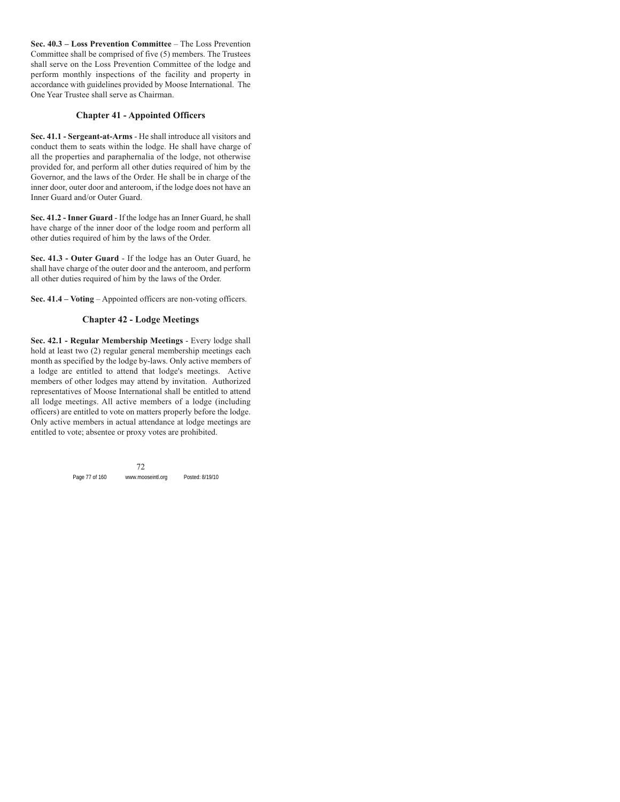**Sec. 40.3 – Loss Prevention Committee** – The Loss Prevention Committee shall be comprised of five (5) members. The Trustees shall serve on the Loss Prevention Committee of the lodge and perform monthly inspections of the facility and property in accordance with guidelines provided by Moose International. The One Year Trustee shall serve as Chairman.

# **Chapter 41 - Appointed Officers**

**Sec. 41.1 - Sergeant-at-Arms** - He shall introduce all visitors and conduct them to seats within the lodge. He shall have charge of all the properties and paraphernalia of the lodge, not otherwise provided for, and perform all other duties required of him by the Governor, and the laws of the Order. He shall be in charge of the inner door, outer door and anteroom, if the lodge does not have an Inner Guard and/or Outer Guard.

**Sec. 41.2 - Inner Guard** - If the lodge has an Inner Guard, he shall have charge of the inner door of the lodge room and perform all other duties required of him by the laws of the Order.

**Sec. 41.3 - Outer Guard** - If the lodge has an Outer Guard, he shall have charge of the outer door and the anteroom, and perform all other duties required of him by the laws of the Order.

**Sec. 41.4 – Voting** – Appointed officers are non-voting officers.

# **Chapter 42 - Lodge Meetings**

**Sec. 42.1 - Regular Membership Meetings** - Every lodge shall hold at least two (2) regular general membership meetings each month as specified by the lodge by-laws. Only active members of a lodge are entitled to attend that lodge's meetings. Active members of other lodges may attend by invitation. Authorized representatives of Moose International shall be entitled to attend all lodge meetings. All active members of a lodge (including officers) are entitled to vote on matters properly before the lodge. Only active members in actual attendance at lodge meetings are entitled to vote; absentee or proxy votes are prohibited.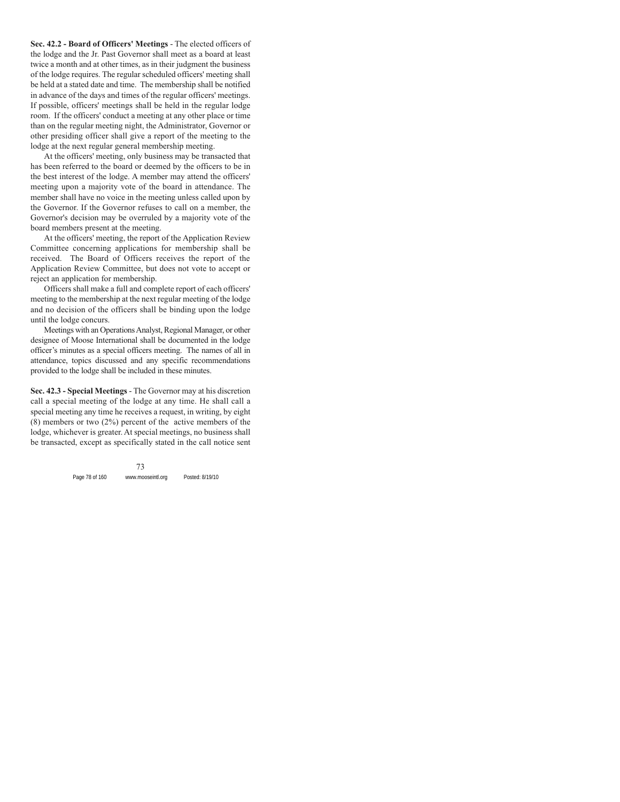**Sec. 42.2 - Board of Officers' Meetings** - The elected officers of the lodge and the Jr. Past Governor shall meet as a board at least twice a month and at other times, as in their judgment the business of the lodge requires. The regular scheduled officers' meeting shall be held at a stated date and time. The membership shall be notified in advance of the days and times of the regular officers' meetings. If possible, officers' meetings shall be held in the regular lodge room. If the officers' conduct a meeting at any other place or time than on the regular meeting night, the Administrator, Governor or other presiding officer shall give a report of the meeting to the lodge at the next regular general membership meeting.

At the officers' meeting, only business may be transacted that has been referred to the board or deemed by the officers to be in the best interest of the lodge. A member may attend the officers' meeting upon a majority vote of the board in attendance. The member shall have no voice in the meeting unless called upon by the Governor. If the Governor refuses to call on a member, the Governor's decision may be overruled by a majority vote of the board members present at the meeting.

At the officers' meeting, the report of the Application Review Committee concerning applications for membership shall be received. The Board of Officers receives the report of the Application Review Committee, but does not vote to accept or reject an application for membership.

Officers shall make a full and complete report of each officers' meeting to the membership at the next regular meeting of the lodge and no decision of the officers shall be binding upon the lodge until the lodge concurs.

Meetings with an Operations Analyst, Regional Manager, or other designee of Moose International shall be documented in the lodge officer's minutes as a special officers meeting. The names of all in attendance, topics discussed and any specific recommendations provided to the lodge shall be included in these minutes.

**Sec. 42.3 - Special Meetings** - The Governor may at his discretion call a special meeting of the lodge at any time. He shall call a special meeting any time he receives a request, in writing, by eight  $(8)$  members or two  $(2%)$  percent of the active members of the lodge, whichever is greater. At special meetings, no business shall be transacted, except as specifically stated in the call notice sent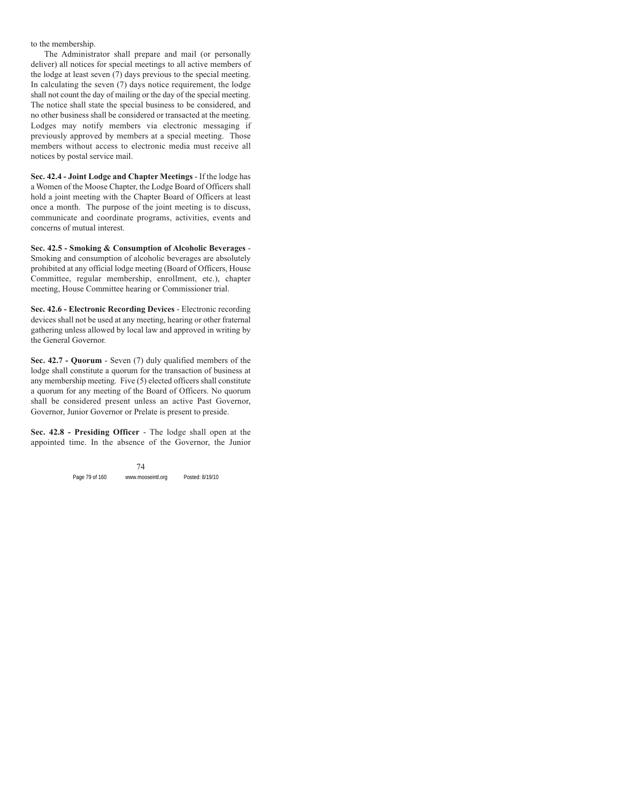to the membership.

The Administrator shall prepare and mail (or personally deliver) all notices for special meetings to all active members of the lodge at least seven (7) days previous to the special meeting. In calculating the seven (7) days notice requirement, the lodge shall not count the day of mailing or the day of the special meeting. The notice shall state the special business to be considered, and no other business shall be considered or transacted at the meeting. Lodges may notify members via electronic messaging if previously approved by members at a special meeting. Those members without access to electronic media must receive all notices by postal service mail.

**Sec. 42.4 - Joint Lodge and Chapter Meetings** - If the lodge has a Women of the Moose Chapter, the Lodge Board of Officers shall hold a joint meeting with the Chapter Board of Officers at least once a month. The purpose of the joint meeting is to discuss, communicate and coordinate programs, activities, events and concerns of mutual interest.

**Sec. 42.5 - Smoking & Consumption of Alcoholic Beverages** - Smoking and consumption of alcoholic beverages are absolutely prohibited at any official lodge meeting (Board of Officers, House Committee, regular membership, enrollment, etc.), chapter meeting, House Committee hearing or Commissioner trial.

**Sec. 42.6 - Electronic Recording Devices** - Electronic recording devices shall not be used at any meeting, hearing or other fraternal gathering unless allowed by local law and approved in writing by the General Governor.

**Sec. 42.7 - Quorum** - Seven (7) duly qualified members of the lodge shall constitute a quorum for the transaction of business at any membership meeting. Five (5) elected officers shall constitute a quorum for any meeting of the Board of Officers. No quorum shall be considered present unless an active Past Governor, Governor, Junior Governor or Prelate is present to preside.

**Sec. 42.8 - Presiding Officer** - The lodge shall open at the appointed time. In the absence of the Governor, the Junior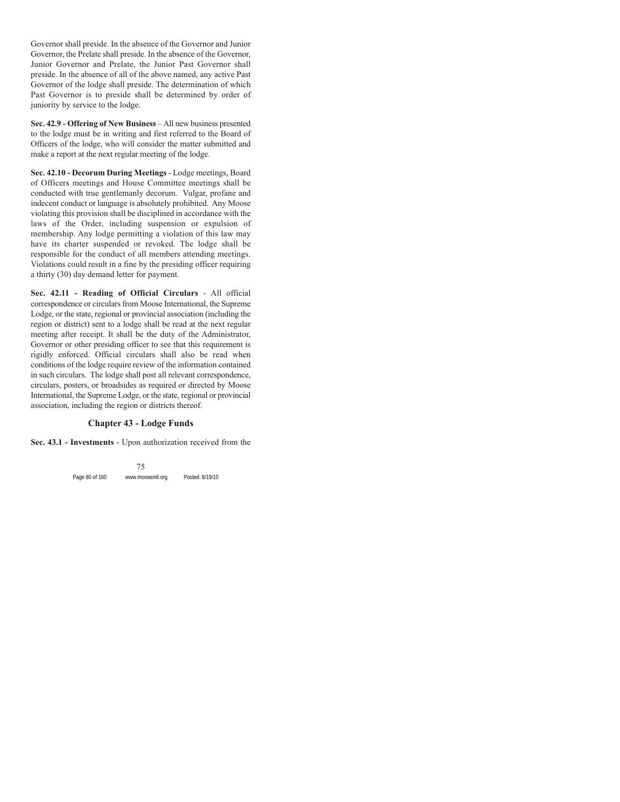Governor shall preside. In the absence of the Governor and Junior Governor, the Prelate shall preside. In the absence of the Governor, Junior Governor and Prelate, the Junior Past Governor shall preside. In the absence of all of the above named, any active Past Governor of the lodge shall preside. The determination of which Past Governor is to preside shall be determined by order of juniority by service to the lodge.

**Sec. 42.9 - Offering of New Business** – All new business presented to the lodge must be in writing and first referred to the Board of Officers of the lodge, who will consider the matter submitted and make a report at the next regular meeting of the lodge.

**Sec. 42.10 - Decorum During Meetings** - Lodge meetings, Board of Officers meetings and House Committee meetings shall be conducted with true gentlemanly decorum. Vulgar, profane and indecent conduct or language is absolutely prohibited. Any Moose violating this provision shall be disciplined in accordance with the laws of the Order, including suspension or expulsion of membership. Any lodge permitting a violation of this law may have its charter suspended or revoked. The lodge shall be responsible for the conduct of all members attending meetings. Violations could result in a fine by the presiding officer requiring a thirty (30) day demand letter for payment.

**Sec. 42.11 - Reading of Official Circulars** - All official correspondence or circulars from Moose International, the Supreme Lodge, or the state, regional or provincial association (including the region or district) sent to a lodge shall be read at the next regular meeting after receipt. It shall be the duty of the Administrator, Governor or other presiding officer to see that this requirement is rigidly enforced. Official circulars shall also be read when conditions of the lodge require review of the information contained in such circulars. The lodge shall post all relevant correspondence, circulars, posters, or broadsides as required or directed by Moose International, the Supreme Lodge, or the state, regional or provincial association, including the region or districts thereof.

#### **Chapter 43 - Lodge Funds**

**Sec. 43.1 - Investments** - Upon authorization received from the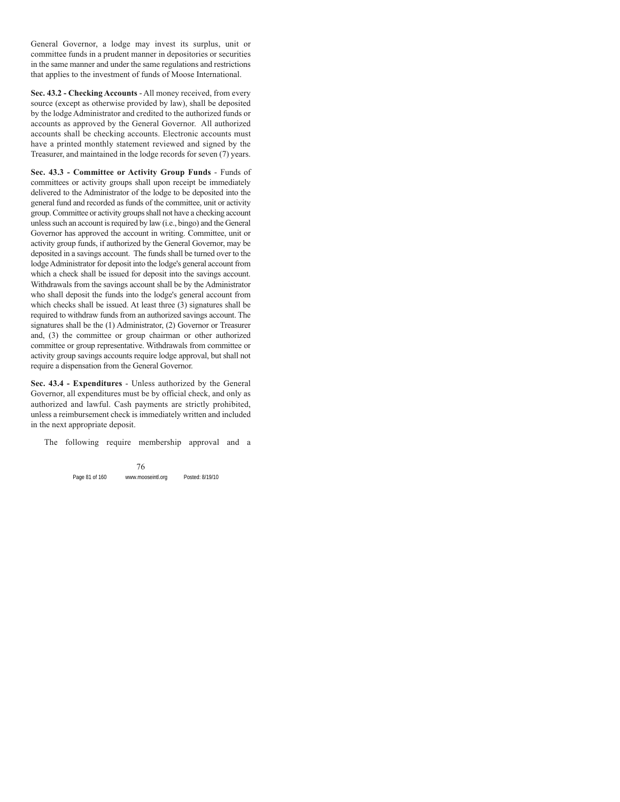General Governor, a lodge may invest its surplus, unit or committee funds in a prudent manner in depositories or securities in the same manner and under the same regulations and restrictions that applies to the investment of funds of Moose International.

**Sec. 43.2 - Checking Accounts** - All money received, from every source (except as otherwise provided by law), shall be deposited by the lodge Administrator and credited to the authorized funds or accounts as approved by the General Governor. All authorized accounts shall be checking accounts. Electronic accounts must have a printed monthly statement reviewed and signed by the Treasurer, and maintained in the lodge records for seven (7) years.

**Sec. 43.3 - Committee or Activity Group Funds** - Funds of committees or activity groups shall upon receipt be immediately delivered to the Administrator of the lodge to be deposited into the general fund and recorded as funds of the committee, unit or activity group. Committee or activity groups shall not have a checking account unless such an account is required by law (i.e., bingo) and the General Governor has approved the account in writing. Committee, unit or activity group funds, if authorized by the General Governor, may be deposited in a savings account. The funds shall be turned over to the lodge Administrator for deposit into the lodge's general account from which a check shall be issued for deposit into the savings account. Withdrawals from the savings account shall be by the Administrator who shall deposit the funds into the lodge's general account from which checks shall be issued. At least three (3) signatures shall be required to withdraw funds from an authorized savings account. The signatures shall be the (1) Administrator, (2) Governor or Treasurer and, (3) the committee or group chairman or other authorized committee or group representative. Withdrawals from committee or activity group savings accounts require lodge approval, but shall not require a dispensation from the General Governor.

**Sec. 43.4 - Expenditures** - Unless authorized by the General Governor, all expenditures must be by official check, and only as authorized and lawful. Cash payments are strictly prohibited, unless a reimbursement check is immediately written and included in the next appropriate deposit.

The following require membership approval and a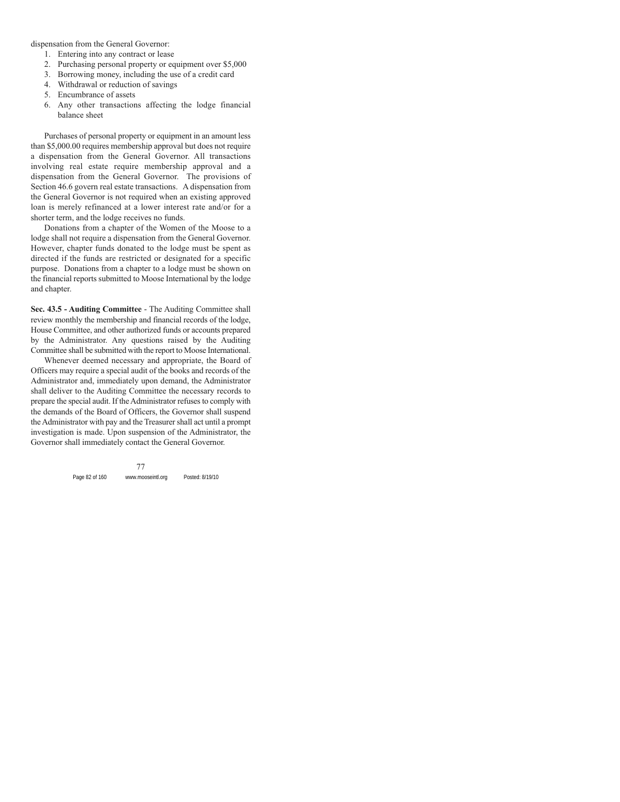dispensation from the General Governor:

- 1. Entering into any contract or lease
- 2. Purchasing personal property or equipment over \$5,000
- 3. Borrowing money, including the use of a credit card
- 4. Withdrawal or reduction of savings
- 5. Encumbrance of assets
- 6. Any other transactions affecting the lodge financial balance sheet

Purchases of personal property or equipment in an amount less than \$5,000.00 requires membership approval but does not require a dispensation from the General Governor. All transactions involving real estate require membership approval and a dispensation from the General Governor. The provisions of Section 46.6 govern real estate transactions. A dispensation from the General Governor is not required when an existing approved loan is merely refinanced at a lower interest rate and/or for a shorter term, and the lodge receives no funds.

Donations from a chapter of the Women of the Moose to a lodge shall not require a dispensation from the General Governor. However, chapter funds donated to the lodge must be spent as directed if the funds are restricted or designated for a specific purpose. Donations from a chapter to a lodge must be shown on the financial reports submitted to Moose International by the lodge and chapter.

**Sec. 43.5 - Auditing Committee** - The Auditing Committee shall review monthly the membership and financial records of the lodge, House Committee, and other authorized funds or accounts prepared by the Administrator. Any questions raised by the Auditing Committee shall be submitted with the report to Moose International.

Whenever deemed necessary and appropriate, the Board of Officers may require a special audit of the books and records of the Administrator and, immediately upon demand, the Administrator shall deliver to the Auditing Committee the necessary records to prepare the special audit. If the Administrator refuses to comply with the demands of the Board of Officers, the Governor shall suspend the Administrator with pay and the Treasurer shall act until a prompt investigation is made. Upon suspension of the Administrator, the Governor shall immediately contact the General Governor.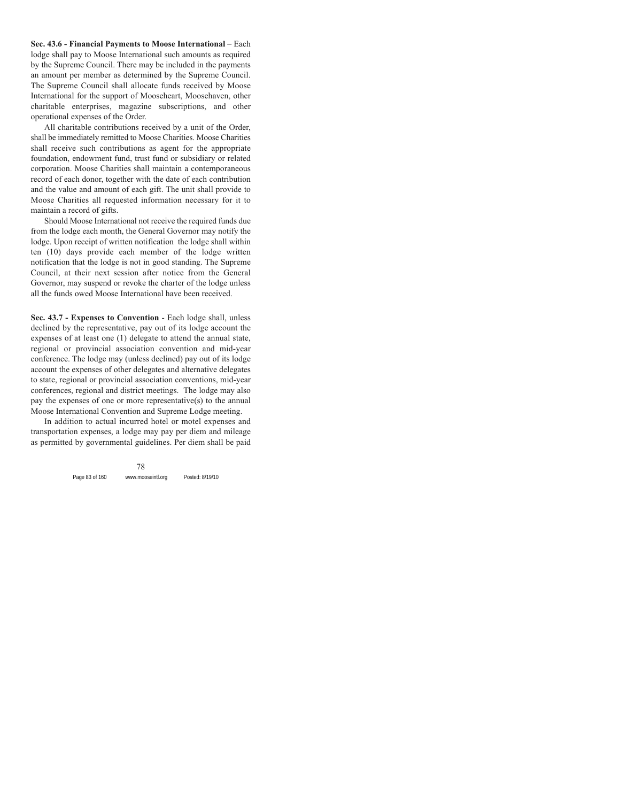**Sec. 43.6 - Financial Payments to Moose International** – Each lodge shall pay to Moose International such amounts as required by the Supreme Council. There may be included in the payments an amount per member as determined by the Supreme Council. The Supreme Council shall allocate funds received by Moose International for the support of Mooseheart, Moosehaven, other charitable enterprises, magazine subscriptions, and other operational expenses of the Order.

All charitable contributions received by a unit of the Order, shall be immediately remitted to Moose Charities. Moose Charities shall receive such contributions as agent for the appropriate foundation, endowment fund, trust fund or subsidiary or related corporation. Moose Charities shall maintain a contemporaneous record of each donor, together with the date of each contribution and the value and amount of each gift. The unit shall provide to Moose Charities all requested information necessary for it to maintain a record of gifts.

Should Moose International not receive the required funds due from the lodge each month, the General Governor may notify the lodge. Upon receipt of written notification the lodge shall within ten (10) days provide each member of the lodge written notification that the lodge is not in good standing. The Supreme Council, at their next session after notice from the General Governor, may suspend or revoke the charter of the lodge unless all the funds owed Moose International have been received.

**Sec. 43.7 - Expenses to Convention** - Each lodge shall, unless declined by the representative, pay out of its lodge account the expenses of at least one (1) delegate to attend the annual state, regional or provincial association convention and mid-year conference. The lodge may (unless declined) pay out of its lodge account the expenses of other delegates and alternative delegates to state, regional or provincial association conventions, mid-year conferences, regional and district meetings. The lodge may also pay the expenses of one or more representative(s) to the annual Moose International Convention and Supreme Lodge meeting.

In addition to actual incurred hotel or motel expenses and transportation expenses, a lodge may pay per diem and mileage as permitted by governmental guidelines. Per diem shall be paid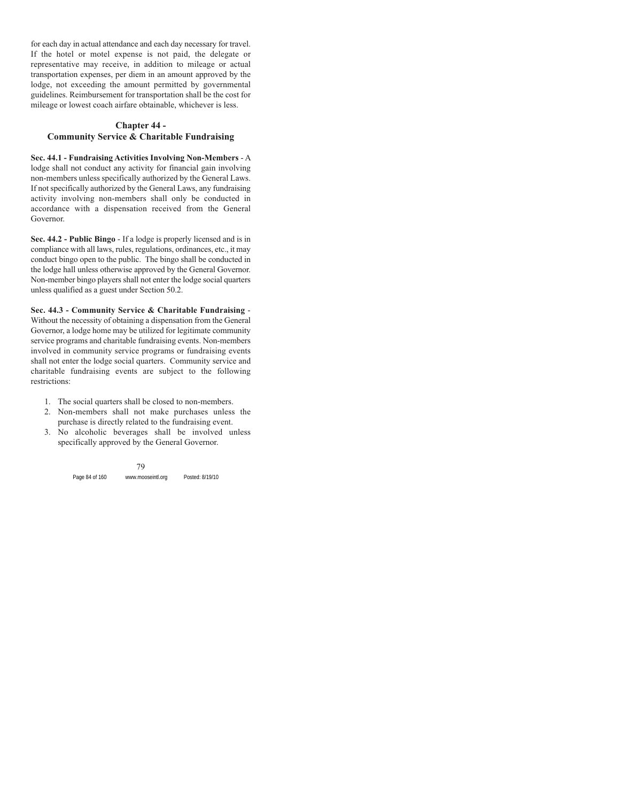for each day in actual attendance and each day necessary for travel. If the hotel or motel expense is not paid, the delegate or representative may receive, in addition to mileage or actual transportation expenses, per diem in an amount approved by the lodge, not exceeding the amount permitted by governmental guidelines. Reimbursement for transportation shall be the cost for mileage or lowest coach airfare obtainable, whichever is less.

# **Chapter 44 - Community Service & Charitable Fundraising**

**Sec. 44.1 - Fundraising Activities Involving Non-Members** - A lodge shall not conduct any activity for financial gain involving non-members unless specifically authorized by the General Laws. If not specifically authorized by the General Laws, any fundraising activity involving non-members shall only be conducted in accordance with a dispensation received from the General Governor.

**Sec. 44.2 - Public Bingo** - If a lodge is properly licensed and is in compliance with all laws, rules, regulations, ordinances, etc., it may conduct bingo open to the public. The bingo shall be conducted in the lodge hall unless otherwise approved by the General Governor. Non-member bingo players shall not enter the lodge social quarters unless qualified as a guest under Section 50.2.

**Sec. 44.3 - Community Service & Charitable Fundraising** - Without the necessity of obtaining a dispensation from the General Governor, a lodge home may be utilized for legitimate community service programs and charitable fundraising events. Non-members involved in community service programs or fundraising events shall not enter the lodge social quarters. Community service and charitable fundraising events are subject to the following restrictions:

- 1. The social quarters shall be closed to non-members.
- 2. Non-members shall not make purchases unless the purchase is directly related to the fundraising event.
- 3. No alcoholic beverages shall be involved unless specifically approved by the General Governor.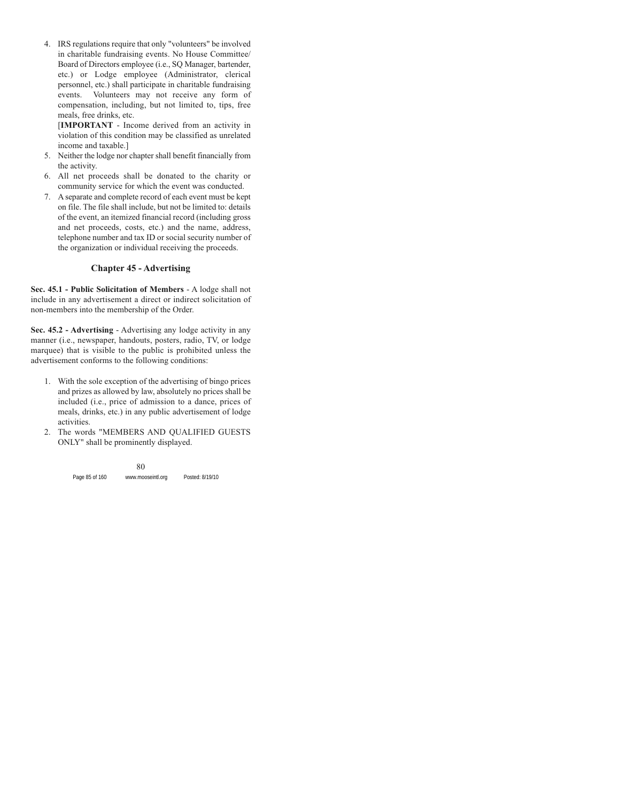4. IRS regulations require that only "volunteers" be involved in charitable fundraising events. No House Committee/ Board of Directors employee (i.e., SQ Manager, bartender, etc.) or Lodge employee (Administrator, clerical personnel, etc.) shall participate in charitable fundraising events. Volunteers may not receive any form of compensation, including, but not limited to, tips, free meals, free drinks, etc.

[**IMPORTANT** - Income derived from an activity in violation of this condition may be classified as unrelated income and taxable.]

- 5. Neither the lodge nor chapter shall benefit financially from the activity.
- 6. All net proceeds shall be donated to the charity or community service for which the event was conducted.
- 7. A separate and complete record of each event must be kept on file. The file shall include, but not be limited to: details of the event, an itemized financial record (including gross and net proceeds, costs, etc.) and the name, address, telephone number and tax ID or social security number of the organization or individual receiving the proceeds.

# **Chapter 45 - Advertising**

**Sec. 45.1 - Public Solicitation of Members** - A lodge shall not include in any advertisement a direct or indirect solicitation of non-members into the membership of the Order.

**Sec. 45.2 - Advertising** - Advertising any lodge activity in any manner (i.e., newspaper, handouts, posters, radio, TV, or lodge marquee) that is visible to the public is prohibited unless the advertisement conforms to the following conditions:

- 1. With the sole exception of the advertising of bingo prices and prizes as allowed by law, absolutely no prices shall be included (i.e., price of admission to a dance, prices of meals, drinks, etc.) in any public advertisement of lodge activities.
- 2. The words "MEMBERS AND QUALIFIED GUESTS ONLY" shall be prominently displayed.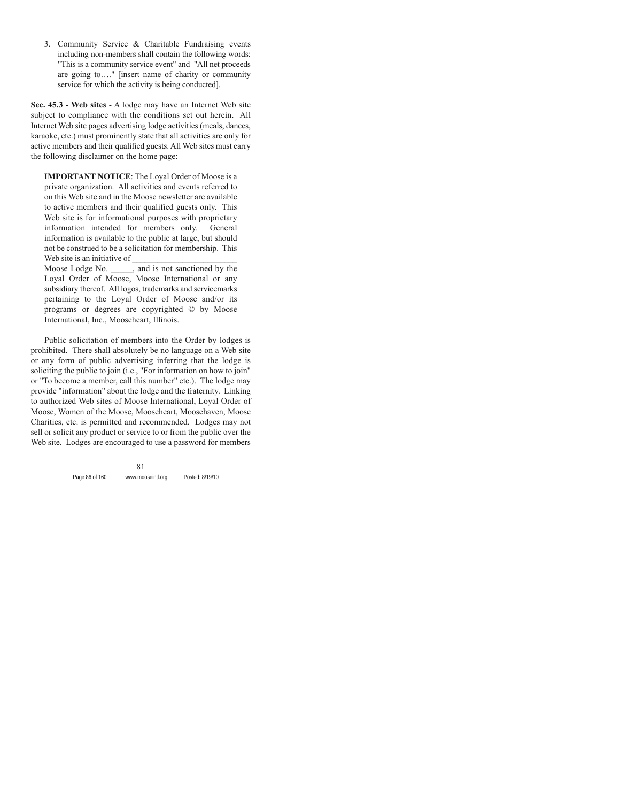3. Community Service & Charitable Fundraising events including non-members shall contain the following words: "This is a community service event" and "All net proceeds are going to…." [insert name of charity or community service for which the activity is being conducted].

**Sec. 45.3 - Web sites** - A lodge may have an Internet Web site subject to compliance with the conditions set out herein. All Internet Web site pages advertising lodge activities (meals, dances, karaoke, etc.) must prominently state that all activities are only for active members and their qualified guests. All Web sites must carry the following disclaimer on the home page:

**IMPORTANT NOTICE**: The Loyal Order of Moose is a private organization. All activities and events referred to on this Web site and in the Moose newsletter are available to active members and their qualified guests only. This Web site is for informational purposes with proprietary information intended for members only. General information is available to the public at large, but should not be construed to be a solicitation for membership. This Web site is an initiative of

Moose Lodge No. \_\_\_\_\_, and is not sanctioned by the Loyal Order of Moose, Moose International or any subsidiary thereof. All logos, trademarks and servicemarks pertaining to the Loyal Order of Moose and/or its programs or degrees are copyrighted © by Moose International, Inc., Mooseheart, Illinois.

Public solicitation of members into the Order by lodges is prohibited. There shall absolutely be no language on a Web site or any form of public advertising inferring that the lodge is soliciting the public to join (i.e., "For information on how to join" or "To become a member, call this number" etc.). The lodge may provide "information" about the lodge and the fraternity. Linking to authorized Web sites of Moose International, Loyal Order of Moose, Women of the Moose, Mooseheart, Moosehaven, Moose Charities, etc. is permitted and recommended. Lodges may not sell or solicit any product or service to or from the public over the Web site. Lodges are encouraged to use a password for members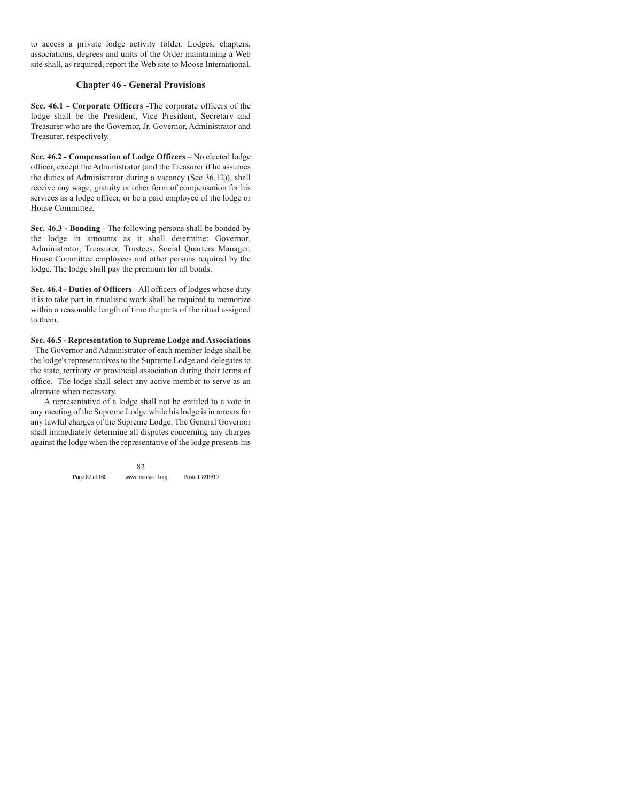to access a private lodge activity folder. Lodges, chapters, associations, degrees and units of the Order maintaining a Web site shall, as required, report the Web site to Moose International.

## **Chapter 46 - General Provisions**

**Sec. 46.1 - Corporate Officers** -The corporate officers of the lodge shall be the President, Vice President, Secretary and Treasurer who are the Governor, Jr. Governor, Administrator and Treasurer, respectively.

**Sec. 46.2 - Compensation of Lodge Officers** – No elected lodge officer, except the Administrator (and the Treasurer if he assumes the duties of Administrator during a vacancy (See 36.12)), shall receive any wage, gratuity or other form of compensation for his services as a lodge officer, or be a paid employee of the lodge or House Committee.

**Sec. 46.3 - Bonding** - The following persons shall be bonded by the lodge in amounts as it shall determine: Governor, Administrator, Treasurer, Trustees, Social Quarters Manager, House Committee employees and other persons required by the lodge. The lodge shall pay the premium for all bonds.

**Sec. 46.4 - Duties of Officers** - All officers of lodges whose duty it is to take part in ritualistic work shall be required to memorize within a reasonable length of time the parts of the ritual assigned to them.

**Sec. 46.5 - Representation to Supreme Lodge and Associations** - The Governor and Administrator of each member lodge shall be the lodge's representatives to the Supreme Lodge and delegates to the state, territory or provincial association during their terms of office. The lodge shall select any active member to serve as an alternate when necessary.

A representative of a lodge shall not be entitled to a vote in any meeting of the Supreme Lodge while his lodge is in arrears for any lawful charges of the Supreme Lodge. The General Governor shall immediately determine all disputes concerning any charges against the lodge when the representative of the lodge presents his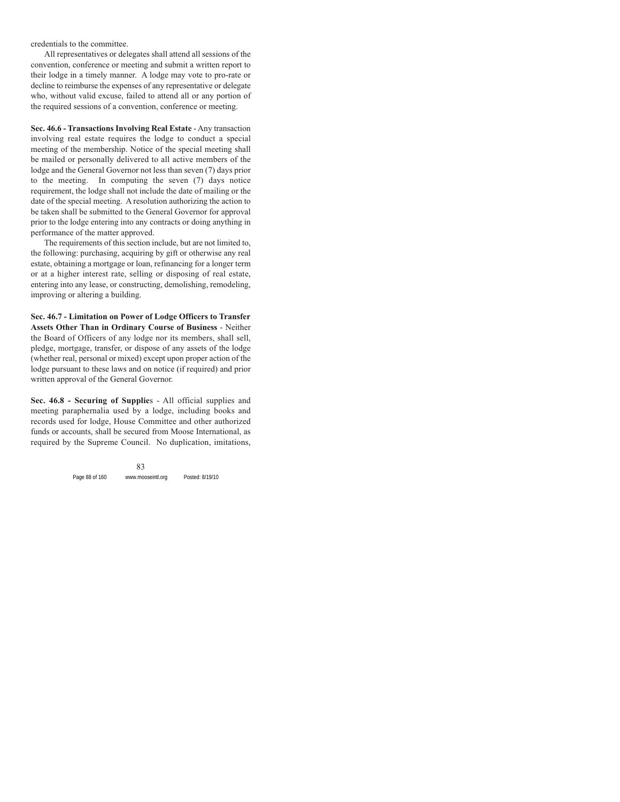credentials to the committee.

All representatives or delegates shall attend all sessions of the convention, conference or meeting and submit a written report to their lodge in a timely manner. A lodge may vote to pro-rate or decline to reimburse the expenses of any representative or delegate who, without valid excuse, failed to attend all or any portion of the required sessions of a convention, conference or meeting.

**Sec. 46.6 - Transactions Involving Real Estate** - Any transaction involving real estate requires the lodge to conduct a special meeting of the membership. Notice of the special meeting shall be mailed or personally delivered to all active members of the lodge and the General Governor not less than seven (7) days prior to the meeting. In computing the seven (7) days notice requirement, the lodge shall not include the date of mailing or the date of the special meeting. A resolution authorizing the action to be taken shall be submitted to the General Governor for approval prior to the lodge entering into any contracts or doing anything in performance of the matter approved.

The requirements of this section include, but are not limited to, the following: purchasing, acquiring by gift or otherwise any real estate, obtaining a mortgage or loan, refinancing for a longer term or at a higher interest rate, selling or disposing of real estate, entering into any lease, or constructing, demolishing, remodeling, improving or altering a building.

**Sec. 46.7 - Limitation on Power of Lodge Officers to Transfer Assets Other Than in Ordinary Course of Business** - Neither the Board of Officers of any lodge nor its members, shall sell, pledge, mortgage, transfer, or dispose of any assets of the lodge (whether real, personal or mixed) except upon proper action of the lodge pursuant to these laws and on notice (if required) and prior written approval of the General Governor.

**Sec. 46.8 - Securing of Supplie**s - All official supplies and meeting paraphernalia used by a lodge, including books and records used for lodge, House Committee and other authorized funds or accounts, shall be secured from Moose International, as required by the Supreme Council. No duplication, imitations,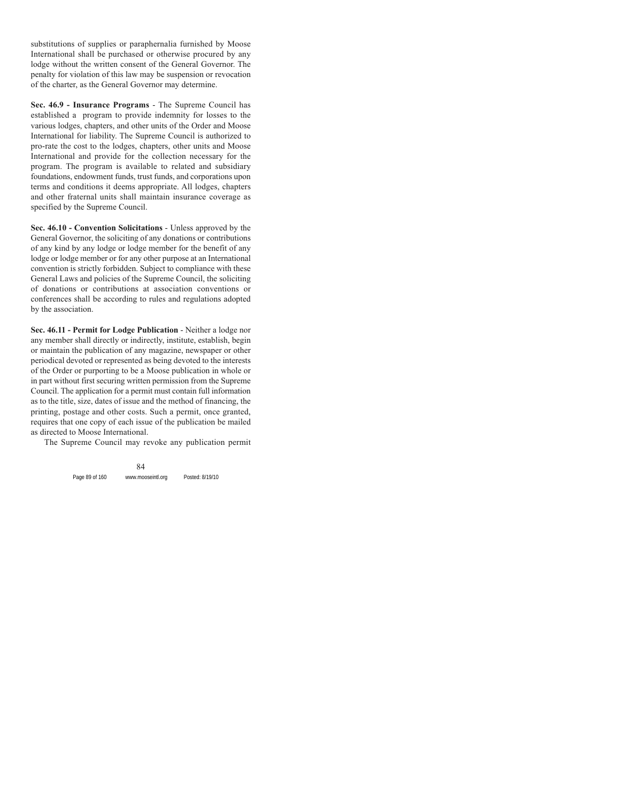substitutions of supplies or paraphernalia furnished by Moose International shall be purchased or otherwise procured by any lodge without the written consent of the General Governor. The penalty for violation of this law may be suspension or revocation of the charter, as the General Governor may determine.

**Sec. 46.9 - Insurance Programs** - The Supreme Council has established a program to provide indemnity for losses to the various lodges, chapters, and other units of the Order and Moose International for liability. The Supreme Council is authorized to pro-rate the cost to the lodges, chapters, other units and Moose International and provide for the collection necessary for the program. The program is available to related and subsidiary foundations, endowment funds, trust funds, and corporations upon terms and conditions it deems appropriate. All lodges, chapters and other fraternal units shall maintain insurance coverage as specified by the Supreme Council.

**Sec. 46.10 - Convention Solicitations** - Unless approved by the General Governor, the soliciting of any donations or contributions of any kind by any lodge or lodge member for the benefit of any lodge or lodge member or for any other purpose at an International convention is strictly forbidden. Subject to compliance with these General Laws and policies of the Supreme Council, the soliciting of donations or contributions at association conventions or conferences shall be according to rules and regulations adopted by the association.

**Sec. 46.11 - Permit for Lodge Publication** - Neither a lodge nor any member shall directly or indirectly, institute, establish, begin or maintain the publication of any magazine, newspaper or other periodical devoted or represented as being devoted to the interests of the Order or purporting to be a Moose publication in whole or in part without first securing written permission from the Supreme Council. The application for a permit must contain full information as to the title, size, dates of issue and the method of financing, the printing, postage and other costs. Such a permit, once granted, requires that one copy of each issue of the publication be mailed as directed to Moose International.

The Supreme Council may revoke any publication permit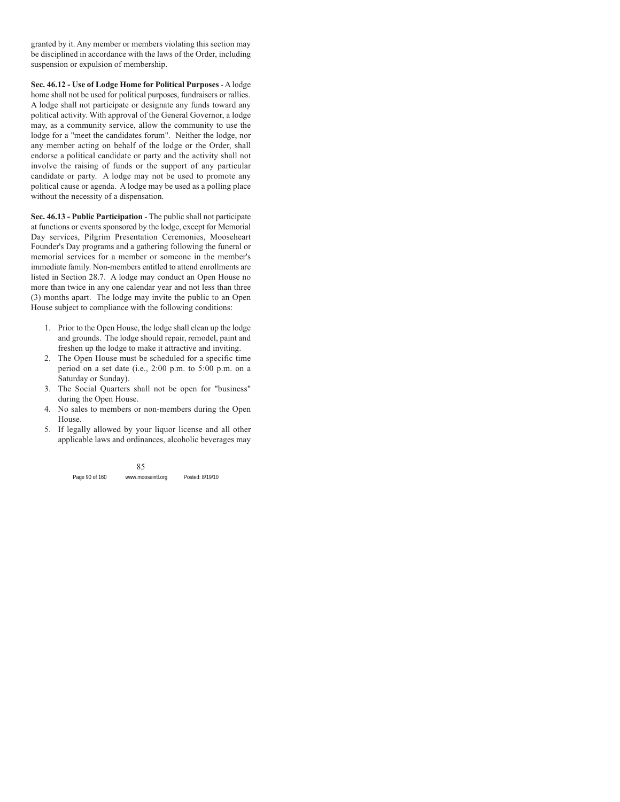granted by it. Any member or members violating this section may be disciplined in accordance with the laws of the Order, including suspension or expulsion of membership.

**Sec. 46.12 - Use of Lodge Home for Political Purposes** - A lodge home shall not be used for political purposes, fundraisers or rallies. A lodge shall not participate or designate any funds toward any political activity. With approval of the General Governor, a lodge may, as a community service, allow the community to use the lodge for a "meet the candidates forum". Neither the lodge, nor any member acting on behalf of the lodge or the Order, shall endorse a political candidate or party and the activity shall not involve the raising of funds or the support of any particular candidate or party. A lodge may not be used to promote any political cause or agenda. A lodge may be used as a polling place without the necessity of a dispensation.

**Sec. 46.13 - Public Participation** - The public shall not participate at functions or events sponsored by the lodge, except for Memorial Day services, Pilgrim Presentation Ceremonies, Mooseheart Founder's Day programs and a gathering following the funeral or memorial services for a member or someone in the member's immediate family. Non-members entitled to attend enrollments are listed in Section 28.7. A lodge may conduct an Open House no more than twice in any one calendar year and not less than three (3) months apart. The lodge may invite the public to an Open House subject to compliance with the following conditions:

- 1. Prior to the Open House, the lodge shall clean up the lodge and grounds. The lodge should repair, remodel, paint and freshen up the lodge to make it attractive and inviting.
- 2. The Open House must be scheduled for a specific time period on a set date (i.e., 2:00 p.m. to 5:00 p.m. on a Saturday or Sunday).
- 3. The Social Quarters shall not be open for "business" during the Open House.
- 4. No sales to members or non-members during the Open House.
- 5. If legally allowed by your liquor license and all other applicable laws and ordinances, alcoholic beverages may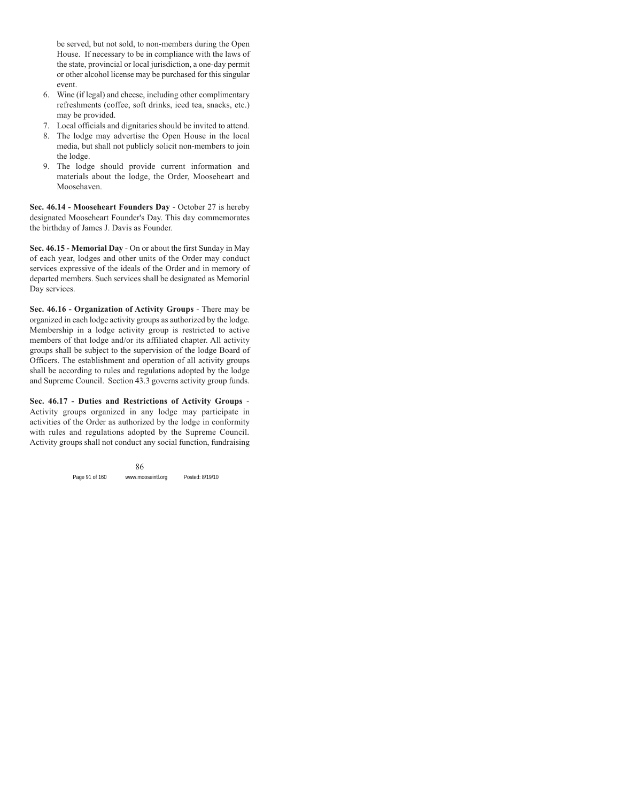be served, but not sold, to non-members during the Open House. If necessary to be in compliance with the laws of the state, provincial or local jurisdiction, a one-day permit or other alcohol license may be purchased for this singular event.

- 6. Wine (if legal) and cheese, including other complimentary refreshments (coffee, soft drinks, iced tea, snacks, etc.) may be provided.
- 7. Local officials and dignitaries should be invited to attend.
- 8. The lodge may advertise the Open House in the local media, but shall not publicly solicit non-members to join the lodge.
- 9. The lodge should provide current information and materials about the lodge, the Order, Mooseheart and Moosehaven.

**Sec. 46.14 - Mooseheart Founders Day** - October 27 is hereby designated Mooseheart Founder's Day. This day commemorates the birthday of James J. Davis as Founder.

**Sec. 46.15 - Memorial Day** - On or about the first Sunday in May of each year, lodges and other units of the Order may conduct services expressive of the ideals of the Order and in memory of departed members. Such services shall be designated as Memorial Day services.

**Sec. 46.16 - Organization of Activity Groups** - There may be organized in each lodge activity groups as authorized by the lodge. Membership in a lodge activity group is restricted to active members of that lodge and/or its affiliated chapter. All activity groups shall be subject to the supervision of the lodge Board of Officers. The establishment and operation of all activity groups shall be according to rules and regulations adopted by the lodge and Supreme Council. Section 43.3 governs activity group funds.

**Sec. 46.17 - Duties and Restrictions of Activity Groups** - Activity groups organized in any lodge may participate in activities of the Order as authorized by the lodge in conformity with rules and regulations adopted by the Supreme Council. Activity groups shall not conduct any social function, fundraising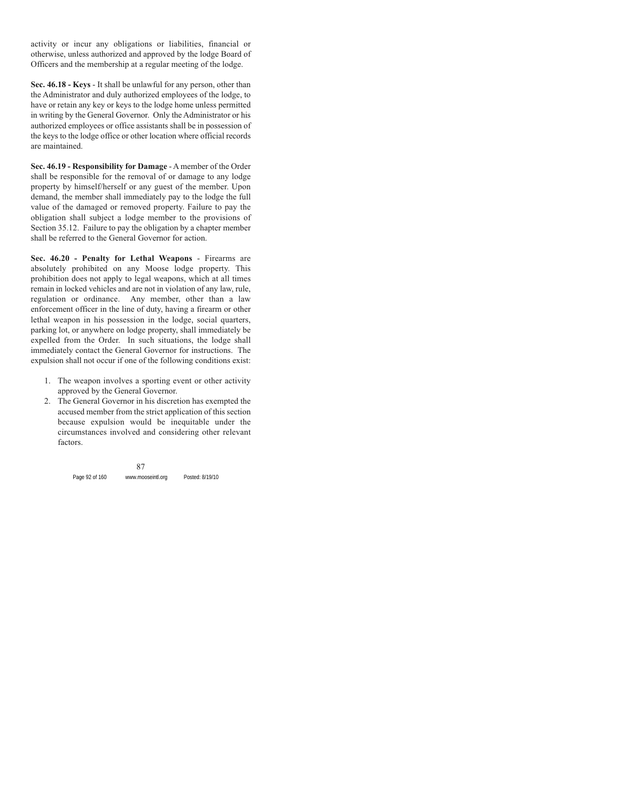activity or incur any obligations or liabilities, financial or otherwise, unless authorized and approved by the lodge Board of Officers and the membership at a regular meeting of the lodge.

**Sec. 46.18 - Keys** - It shall be unlawful for any person, other than the Administrator and duly authorized employees of the lodge, to have or retain any key or keys to the lodge home unless permitted in writing by the General Governor. Only the Administrator or his authorized employees or office assistants shall be in possession of the keys to the lodge office or other location where official records are maintained.

**Sec. 46.19 - Responsibility for Damage** - A member of the Order shall be responsible for the removal of or damage to any lodge property by himself/herself or any guest of the member. Upon demand, the member shall immediately pay to the lodge the full value of the damaged or removed property. Failure to pay the obligation shall subject a lodge member to the provisions of Section 35.12. Failure to pay the obligation by a chapter member shall be referred to the General Governor for action.

**Sec. 46.20 - Penalty for Lethal Weapons** - Firearms are absolutely prohibited on any Moose lodge property. This prohibition does not apply to legal weapons, which at all times remain in locked vehicles and are not in violation of any law, rule, regulation or ordinance. Any member, other than a law enforcement officer in the line of duty, having a firearm or other lethal weapon in his possession in the lodge, social quarters, parking lot, or anywhere on lodge property, shall immediately be expelled from the Order. In such situations, the lodge shall immediately contact the General Governor for instructions. The expulsion shall not occur if one of the following conditions exist:

- 1. The weapon involves a sporting event or other activity approved by the General Governor.
- 2. The General Governor in his discretion has exempted the accused member from the strict application of this section because expulsion would be inequitable under the circumstances involved and considering other relevant factors.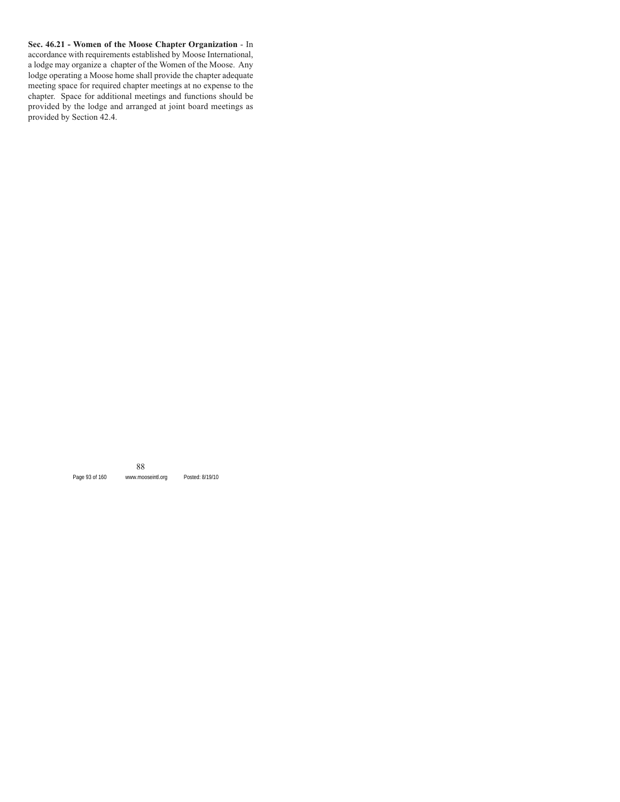**Sec. 46.21 - Women of the Moose Chapter Organization** - In accordance with requirements established by Moose International, a lodge may organize a chapter of the Women of the Moose. Any lodge operating a Moose home shall provide the chapter adequate meeting space for required chapter meetings at no expense to the chapter. Space for additional meetings and functions should be provided by the lodge and arranged at joint board meetings as provided by Section 42.4.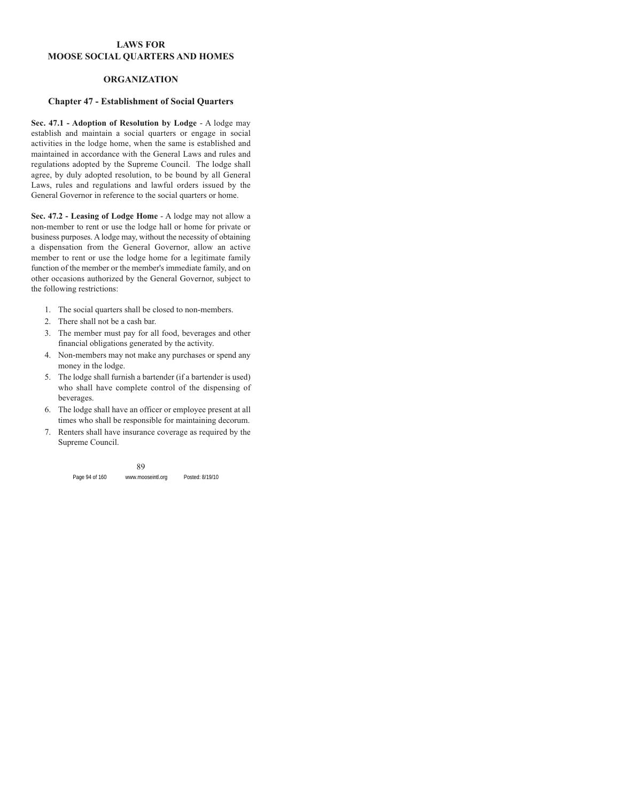## **LAWS FOR MOOSE SOCIAL QUARTERS AND HOMES**

### **ORGANIZATION**

#### **Chapter 47 - Establishment of Social Quarters**

**Sec. 47.1 - Adoption of Resolution by Lodge** - A lodge may establish and maintain a social quarters or engage in social activities in the lodge home, when the same is established and maintained in accordance with the General Laws and rules and regulations adopted by the Supreme Council. The lodge shall agree, by duly adopted resolution, to be bound by all General Laws, rules and regulations and lawful orders issued by the General Governor in reference to the social quarters or home.

**Sec. 47.2 - Leasing of Lodge Home** - A lodge may not allow a non-member to rent or use the lodge hall or home for private or business purposes. A lodge may, without the necessity of obtaining a dispensation from the General Governor, allow an active member to rent or use the lodge home for a legitimate family function of the member or the member's immediate family, and on other occasions authorized by the General Governor, subject to the following restrictions:

- 1. The social quarters shall be closed to non-members.
- 2. There shall not be a cash bar.
- 3. The member must pay for all food, beverages and other financial obligations generated by the activity.
- 4. Non-members may not make any purchases or spend any money in the lodge.
- 5. The lodge shall furnish a bartender (if a bartender is used) who shall have complete control of the dispensing of beverages.
- 6. The lodge shall have an officer or employee present at all times who shall be responsible for maintaining decorum.
- 7. Renters shall have insurance coverage as required by the Supreme Council.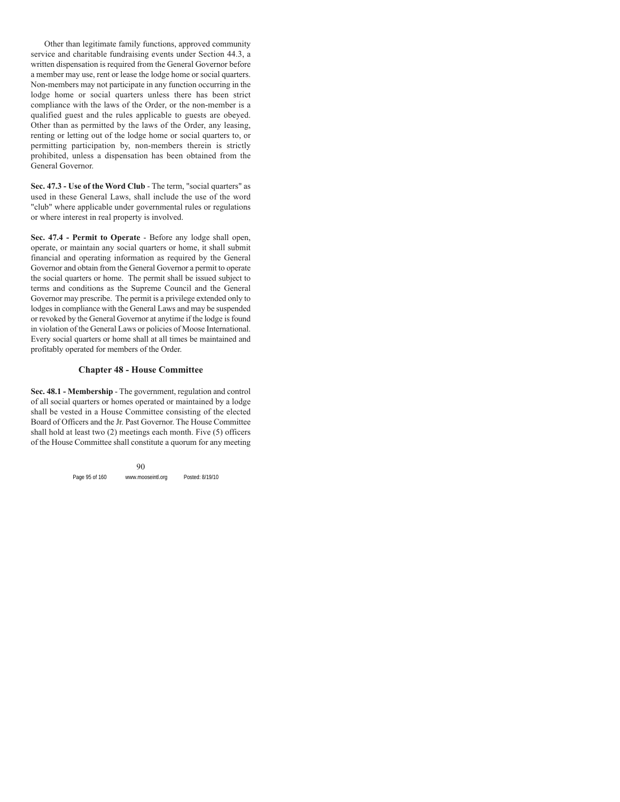Other than legitimate family functions, approved community service and charitable fundraising events under Section 44.3, a written dispensation is required from the General Governor before a member may use, rent or lease the lodge home or social quarters. Non-members may not participate in any function occurring in the lodge home or social quarters unless there has been strict compliance with the laws of the Order, or the non-member is a qualified guest and the rules applicable to guests are obeyed. Other than as permitted by the laws of the Order, any leasing, renting or letting out of the lodge home or social quarters to, or permitting participation by, non-members therein is strictly prohibited, unless a dispensation has been obtained from the General Governor.

**Sec. 47.3 - Use of the Word Club** - The term, "social quarters" as used in these General Laws, shall include the use of the word "club" where applicable under governmental rules or regulations or where interest in real property is involved.

**Sec. 47.4 - Permit to Operate** - Before any lodge shall open, operate, or maintain any social quarters or home, it shall submit financial and operating information as required by the General Governor and obtain from the General Governor a permit to operate the social quarters or home. The permit shall be issued subject to terms and conditions as the Supreme Council and the General Governor may prescribe. The permit is a privilege extended only to lodges in compliance with the General Laws and may be suspended or revoked by the General Governor at anytime if the lodge is found in violation of the General Laws or policies of Moose International. Every social quarters or home shall at all times be maintained and profitably operated for members of the Order.

#### **Chapter 48 - House Committee**

**Sec. 48.1 - Membership** - The government, regulation and control of all social quarters or homes operated or maintained by a lodge shall be vested in a House Committee consisting of the elected Board of Officers and the Jr. Past Governor. The House Committee shall hold at least two (2) meetings each month. Five (5) officers of the House Committee shall constitute a quorum for any meeting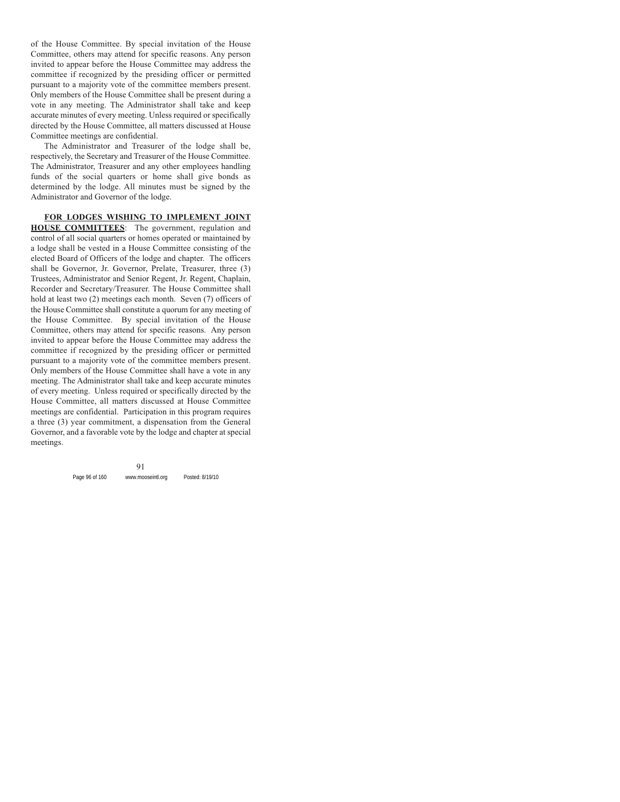of the House Committee. By special invitation of the House Committee, others may attend for specific reasons. Any person invited to appear before the House Committee may address the committee if recognized by the presiding officer or permitted pursuant to a majority vote of the committee members present. Only members of the House Committee shall be present during a vote in any meeting. The Administrator shall take and keep accurate minutes of every meeting. Unless required or specifically directed by the House Committee, all matters discussed at House Committee meetings are confidential.

The Administrator and Treasurer of the lodge shall be, respectively, the Secretary and Treasurer of the House Committee. The Administrator, Treasurer and any other employees handling funds of the social quarters or home shall give bonds as determined by the lodge. All minutes must be signed by the Administrator and Governor of the lodge.

**FOR LODGES WISHING TO IMPLEMENT JOINT HOUSE COMMITTEES**: The government, regulation and control of all social quarters or homes operated or maintained by a lodge shall be vested in a House Committee consisting of the elected Board of Officers of the lodge and chapter. The officers shall be Governor, Jr. Governor, Prelate, Treasurer, three (3) Trustees, Administrator and Senior Regent, Jr. Regent, Chaplain, Recorder and Secretary/Treasurer. The House Committee shall hold at least two (2) meetings each month. Seven (7) officers of the House Committee shall constitute a quorum for any meeting of the House Committee. By special invitation of the House Committee, others may attend for specific reasons. Any person invited to appear before the House Committee may address the committee if recognized by the presiding officer or permitted pursuant to a majority vote of the committee members present. Only members of the House Committee shall have a vote in any meeting. The Administrator shall take and keep accurate minutes of every meeting. Unless required or specifically directed by the House Committee, all matters discussed at House Committee meetings are confidential. Participation in this program requires a three (3) year commitment, a dispensation from the General Governor, and a favorable vote by the lodge and chapter at special meetings.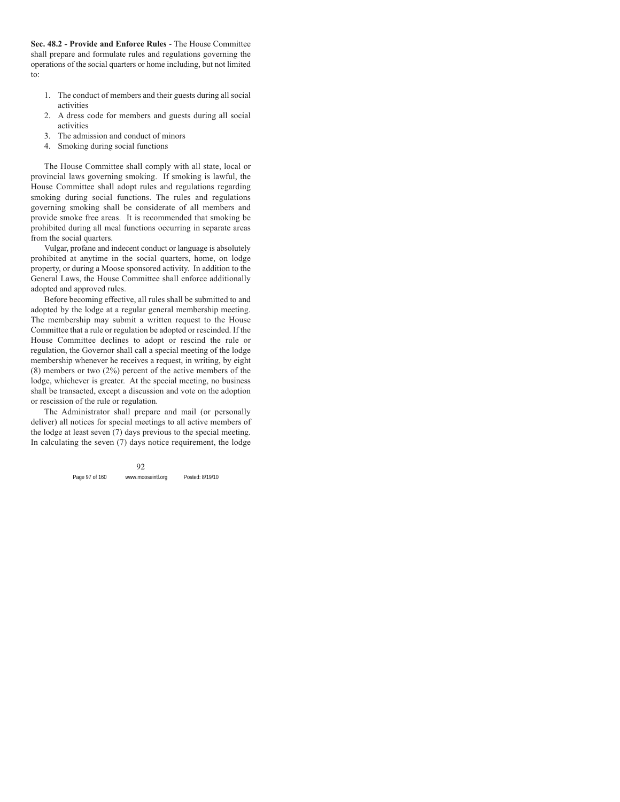**Sec. 48.2 - Provide and Enforce Rules** - The House Committee shall prepare and formulate rules and regulations governing the operations of the social quarters or home including, but not limited to:

- 1. The conduct of members and their guests during all social activities
- 2. A dress code for members and guests during all social activities
- 3. The admission and conduct of minors
- 4. Smoking during social functions

The House Committee shall comply with all state, local or provincial laws governing smoking. If smoking is lawful, the House Committee shall adopt rules and regulations regarding smoking during social functions. The rules and regulations governing smoking shall be considerate of all members and provide smoke free areas. It is recommended that smoking be prohibited during all meal functions occurring in separate areas from the social quarters.

Vulgar, profane and indecent conduct or language is absolutely prohibited at anytime in the social quarters, home, on lodge property, or during a Moose sponsored activity. In addition to the General Laws, the House Committee shall enforce additionally adopted and approved rules.

Before becoming effective, all rules shall be submitted to and adopted by the lodge at a regular general membership meeting. The membership may submit a written request to the House Committee that a rule or regulation be adopted or rescinded. If the House Committee declines to adopt or rescind the rule or regulation, the Governor shall call a special meeting of the lodge membership whenever he receives a request, in writing, by eight (8) members or two (2%) percent of the active members of the lodge, whichever is greater. At the special meeting, no business shall be transacted, except a discussion and vote on the adoption or rescission of the rule or regulation.

The Administrator shall prepare and mail (or personally deliver) all notices for special meetings to all active members of the lodge at least seven (7) days previous to the special meeting. In calculating the seven (7) days notice requirement, the lodge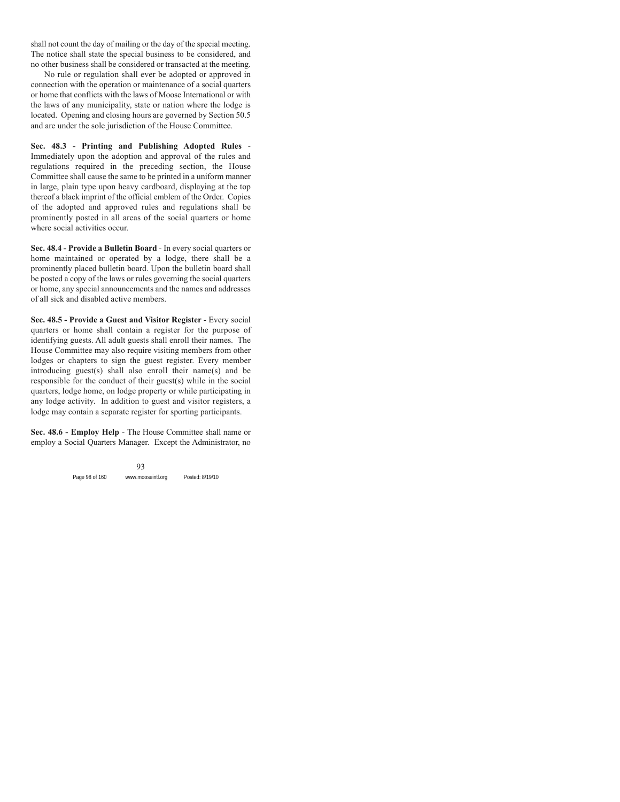shall not count the day of mailing or the day of the special meeting. The notice shall state the special business to be considered, and no other business shall be considered or transacted at the meeting.

No rule or regulation shall ever be adopted or approved in connection with the operation or maintenance of a social quarters or home that conflicts with the laws of Moose International or with the laws of any municipality, state or nation where the lodge is located. Opening and closing hours are governed by Section 50.5 and are under the sole jurisdiction of the House Committee.

**Sec. 48.3 - Printing and Publishing Adopted Rules** - Immediately upon the adoption and approval of the rules and regulations required in the preceding section, the House Committee shall cause the same to be printed in a uniform manner in large, plain type upon heavy cardboard, displaying at the top thereof a black imprint of the official emblem of the Order. Copies of the adopted and approved rules and regulations shall be prominently posted in all areas of the social quarters or home where social activities occur.

**Sec. 48.4 - Provide a Bulletin Board** - In every social quarters or home maintained or operated by a lodge, there shall be a prominently placed bulletin board. Upon the bulletin board shall be posted a copy of the laws or rules governing the social quarters or home, any special announcements and the names and addresses of all sick and disabled active members.

**Sec. 48.5 - Provide a Guest and Visitor Register** - Every social quarters or home shall contain a register for the purpose of identifying guests. All adult guests shall enroll their names. The House Committee may also require visiting members from other lodges or chapters to sign the guest register. Every member introducing guest(s) shall also enroll their name(s) and be responsible for the conduct of their guest(s) while in the social quarters, lodge home, on lodge property or while participating in any lodge activity. In addition to guest and visitor registers, a lodge may contain a separate register for sporting participants.

**Sec. 48.6 - Employ Help** - The House Committee shall name or employ a Social Quarters Manager. Except the Administrator, no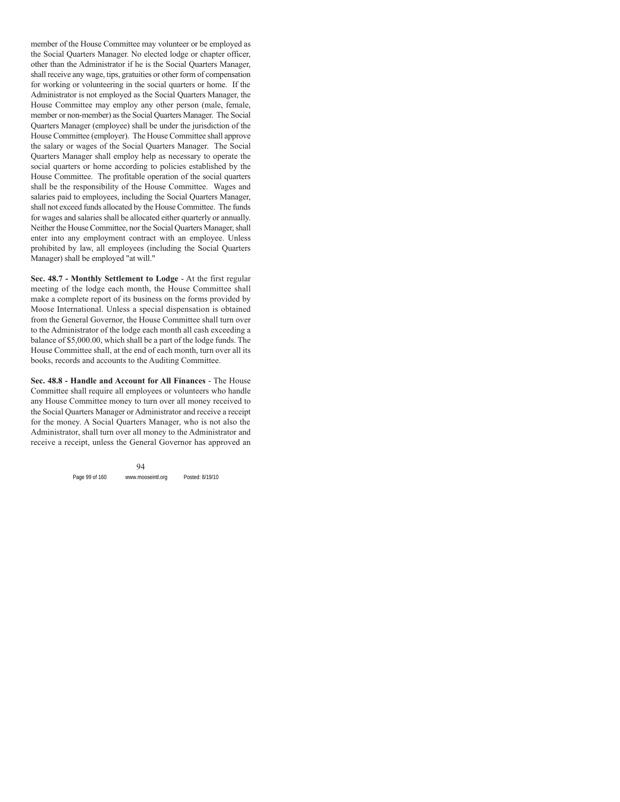member of the House Committee may volunteer or be employed as the Social Quarters Manager. No elected lodge or chapter officer, other than the Administrator if he is the Social Quarters Manager, shall receive any wage, tips, gratuities or other form of compensation for working or volunteering in the social quarters or home. If the Administrator is not employed as the Social Quarters Manager, the House Committee may employ any other person (male, female, member or non-member) as the Social Quarters Manager. The Social Quarters Manager (employee) shall be under the jurisdiction of the House Committee (employer). The House Committee shall approve the salary or wages of the Social Quarters Manager. The Social Quarters Manager shall employ help as necessary to operate the social quarters or home according to policies established by the House Committee. The profitable operation of the social quarters shall be the responsibility of the House Committee. Wages and salaries paid to employees, including the Social Quarters Manager, shall not exceed funds allocated by the House Committee. The funds for wages and salaries shall be allocated either quarterly or annually. Neither the House Committee, nor the Social Quarters Manager, shall enter into any employment contract with an employee. Unless prohibited by law, all employees (including the Social Quarters Manager) shall be employed "at will."

**Sec. 48.7 - Monthly Settlement to Lodge** - At the first regular meeting of the lodge each month, the House Committee shall make a complete report of its business on the forms provided by Moose International. Unless a special dispensation is obtained from the General Governor, the House Committee shall turn over to the Administrator of the lodge each month all cash exceeding a balance of \$5,000.00, which shall be a part of the lodge funds. The House Committee shall, at the end of each month, turn over all its books, records and accounts to the Auditing Committee.

**Sec. 48.8 - Handle and Account for All Finances** - The House Committee shall require all employees or volunteers who handle any House Committee money to turn over all money received to the Social Quarters Manager or Administrator and receive a receipt for the money. A Social Quarters Manager, who is not also the Administrator, shall turn over all money to the Administrator and receive a receipt, unless the General Governor has approved an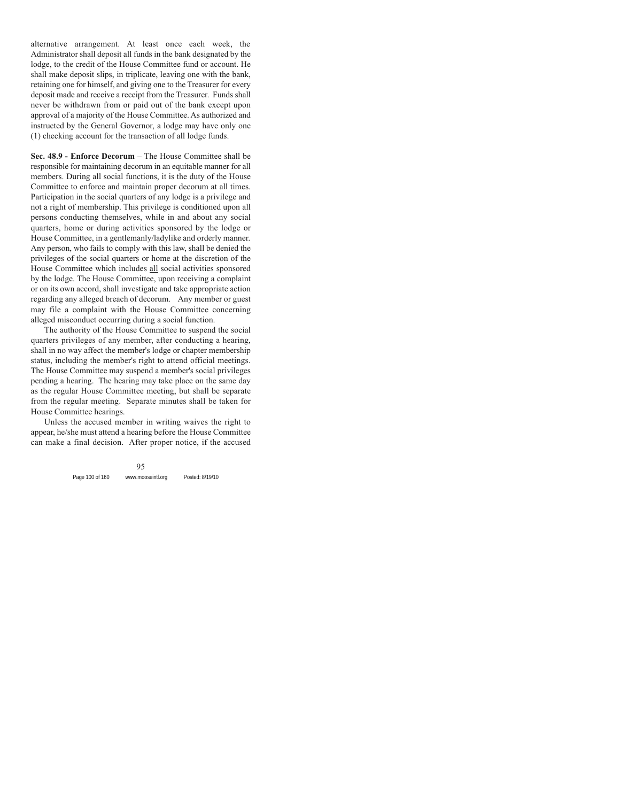alternative arrangement. At least once each week, the Administrator shall deposit all funds in the bank designated by the lodge, to the credit of the House Committee fund or account. He shall make deposit slips, in triplicate, leaving one with the bank, retaining one for himself, and giving one to the Treasurer for every deposit made and receive a receipt from the Treasurer. Funds shall never be withdrawn from or paid out of the bank except upon approval of a majority of the House Committee. As authorized and instructed by the General Governor, a lodge may have only one (1) checking account for the transaction of all lodge funds.

**Sec. 48.9 - Enforce Decorum** – The House Committee shall be responsible for maintaining decorum in an equitable manner for all members. During all social functions, it is the duty of the House Committee to enforce and maintain proper decorum at all times. Participation in the social quarters of any lodge is a privilege and not a right of membership. This privilege is conditioned upon all persons conducting themselves, while in and about any social quarters, home or during activities sponsored by the lodge or House Committee, in a gentlemanly/ladylike and orderly manner. Any person, who fails to comply with this law, shall be denied the privileges of the social quarters or home at the discretion of the House Committee which includes all social activities sponsored by the lodge. The House Committee, upon receiving a complaint or on its own accord, shall investigate and take appropriate action regarding any alleged breach of decorum. Any member or guest may file a complaint with the House Committee concerning alleged misconduct occurring during a social function.

The authority of the House Committee to suspend the social quarters privileges of any member, after conducting a hearing, shall in no way affect the member's lodge or chapter membership status, including the member's right to attend official meetings. The House Committee may suspend a member's social privileges pending a hearing. The hearing may take place on the same day as the regular House Committee meeting, but shall be separate from the regular meeting. Separate minutes shall be taken for House Committee hearings.

Unless the accused member in writing waives the right to appear, he/she must attend a hearing before the House Committee can make a final decision. After proper notice, if the accused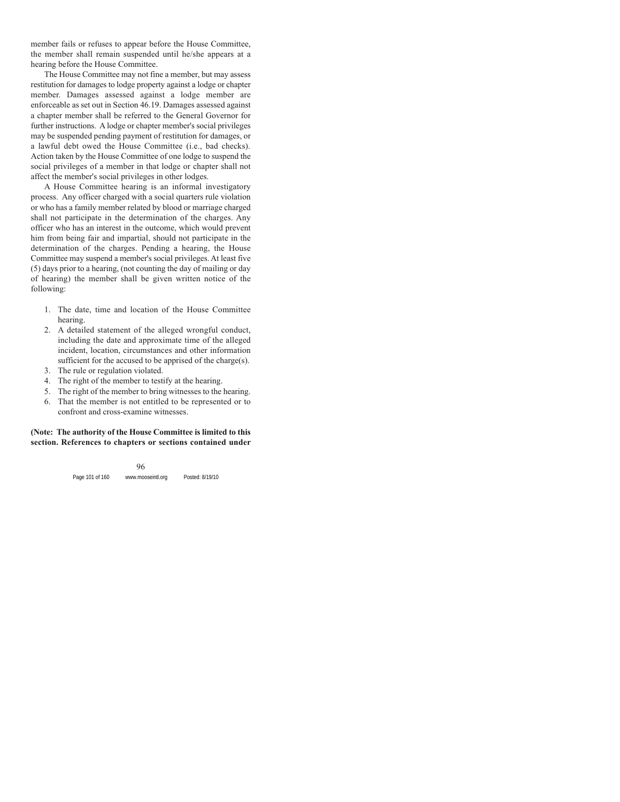member fails or refuses to appear before the House Committee, the member shall remain suspended until he/she appears at a hearing before the House Committee.

The House Committee may not fine a member, but may assess restitution for damages to lodge property against a lodge or chapter member. Damages assessed against a lodge member are enforceable as set out in Section 46.19. Damages assessed against a chapter member shall be referred to the General Governor for further instructions. A lodge or chapter member's social privileges may be suspended pending payment of restitution for damages, or a lawful debt owed the House Committee (i.e., bad checks). Action taken by the House Committee of one lodge to suspend the social privileges of a member in that lodge or chapter shall not affect the member's social privileges in other lodges.

A House Committee hearing is an informal investigatory process. Any officer charged with a social quarters rule violation or who has a family member related by blood or marriage charged shall not participate in the determination of the charges. Any officer who has an interest in the outcome, which would prevent him from being fair and impartial, should not participate in the determination of the charges. Pending a hearing, the House Committee may suspend a member's social privileges. At least five (5) days prior to a hearing, (not counting the day of mailing or day of hearing) the member shall be given written notice of the following:

- 1. The date, time and location of the House Committee hearing.
- 2. A detailed statement of the alleged wrongful conduct, including the date and approximate time of the alleged incident, location, circumstances and other information sufficient for the accused to be apprised of the charge(s).
- 3. The rule or regulation violated.
- 4. The right of the member to testify at the hearing.
- 5. The right of the member to bring witnesses to the hearing.
- 6. That the member is not entitled to be represented or to confront and cross-examine witnesses.

**(Note: The authority of the House Committee is limited to this section. References to chapters or sections contained under**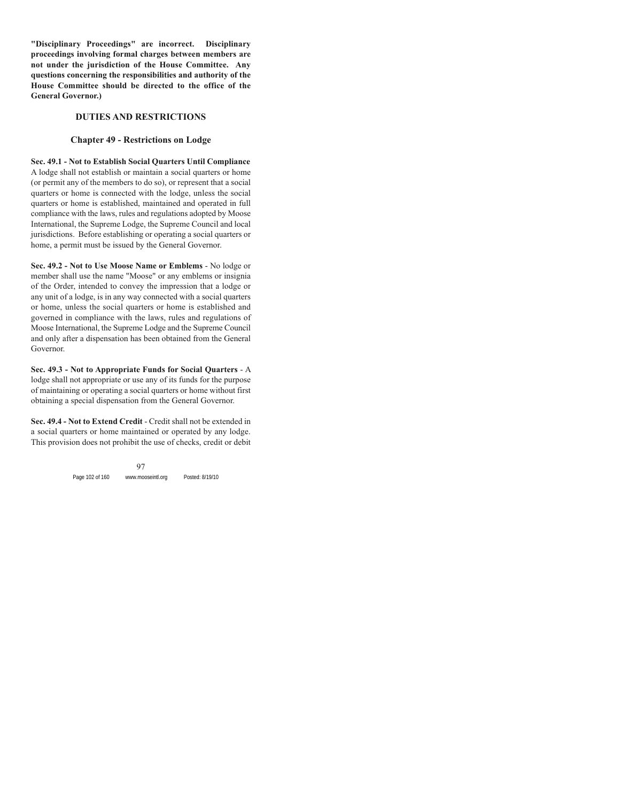**"Disciplinary Proceedings" are incorrect. Disciplinary proceedings involving formal charges between members are not under the jurisdiction of the House Committee. Any questions concerning the responsibilities and authority of the House Committee should be directed to the office of the General Governor.)**

#### **DUTIES AND RESTRICTIONS**

#### **Chapter 49 - Restrictions on Lodge**

**Sec. 49.1 - Not to Establish Social Quarters Until Compliance** A lodge shall not establish or maintain a social quarters or home (or permit any of the members to do so), or represent that a social quarters or home is connected with the lodge, unless the social quarters or home is established, maintained and operated in full compliance with the laws, rules and regulations adopted by Moose International, the Supreme Lodge, the Supreme Council and local jurisdictions. Before establishing or operating a social quarters or home, a permit must be issued by the General Governor.

**Sec. 49.2 - Not to Use Moose Name or Emblems** - No lodge or member shall use the name "Moose" or any emblems or insignia of the Order, intended to convey the impression that a lodge or any unit of a lodge, is in any way connected with a social quarters or home, unless the social quarters or home is established and governed in compliance with the laws, rules and regulations of Moose International, the Supreme Lodge and the Supreme Council and only after a dispensation has been obtained from the General Governor.

**Sec. 49.3 - Not to Appropriate Funds for Social Quarters** - A lodge shall not appropriate or use any of its funds for the purpose of maintaining or operating a social quarters or home without first obtaining a special dispensation from the General Governor.

**Sec. 49.4 - Not to Extend Credit** - Credit shall not be extended in a social quarters or home maintained or operated by any lodge. This provision does not prohibit the use of checks, credit or debit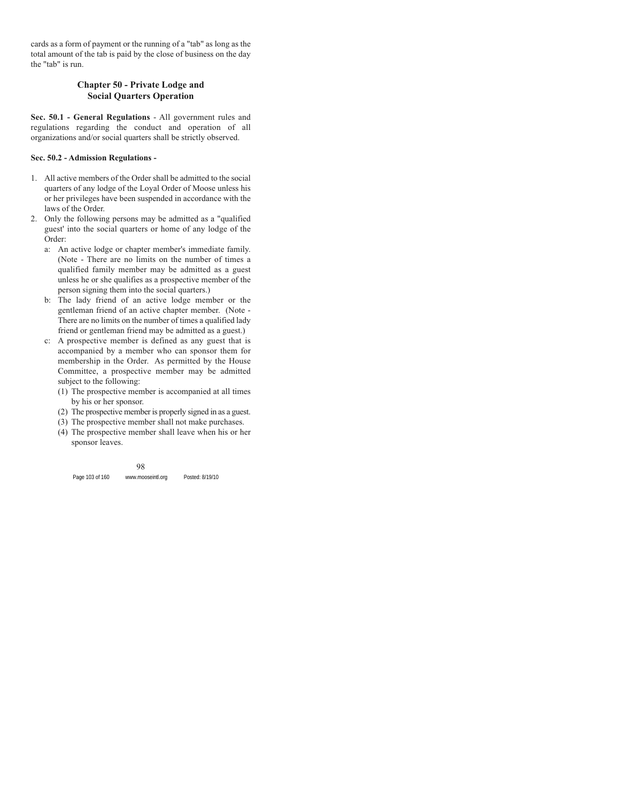cards as a form of payment or the running of a "tab" as long as the total amount of the tab is paid by the close of business on the day the "tab" is run.

## **Chapter 50 - Private Lodge and Social Quarters Operation**

**Sec. 50.1 - General Regulations** - All government rules and regulations regarding the conduct and operation of all organizations and/or social quarters shall be strictly observed.

#### **Sec. 50.2 - Admission Regulations -**

- 1. All active members of the Order shall be admitted to the social quarters of any lodge of the Loyal Order of Moose unless his or her privileges have been suspended in accordance with the laws of the Order.
- 2. Only the following persons may be admitted as a "qualified guest' into the social quarters or home of any lodge of the Order:
	- a: An active lodge or chapter member's immediate family. (Note - There are no limits on the number of times a qualified family member may be admitted as a guest unless he or she qualifies as a prospective member of the person signing them into the social quarters.)
	- b: The lady friend of an active lodge member or the gentleman friend of an active chapter member. (Note - There are no limits on the number of times a qualified lady friend or gentleman friend may be admitted as a guest.)
	- c: A prospective member is defined as any guest that is accompanied by a member who can sponsor them for membership in the Order. As permitted by the House Committee, a prospective member may be admitted subject to the following:
		- (1) The prospective member is accompanied at all times by his or her sponsor.
		- (2) The prospective member is properly signed in as a guest.
		- (3) The prospective member shall not make purchases.
		- (4) The prospective member shall leave when his or her sponsor leaves.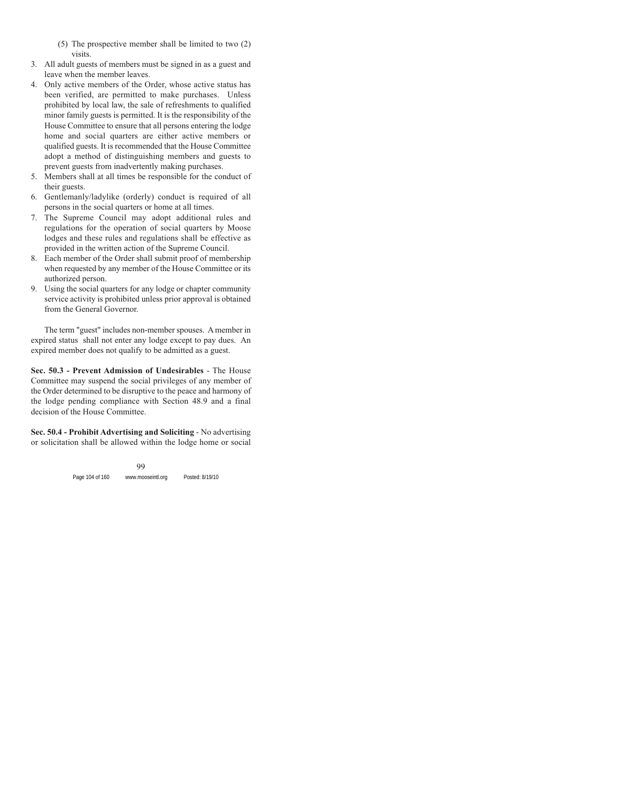- (5) The prospective member shall be limited to two (2) visits.
- 3. All adult guests of members must be signed in as a guest and leave when the member leaves.
- 4. Only active members of the Order, whose active status has been verified, are permitted to make purchases. Unless prohibited by local law, the sale of refreshments to qualified minor family guests is permitted. It is the responsibility of the House Committee to ensure that all persons entering the lodge home and social quarters are either active members or qualified guests. It is recommended that the House Committee adopt a method of distinguishing members and guests to prevent guests from inadvertently making purchases.
- 5. Members shall at all times be responsible for the conduct of their guests.
- 6. Gentlemanly/ladylike (orderly) conduct is required of all persons in the social quarters or home at all times.
- 7. The Supreme Council may adopt additional rules and regulations for the operation of social quarters by Moose lodges and these rules and regulations shall be effective as provided in the written action of the Supreme Council.
- 8. Each member of the Order shall submit proof of membership when requested by any member of the House Committee or its authorized person.
- 9. Using the social quarters for any lodge or chapter community service activity is prohibited unless prior approval is obtained from the General Governor.

The term "guest" includes non-member spouses. A member in expired status shall not enter any lodge except to pay dues. An expired member does not qualify to be admitted as a guest.

**Sec. 50.3 - Prevent Admission of Undesirables** - The House Committee may suspend the social privileges of any member of the Order determined to be disruptive to the peace and harmony of the lodge pending compliance with Section 48.9 and a final decision of the House Committee.

**Sec. 50.4 - Prohibit Advertising and Soliciting** - No advertising or solicitation shall be allowed within the lodge home or social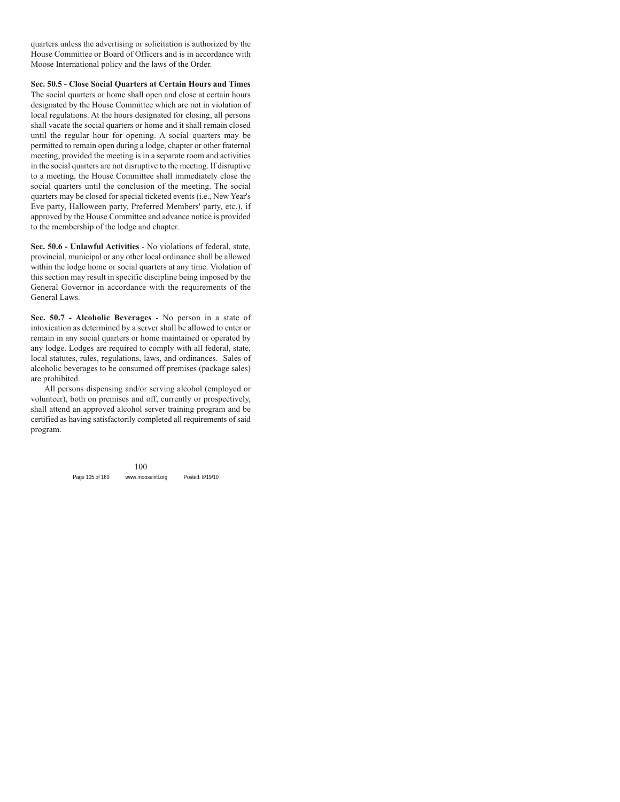quarters unless the advertising or solicitation is authorized by the House Committee or Board of Officers and is in accordance with Moose International policy and the laws of the Order.

**Sec. 50.5 - Close Social Quarters at Certain Hours and Times** The social quarters or home shall open and close at certain hours designated by the House Committee which are not in violation of local regulations. At the hours designated for closing, all persons shall vacate the social quarters or home and it shall remain closed until the regular hour for opening. A social quarters may be permitted to remain open during a lodge, chapter or other fraternal meeting, provided the meeting is in a separate room and activities in the social quarters are not disruptive to the meeting. If disruptive to a meeting, the House Committee shall immediately close the social quarters until the conclusion of the meeting. The social quarters may be closed for special ticketed events (i.e., New Year's Eve party, Halloween party, Preferred Members' party, etc.), if approved by the House Committee and advance notice is provided to the membership of the lodge and chapter.

**Sec. 50.6 - Unlawful Activities** - No violations of federal, state, provincial, municipal or any other local ordinance shall be allowed within the lodge home or social quarters at any time. Violation of this section may result in specific discipline being imposed by the General Governor in accordance with the requirements of the General Laws.

**Sec. 50.7 - Alcoholic Beverages** - No person in a state of intoxication as determined by a server shall be allowed to enter or remain in any social quarters or home maintained or operated by any lodge. Lodges are required to comply with all federal, state, local statutes, rules, regulations, laws, and ordinances. Sales of alcoholic beverages to be consumed off premises (package sales) are prohibited.

All persons dispensing and/or serving alcohol (employed or volunteer), both on premises and off, currently or prospectively, shall attend an approved alcohol server training program and be certified as having satisfactorily completed all requirements of said program.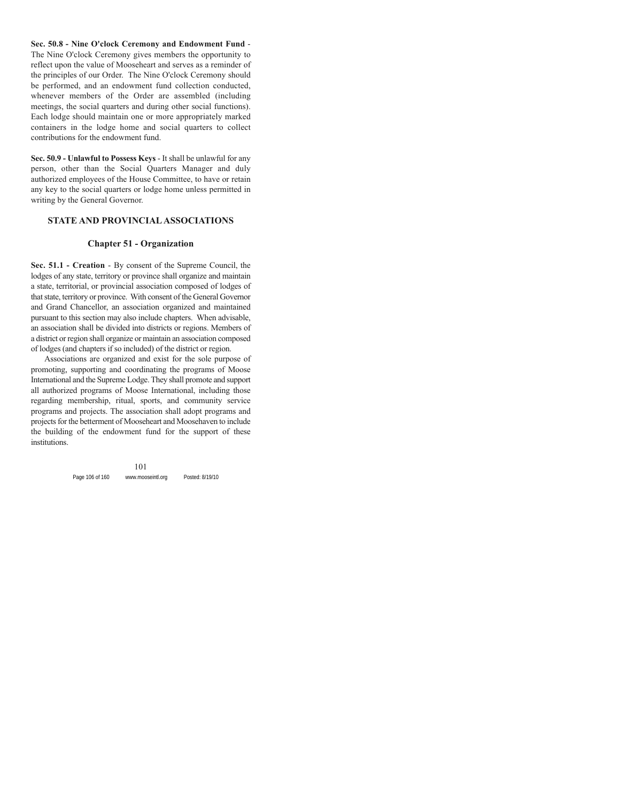**Sec. 50.8 - Nine O'clock Ceremony and Endowment Fund** - The Nine O'clock Ceremony gives members the opportunity to reflect upon the value of Mooseheart and serves as a reminder of the principles of our Order. The Nine O'clock Ceremony should be performed, and an endowment fund collection conducted, whenever members of the Order are assembled (including meetings, the social quarters and during other social functions). Each lodge should maintain one or more appropriately marked containers in the lodge home and social quarters to collect contributions for the endowment fund.

**Sec. 50.9 - Unlawful to Possess Keys** - It shall be unlawful for any person, other than the Social Quarters Manager and duly authorized employees of the House Committee, to have or retain any key to the social quarters or lodge home unless permitted in writing by the General Governor.

#### **STATE AND PROVINCIAL ASSOCIATIONS**

#### **Chapter 51 - Organization**

**Sec. 51.1 - Creation** - By consent of the Supreme Council, the lodges of any state, territory or province shall organize and maintain a state, territorial, or provincial association composed of lodges of that state, territory or province. With consent of the General Governor and Grand Chancellor, an association organized and maintained pursuant to this section may also include chapters. When advisable, an association shall be divided into districts or regions. Members of a district or region shall organize or maintain an association composed of lodges (and chapters if so included) of the district or region.

Associations are organized and exist for the sole purpose of promoting, supporting and coordinating the programs of Moose International and the Supreme Lodge. They shall promote and support all authorized programs of Moose International, including those regarding membership, ritual, sports, and community service programs and projects. The association shall adopt programs and projects for the betterment of Mooseheart and Moosehaven to include the building of the endowment fund for the support of these institutions.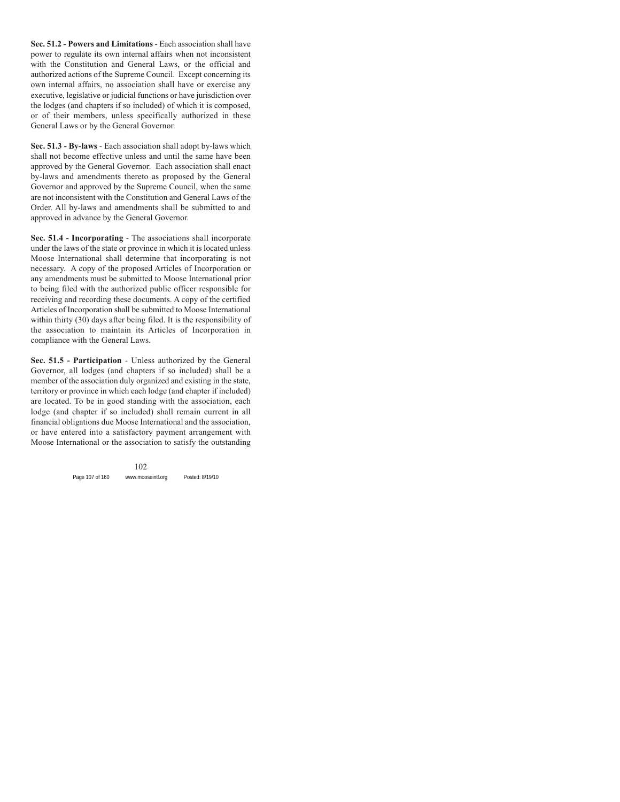**Sec. 51.2 - Powers and Limitations** - Each association shall have power to regulate its own internal affairs when not inconsistent with the Constitution and General Laws, or the official and authorized actions of the Supreme Council. Except concerning its own internal affairs, no association shall have or exercise any executive, legislative or judicial functions or have jurisdiction over the lodges (and chapters if so included) of which it is composed, or of their members, unless specifically authorized in these General Laws or by the General Governor.

**Sec. 51.3 - By-laws** - Each association shall adopt by-laws which shall not become effective unless and until the same have been approved by the General Governor. Each association shall enact by-laws and amendments thereto as proposed by the General Governor and approved by the Supreme Council, when the same are not inconsistent with the Constitution and General Laws of the Order. All by-laws and amendments shall be submitted to and approved in advance by the General Governor.

**Sec. 51.4 - Incorporating** - The associations shall incorporate under the laws of the state or province in which it is located unless Moose International shall determine that incorporating is not necessary. A copy of the proposed Articles of Incorporation or any amendments must be submitted to Moose International prior to being filed with the authorized public officer responsible for receiving and recording these documents. A copy of the certified Articles of Incorporation shall be submitted to Moose International within thirty (30) days after being filed. It is the responsibility of the association to maintain its Articles of Incorporation in compliance with the General Laws.

**Sec. 51.5 - Participation** - Unless authorized by the General Governor, all lodges (and chapters if so included) shall be a member of the association duly organized and existing in the state, territory or province in which each lodge (and chapter if included) are located. To be in good standing with the association, each lodge (and chapter if so included) shall remain current in all financial obligations due Moose International and the association, or have entered into a satisfactory payment arrangement with Moose International or the association to satisfy the outstanding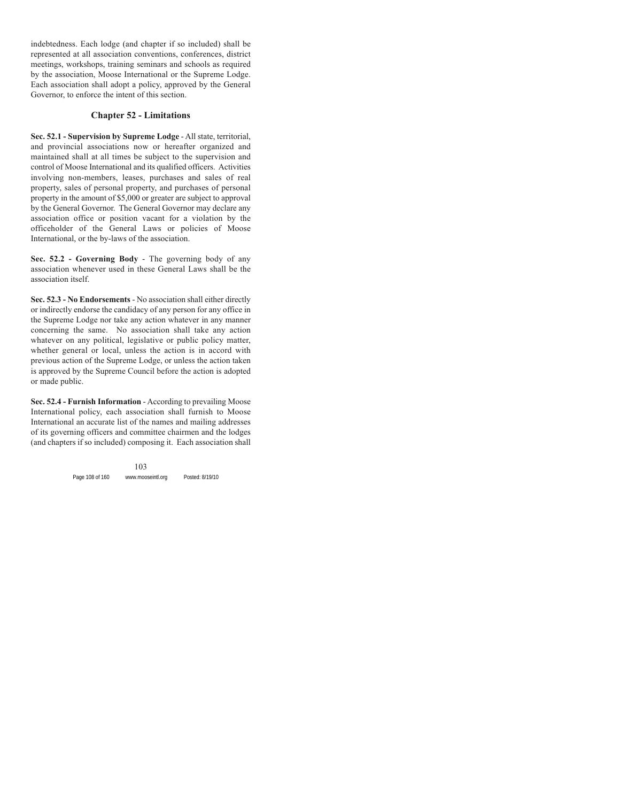indebtedness. Each lodge (and chapter if so included) shall be represented at all association conventions, conferences, district meetings, workshops, training seminars and schools as required by the association, Moose International or the Supreme Lodge. Each association shall adopt a policy, approved by the General Governor, to enforce the intent of this section.

#### **Chapter 52 - Limitations**

**Sec. 52.1 - Supervision by Supreme Lodge** - All state, territorial, and provincial associations now or hereafter organized and maintained shall at all times be subject to the supervision and control of Moose International and its qualified officers. Activities involving non-members, leases, purchases and sales of real property, sales of personal property, and purchases of personal property in the amount of \$5,000 or greater are subject to approval by the General Governor. The General Governor may declare any association office or position vacant for a violation by the officeholder of the General Laws or policies of Moose International, or the by-laws of the association.

**Sec. 52.2 - Governing Body** - The governing body of any association whenever used in these General Laws shall be the association itself.

**Sec. 52.3 - No Endorsements** - No association shall either directly or indirectly endorse the candidacy of any person for any office in the Supreme Lodge nor take any action whatever in any manner concerning the same. No association shall take any action whatever on any political, legislative or public policy matter, whether general or local, unless the action is in accord with previous action of the Supreme Lodge, or unless the action taken is approved by the Supreme Council before the action is adopted or made public.

**Sec. 52.4 - Furnish Information** - According to prevailing Moose International policy, each association shall furnish to Moose International an accurate list of the names and mailing addresses of its governing officers and committee chairmen and the lodges (and chapters if so included) composing it. Each association shall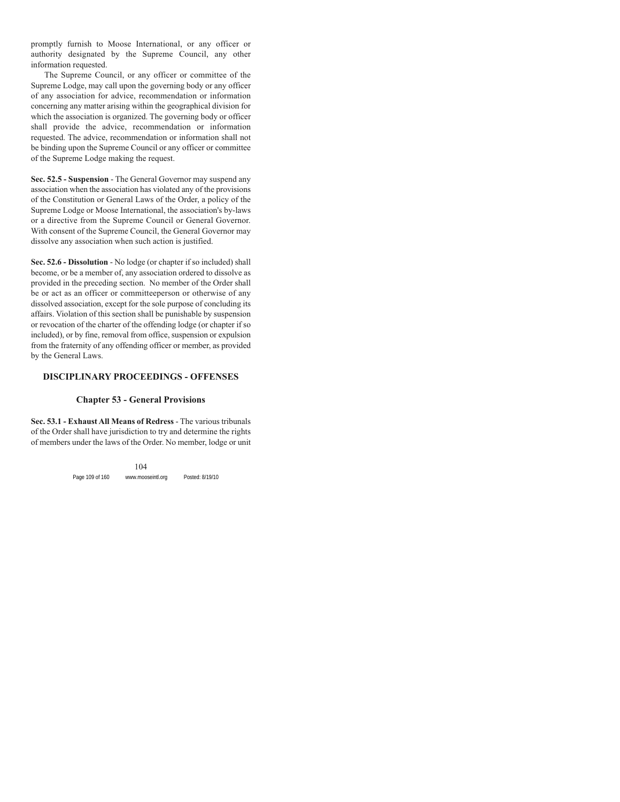promptly furnish to Moose International, or any officer or authority designated by the Supreme Council, any other information requested.

The Supreme Council, or any officer or committee of the Supreme Lodge, may call upon the governing body or any officer of any association for advice, recommendation or information concerning any matter arising within the geographical division for which the association is organized. The governing body or officer shall provide the advice, recommendation or information requested. The advice, recommendation or information shall not be binding upon the Supreme Council or any officer or committee of the Supreme Lodge making the request.

**Sec. 52.5 - Suspension** - The General Governor may suspend any association when the association has violated any of the provisions of the Constitution or General Laws of the Order, a policy of the Supreme Lodge or Moose International, the association's by-laws or a directive from the Supreme Council or General Governor. With consent of the Supreme Council, the General Governor may dissolve any association when such action is justified.

**Sec. 52.6 - Dissolution** - No lodge (or chapter if so included) shall become, or be a member of, any association ordered to dissolve as provided in the preceding section. No member of the Order shall be or act as an officer or committeeperson or otherwise of any dissolved association, except for the sole purpose of concluding its affairs. Violation of this section shall be punishable by suspension or revocation of the charter of the offending lodge (or chapter if so included), or by fine, removal from office, suspension or expulsion from the fraternity of any offending officer or member, as provided by the General Laws.

### **DISCIPLINARY PROCEEDINGS - OFFENSES**

#### **Chapter 53 - General Provisions**

**Sec. 53.1 - Exhaust All Means of Redress** - The various tribunals of the Order shall have jurisdiction to try and determine the rights of members under the laws of the Order. No member, lodge or unit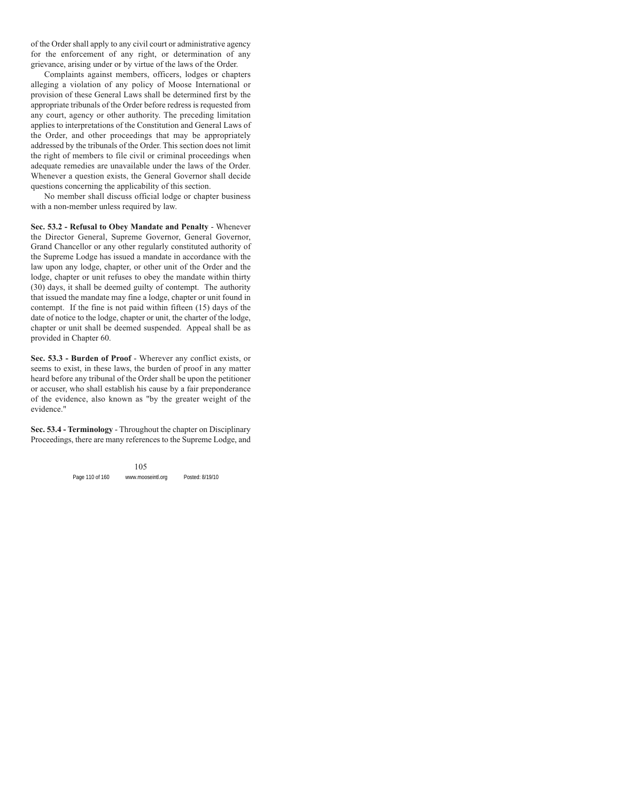of the Order shall apply to any civil court or administrative agency for the enforcement of any right, or determination of any grievance, arising under or by virtue of the laws of the Order.

Complaints against members, officers, lodges or chapters alleging a violation of any policy of Moose International or provision of these General Laws shall be determined first by the appropriate tribunals of the Order before redress is requested from any court, agency or other authority. The preceding limitation applies to interpretations of the Constitution and General Laws of the Order, and other proceedings that may be appropriately addressed by the tribunals of the Order. This section does not limit the right of members to file civil or criminal proceedings when adequate remedies are unavailable under the laws of the Order. Whenever a question exists, the General Governor shall decide questions concerning the applicability of this section.

No member shall discuss official lodge or chapter business with a non-member unless required by law.

**Sec. 53.2 - Refusal to Obey Mandate and Penalty** - Whenever the Director General, Supreme Governor, General Governor, Grand Chancellor or any other regularly constituted authority of the Supreme Lodge has issued a mandate in accordance with the law upon any lodge, chapter, or other unit of the Order and the lodge, chapter or unit refuses to obey the mandate within thirty (30) days, it shall be deemed guilty of contempt. The authority that issued the mandate may fine a lodge, chapter or unit found in contempt. If the fine is not paid within fifteen (15) days of the date of notice to the lodge, chapter or unit, the charter of the lodge, chapter or unit shall be deemed suspended. Appeal shall be as provided in Chapter 60.

**Sec. 53.3 - Burden of Proof** - Wherever any conflict exists, or seems to exist, in these laws, the burden of proof in any matter heard before any tribunal of the Order shall be upon the petitioner or accuser, who shall establish his cause by a fair preponderance of the evidence, also known as "by the greater weight of the evidence."

**Sec. 53.4 - Terminology** - Throughout the chapter on Disciplinary Proceedings, there are many references to the Supreme Lodge, and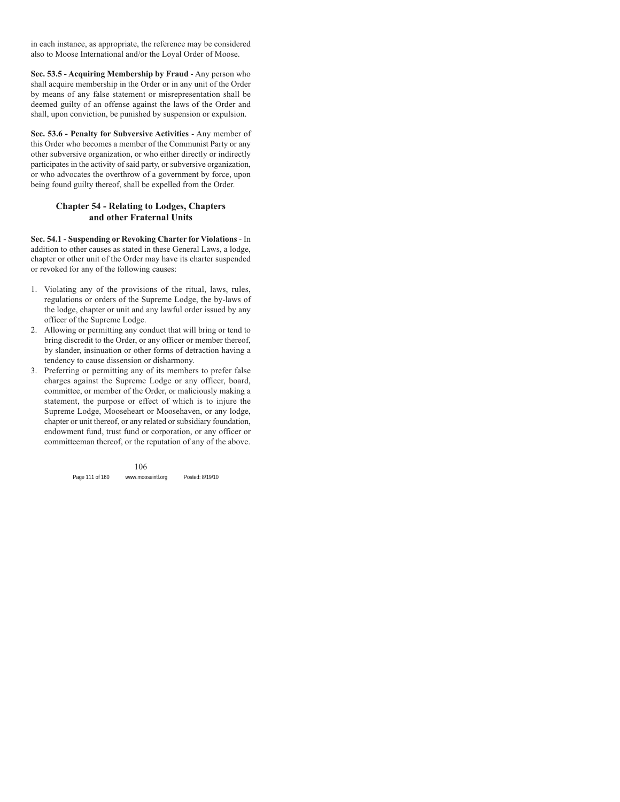in each instance, as appropriate, the reference may be considered also to Moose International and/or the Loyal Order of Moose.

**Sec. 53.5 - Acquiring Membership by Fraud** - Any person who shall acquire membership in the Order or in any unit of the Order by means of any false statement or misrepresentation shall be deemed guilty of an offense against the laws of the Order and shall, upon conviction, be punished by suspension or expulsion.

**Sec. 53.6 - Penalty for Subversive Activities** - Any member of this Order who becomes a member of the Communist Party or any other subversive organization, or who either directly or indirectly participates in the activity of said party, or subversive organization, or who advocates the overthrow of a government by force, upon being found guilty thereof, shall be expelled from the Order.

# **Chapter 54 - Relating to Lodges, Chapters and other Fraternal Units**

**Sec. 54.1 - Suspending or Revoking Charter for Violations** - In addition to other causes as stated in these General Laws, a lodge, chapter or other unit of the Order may have its charter suspended or revoked for any of the following causes:

- 1. Violating any of the provisions of the ritual, laws, rules, regulations or orders of the Supreme Lodge, the by-laws of the lodge, chapter or unit and any lawful order issued by any officer of the Supreme Lodge.
- 2. Allowing or permitting any conduct that will bring or tend to bring discredit to the Order, or any officer or member thereof, by slander, insinuation or other forms of detraction having a tendency to cause dissension or disharmony.
- 3. Preferring or permitting any of its members to prefer false charges against the Supreme Lodge or any officer, board, committee, or member of the Order, or maliciously making a statement, the purpose or effect of which is to injure the Supreme Lodge, Mooseheart or Moosehaven, or any lodge, chapter or unit thereof, or any related or subsidiary foundation, endowment fund, trust fund or corporation, or any officer or committeeman thereof, or the reputation of any of the above.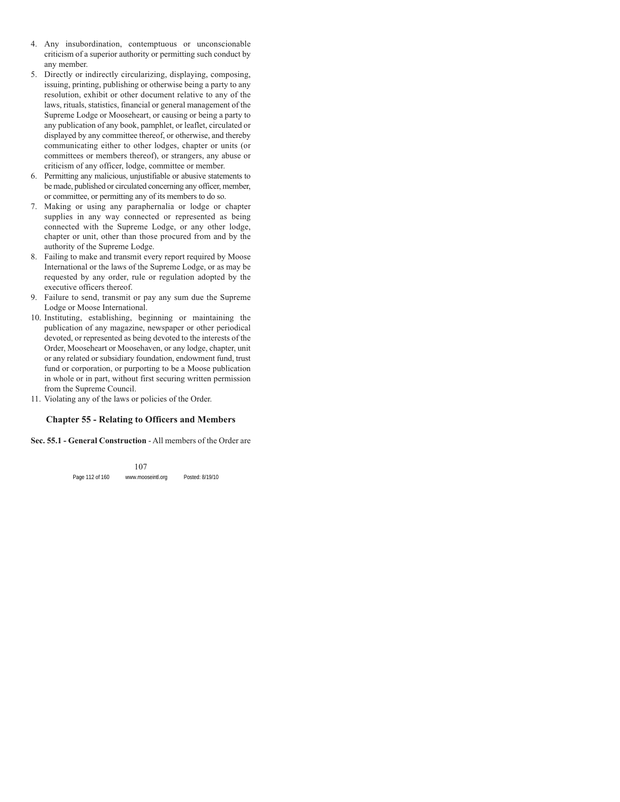- 4. Any insubordination, contemptuous or unconscionable criticism of a superior authority or permitting such conduct by any member.
- 5. Directly or indirectly circularizing, displaying, composing, issuing, printing, publishing or otherwise being a party to any resolution, exhibit or other document relative to any of the laws, rituals, statistics, financial or general management of the Supreme Lodge or Mooseheart, or causing or being a party to any publication of any book, pamphlet, or leaflet, circulated or displayed by any committee thereof, or otherwise, and thereby communicating either to other lodges, chapter or units (or committees or members thereof), or strangers, any abuse or criticism of any officer, lodge, committee or member.
- 6. Permitting any malicious, unjustifiable or abusive statements to be made, published or circulated concerning any officer, member, or committee, or permitting any of its members to do so.
- 7. Making or using any paraphernalia or lodge or chapter supplies in any way connected or represented as being connected with the Supreme Lodge, or any other lodge, chapter or unit, other than those procured from and by the authority of the Supreme Lodge.
- 8. Failing to make and transmit every report required by Moose International or the laws of the Supreme Lodge, or as may be requested by any order, rule or regulation adopted by the executive officers thereof.
- 9. Failure to send, transmit or pay any sum due the Supreme Lodge or Moose International.
- 10. Instituting, establishing, beginning or maintaining the publication of any magazine, newspaper or other periodical devoted, or represented as being devoted to the interests of the Order, Mooseheart or Moosehaven, or any lodge, chapter, unit or any related or subsidiary foundation, endowment fund, trust fund or corporation, or purporting to be a Moose publication in whole or in part, without first securing written permission from the Supreme Council.
- 11. Violating any of the laws or policies of the Order.

# **Chapter 55 - Relating to Officers and Members**

#### **Sec. 55.1 - General Construction** - All members of the Order are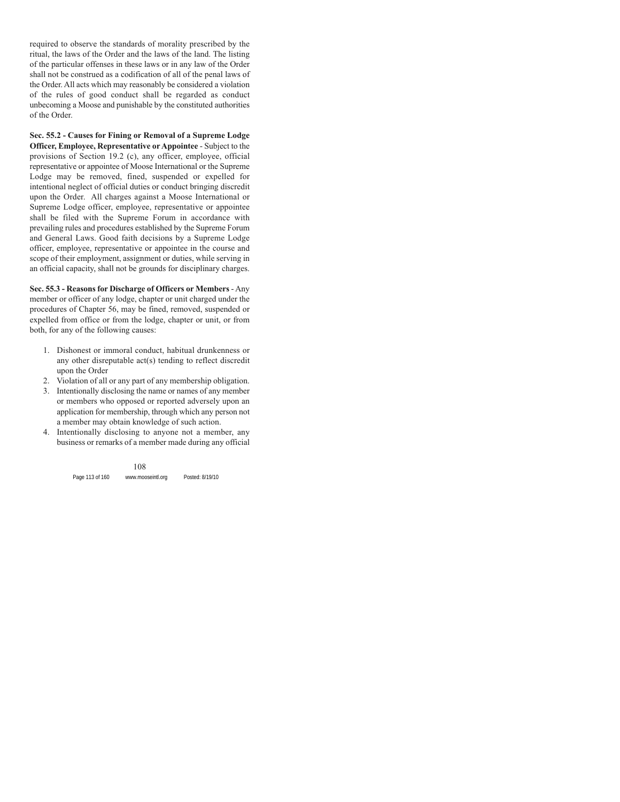required to observe the standards of morality prescribed by the ritual, the laws of the Order and the laws of the land. The listing of the particular offenses in these laws or in any law of the Order shall not be construed as a codification of all of the penal laws of the Order. All acts which may reasonably be considered a violation of the rules of good conduct shall be regarded as conduct unbecoming a Moose and punishable by the constituted authorities of the Order.

**Sec. 55.2 - Causes for Fining or Removal of a Supreme Lodge Officer, Employee, Representative or Appointee** - Subject to the provisions of Section 19.2 (c), any officer, employee, official representative or appointee of Moose International or the Supreme Lodge may be removed, fined, suspended or expelled for intentional neglect of official duties or conduct bringing discredit upon the Order. All charges against a Moose International or Supreme Lodge officer, employee, representative or appointee shall be filed with the Supreme Forum in accordance with prevailing rules and procedures established by the Supreme Forum and General Laws. Good faith decisions by a Supreme Lodge officer, employee, representative or appointee in the course and scope of their employment, assignment or duties, while serving in an official capacity, shall not be grounds for disciplinary charges.

**Sec. 55.3 - Reasons for Discharge of Officers or Members** - Any member or officer of any lodge, chapter or unit charged under the procedures of Chapter 56, may be fined, removed, suspended or expelled from office or from the lodge, chapter or unit, or from both, for any of the following causes:

- 1. Dishonest or immoral conduct, habitual drunkenness or any other disreputable act(s) tending to reflect discredit upon the Order
- 2. Violation of all or any part of any membership obligation.
- 3. Intentionally disclosing the name or names of any member or members who opposed or reported adversely upon an application for membership, through which any person not a member may obtain knowledge of such action.
- 4. Intentionally disclosing to anyone not a member, any business or remarks of a member made during any official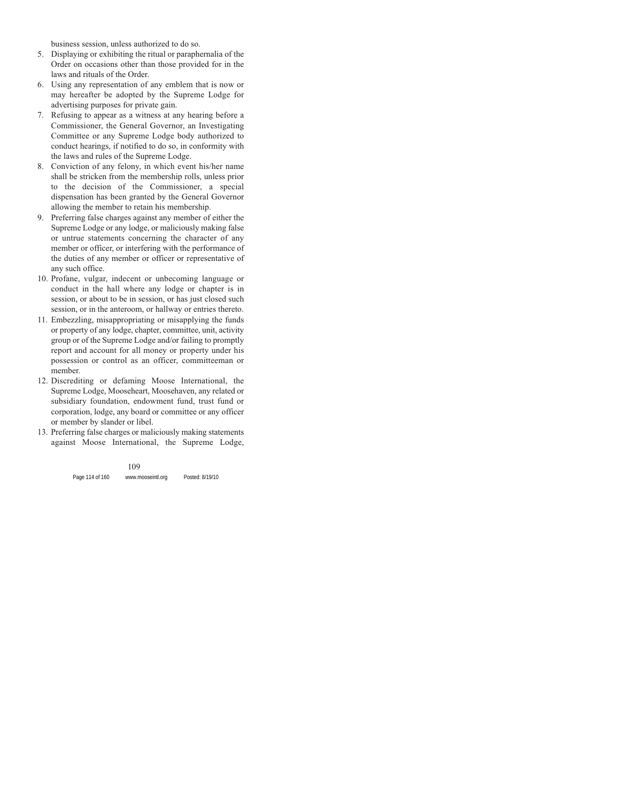business session, unless authorized to do so.

- 5. Displaying or exhibiting the ritual or paraphernalia of the Order on occasions other than those provided for in the laws and rituals of the Order.
- 6. Using any representation of any emblem that is now or may hereafter be adopted by the Supreme Lodge for advertising purposes for private gain.
- 7. Refusing to appear as a witness at any hearing before a Commissioner, the General Governor, an Investigating Committee or any Supreme Lodge body authorized to conduct hearings, if notified to do so, in conformity with the laws and rules of the Supreme Lodge.
- 8. Conviction of any felony, in which event his/her name shall be stricken from the membership rolls, unless prior to the decision of the Commissioner, a special dispensation has been granted by the General Governor allowing the member to retain his membership.
- 9. Preferring false charges against any member of either the Supreme Lodge or any lodge, or maliciously making false or untrue statements concerning the character of any member or officer, or interfering with the performance of the duties of any member or officer or representative of any such office.
- 10. Profane, vulgar, indecent or unbecoming language or conduct in the hall where any lodge or chapter is in session, or about to be in session, or has just closed such session, or in the anteroom, or hallway or entries thereto.
- 11. Embezzling, misappropriating or misapplying the funds or property of any lodge, chapter, committee, unit, activity group or of the Supreme Lodge and/or failing to promptly report and account for all money or property under his possession or control as an officer, committeeman or member.
- 12. Discrediting or defaming Moose International, the Supreme Lodge, Mooseheart, Moosehaven, any related or subsidiary foundation, endowment fund, trust fund or corporation, lodge, any board or committee or any officer or member by slander or libel.
- 13. Preferring false charges or maliciously making statements against Moose International, the Supreme Lodge,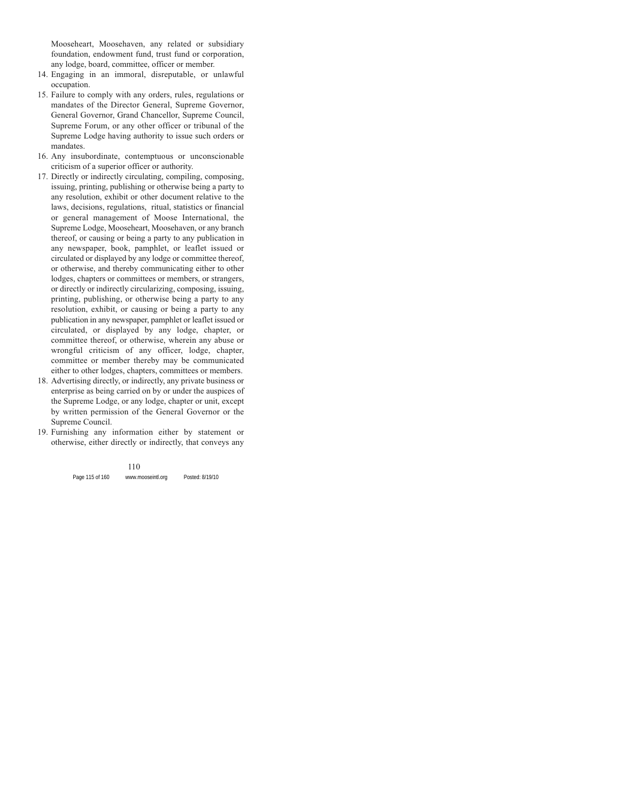Mooseheart, Moosehaven, any related or subsidiary foundation, endowment fund, trust fund or corporation, any lodge, board, committee, officer or member.

- 14. Engaging in an immoral, disreputable, or unlawful occupation.
- 15. Failure to comply with any orders, rules, regulations or mandates of the Director General, Supreme Governor, General Governor, Grand Chancellor, Supreme Council, Supreme Forum, or any other officer or tribunal of the Supreme Lodge having authority to issue such orders or mandates.
- 16. Any insubordinate, contemptuous or unconscionable criticism of a superior officer or authority.
- 17. Directly or indirectly circulating, compiling, composing, issuing, printing, publishing or otherwise being a party to any resolution, exhibit or other document relative to the laws, decisions, regulations, ritual, statistics or financial or general management of Moose International, the Supreme Lodge, Mooseheart, Moosehaven, or any branch thereof, or causing or being a party to any publication in any newspaper, book, pamphlet, or leaflet issued or circulated or displayed by any lodge or committee thereof, or otherwise, and thereby communicating either to other lodges, chapters or committees or members, or strangers, or directly or indirectly circularizing, composing, issuing, printing, publishing, or otherwise being a party to any resolution, exhibit, or causing or being a party to any publication in any newspaper, pamphlet or leaflet issued or circulated, or displayed by any lodge, chapter, or committee thereof, or otherwise, wherein any abuse or wrongful criticism of any officer, lodge, chapter, committee or member thereby may be communicated either to other lodges, chapters, committees or members.
- 18. Advertising directly, or indirectly, any private business or enterprise as being carried on by or under the auspices of the Supreme Lodge, or any lodge, chapter or unit, except by written permission of the General Governor or the Supreme Council.
- 19. Furnishing any information either by statement or otherwise, either directly or indirectly, that conveys any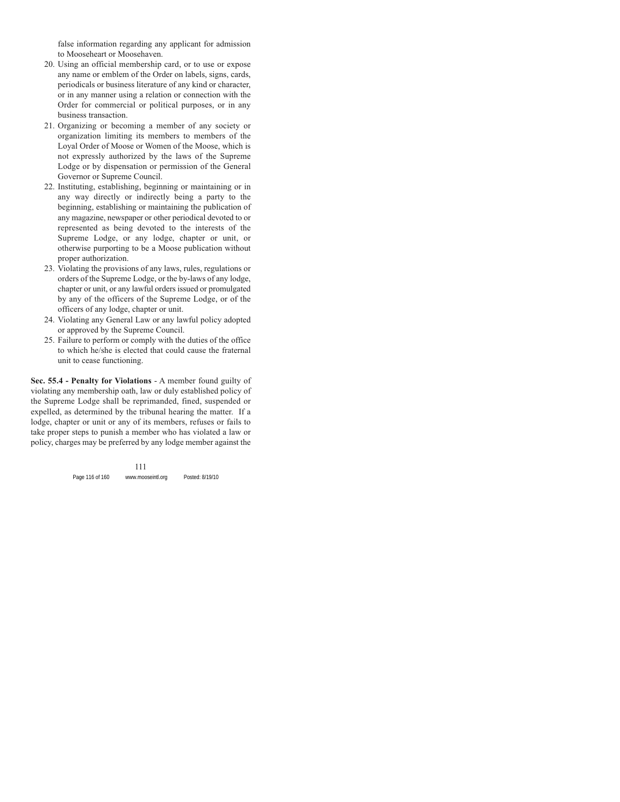false information regarding any applicant for admission to Mooseheart or Moosehaven.

- 20. Using an official membership card, or to use or expose any name or emblem of the Order on labels, signs, cards, periodicals or business literature of any kind or character, or in any manner using a relation or connection with the Order for commercial or political purposes, or in any business transaction.
- 21. Organizing or becoming a member of any society or organization limiting its members to members of the Loyal Order of Moose or Women of the Moose, which is not expressly authorized by the laws of the Supreme Lodge or by dispensation or permission of the General Governor or Supreme Council.
- 22. Instituting, establishing, beginning or maintaining or in any way directly or indirectly being a party to the beginning, establishing or maintaining the publication of any magazine, newspaper or other periodical devoted to or represented as being devoted to the interests of the Supreme Lodge, or any lodge, chapter or unit, or otherwise purporting to be a Moose publication without proper authorization.
- 23. Violating the provisions of any laws, rules, regulations or orders of the Supreme Lodge, or the by-laws of any lodge, chapter or unit, or any lawful orders issued or promulgated by any of the officers of the Supreme Lodge, or of the officers of any lodge, chapter or unit.
- 24. Violating any General Law or any lawful policy adopted or approved by the Supreme Council.
- 25. Failure to perform or comply with the duties of the office to which he/she is elected that could cause the fraternal unit to cease functioning.

**Sec. 55.4 - Penalty for Violations** - A member found guilty of violating any membership oath, law or duly established policy of the Supreme Lodge shall be reprimanded, fined, suspended or expelled, as determined by the tribunal hearing the matter. If a lodge, chapter or unit or any of its members, refuses or fails to take proper steps to punish a member who has violated a law or policy, charges may be preferred by any lodge member against the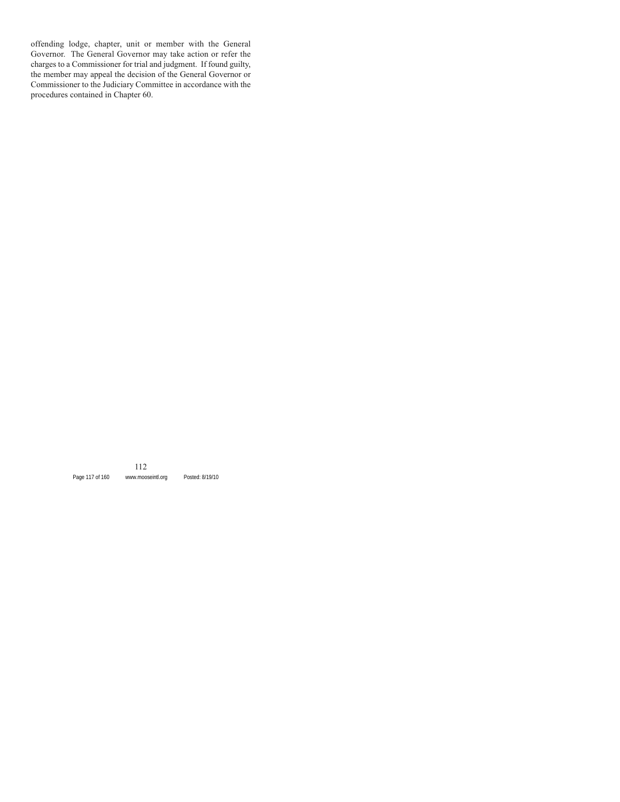offending lodge, chapter, unit or member with the General Governor. The General Governor may take action or refer the charges to a Commissioner for trial and judgment. If found guilty, the member may appeal the decision of the General Governor or Commissioner to the Judiciary Committee in accordance with the procedures contained in Chapter 60.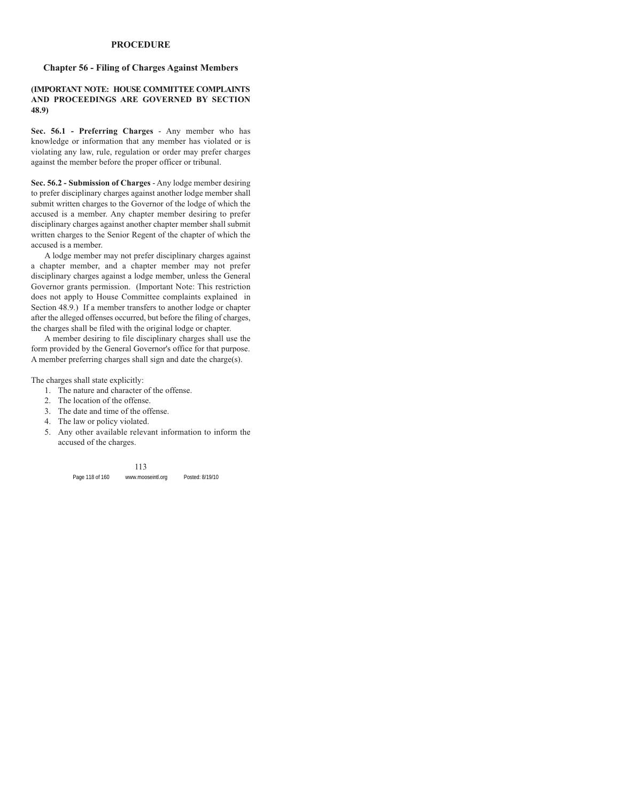#### **PROCEDURE**

### **Chapter 56 - Filing of Charges Against Members**

#### **(IMPORTANT NOTE: HOUSE COMMITTEE COMPLAINTS AND PROCEEDINGS ARE GOVERNED BY SECTION 48.9)**

**Sec. 56.1 - Preferring Charges** - Any member who has knowledge or information that any member has violated or is violating any law, rule, regulation or order may prefer charges against the member before the proper officer or tribunal.

**Sec. 56.2 - Submission of Charges** - Any lodge member desiring to prefer disciplinary charges against another lodge member shall submit written charges to the Governor of the lodge of which the accused is a member. Any chapter member desiring to prefer disciplinary charges against another chapter member shall submit written charges to the Senior Regent of the chapter of which the accused is a member.

A lodge member may not prefer disciplinary charges against a chapter member, and a chapter member may not prefer disciplinary charges against a lodge member, unless the General Governor grants permission. (Important Note: This restriction does not apply to House Committee complaints explained in Section 48.9.) If a member transfers to another lodge or chapter after the alleged offenses occurred, but before the filing of charges, the charges shall be filed with the original lodge or chapter.

A member desiring to file disciplinary charges shall use the form provided by the General Governor's office for that purpose. A member preferring charges shall sign and date the charge(s).

The charges shall state explicitly:

- 1. The nature and character of the offense.
- 2. The location of the offense.
- 3. The date and time of the offense.
- 4. The law or policy violated.
- 5. Any other available relevant information to inform the accused of the charges.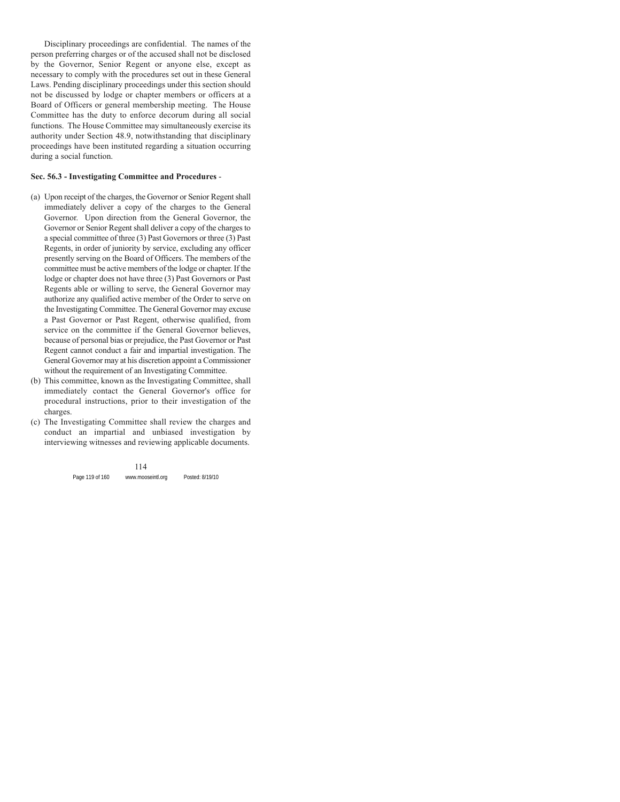Disciplinary proceedings are confidential. The names of the person preferring charges or of the accused shall not be disclosed by the Governor, Senior Regent or anyone else, except as necessary to comply with the procedures set out in these General Laws. Pending disciplinary proceedings under this section should not be discussed by lodge or chapter members or officers at a Board of Officers or general membership meeting. The House Committee has the duty to enforce decorum during all social functions. The House Committee may simultaneously exercise its authority under Section 48.9, notwithstanding that disciplinary proceedings have been instituted regarding a situation occurring during a social function.

#### **Sec. 56.3 - Investigating Committee and Procedures** -

- (a) Upon receipt of the charges, the Governor or Senior Regent shall immediately deliver a copy of the charges to the General Governor. Upon direction from the General Governor, the Governor or Senior Regent shall deliver a copy of the charges to a special committee of three (3) Past Governors or three (3) Past Regents, in order of juniority by service, excluding any officer presently serving on the Board of Officers. The members of the committee must be active members of the lodge or chapter. If the lodge or chapter does not have three (3) Past Governors or Past Regents able or willing to serve, the General Governor may authorize any qualified active member of the Order to serve on the Investigating Committee. The General Governor may excuse a Past Governor or Past Regent, otherwise qualified, from service on the committee if the General Governor believes, because of personal bias or prejudice, the Past Governor or Past Regent cannot conduct a fair and impartial investigation. The General Governor may at his discretion appoint a Commissioner without the requirement of an Investigating Committee.
- (b) This committee, known as the Investigating Committee, shall immediately contact the General Governor's office for procedural instructions, prior to their investigation of the charges.
- (c) The Investigating Committee shall review the charges and conduct an impartial and unbiased investigation by interviewing witnesses and reviewing applicable documents.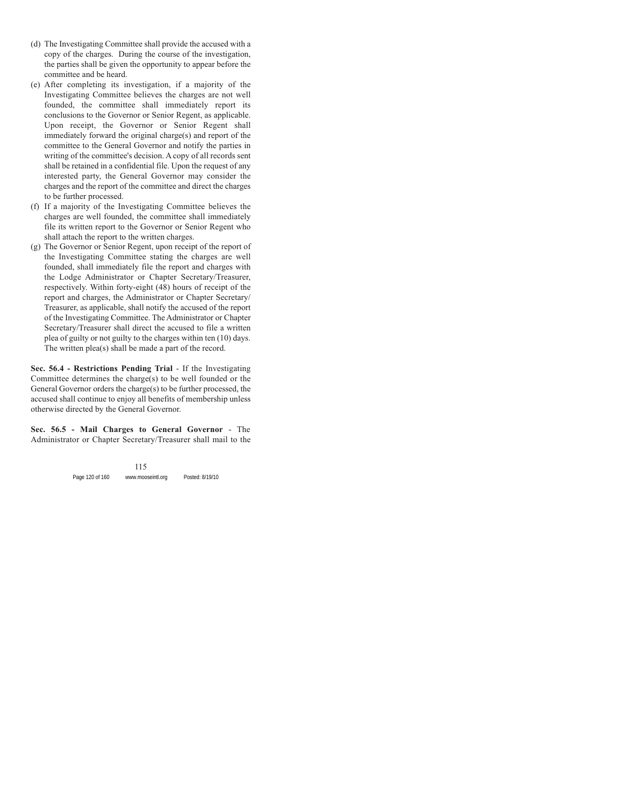- (d) The Investigating Committee shall provide the accused with a copy of the charges. During the course of the investigation, the parties shall be given the opportunity to appear before the committee and be heard.
- (e) After completing its investigation, if a majority of the Investigating Committee believes the charges are not well founded, the committee shall immediately report its conclusions to the Governor or Senior Regent, as applicable. Upon receipt, the Governor or Senior Regent shall immediately forward the original charge(s) and report of the committee to the General Governor and notify the parties in writing of the committee's decision. A copy of all records sent shall be retained in a confidential file. Upon the request of any interested party, the General Governor may consider the charges and the report of the committee and direct the charges to be further processed.
- (f) If a majority of the Investigating Committee believes the charges are well founded, the committee shall immediately file its written report to the Governor or Senior Regent who shall attach the report to the written charges.
- (g) The Governor or Senior Regent, upon receipt of the report of the Investigating Committee stating the charges are well founded, shall immediately file the report and charges with the Lodge Administrator or Chapter Secretary/Treasurer, respectively. Within forty-eight (48) hours of receipt of the report and charges, the Administrator or Chapter Secretary/ Treasurer, as applicable, shall notify the accused of the report of the Investigating Committee. The Administrator or Chapter Secretary/Treasurer shall direct the accused to file a written plea of guilty or not guilty to the charges within ten (10) days. The written plea(s) shall be made a part of the record.

**Sec. 56.4 - Restrictions Pending Trial** - If the Investigating Committee determines the charge(s) to be well founded or the General Governor orders the charge(s) to be further processed, the accused shall continue to enjoy all benefits of membership unless otherwise directed by the General Governor.

**Sec. 56.5 - Mail Charges to General Governor** - The Administrator or Chapter Secretary/Treasurer shall mail to the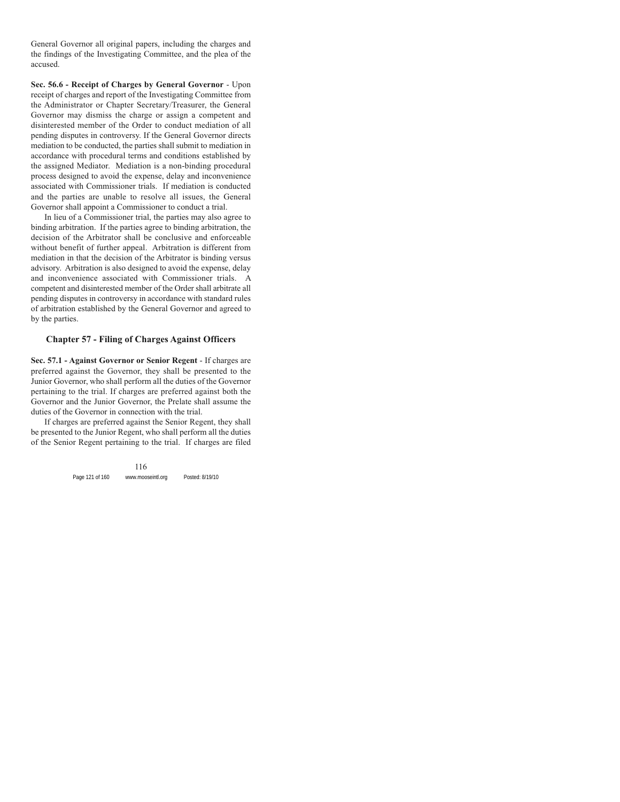General Governor all original papers, including the charges and the findings of the Investigating Committee, and the plea of the accused.

**Sec. 56.6 - Receipt of Charges by General Governor** - Upon receipt of charges and report of the Investigating Committee from the Administrator or Chapter Secretary/Treasurer, the General Governor may dismiss the charge or assign a competent and disinterested member of the Order to conduct mediation of all pending disputes in controversy. If the General Governor directs mediation to be conducted, the parties shall submit to mediation in accordance with procedural terms and conditions established by the assigned Mediator. Mediation is a non-binding procedural process designed to avoid the expense, delay and inconvenience associated with Commissioner trials. If mediation is conducted and the parties are unable to resolve all issues, the General Governor shall appoint a Commissioner to conduct a trial.

In lieu of a Commissioner trial, the parties may also agree to binding arbitration. If the parties agree to binding arbitration, the decision of the Arbitrator shall be conclusive and enforceable without benefit of further appeal. Arbitration is different from mediation in that the decision of the Arbitrator is binding versus advisory. Arbitration is also designed to avoid the expense, delay and inconvenience associated with Commissioner trials. A competent and disinterested member of the Order shall arbitrate all pending disputes in controversy in accordance with standard rules of arbitration established by the General Governor and agreed to by the parties.

### **Chapter 57 - Filing of Charges Against Officers**

**Sec. 57.1 - Against Governor or Senior Regent** - If charges are preferred against the Governor, they shall be presented to the Junior Governor, who shall perform all the duties of the Governor pertaining to the trial. If charges are preferred against both the Governor and the Junior Governor, the Prelate shall assume the duties of the Governor in connection with the trial.

If charges are preferred against the Senior Regent, they shall be presented to the Junior Regent, who shall perform all the duties of the Senior Regent pertaining to the trial. If charges are filed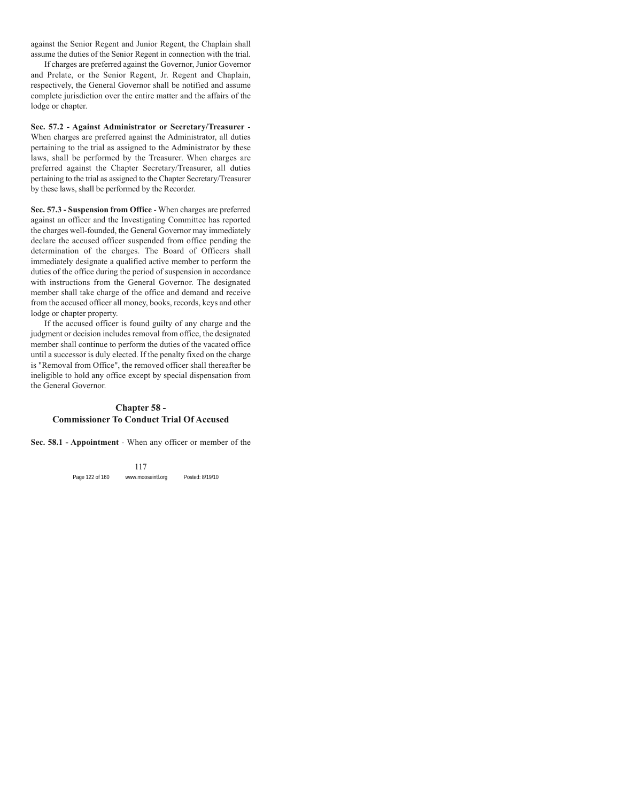against the Senior Regent and Junior Regent, the Chaplain shall assume the duties of the Senior Regent in connection with the trial.

If charges are preferred against the Governor, Junior Governor and Prelate, or the Senior Regent, Jr. Regent and Chaplain, respectively, the General Governor shall be notified and assume complete jurisdiction over the entire matter and the affairs of the lodge or chapter.

**Sec. 57.2 - Against Administrator or Secretary/Treasurer** - When charges are preferred against the Administrator, all duties pertaining to the trial as assigned to the Administrator by these laws, shall be performed by the Treasurer. When charges are preferred against the Chapter Secretary/Treasurer, all duties pertaining to the trial as assigned to the Chapter Secretary/Treasurer by these laws, shall be performed by the Recorder.

**Sec. 57.3 - Suspension from Office** - When charges are preferred against an officer and the Investigating Committee has reported the charges well-founded, the General Governor may immediately declare the accused officer suspended from office pending the determination of the charges. The Board of Officers shall immediately designate a qualified active member to perform the duties of the office during the period of suspension in accordance with instructions from the General Governor. The designated member shall take charge of the office and demand and receive from the accused officer all money, books, records, keys and other lodge or chapter property.

If the accused officer is found guilty of any charge and the judgment or decision includes removal from office, the designated member shall continue to perform the duties of the vacated office until a successor is duly elected. If the penalty fixed on the charge is "Removal from Office", the removed officer shall thereafter be ineligible to hold any office except by special dispensation from the General Governor.

## **Chapter 58 - Commissioner To Conduct Trial Of Accused**

**Sec. 58.1 - Appointment** - When any officer or member of the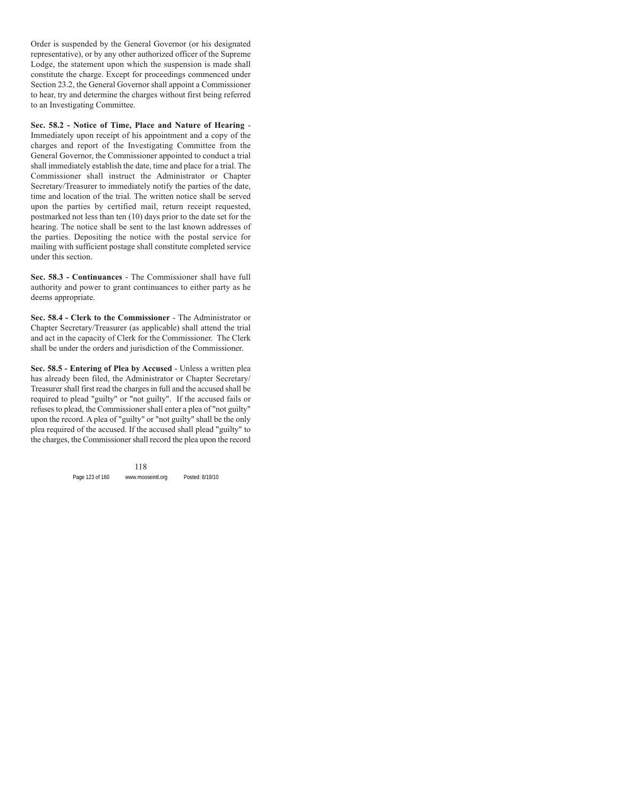Order is suspended by the General Governor (or his designated representative), or by any other authorized officer of the Supreme Lodge, the statement upon which the suspension is made shall constitute the charge. Except for proceedings commenced under Section 23.2, the General Governor shall appoint a Commissioner to hear, try and determine the charges without first being referred to an Investigating Committee.

**Sec. 58.2 - Notice of Time, Place and Nature of Hearing** - Immediately upon receipt of his appointment and a copy of the charges and report of the Investigating Committee from the General Governor, the Commissioner appointed to conduct a trial shall immediately establish the date, time and place for a trial. The Commissioner shall instruct the Administrator or Chapter Secretary/Treasurer to immediately notify the parties of the date, time and location of the trial. The written notice shall be served upon the parties by certified mail, return receipt requested, postmarked not less than ten (10) days prior to the date set for the hearing. The notice shall be sent to the last known addresses of the parties. Depositing the notice with the postal service for mailing with sufficient postage shall constitute completed service under this section.

**Sec. 58.3 - Continuances** - The Commissioner shall have full authority and power to grant continuances to either party as he deems appropriate.

**Sec. 58.4 - Clerk to the Commissioner** - The Administrator or Chapter Secretary/Treasurer (as applicable) shall attend the trial and act in the capacity of Clerk for the Commissioner. The Clerk shall be under the orders and jurisdiction of the Commissioner.

**Sec. 58.5 - Entering of Plea by Accused** - Unless a written plea has already been filed, the Administrator or Chapter Secretary/ Treasurer shall first read the charges in full and the accused shall be required to plead "guilty" or "not guilty". If the accused fails or refuses to plead, the Commissioner shall enter a plea of "not guilty" upon the record. A plea of "guilty" or "not guilty" shall be the only plea required of the accused. If the accused shall plead "guilty" to the charges, the Commissioner shall record the plea upon the record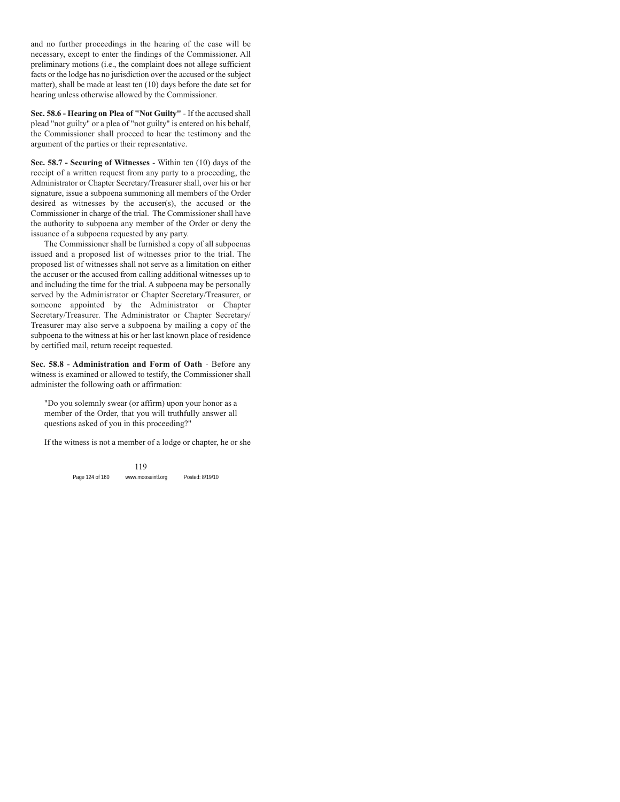and no further proceedings in the hearing of the case will be necessary, except to enter the findings of the Commissioner. All preliminary motions (i.e., the complaint does not allege sufficient facts or the lodge has no jurisdiction over the accused or the subject matter), shall be made at least ten (10) days before the date set for hearing unless otherwise allowed by the Commissioner.

**Sec. 58.6 - Hearing on Plea of "Not Guilty"** - If the accused shall plead "not guilty" or a plea of "not guilty" is entered on his behalf, the Commissioner shall proceed to hear the testimony and the argument of the parties or their representative.

**Sec. 58.7 - Securing of Witnesses** - Within ten (10) days of the receipt of a written request from any party to a proceeding, the Administrator or Chapter Secretary/Treasurer shall, over his or her signature, issue a subpoena summoning all members of the Order desired as witnesses by the accuser(s), the accused or the Commissioner in charge of the trial. The Commissioner shall have the authority to subpoena any member of the Order or deny the issuance of a subpoena requested by any party.

The Commissioner shall be furnished a copy of all subpoenas issued and a proposed list of witnesses prior to the trial. The proposed list of witnesses shall not serve as a limitation on either the accuser or the accused from calling additional witnesses up to and including the time for the trial. A subpoena may be personally served by the Administrator or Chapter Secretary/Treasurer, or someone appointed by the Administrator or Chapter Secretary/Treasurer. The Administrator or Chapter Secretary/ Treasurer may also serve a subpoena by mailing a copy of the subpoena to the witness at his or her last known place of residence by certified mail, return receipt requested.

**Sec. 58.8 - Administration and Form of Oath** - Before any witness is examined or allowed to testify, the Commissioner shall administer the following oath or affirmation:

"Do you solemnly swear (or affirm) upon your honor as a member of the Order, that you will truthfully answer all questions asked of you in this proceeding?"

If the witness is not a member of a lodge or chapter, he or she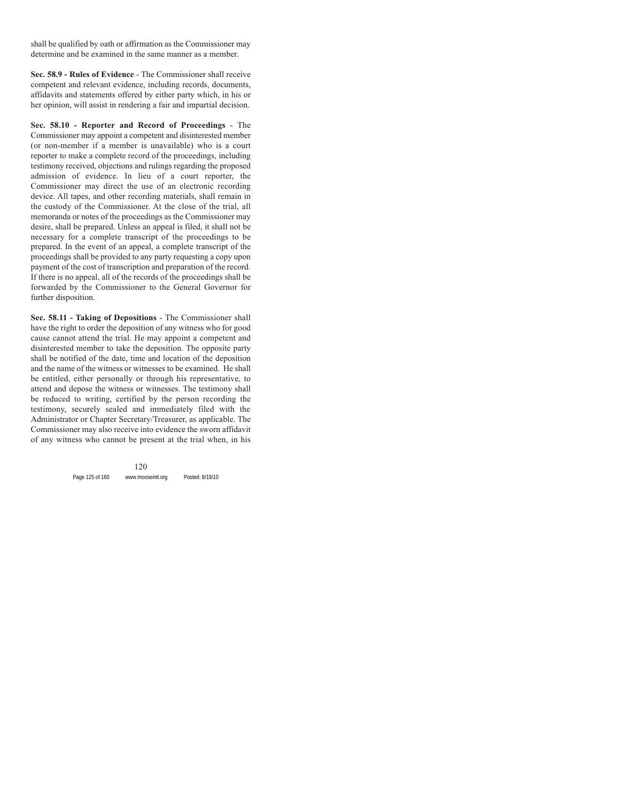shall be qualified by oath or affirmation as the Commissioner may determine and be examined in the same manner as a member.

**Sec. 58.9 - Rules of Evidence** - The Commissioner shall receive competent and relevant evidence, including records, documents, affidavits and statements offered by either party which, in his or her opinion, will assist in rendering a fair and impartial decision.

**Sec. 58.10 - Reporter and Record of Proceedings** - The Commissioner may appoint a competent and disinterested member (or non-member if a member is unavailable) who is a court reporter to make a complete record of the proceedings, including testimony received, objections and rulings regarding the proposed admission of evidence. In lieu of a court reporter, the Commissioner may direct the use of an electronic recording device. All tapes, and other recording materials, shall remain in the custody of the Commissioner. At the close of the trial, all memoranda or notes of the proceedings as the Commissioner may desire, shall be prepared. Unless an appeal is filed, it shall not be necessary for a complete transcript of the proceedings to be prepared. In the event of an appeal, a complete transcript of the proceedings shall be provided to any party requesting a copy upon payment of the cost of transcription and preparation of the record. If there is no appeal, all of the records of the proceedings shall be forwarded by the Commissioner to the General Governor for further disposition.

**Sec. 58.11 - Taking of Depositions** - The Commissioner shall have the right to order the deposition of any witness who for good cause cannot attend the trial. He may appoint a competent and disinterested member to take the deposition. The opposite party shall be notified of the date, time and location of the deposition and the name of the witness or witnesses to be examined. He shall be entitled, either personally or through his representative, to attend and depose the witness or witnesses. The testimony shall be reduced to writing, certified by the person recording the testimony, securely sealed and immediately filed with the Administrator or Chapter Secretary/Treasurer, as applicable. The Commissioner may also receive into evidence the sworn affidavit of any witness who cannot be present at the trial when, in his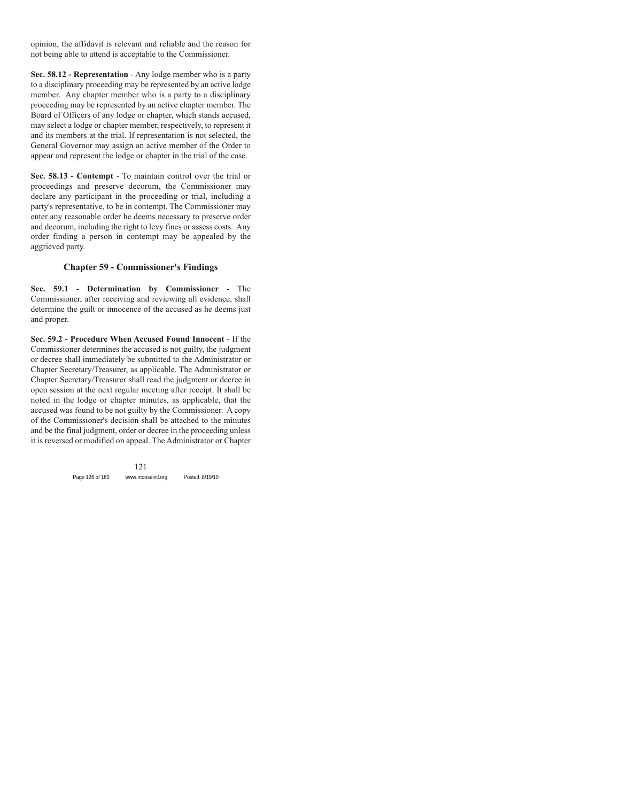opinion, the affidavit is relevant and reliable and the reason for not being able to attend is acceptable to the Commissioner.

**Sec. 58.12 - Representation** - Any lodge member who is a party to a disciplinary proceeding may be represented by an active lodge member. Any chapter member who is a party to a disciplinary proceeding may be represented by an active chapter member. The Board of Officers of any lodge or chapter, which stands accused, may select a lodge or chapter member, respectively, to represent it and its members at the trial. If representation is not selected, the General Governor may assign an active member of the Order to appear and represent the lodge or chapter in the trial of the case.

**Sec. 58.13 - Contempt** - To maintain control over the trial or proceedings and preserve decorum, the Commissioner may declare any participant in the proceeding or trial, including a party's representative, to be in contempt. The Commissioner may enter any reasonable order he deems necessary to preserve order and decorum, including the right to levy fines or assess costs. Any order finding a person in contempt may be appealed by the aggrieved party.

# **Chapter 59 - Commissioner's Findings**

**Sec. 59.1 - Determination by Commissioner** - The Commissioner, after receiving and reviewing all evidence, shall determine the guilt or innocence of the accused as he deems just and proper.

**Sec. 59.2 - Procedure When Accused Found Innocent** - If the Commissioner determines the accused is not guilty, the judgment or decree shall immediately be submitted to the Administrator or Chapter Secretary/Treasurer, as applicable. The Administrator or Chapter Secretary/Treasurer shall read the judgment or decree in open session at the next regular meeting after receipt. It shall be noted in the lodge or chapter minutes, as applicable, that the accused was found to be not guilty by the Commissioner. A copy of the Commissioner's decision shall be attached to the minutes and be the final judgment, order or decree in the proceeding unless it is reversed or modified on appeal. The Administrator or Chapter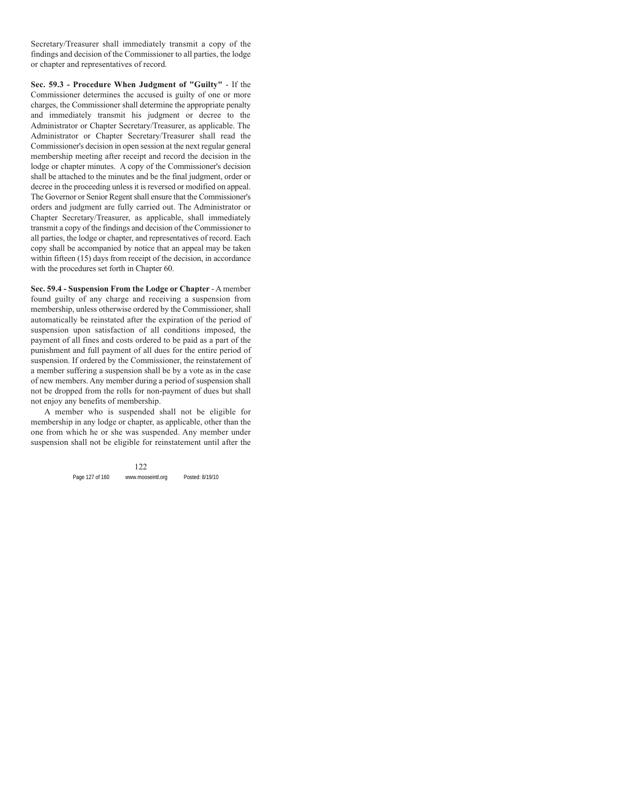Secretary/Treasurer shall immediately transmit a copy of the findings and decision of the Commissioner to all parties, the lodge or chapter and representatives of record.

**Sec. 59.3 - Procedure When Judgment of "Guilty"** - If the Commissioner determines the accused is guilty of one or more charges, the Commissioner shall determine the appropriate penalty and immediately transmit his judgment or decree to the Administrator or Chapter Secretary/Treasurer, as applicable. The Administrator or Chapter Secretary/Treasurer shall read the Commissioner's decision in open session at the next regular general membership meeting after receipt and record the decision in the lodge or chapter minutes. A copy of the Commissioner's decision shall be attached to the minutes and be the final judgment, order or decree in the proceeding unless it is reversed or modified on appeal. The Governor or Senior Regent shall ensure that the Commissioner's orders and judgment are fully carried out. The Administrator or Chapter Secretary/Treasurer, as applicable, shall immediately transmit a copy of the findings and decision of the Commissioner to all parties, the lodge or chapter, and representatives of record. Each copy shall be accompanied by notice that an appeal may be taken within fifteen (15) days from receipt of the decision, in accordance with the procedures set forth in Chapter 60.

**Sec. 59.4 - Suspension From the Lodge or Chapter** - A member found guilty of any charge and receiving a suspension from membership, unless otherwise ordered by the Commissioner, shall automatically be reinstated after the expiration of the period of suspension upon satisfaction of all conditions imposed, the payment of all fines and costs ordered to be paid as a part of the punishment and full payment of all dues for the entire period of suspension. If ordered by the Commissioner, the reinstatement of a member suffering a suspension shall be by a vote as in the case of new members. Any member during a period of suspension shall not be dropped from the rolls for non-payment of dues but shall not enjoy any benefits of membership.

A member who is suspended shall not be eligible for membership in any lodge or chapter, as applicable, other than the one from which he or she was suspended. Any member under suspension shall not be eligible for reinstatement until after the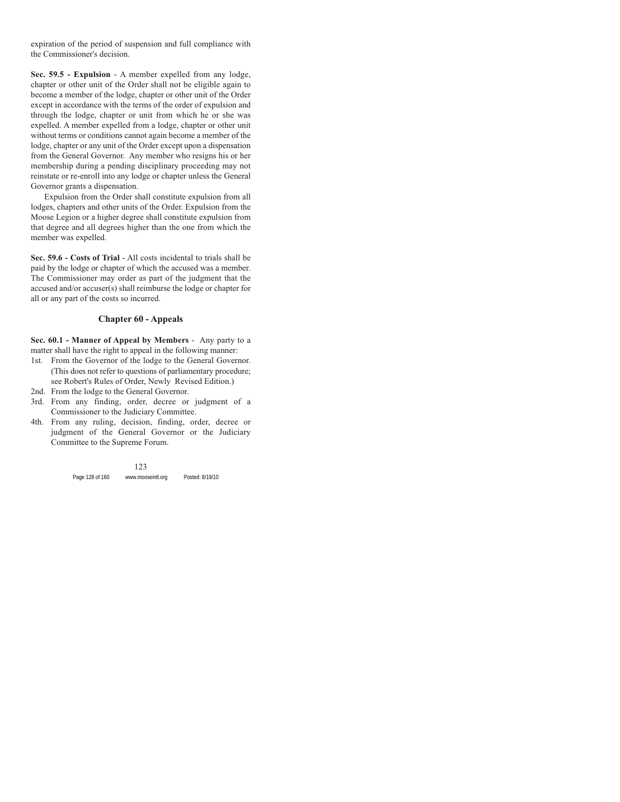expiration of the period of suspension and full compliance with the Commissioner's decision.

**Sec. 59.5 - Expulsion** - A member expelled from any lodge, chapter or other unit of the Order shall not be eligible again to become a member of the lodge, chapter or other unit of the Order except in accordance with the terms of the order of expulsion and through the lodge, chapter or unit from which he or she was expelled. A member expelled from a lodge, chapter or other unit without terms or conditions cannot again become a member of the lodge, chapter or any unit of the Order except upon a dispensation from the General Governor. Any member who resigns his or her membership during a pending disciplinary proceeding may not reinstate or re-enroll into any lodge or chapter unless the General Governor grants a dispensation.

Expulsion from the Order shall constitute expulsion from all lodges, chapters and other units of the Order. Expulsion from the Moose Legion or a higher degree shall constitute expulsion from that degree and all degrees higher than the one from which the member was expelled.

**Sec. 59.6 - Costs of Trial** - All costs incidental to trials shall be paid by the lodge or chapter of which the accused was a member. The Commissioner may order as part of the judgment that the accused and/or accuser(s) shall reimburse the lodge or chapter for all or any part of the costs so incurred.

## **Chapter 60 - Appeals**

**Sec. 60.1 - Manner of Appeal by Members** - Any party to a matter shall have the right to appeal in the following manner:

- 1st. From the Governor of the lodge to the General Governor. (This does not refer to questions of parliamentary procedure; see Robert's Rules of Order, Newly Revised Edition.)
- 2nd. From the lodge to the General Governor.
- 3rd. From any finding, order, decree or judgment of a Commissioner to the Judiciary Committee.
- 4th. From any ruling, decision, finding, order, decree or judgment of the General Governor or the Judiciary Committee to the Supreme Forum.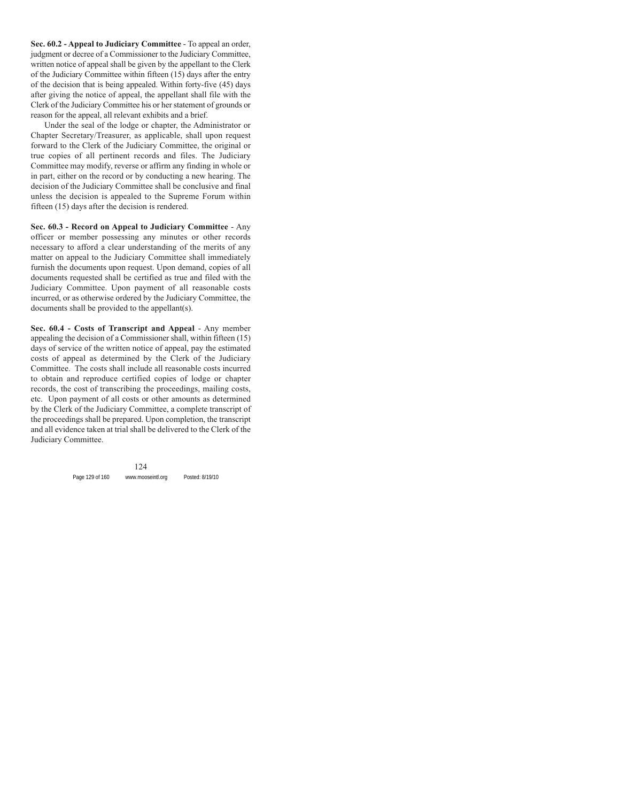**Sec. 60.2 - Appeal to Judiciary Committee** - To appeal an order, judgment or decree of a Commissioner to the Judiciary Committee, written notice of appeal shall be given by the appellant to the Clerk of the Judiciary Committee within fifteen (15) days after the entry of the decision that is being appealed. Within forty-five (45) days after giving the notice of appeal, the appellant shall file with the Clerk of the Judiciary Committee his or her statement of grounds or reason for the appeal, all relevant exhibits and a brief.

Under the seal of the lodge or chapter, the Administrator or Chapter Secretary/Treasurer, as applicable, shall upon request forward to the Clerk of the Judiciary Committee, the original or true copies of all pertinent records and files. The Judiciary Committee may modify, reverse or affirm any finding in whole or in part, either on the record or by conducting a new hearing. The decision of the Judiciary Committee shall be conclusive and final unless the decision is appealed to the Supreme Forum within fifteen (15) days after the decision is rendered.

**Sec. 60.3 - Record on Appeal to Judiciary Committee** - Any officer or member possessing any minutes or other records necessary to afford a clear understanding of the merits of any matter on appeal to the Judiciary Committee shall immediately furnish the documents upon request. Upon demand, copies of all documents requested shall be certified as true and filed with the Judiciary Committee. Upon payment of all reasonable costs incurred, or as otherwise ordered by the Judiciary Committee, the documents shall be provided to the appellant(s).

**Sec. 60.4 - Costs of Transcript and Appeal** - Any member appealing the decision of a Commissioner shall, within fifteen (15) days of service of the written notice of appeal, pay the estimated costs of appeal as determined by the Clerk of the Judiciary Committee. The costs shall include all reasonable costs incurred to obtain and reproduce certified copies of lodge or chapter records, the cost of transcribing the proceedings, mailing costs, etc. Upon payment of all costs or other amounts as determined by the Clerk of the Judiciary Committee, a complete transcript of the proceedings shall be prepared. Upon completion, the transcript and all evidence taken at trial shall be delivered to the Clerk of the Judiciary Committee.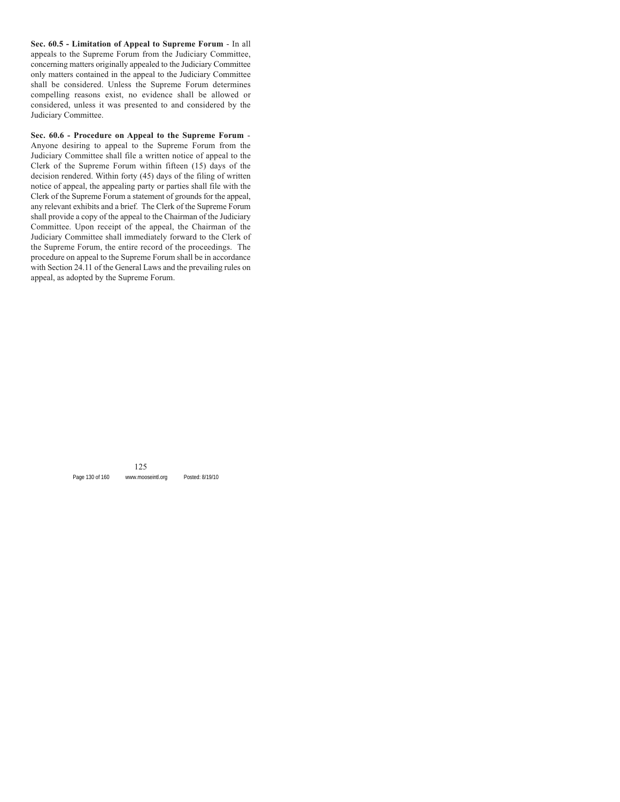**Sec. 60.5 - Limitation of Appeal to Supreme Forum** - In all appeals to the Supreme Forum from the Judiciary Committee, concerning matters originally appealed to the Judiciary Committee only matters contained in the appeal to the Judiciary Committee shall be considered. Unless the Supreme Forum determines compelling reasons exist, no evidence shall be allowed or considered, unless it was presented to and considered by the Judiciary Committee.

**Sec. 60.6 - Procedure on Appeal to the Supreme Forum** - Anyone desiring to appeal to the Supreme Forum from the Judiciary Committee shall file a written notice of appeal to the Clerk of the Supreme Forum within fifteen (15) days of the decision rendered. Within forty (45) days of the filing of written notice of appeal, the appealing party or parties shall file with the Clerk of the Supreme Forum a statement of grounds for the appeal, any relevant exhibits and a brief. The Clerk of the Supreme Forum shall provide a copy of the appeal to the Chairman of the Judiciary Committee. Upon receipt of the appeal, the Chairman of the Judiciary Committee shall immediately forward to the Clerk of the Supreme Forum, the entire record of the proceedings. The procedure on appeal to the Supreme Forum shall be in accordance with Section 24.11 of the General Laws and the prevailing rules on appeal, as adopted by the Supreme Forum.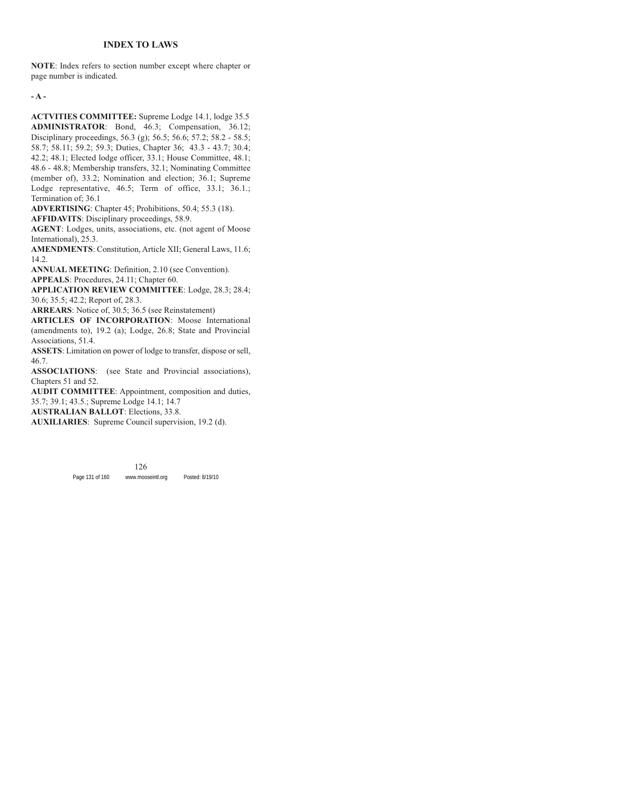### **INDEX TO LAWS**

**NOTE**: Index refers to section number except where chapter or page number is indicated.

**- A -**

**ACTVITIES COMMITTEE:** Supreme Lodge 14.1, lodge 35.5 **ADMINISTRATOR**: Bond, 46.3; Compensation, 36.12; Disciplinary proceedings, 56.3 (g); 56.5; 56.6; 57.2; 58.2 - 58.5; 58.7; 58.11; 59.2; 59.3; Duties, Chapter 36; 43.3 - 43.7; 30.4; 42.2; 48.1; Elected lodge officer, 33.1; House Committee, 48.1; 48.6 - 48.8; Membership transfers, 32.1; Nominating Committee (member of), 33.2; Nomination and election; 36.1; Supreme Lodge representative, 46.5; Term of office, 33.1; 36.1.; Termination of; 36.1

**ADVERTISING**: Chapter 45; Prohibitions, 50.4; 55.3 (18).

**AFFIDAVITS**: Disciplinary proceedings, 58.9.

**AGENT**: Lodges, units, associations, etc. (not agent of Moose International), 25.3.

**AMENDMENTS**: Constitution, Article XII; General Laws, 11.6; 14.2.

**ANNUAL MEETING**: Definition, 2.10 (see Convention).

**APPEALS**: Procedures, 24.11; Chapter 60.

**APPLICATION REVIEW COMMITTEE**: Lodge, 28.3; 28.4; 30.6; 35.5; 42.2; Report of, 28.3.

**ARREARS**: Notice of, 30.5; 36.5 (see Reinstatement)

**ARTICLES OF INCORPORATION**: Moose International (amendments to), 19.2 (a); Lodge, 26.8; State and Provincial Associations, 51.4.

**ASSETS**: Limitation on power of lodge to transfer, dispose or sell, 46.7.

**ASSOCIATIONS**: (see State and Provincial associations), Chapters 51 and 52.

**AUDIT COMMITTEE**: Appointment, composition and duties, 35.7; 39.1; 43.5.; Supreme Lodge 14.1; 14.7

**AUSTRALIAN BALLOT**: Elections, 33.8.

**AUXILIARIES**: Supreme Council supervision, 19.2 (d).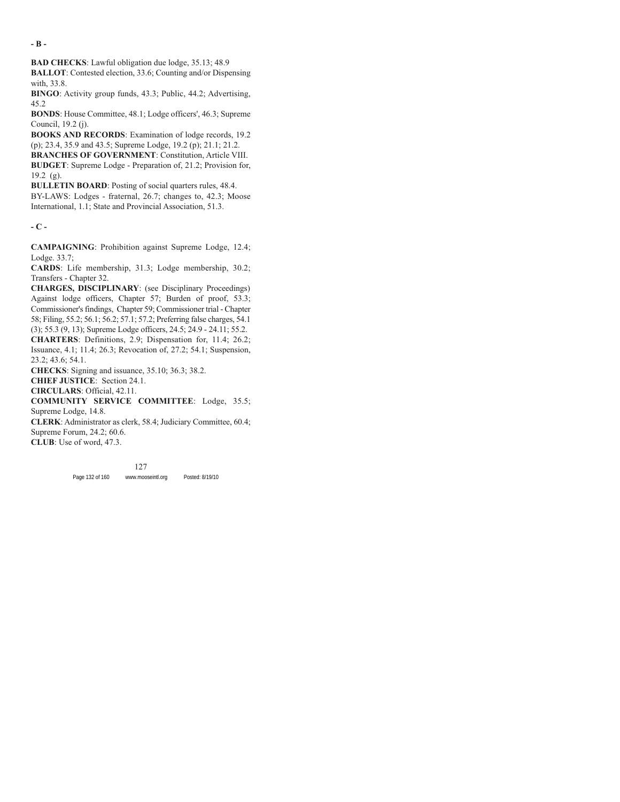**- B -**

**BAD CHECKS**: Lawful obligation due lodge, 35.13; 48.9

**BALLOT**: Contested election, 33.6; Counting and/or Dispensing with, 33.8.

**BINGO**: Activity group funds, 43.3; Public, 44.2; Advertising, 45.2

**BONDS**: House Committee, 48.1; Lodge officers', 46.3; Supreme Council, 19.2 (j).

**BOOKS AND RECORDS**: Examination of lodge records, 19.2 (p); 23.4, 35.9 and 43.5; Supreme Lodge, 19.2 (p); 21.1; 21.2.

**BRANCHES OF GOVERNMENT**: Constitution, Article VIII. **BUDGET**: Supreme Lodge - Preparation of, 21.2; Provision for,

 $19.2$  (g).

**BULLETIN BOARD:** Posting of social quarters rules, 48.4.

BY-LAWS: Lodges - fraternal, 26.7; changes to, 42.3; Moose International, 1.1; State and Provincial Association, 51.3.

**- C -**

**CAMPAIGNING**: Prohibition against Supreme Lodge, 12.4; Lodge. 33.7;

**CARDS**: Life membership, 31.3; Lodge membership, 30.2; Transfers - Chapter 32.

**CHARGES, DISCIPLINARY**: (see Disciplinary Proceedings) Against lodge officers, Chapter 57; Burden of proof, 53.3; Commissioner's findings, Chapter 59; Commissioner trial - Chapter 58; Filing, 55.2; 56.1; 56.2; 57.1; 57.2; Preferring false charges, 54.1 (3); 55.3 (9, 13); Supreme Lodge officers, 24.5; 24.9 - 24.11; 55.2.

**CHARTERS**: Definitions, 2.9; Dispensation for, 11.4; 26.2; Issuance, 4.1; 11.4; 26.3; Revocation of, 27.2; 54.1; Suspension, 23.2; 43.6; 54.1.

**CHECKS**: Signing and issuance, 35.10; 36.3; 38.2.

**CHIEF JUSTICE**: Section 24.1.

**CIRCULARS**: Official, 42.11.

**COMMUNITY SERVICE COMMITTEE**: Lodge, 35.5; Supreme Lodge, 14.8.

**CLERK**: Administrator as clerk, 58.4; Judiciary Committee, 60.4; Supreme Forum, 24.2; 60.6.

**CLUB**: Use of word, 47.3.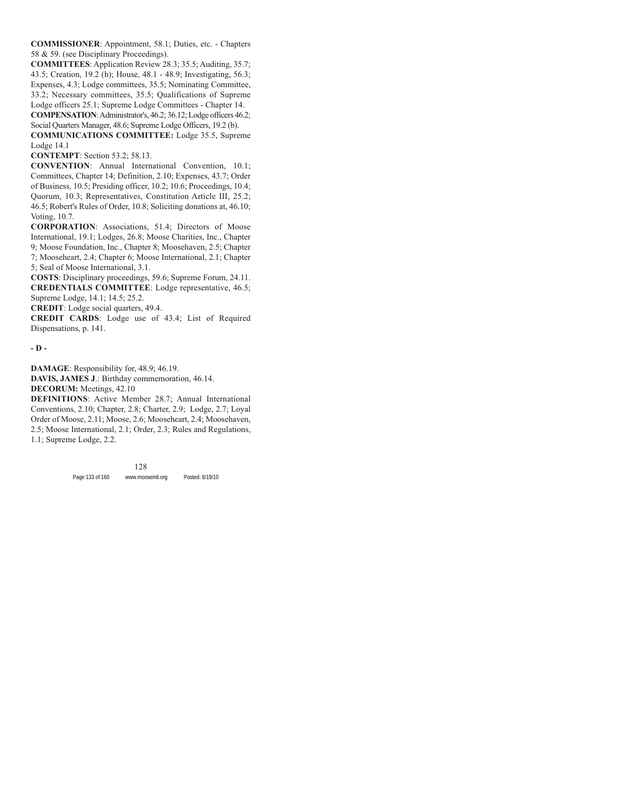**COMMISSIONER**: Appointment, 58.1; Duties, etc. - Chapters 58 & 59. (see Disciplinary Proceedings).

**COMMITTEES**: Application Review 28.3; 35.5; Auditing, 35.7; 43.5; Creation, 19.2 (h); House, 48.1 - 48.9; Investigating, 56.3; Expenses, 4.3; Lodge committees, 35.5; Nominating Committee, 33.2; Necessary committees, 35.5; Qualifications of Supreme Lodge officers 25.1; Supreme Lodge Committees - Chapter 14.

**COMPENSATION**: Administrator's, 46.2; 36.12; Lodge officers 46.2; Social Quarters Manager, 48.6; Supreme Lodge Officers, 19.2 (b).

**COMMUNICATIONS COMMITTEE:** Lodge 35.5, Supreme Lodge 14.1

**CONTEMPT**: Section 53.2; 58.13.

**CONVENTION**: Annual International Convention, 10.1; Committees, Chapter 14; Definition, 2.10; Expenses, 43.7; Order of Business, 10.5; Presiding officer, 10.2; 10.6; Proceedings, 10.4; Quorum, 10.3; Representatives, Constitution Article III, 25.2; 46.5; Robert's Rules of Order, 10.8; Soliciting donations at, 46.10; Voting, 10.7.

**CORPORATION**: Associations, 51.4; Directors of Moose International, 19.1; Lodges, 26.8; Moose Charities, Inc., Chapter 9; Moose Foundation, Inc., Chapter 8; Moosehaven, 2.5; Chapter 7; Mooseheart, 2.4; Chapter 6; Moose International, 2.1; Chapter 5; Seal of Moose International, 3.1.

**COSTS**: Disciplinary proceedings, 59.6; Supreme Forum, 24.11. **CREDENTIALS COMMITTEE**: Lodge representative, 46.5; Supreme Lodge, 14.1; 14.5; 25.2.

**CREDIT**: Lodge social quarters, 49.4.

**CREDIT CARDS**: Lodge use of 43.4; List of Required Dispensations, p. 141.

#### **- D -**

**DAMAGE**: Responsibility for, 48.9; 46.19.

**DAVIS, JAMES J**.: Birthday commemoration, 46.14.

**DECORUM:** Meetings, 42.10

**DEFINITIONS**: Active Member 28.7; Annual International Conventions, 2.10; Chapter, 2.8; Charter, 2.9; Lodge, 2.7; Loyal Order of Moose, 2.11; Moose, 2.6; Mooseheart, 2.4; Moosehaven, 2.5; Moose International, 2.1; Order, 2.3; Rules and Regulations, 1.1; Supreme Lodge, 2.2.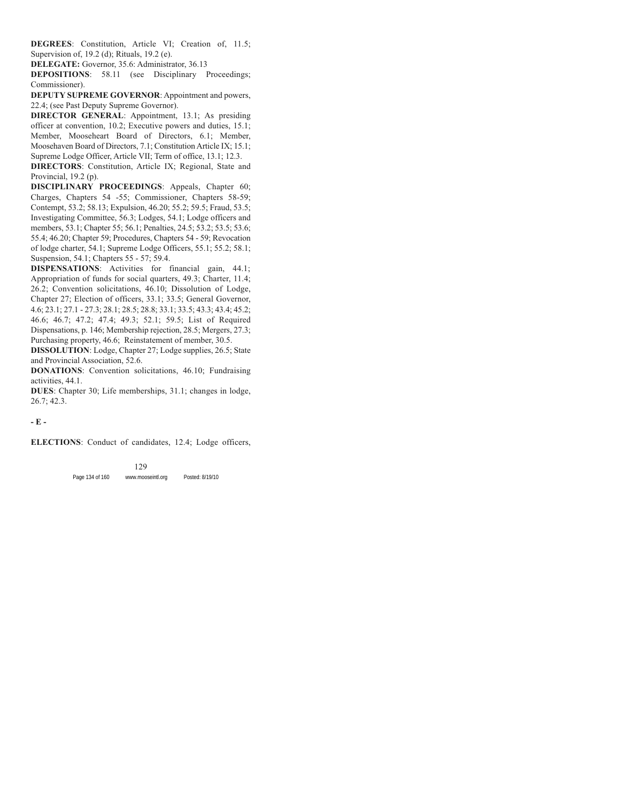**DEGREES**: Constitution, Article VI; Creation of, 11.5; Supervision of, 19.2 (d); Rituals, 19.2 (e).

**DELEGATE:** Governor, 35.6: Administrator, 36.13

**DEPOSITIONS**: 58.11 (see Disciplinary Proceedings; Commissioner).

**DEPUTY SUPREME GOVERNOR**: Appointment and powers, 22.4; (see Past Deputy Supreme Governor).

**DIRECTOR GENERAL**: Appointment, 13.1; As presiding officer at convention, 10.2; Executive powers and duties, 15.1; Member, Mooseheart Board of Directors, 6.1; Member, Moosehaven Board of Directors, 7.1; Constitution Article IX; 15.1; Supreme Lodge Officer, Article VII; Term of office, 13.1; 12.3.

**DIRECTORS**: Constitution, Article IX; Regional, State and Provincial, 19.2 (p).

**DISCIPLINARY PROCEEDINGS**: Appeals, Chapter 60; Charges, Chapters 54 -55; Commissioner, Chapters 58-59; Contempt, 53.2; 58.13; Expulsion, 46.20; 55.2; 59.5; Fraud, 53.5; Investigating Committee, 56.3; Lodges, 54.1; Lodge officers and members, 53.1; Chapter 55; 56.1; Penalties, 24.5; 53.2; 53.5; 53.6; 55.4; 46.20; Chapter 59; Procedures, Chapters 54 - 59; Revocation of lodge charter, 54.1; Supreme Lodge Officers, 55.1; 55.2; 58.1; Suspension, 54.1; Chapters 55 - 57; 59.4.

**DISPENSATIONS**: Activities for financial gain, 44.1; Appropriation of funds for social quarters, 49.3; Charter, 11.4; 26.2; Convention solicitations, 46.10; Dissolution of Lodge, Chapter 27; Election of officers, 33.1; 33.5; General Governor, 4.6; 23.1; 27.1 - 27.3; 28.1; 28.5; 28.8; 33.1; 33.5; 43.3; 43.4; 45.2; 46.6; 46.7; 47.2; 47.4; 49.3; 52.1; 59.5; List of Required Dispensations, p. 146; Membership rejection, 28.5; Mergers, 27.3; Purchasing property, 46.6; Reinstatement of member, 30.5.

**DISSOLUTION**: Lodge, Chapter 27; Lodge supplies, 26.5; State and Provincial Association, 52.6.

**DONATIONS**: Convention solicitations, 46.10; Fundraising activities, 44.1.

**DUES**: Chapter 30; Life memberships, 31.1; changes in lodge, 26.7; 42.3.

**- E -**

**ELECTIONS**: Conduct of candidates, 12.4; Lodge officers,

Page 134 of 160 www.mooseintl.org Posted: 8/19/10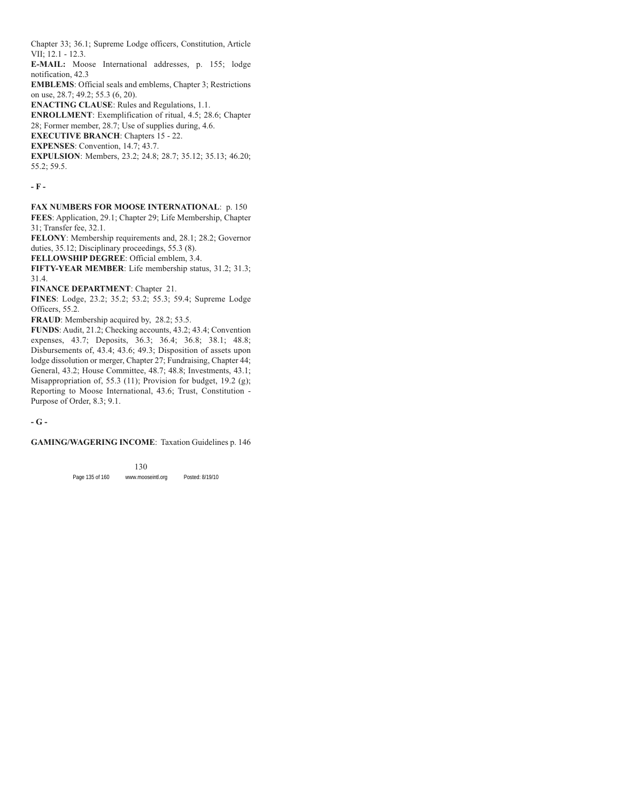Chapter 33; 36.1; Supreme Lodge officers, Constitution, Article VII; 12.1 - 12.3.

**E-MAIL:** Moose International addresses, p. 155; lodge notification, 42.3

**EMBLEMS**: Official seals and emblems, Chapter 3; Restrictions on use, 28.7; 49.2; 55.3 (6, 20).

**ENACTING CLAUSE**: Rules and Regulations, 1.1.

**ENROLLMENT**: Exemplification of ritual, 4.5; 28.6; Chapter 28; Former member, 28.7; Use of supplies during, 4.6.

**EXECUTIVE BRANCH**: Chapters 15 - 22.

**EXPENSES**: Convention, 14.7; 43.7.

**EXPULSION**: Members, 23.2; 24.8; 28.7; 35.12; 35.13; 46.20; 55.2; 59.5.

**- F -**

**FAX NUMBERS FOR MOOSE INTERNATIONAL**: p. 150 **FEES**: Application, 29.1; Chapter 29; Life Membership, Chapter 31; Transfer fee, 32.1.

**FELONY**: Membership requirements and, 28.1; 28.2; Governor duties, 35.12; Disciplinary proceedings, 55.3 (8).

**FELLOWSHIP DEGREE**: Official emblem, 3.4.

**FIFTY-YEAR MEMBER**: Life membership status, 31.2; 31.3; 31.4.

**FINANCE DEPARTMENT**: Chapter 21.

**FINES**: Lodge, 23.2; 35.2; 53.2; 55.3; 59.4; Supreme Lodge Officers, 55.2.

**FRAUD**: Membership acquired by, 28.2; 53.5.

**FUNDS**: Audit, 21.2; Checking accounts, 43.2; 43.4; Convention expenses, 43.7; Deposits, 36.3; 36.4; 36.8; 38.1; 48.8; Disbursements of, 43.4; 43.6; 49.3; Disposition of assets upon lodge dissolution or merger, Chapter 27; Fundraising, Chapter 44; General, 43.2; House Committee, 48.7; 48.8; Investments, 43.1; Misappropriation of, 55.3 (11); Provision for budget, 19.2 (g); Reporting to Moose International, 43.6; Trust, Constitution - Purpose of Order, 8.3; 9.1.

**- G -**

**GAMING/WAGERING INCOME**: Taxation Guidelines p. 146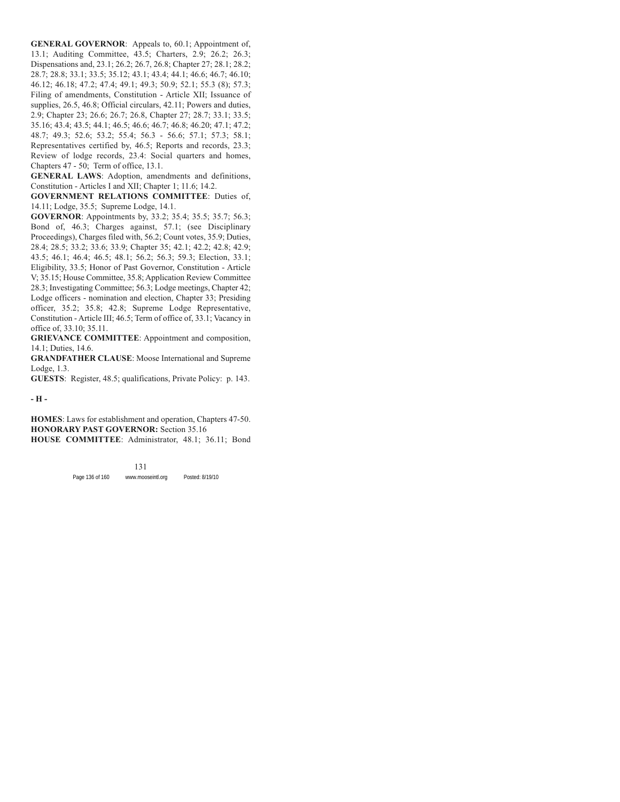**GENERAL GOVERNOR**: Appeals to, 60.1; Appointment of, 13.1; Auditing Committee, 43.5; Charters, 2.9; 26.2; 26.3; Dispensations and, 23.1; 26.2; 26.7, 26.8; Chapter 27; 28.1; 28.2; 28.7; 28.8; 33.1; 33.5; 35.12; 43.1; 43.4; 44.1; 46.6; 46.7; 46.10; 46.12; 46.18; 47.2; 47.4; 49.1; 49.3; 50.9; 52.1; 55.3 (8); 57.3; Filing of amendments, Constitution - Article XII; Issuance of supplies, 26.5, 46.8; Official circulars, 42.11; Powers and duties, 2.9; Chapter 23; 26.6; 26.7; 26.8, Chapter 27; 28.7; 33.1; 33.5; 35.16; 43.4; 43.5; 44.1; 46.5; 46.6; 46.7; 46.8; 46.20; 47.1; 47.2; 48.7; 49.3; 52.6; 53.2; 55.4; 56.3 - 56.6; 57.1; 57.3; 58.1; Representatives certified by, 46.5; Reports and records, 23.3; Review of lodge records, 23.4: Social quarters and homes, Chapters 47 - 50; Term of office, 13.1.

**GENERAL LAWS**: Adoption, amendments and definitions, Constitution - Articles I and XII; Chapter 1; 11.6; 14.2.

**GOVERNMENT RELATIONS COMMITTEE**: Duties of, 14.11; Lodge, 35.5; Supreme Lodge, 14.1.

**GOVERNOR**: Appointments by, 33.2; 35.4; 35.5; 35.7; 56.3; Bond of, 46.3; Charges against, 57.1; (see Disciplinary Proceedings), Charges filed with, 56.2; Count votes, 35.9; Duties, 28.4; 28.5; 33.2; 33.6; 33.9; Chapter 35; 42.1; 42.2; 42.8; 42.9; 43.5; 46.1; 46.4; 46.5; 48.1; 56.2; 56.3; 59.3; Election, 33.1; Eligibility, 33.5; Honor of Past Governor, Constitution - Article V; 35.15; House Committee, 35.8; Application Review Committee 28.3; Investigating Committee; 56.3; Lodge meetings, Chapter 42; Lodge officers - nomination and election, Chapter 33; Presiding officer, 35.2; 35.8; 42.8; Supreme Lodge Representative, Constitution - Article III; 46.5; Term of office of, 33.1; Vacancy in office of, 33.10; 35.11.

**GRIEVANCE COMMITTEE**: Appointment and composition, 14.1; Duties, 14.6.

**GRANDFATHER CLAUSE**: Moose International and Supreme Lodge, 1.3.

**GUESTS**: Register, 48.5; qualifications, Private Policy: p. 143.

**- H -**

**HOMES**: Laws for establishment and operation, Chapters 47-50. **HONORARY PAST GOVERNOR:** Section 35.16

**HOUSE COMMITTEE**: Administrator, 48.1; 36.11; Bond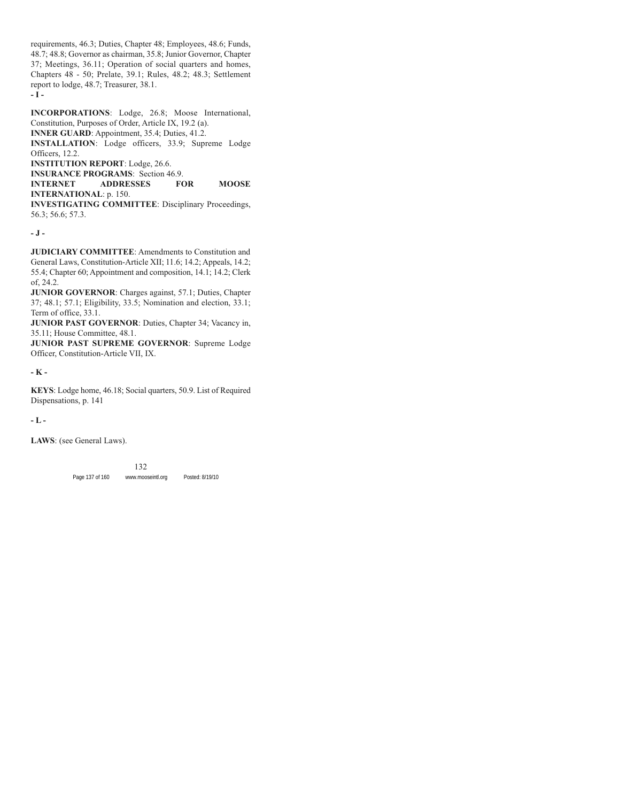requirements, 46.3; Duties, Chapter 48; Employees, 48.6; Funds, 48.7; 48.8; Governor as chairman, 35.8; Junior Governor, Chapter 37; Meetings, 36.11; Operation of social quarters and homes, Chapters 48 - 50; Prelate, 39.1; Rules, 48.2; 48.3; Settlement report to lodge, 48.7; Treasurer, 38.1. **- I -**

**INCORPORATIONS**: Lodge, 26.8; Moose International, Constitution, Purposes of Order, Article IX, 19.2 (a).

**INNER GUARD**: Appointment, 35.4; Duties, 41.2.

**INSTALLATION**: Lodge officers, 33.9; Supreme Lodge Officers, 12.2.

**INSTITUTION REPORT**: Lodge, 26.6.

**INSURANCE PROGRAMS**: Section 46.9.

**INTERNET ADDRESSES FOR MOOSE INTERNATIONAL**: p. 150.

**INVESTIGATING COMMITTEE**: Disciplinary Proceedings, 56.3; 56.6; 57.3.

### **- J -**

**JUDICIARY COMMITTEE:** Amendments to Constitution and General Laws, Constitution-Article XII; 11.6; 14.2; Appeals, 14.2; 55.4; Chapter 60; Appointment and composition, 14.1; 14.2; Clerk of, 24.2.

**JUNIOR GOVERNOR**: Charges against, 57.1; Duties, Chapter 37; 48.1; 57.1; Eligibility, 33.5; Nomination and election, 33.1; Term of office, 33.1.

**JUNIOR PAST GOVERNOR**: Duties, Chapter 34; Vacancy in, 35.11; House Committee, 48.1.

**JUNIOR PAST SUPREME GOVERNOR**: Supreme Lodge Officer, Constitution-Article VII, IX.

# **- K -**

**KEYS**: Lodge home, 46.18; Social quarters, 50.9. List of Required Dispensations, p. 141

**- L -**

**LAWS**: (see General Laws).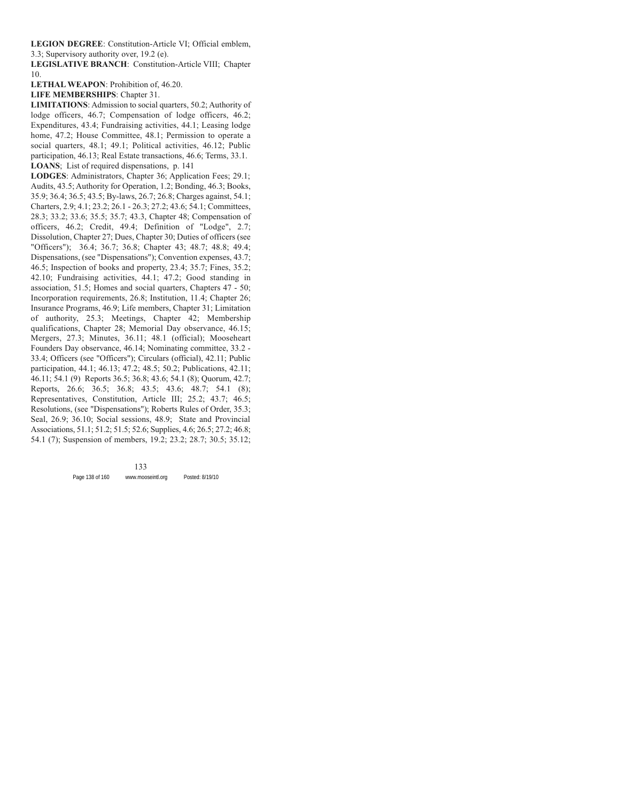**LEGION DEGREE**: Constitution-Article VI; Official emblem, 3.3; Supervisory authority over, 19.2 (e).

**LEGISLATIVE BRANCH**: Constitution-Article VIII; Chapter 10.

**LETHAL WEAPON**: Prohibition of, 46.20.

**LIFE MEMBERSHIPS**: Chapter 31.

**LIMITATIONS**: Admission to social quarters, 50.2; Authority of lodge officers, 46.7; Compensation of lodge officers, 46.2; Expenditures, 43.4; Fundraising activities, 44.1; Leasing lodge home, 47.2; House Committee, 48.1; Permission to operate a social quarters, 48.1; 49.1; Political activities, 46.12; Public participation, 46.13; Real Estate transactions, 46.6; Terms, 33.1. **LOANS**; List of required dispensations, p. 141

**LODGES**: Administrators, Chapter 36; Application Fees; 29.1; Audits, 43.5; Authority for Operation, 1.2; Bonding, 46.3; Books, 35.9; 36.4; 36.5; 43.5; By-laws, 26.7; 26.8; Charges against, 54.1; Charters, 2.9; 4.1; 23.2; 26.1 - 26.3; 27.2; 43.6; 54.1; Committees, 28.3; 33.2; 33.6; 35.5; 35.7; 43.3, Chapter 48; Compensation of officers, 46.2; Credit, 49.4; Definition of "Lodge", 2.7; Dissolution, Chapter 27; Dues, Chapter 30; Duties of officers (see "Officers"); 36.4; 36.7; 36.8; Chapter 43; 48.7; 48.8; 49.4; Dispensations, (see "Dispensations"); Convention expenses, 43.7; 46.5; Inspection of books and property, 23.4; 35.7; Fines, 35.2; 42.10; Fundraising activities, 44.1; 47.2; Good standing in association, 51.5; Homes and social quarters, Chapters 47 - 50; Incorporation requirements, 26.8; Institution, 11.4; Chapter 26; Insurance Programs, 46.9; Life members, Chapter 31; Limitation of authority, 25.3; Meetings, Chapter 42; Membership qualifications, Chapter 28; Memorial Day observance, 46.15; Mergers, 27.3; Minutes, 36.11; 48.1 (official); Mooseheart Founders Day observance, 46.14; Nominating committee, 33.2 - 33.4; Officers (see "Officers"); Circulars (official), 42.11; Public participation, 44.1; 46.13; 47.2; 48.5; 50.2; Publications, 42.11; 46.11; 54.1 (9) Reports 36.5; 36.8; 43.6; 54.1 (8); Quorum, 42.7; Reports, 26.6; 36.5; 36.8; 43.5; 43.6; 48.7; 54.1 (8); Representatives, Constitution, Article III; 25.2; 43.7; 46.5; Resolutions, (see "Dispensations"); Roberts Rules of Order, 35.3; Seal, 26.9; 36.10; Social sessions, 48.9; State and Provincial Associations, 51.1; 51.2; 51.5; 52.6; Supplies, 4.6; 26.5; 27.2; 46.8; 54.1 (7); Suspension of members, 19.2; 23.2; 28.7; 30.5; 35.12;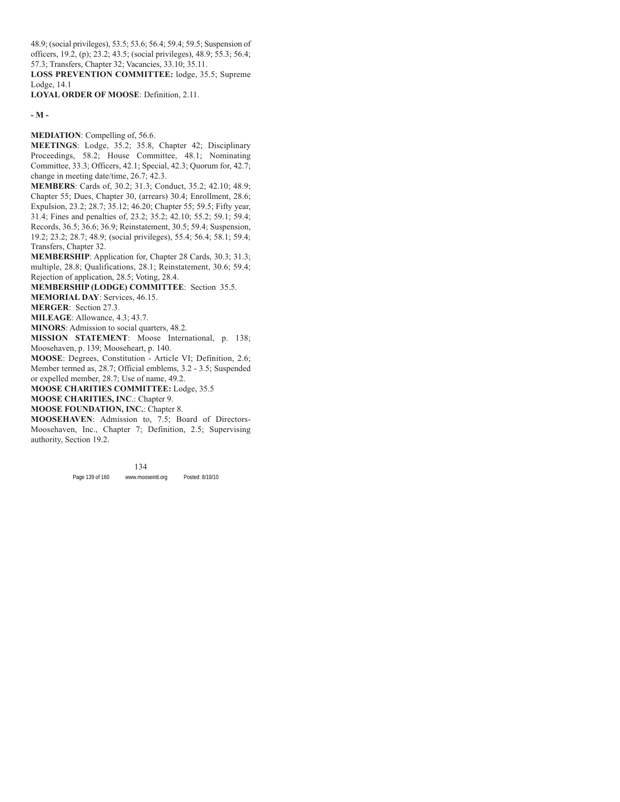48.9; (social privileges), 53.5; 53.6; 56.4; 59.4; 59.5; Suspension of officers, 19.2, (p); 23.2; 43.5; (social privileges), 48.9; 55.3; 56.4; 57.3; Transfers, Chapter 32; Vacancies, 33.10; 35.11.

**LOSS PREVENTION COMMITTEE:** lodge, 35.5; Supreme Lodge, 14.1

**LOYAL ORDER OF MOOSE**: Definition, 2.11.

**- M -**

**MEDIATION**: Compelling of, 56.6.

**MEETINGS**: Lodge, 35.2; 35.8, Chapter 42; Disciplinary Proceedings, 58.2; House Committee, 48.1; Nominating Committee, 33.3; Officers, 42.1; Special, 42.3; Quorum for, 42.7; change in meeting date/time, 26.7; 42.3.

**MEMBERS**: Cards of, 30.2; 31.3; Conduct, 35.2; 42.10; 48.9; Chapter 55; Dues, Chapter 30, (arrears) 30.4; Enrollment, 28.6; Expulsion, 23.2; 28.7; 35.12; 46.20; Chapter 55; 59.5; Fifty year, 31.4; Fines and penalties of, 23.2; 35.2; 42.10; 55.2; 59.1; 59.4; Records, 36.5; 36.6; 36.9; Reinstatement, 30.5; 59.4; Suspension, 19.2; 23.2; 28.7; 48.9; (social privileges), 55.4; 56.4; 58.1; 59.4; Transfers, Chapter 32.

**MEMBERSHIP**: Application for, Chapter 28 Cards, 30.3; 31.3; multiple, 28.8; Qualifications, 28.1; Reinstatement, 30.6; 59.4; Rejection of application, 28.5; Voting, 28.4.

**MEMBERSHIP (LODGE) COMMITTEE**: Section 35.5.

**MEMORIAL DAY**: Services, 46.15.

**MERGER**: Section 27.3.

**MILEAGE**: Allowance, 4.3; 43.7.

**MINORS**: Admission to social quarters, 48.2.

**MISSION STATEMENT**: Moose International, p. 138; Moosehaven, p. 139; Mooseheart, p. 140.

**MOOSE**: Degrees, Constitution - Article VI; Definition, 2.6; Member termed as, 28.7; Official emblems, 3.2 - 3.5; Suspended or expelled member, 28.7; Use of name, 49.2.

**MOOSE CHARITIES COMMITTEE:** Lodge, 35.5

**MOOSE CHARITIES, INC**.: Chapter 9.

**MOOSE FOUNDATION, INC.**: Chapter 8.

**MOOSEHAVEN**: Admission to, 7.5; Board of Directors-Moosehaven, Inc., Chapter 7; Definition, 2.5; Supervising authority, Section 19.2.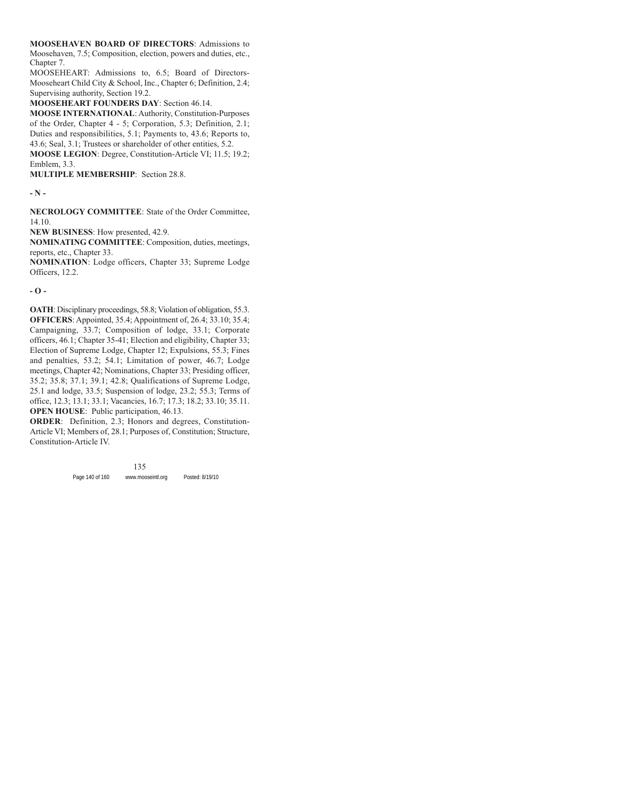**MOOSEHAVEN BOARD OF DIRECTORS**: Admissions to Moosehaven, 7.5; Composition, election, powers and duties, etc., Chapter 7.

MOOSEHEART: Admissions to, 6.5; Board of Directors-Mooseheart Child City & School, Inc., Chapter 6; Definition, 2.4; Supervising authority, Section 19.2.

**MOOSEHEART FOUNDERS DAY**: Section 46.14.

**MOOSE INTERNATIONAL**: Authority, Constitution-Purposes of the Order, Chapter 4 - 5; Corporation, 5.3; Definition, 2.1; Duties and responsibilities, 5.1; Payments to, 43.6; Reports to, 43.6; Seal, 3.1; Trustees or shareholder of other entities, 5.2.

**MOOSE LEGION**: Degree, Constitution-Article VI; 11.5; 19.2; Emblem, 3.3.

**MULTIPLE MEMBERSHIP**: Section 28.8.

**- N -**

**NECROLOGY COMMITTEE**: State of the Order Committee, 14.10.

**NEW BUSINESS**: How presented, 42.9.

**NOMINATING COMMITTEE**: Composition, duties, meetings, reports, etc., Chapter 33.

**NOMINATION**: Lodge officers, Chapter 33; Supreme Lodge Officers, 12.2.

**- O -**

**OATH**: Disciplinary proceedings, 58.8; Violation of obligation, 55.3. **OFFICERS**: Appointed, 35.4; Appointment of, 26.4; 33.10; 35.4; Campaigning, 33.7; Composition of lodge, 33.1; Corporate officers, 46.1; Chapter 35-41; Election and eligibility, Chapter 33; Election of Supreme Lodge, Chapter 12; Expulsions, 55.3; Fines and penalties, 53.2; 54.1; Limitation of power, 46.7; Lodge meetings, Chapter 42; Nominations, Chapter 33; Presiding officer, 35.2; 35.8; 37.1; 39.1; 42.8; Qualifications of Supreme Lodge, 25.1 and lodge, 33.5; Suspension of lodge, 23.2; 55.3; Terms of office, 12.3; 13.1; 33.1; Vacancies, 16.7; 17.3; 18.2; 33.10; 35.11. **OPEN HOUSE**: Public participation, 46.13.

**ORDER**: Definition, 2.3; Honors and degrees, Constitution-Article VI; Members of, 28.1; Purposes of, Constitution; Structure, Constitution-Article IV.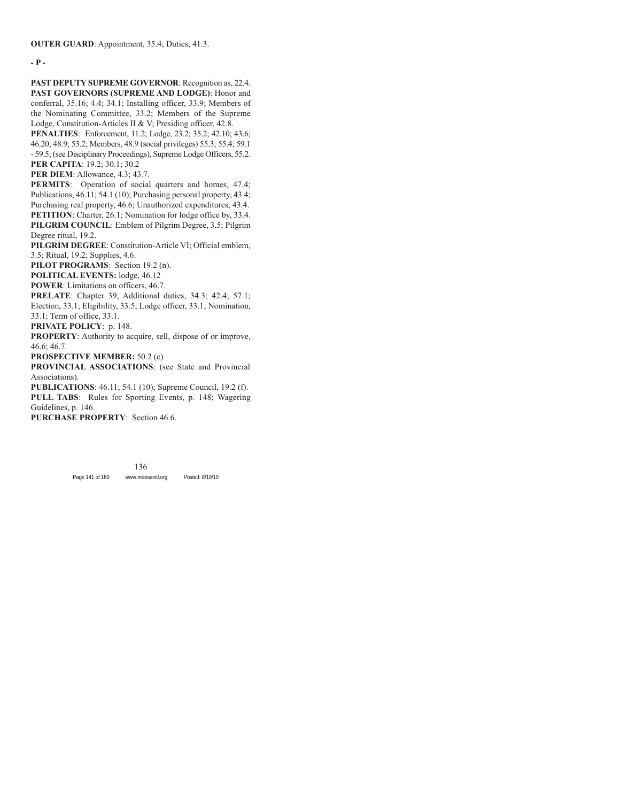**- P -**

**PAST DEPUTY SUPREME GOVERNOR**: Recognition as, 22.4. **PAST GOVERNORS (SUPREME AND LODGE)**: Honor and conferral, 35.16; 4.4; 34.1; Installing officer, 33.9; Members of the Nominating Committee, 33.2; Members of the Supreme Lodge, Constitution-Articles II & V; Presiding officer, 42.8.

**PENALTIES**: Enforcement, 11.2; Lodge, 23.2; 35.2; 42.10; 43.6; 46.20; 48.9; 53.2; Members, 48.9 (social privileges) 55.3; 55.4; 59.1 - 59.5; (see Disciplinary Proceedings), Supreme Lodge Officers, 55.2. **PER CAPITA**: 19.2; 30.1; 30.2

**PER DIEM**: Allowance, 4.3; 43.7.

**PERMITS:** Operation of social quarters and homes, 47.4; Publications, 46.11; 54.1 (10); Purchasing personal property, 43.4; Purchasing real property, 46.6; Unauthorized expenditures, 43.4. **PETITION**: Charter, 26.1; Nomination for lodge office by, 33.4. **PILGRIM COUNCIL**: Emblem of Pilgrim Degree, 3.5; Pilgrim Degree ritual, 19.2.

**PILGRIM DEGREE**: Constitution-Article VI; Official emblem, 3.5; Ritual, 19.2; Supplies, 4.6.

**PILOT PROGRAMS**: Section 19.2 (n).

**POLITICAL EVENTS:** lodge, 46.12

**POWER**: Limitations on officers, 46.7.

**PRELATE**: Chapter 39; Additional duties, 34.3; 42.4; 57.1; Election, 33.1; Eligibility, 33.5; Lodge officer, 33.1; Nomination, 33.1; Term of office, 33.1.

**PRIVATE POLICY**: p. 148.

**PROPERTY**: Authority to acquire, sell, dispose of or improve, 46.6; 46.7.

**PROSPECTIVE MEMBER:** 50.2 (c)

**PROVINCIAL ASSOCIATIONS**: (see State and Provincial Associations).

**PUBLICATIONS**: 46.11; 54.1 (10); Supreme Council, 19.2 (f).

**PULL TABS**: Rules for Sporting Events, p. 148; Wagering Guidelines, p. 146.

**PURCHASE PROPERTY**: Section 46.6.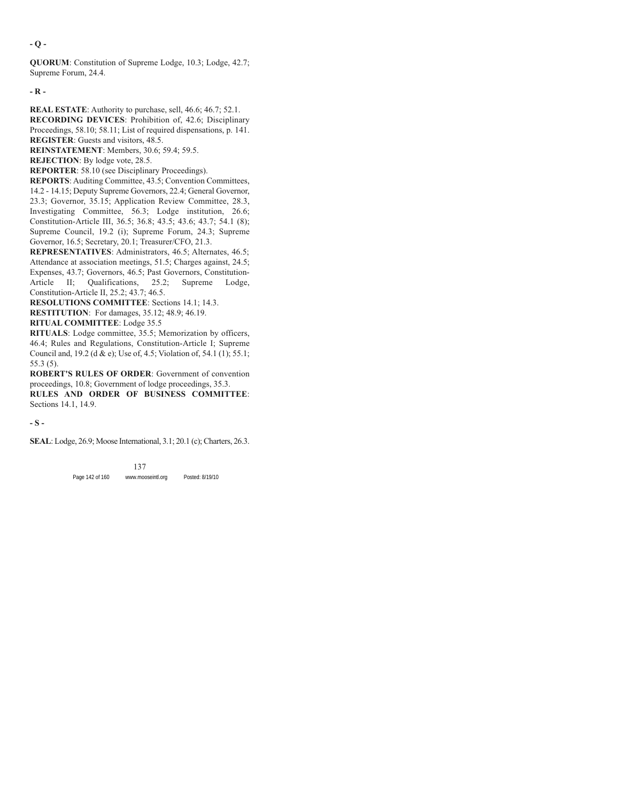**- Q -**

**QUORUM**: Constitution of Supreme Lodge, 10.3; Lodge, 42.7; Supreme Forum, 24.4.

**- R -**

**REAL ESTATE**: Authority to purchase, sell, 46.6; 46.7; 52.1.

**RECORDING DEVICES**: Prohibition of, 42.6; Disciplinary Proceedings, 58.10; 58.11; List of required dispensations, p. 141. **REGISTER**: Guests and visitors, 48.5.

**REINSTATEMENT**: Members, 30.6; 59.4; 59.5.

**REJECTION**: By lodge vote, 28.5.

**REPORTER**: 58.10 (see Disciplinary Proceedings).

**REPORTS**: Auditing Committee, 43.5; Convention Committees, 14.2 - 14.15; Deputy Supreme Governors, 22.4; General Governor, 23.3; Governor, 35.15; Application Review Committee, 28.3, Investigating Committee, 56.3; Lodge institution, 26.6; Constitution-Article III, 36.5; 36.8; 43.5; 43.6; 43.7; 54.1 (8); Supreme Council, 19.2 (i); Supreme Forum, 24.3; Supreme Governor, 16.5; Secretary, 20.1; Treasurer/CFO, 21.3.

**REPRESENTATIVES**: Administrators, 46.5; Alternates, 46.5; Attendance at association meetings, 51.5; Charges against, 24.5; Expenses, 43.7; Governors, 46.5; Past Governors, Constitution-Article II; Qualifications, 25.2; Supreme Lodge, Constitution-Article II, 25.2; 43.7; 46.5.

**RESOLUTIONS COMMITTEE**: Sections 14.1; 14.3.

**RESTITUTION**: For damages, 35.12; 48.9; 46.19.

**RITUAL COMMITTEE**: Lodge 35.5

**RITUALS**: Lodge committee, 35.5; Memorization by officers, 46.4; Rules and Regulations, Constitution-Article I; Supreme Council and, 19.2 (d & e); Use of, 4.5; Violation of, 54.1 (1); 55.1; 55.3 (5).

**ROBERT'S RULES OF ORDER**: Government of convention proceedings, 10.8; Government of lodge proceedings, 35.3.

**RULES AND ORDER OF BUSINESS COMMITTEE**: Sections 14.1, 14.9.

**- S -**

**SEAL**: Lodge, 26.9; Moose International, 3.1; 20.1 (c); Charters, 26.3.

Page 142 of 160 www.mooseintl.org Posted: 8/19/10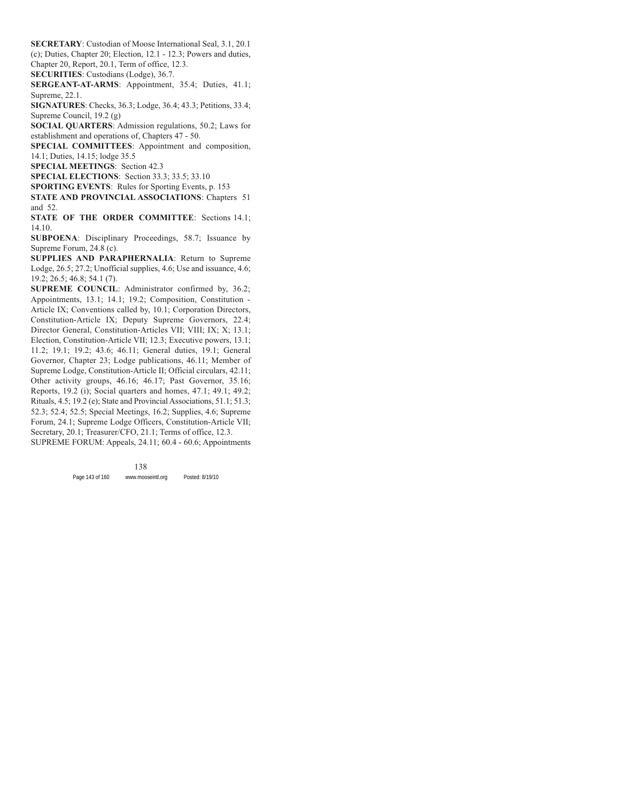**SECRETARY**: Custodian of Moose International Seal, 3.1, 20.1 (c); Duties, Chapter 20; Election, 12.1 - 12.3; Powers and duties, Chapter 20, Report, 20.1, Term of office, 12.3.

**SECURITIES**: Custodians (Lodge), 36.7.

**SERGEANT-AT-ARMS**: Appointment, 35.4; Duties, 41.1; Supreme, 22.1.

**SIGNATURES**: Checks, 36.3; Lodge, 36.4; 43.3; Petitions, 33.4; Supreme Council, 19.2 (g)

**SOCIAL QUARTERS**: Admission regulations, 50.2; Laws for establishment and operations of, Chapters 47 - 50.

**SPECIAL COMMITTEES**: Appointment and composition, 14.1; Duties, 14.15; lodge 35.5

**SPECIAL MEETINGS**: Section 42.3

**SPECIAL ELECTIONS**: Section 33.3; 33.5; 33.10

**SPORTING EVENTS**: Rules for Sporting Events, p. 153

**STATE AND PROVINCIAL ASSOCIATIONS**: Chapters 51 and 52.

**STATE OF THE ORDER COMMITTEE**: Sections 14.1; 14.10.

**SUBPOENA**: Disciplinary Proceedings, 58.7; Issuance by Supreme Forum, 24.8 (c).

**SUPPLIES AND PARAPHERNALIA**: Return to Supreme Lodge, 26.5; 27.2; Unofficial supplies, 4.6; Use and issuance, 4.6; 19.2; 26.5; 46.8; 54.1 (7).

**SUPREME COUNCIL**: Administrator confirmed by, 36.2; Appointments, 13.1; 14.1; 19.2; Composition, Constitution - Article IX; Conventions called by, 10.1; Corporation Directors, Constitution-Article IX; Deputy Supreme Governors, 22.4; Director General, Constitution-Articles VII; VIII; IX; X; 13.1; Election, Constitution-Article VII; 12.3; Executive powers, 13.1; 11.2; 19.1; 19.2; 43.6; 46.11; General duties, 19.1; General Governor, Chapter 23; Lodge publications, 46.11; Member of Supreme Lodge, Constitution-Article II; Official circulars, 42.11; Other activity groups, 46.16; 46.17; Past Governor, 35.16; Reports, 19.2 (i); Social quarters and homes, 47.1; 49.1; 49.2; Rituals, 4.5; 19.2 (e); State and Provincial Associations, 51.1; 51.3; 52.3; 52.4; 52.5; Special Meetings, 16.2; Supplies, 4.6; Supreme Forum, 24.1; Supreme Lodge Officers, Constitution-Article VII; Secretary, 20.1; Treasurer/CFO, 21.1; Terms of office, 12.3. SUPREME FORUM: Appeals, 24.11; 60.4 - 60.6; Appointments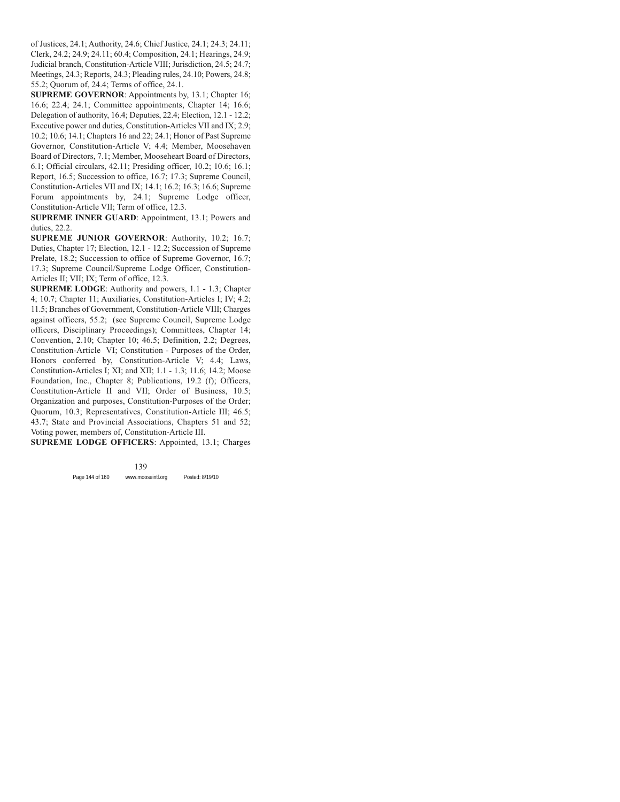of Justices, 24.1; Authority, 24.6; Chief Justice, 24.1; 24.3; 24.11; Clerk, 24.2; 24.9; 24.11; 60.4; Composition, 24.1; Hearings, 24.9; Judicial branch, Constitution-Article VIII; Jurisdiction, 24.5; 24.7; Meetings, 24.3; Reports, 24.3; Pleading rules, 24.10; Powers, 24.8; 55.2; Quorum of, 24.4; Terms of office, 24.1.

**SUPREME GOVERNOR**: Appointments by, 13.1; Chapter 16; 16.6; 22.4; 24.1; Committee appointments, Chapter 14; 16.6; Delegation of authority, 16.4; Deputies, 22.4; Election, 12.1 - 12.2; Executive power and duties, Constitution-Articles VII and IX; 2.9; 10.2; 10.6; 14.1; Chapters 16 and 22; 24.1; Honor of Past Supreme Governor, Constitution-Article V; 4.4; Member, Moosehaven Board of Directors, 7.1; Member, Mooseheart Board of Directors, 6.1; Official circulars, 42.11; Presiding officer, 10.2; 10.6; 16.1; Report, 16.5; Succession to office, 16.7; 17.3; Supreme Council, Constitution-Articles VII and IX; 14.1; 16.2; 16.3; 16.6; Supreme Forum appointments by, 24.1; Supreme Lodge officer, Constitution-Article VII; Term of office, 12.3.

**SUPREME INNER GUARD**: Appointment, 13.1; Powers and duties, 22.2.

**SUPREME JUNIOR GOVERNOR**: Authority, 10.2; 16.7; Duties, Chapter 17; Election, 12.1 - 12.2; Succession of Supreme Prelate, 18.2; Succession to office of Supreme Governor, 16.7; 17.3; Supreme Council/Supreme Lodge Officer, Constitution-Articles II; VII; IX; Term of office, 12.3.

**SUPREME LODGE**: Authority and powers, 1.1 - 1.3; Chapter 4; 10.7; Chapter 11; Auxiliaries, Constitution-Articles I; IV; 4.2; 11.5; Branches of Government, Constitution-Article VIII; Charges against officers, 55.2; (see Supreme Council, Supreme Lodge officers, Disciplinary Proceedings); Committees, Chapter 14; Convention, 2.10; Chapter 10; 46.5; Definition, 2.2; Degrees, Constitution-Article VI; Constitution - Purposes of the Order, Honors conferred by, Constitution-Article V; 4.4; Laws, Constitution-Articles I; XI; and XII; 1.1 - 1.3; 11.6; 14.2; Moose Foundation, Inc., Chapter 8; Publications, 19.2 (f); Officers, Constitution-Article II and VII; Order of Business, 10.5; Organization and purposes, Constitution-Purposes of the Order; Quorum, 10.3; Representatives, Constitution-Article III; 46.5; 43.7; State and Provincial Associations, Chapters 51 and 52; Voting power, members of, Constitution-Article III.

**SUPREME LODGE OFFICERS**: Appointed, 13.1; Charges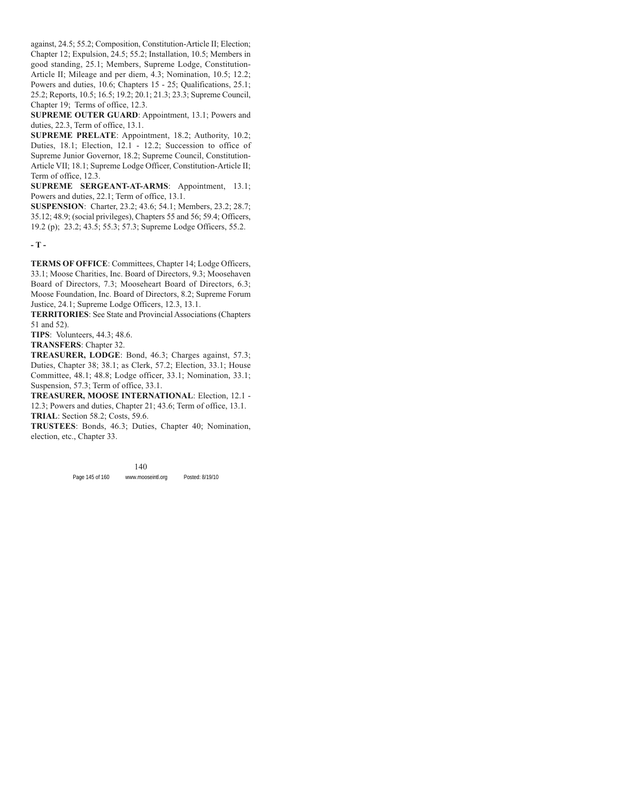against, 24.5; 55.2; Composition, Constitution-Article II; Election; Chapter 12; Expulsion, 24.5; 55.2; Installation, 10.5; Members in good standing, 25.1; Members, Supreme Lodge, Constitution-Article II; Mileage and per diem, 4.3; Nomination, 10.5; 12.2; Powers and duties, 10.6; Chapters 15 - 25; Qualifications, 25.1; 25.2; Reports, 10.5; 16.5; 19.2; 20.1; 21.3; 23.3; Supreme Council, Chapter 19; Terms of office, 12.3.

**SUPREME OUTER GUARD**: Appointment, 13.1; Powers and duties, 22.3, Term of office, 13.1.

**SUPREME PRELATE**: Appointment, 18.2; Authority, 10.2; Duties, 18.1; Election, 12.1 - 12.2; Succession to office of Supreme Junior Governor, 18.2; Supreme Council, Constitution-Article VII; 18.1; Supreme Lodge Officer, Constitution-Article II; Term of office, 12.3.

**SUPREME SERGEANT-AT-ARMS**: Appointment, 13.1; Powers and duties, 22.1; Term of office, 13.1.

**SUSPENSION**: Charter, 23.2; 43.6; 54.1; Members, 23.2; 28.7; 35.12; 48.9; (social privileges), Chapters 55 and 56; 59.4; Officers, 19.2 (p); 23.2; 43.5; 55.3; 57.3; Supreme Lodge Officers, 55.2.

**- T -**

**TERMS OF OFFICE**: Committees, Chapter 14; Lodge Officers, 33.1; Moose Charities, Inc. Board of Directors, 9.3; Moosehaven Board of Directors, 7.3; Mooseheart Board of Directors, 6.3; Moose Foundation, Inc. Board of Directors, 8.2; Supreme Forum Justice, 24.1; Supreme Lodge Officers, 12.3, 13.1.

**TERRITORIES**: See State and Provincial Associations (Chapters 51 and 52).

**TIPS**: Volunteers, 44.3; 48.6.

**TRANSFERS**: Chapter 32.

**TREASURER, LODGE**: Bond, 46.3; Charges against, 57.3; Duties, Chapter 38; 38.1; as Clerk, 57.2; Election, 33.1; House Committee, 48.1; 48.8; Lodge officer, 33.1; Nomination, 33.1; Suspension, 57.3; Term of office, 33.1.

**TREASURER, MOOSE INTERNATIONAL**: Election, 12.1 - 12.3; Powers and duties, Chapter 21; 43.6; Term of office, 13.1. **TRIAL**: Section 58.2; Costs, 59.6.

**TRUSTEES**: Bonds, 46.3; Duties, Chapter 40; Nomination, election, etc., Chapter 33.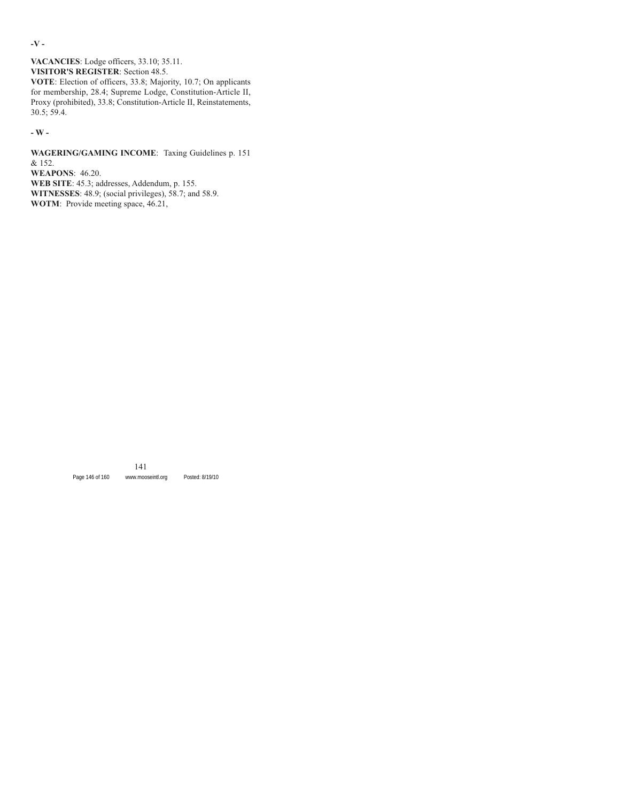**-V -**

**VACANCIES**: Lodge officers, 33.10; 35.11. **VISITOR'S REGISTER**: Section 48.5.

**VOTE**: Election of officers, 33.8; Majority, 10.7; On applicants for membership, 28.4; Supreme Lodge, Constitution-Article II, Proxy (prohibited), 33.8; Constitution-Article II, Reinstatements, 30.5; 59.4.

**- W -**

**WAGERING/GAMING INCOME**: Taxing Guidelines p. 151 & 152. **WEAPONS**: 46.20. **WEB SITE**: 45.3; addresses, Addendum, p. 155. **WITNESSES**: 48.9; (social privileges), 58.7; and 58.9. **WOTM**: Provide meeting space, 46.21,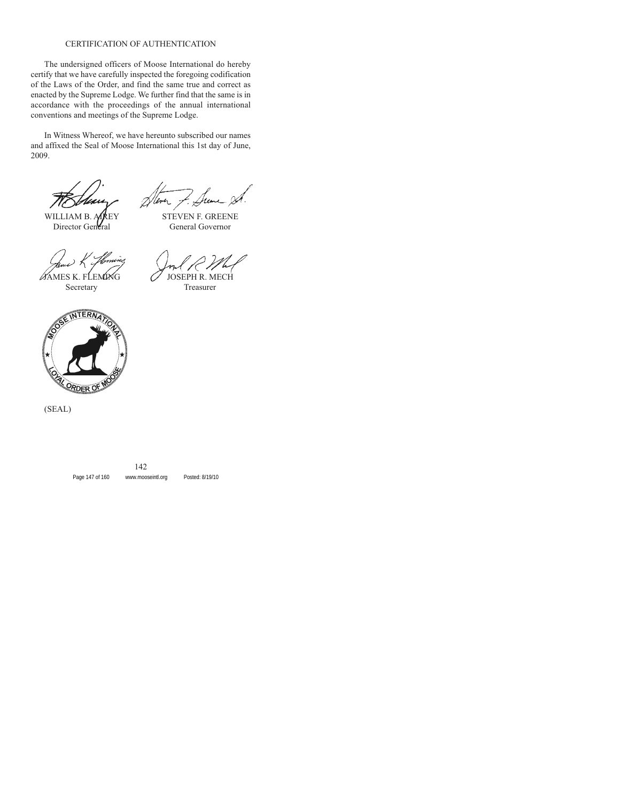#### CERTIFICATION OF AUTHENTICATION

The undersigned officers of Moose International do hereby certify that we have carefully inspected the foregoing codification of the Laws of the Order, and find the same true and correct as enacted by the Supreme Lodge. We further find that the same is in accordance with the proceedings of the annual international conventions and meetings of the Supreme Lodge.

In Witness Whereof, we have hereunto subscribed our names and affixed the Seal of Moose International this 1st day of June, 2009.

WILLIAM B. ALREY STEVEN F. GREENE

 $\alpha$  ames k. flemovig  $\alpha$  jose

Director General General Governor

Secretary Treasurer



(SEAL)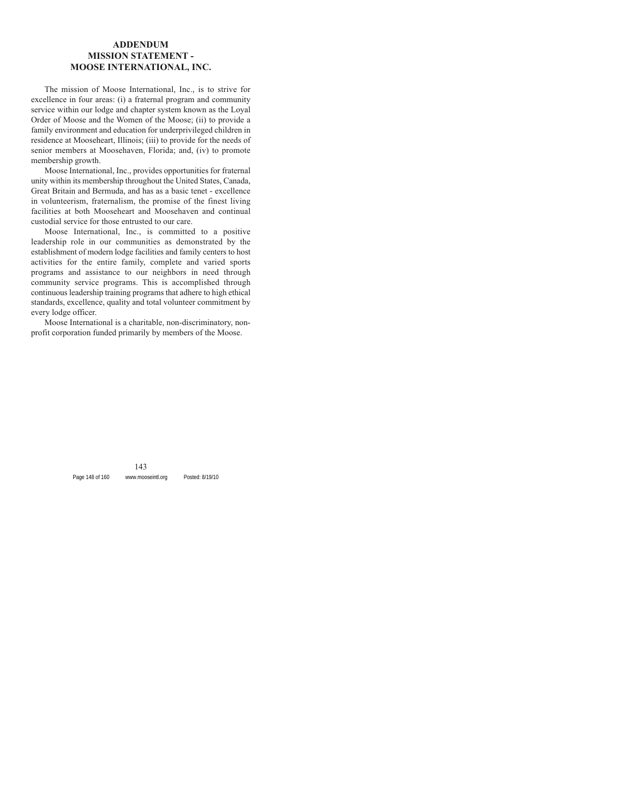### **ADDENDUM MISSION STATEMENT - MOOSE INTERNATIONAL, INC.**

The mission of Moose International, Inc., is to strive for excellence in four areas: (i) a fraternal program and community service within our lodge and chapter system known as the Loyal Order of Moose and the Women of the Moose; (ii) to provide a family environment and education for underprivileged children in residence at Mooseheart, Illinois; (iii) to provide for the needs of senior members at Moosehaven, Florida; and, (iv) to promote membership growth.

Moose International, Inc., provides opportunities for fraternal unity within its membership throughout the United States, Canada, Great Britain and Bermuda, and has as a basic tenet - excellence in volunteerism, fraternalism, the promise of the finest living facilities at both Mooseheart and Moosehaven and continual custodial service for those entrusted to our care.

Moose International, Inc., is committed to a positive leadership role in our communities as demonstrated by the establishment of modern lodge facilities and family centers to host activities for the entire family, complete and varied sports programs and assistance to our neighbors in need through community service programs. This is accomplished through continuous leadership training programs that adhere to high ethical standards, excellence, quality and total volunteer commitment by every lodge officer.

Moose International is a charitable, non-discriminatory, nonprofit corporation funded primarily by members of the Moose.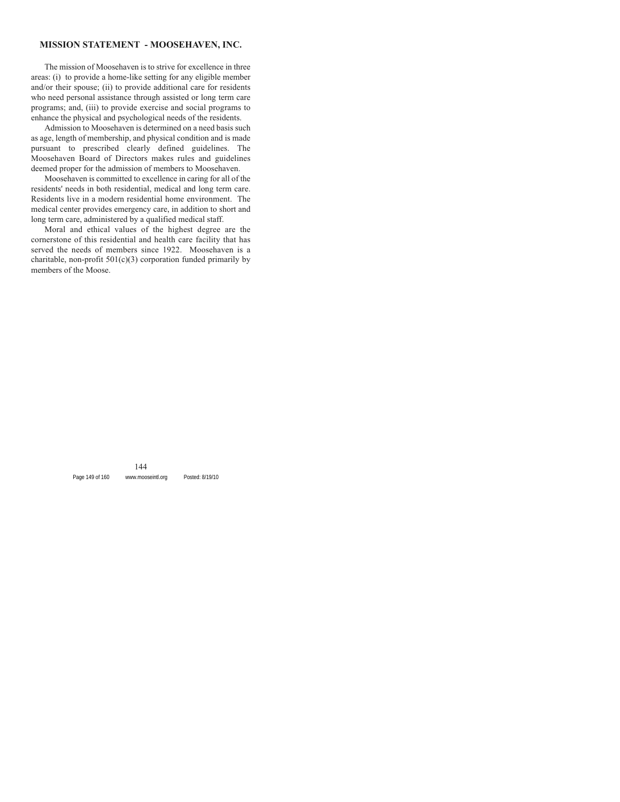### **MISSION STATEMENT - MOOSEHAVEN, INC.**

The mission of Moosehaven is to strive for excellence in three areas: (i) to provide a home-like setting for any eligible member and/or their spouse; (ii) to provide additional care for residents who need personal assistance through assisted or long term care programs; and, (iii) to provide exercise and social programs to enhance the physical and psychological needs of the residents.

Admission to Moosehaven is determined on a need basis such as age, length of membership, and physical condition and is made pursuant to prescribed clearly defined guidelines. The Moosehaven Board of Directors makes rules and guidelines deemed proper for the admission of members to Moosehaven.

Moosehaven is committed to excellence in caring for all of the residents' needs in both residential, medical and long term care. Residents live in a modern residential home environment. The medical center provides emergency care, in addition to short and long term care, administered by a qualified medical staff.

Moral and ethical values of the highest degree are the cornerstone of this residential and health care facility that has served the needs of members since 1922. Moosehaven is a charitable, non-profit  $501(c)(3)$  corporation funded primarily by members of the Moose.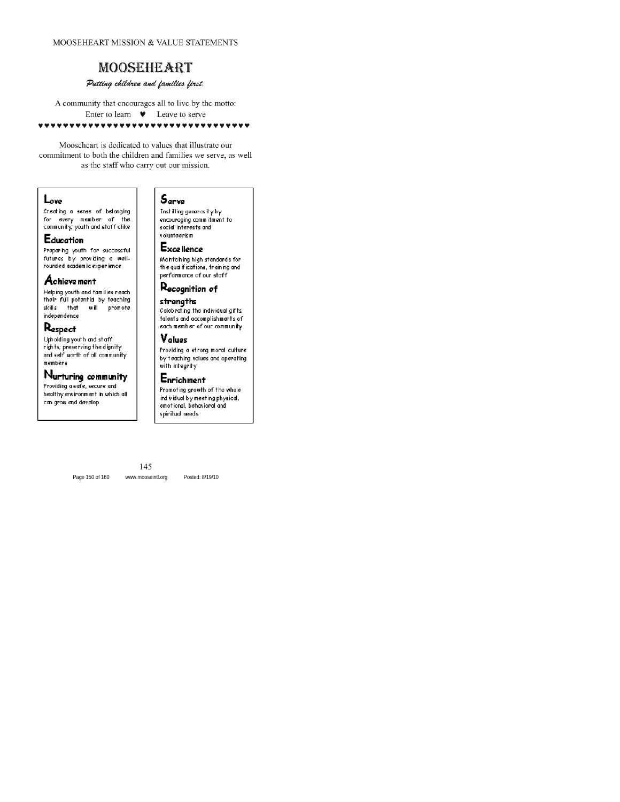#### MOOSEHEART MISSION & VALUE STATEMENTS

## **MOOSEHEART**

### Putting children and families first.

A community that encourages all to live by the motto: Enter to learn  $\bullet$ Leave to serve **\*\*\*\*\*\*\*\*\*\*\*\*** 

Mooscheart is dedicated to values that illustrate our commitment to both the children and families we serve, as well as the staff who carry out our mission.

#### Love

Creating a sense of belonging for every member of the community; youth and staff alike

### Education

Preparing youth for successful futures by providing a wellrounded academic experience

### Achieve ment

Helping youth and families reach their full potential by teaching skills that will promote independence

### Respect

Upholding youth and staff rights; preserving the dignity and self worth of all community members

### Nurturing community

Providing a safe, secure and healthy environment in which all can grow and develop

### 5erve

Instilling generosity by encouraging commitment to social interests and volunteerism

### **Excellence**

Maintaining high standards for the qualifications, training and performance of our staff

# Recognition of

### strengths

Celebrating the individual gifts, talents and accomplishments of each member of our community

### Values

Providing a strong moral culture by teaching values and operating with integrity

### Enrichment

Promoting growth of the whole ind ividual by meeting physical, emotional, behavioral and spiritud needs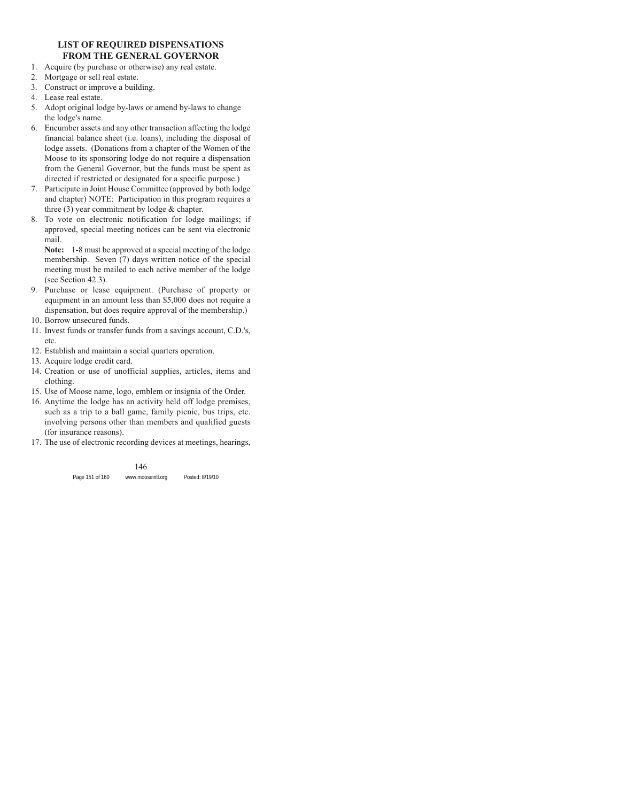### **LIST OF REQUIRED DISPENSATIONS FROM THE GENERAL GOVERNOR**

- 1. Acquire (by purchase or otherwise) any real estate.
- 2. Mortgage or sell real estate.
- 3. Construct or improve a building.
- 4. Lease real estate.
- 5. Adopt original lodge by-laws or amend by-laws to change the lodge's name.
- 6. Encumber assets and any other transaction affecting the lodge financial balance sheet (i.e. loans), including the disposal of lodge assets. (Donations from a chapter of the Women of the Moose to its sponsoring lodge do not require a dispensation from the General Governor, but the funds must be spent as directed if restricted or designated for a specific purpose.)
- 7. Participate in Joint House Committee (approved by both lodge and chapter) NOTE: Participation in this program requires a three (3) year commitment by lodge & chapter.
- 8. To vote on electronic notification for lodge mailings; if approved, special meeting notices can be sent via electronic mail.

**Note:** 1-8 must be approved at a special meeting of the lodge membership. Seven (7) days written notice of the special meeting must be mailed to each active member of the lodge (see Section 42.3).

- 9. Purchase or lease equipment. (Purchase of property or equipment in an amount less than \$5,000 does not require a dispensation, but does require approval of the membership.)
- 10. Borrow unsecured funds.
- 11. Invest funds or transfer funds from a savings account, C.D.'s, etc.
- 12. Establish and maintain a social quarters operation.
- 13. Acquire lodge credit card.
- 14. Creation or use of unofficial supplies, articles, items and clothing.
- 15. Use of Moose name, logo, emblem or insignia of the Order.
- 16. Anytime the lodge has an activity held off lodge premises, such as a trip to a ball game, family picnic, bus trips, etc. involving persons other than members and qualified guests (for insurance reasons).
- 17. The use of electronic recording devices at meetings, hearings,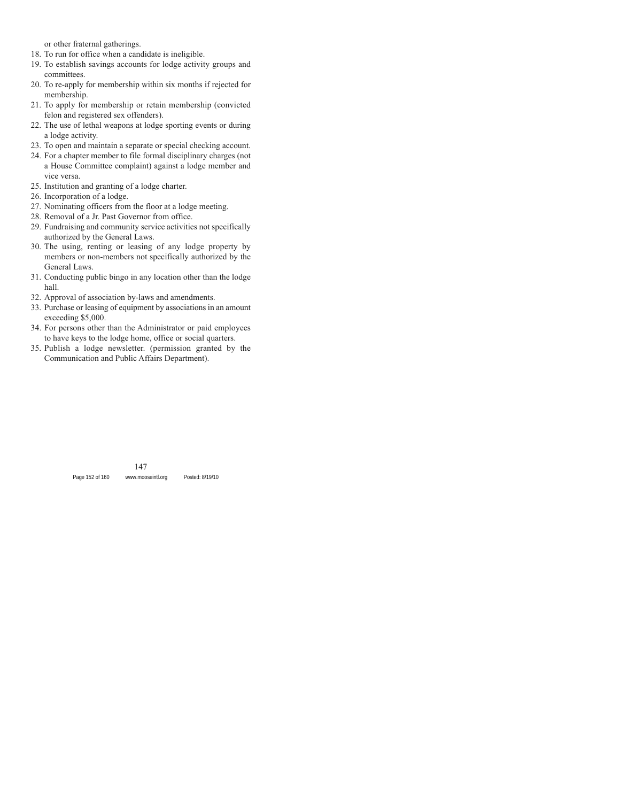or other fraternal gatherings.

- 18. To run for office when a candidate is ineligible.
- 19. To establish savings accounts for lodge activity groups and committees.
- 20. To re-apply for membership within six months if rejected for membership.
- 21. To apply for membership or retain membership (convicted felon and registered sex offenders).
- 22. The use of lethal weapons at lodge sporting events or during a lodge activity.
- 23. To open and maintain a separate or special checking account.
- 24. For a chapter member to file formal disciplinary charges (not a House Committee complaint) against a lodge member and vice versa.
- 25. Institution and granting of a lodge charter.
- 26. Incorporation of a lodge.
- 27. Nominating officers from the floor at a lodge meeting.
- 28. Removal of a Jr. Past Governor from office.
- 29. Fundraising and community service activities not specifically authorized by the General Laws.
- 30. The using, renting or leasing of any lodge property by members or non-members not specifically authorized by the General Laws.
- 31. Conducting public bingo in any location other than the lodge hall.
- 32. Approval of association by-laws and amendments.
- 33. Purchase or leasing of equipment by associations in an amount exceeding \$5,000.
- 34. For persons other than the Administrator or paid employees to have keys to the lodge home, office or social quarters.
- 35. Publish a lodge newsletter. (permission granted by the Communication and Public Affairs Department).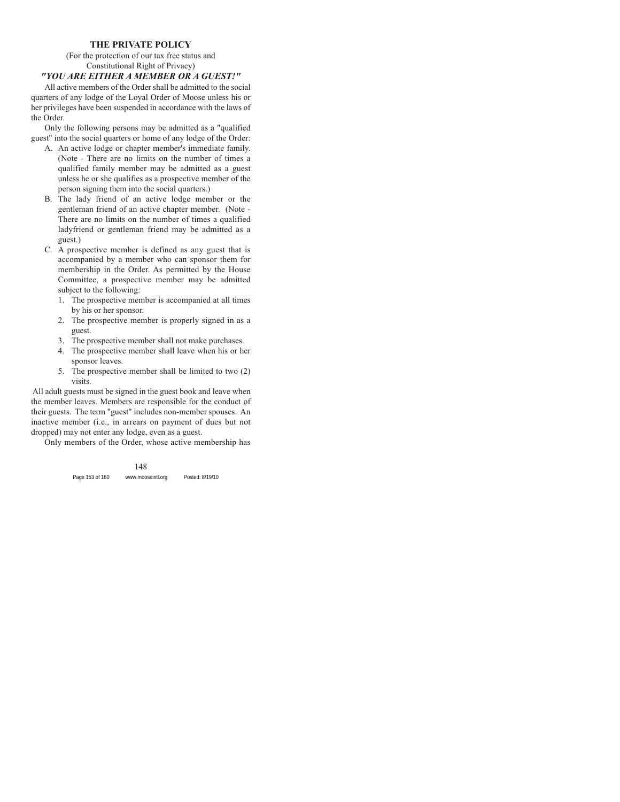#### **THE PRIVATE POLICY**

### (For the protection of our tax free status and Constitutional Right of Privacy) *"YOU ARE EITHER A MEMBER OR A GUEST!"*

All active members of the Order shall be admitted to the social quarters of any lodge of the Loyal Order of Moose unless his or her privileges have been suspended in accordance with the laws of the Order.

Only the following persons may be admitted as a "qualified guest" into the social quarters or home of any lodge of the Order:

- A. An active lodge or chapter member's immediate family. (Note - There are no limits on the number of times a qualified family member may be admitted as a guest unless he or she qualifies as a prospective member of the person signing them into the social quarters.)
- B. The lady friend of an active lodge member or the gentleman friend of an active chapter member. (Note - There are no limits on the number of times a qualified ladyfriend or gentleman friend may be admitted as a guest.)
- C. A prospective member is defined as any guest that is accompanied by a member who can sponsor them for membership in the Order. As permitted by the House Committee, a prospective member may be admitted subject to the following:
	- 1. The prospective member is accompanied at all times by his or her sponsor.
	- 2. The prospective member is properly signed in as a guest.
	- 3. The prospective member shall not make purchases.
	- 4. The prospective member shall leave when his or her sponsor leaves.
	- 5. The prospective member shall be limited to two (2) visits.

All adult guests must be signed in the guest book and leave when the member leaves. Members are responsible for the conduct of their guests. The term "guest" includes non-member spouses. An inactive member (i.e., in arrears on payment of dues but not dropped) may not enter any lodge, even as a guest.

Only members of the Order, whose active membership has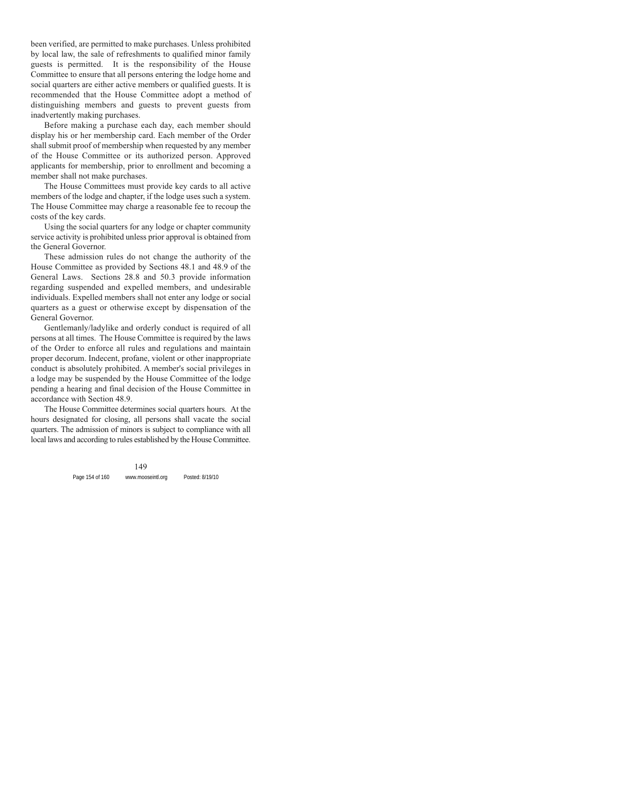been verified, are permitted to make purchases. Unless prohibited by local law, the sale of refreshments to qualified minor family guests is permitted. It is the responsibility of the House Committee to ensure that all persons entering the lodge home and social quarters are either active members or qualified guests. It is recommended that the House Committee adopt a method of distinguishing members and guests to prevent guests from inadvertently making purchases.

Before making a purchase each day, each member should display his or her membership card. Each member of the Order shall submit proof of membership when requested by any member of the House Committee or its authorized person. Approved applicants for membership, prior to enrollment and becoming a member shall not make purchases.

The House Committees must provide key cards to all active members of the lodge and chapter, if the lodge uses such a system. The House Committee may charge a reasonable fee to recoup the costs of the key cards.

Using the social quarters for any lodge or chapter community service activity is prohibited unless prior approval is obtained from the General Governor.

These admission rules do not change the authority of the House Committee as provided by Sections 48.1 and 48.9 of the General Laws. Sections 28.8 and 50.3 provide information regarding suspended and expelled members, and undesirable individuals. Expelled members shall not enter any lodge or social quarters as a guest or otherwise except by dispensation of the General Governor.

Gentlemanly/ladylike and orderly conduct is required of all persons at all times. The House Committee is required by the laws of the Order to enforce all rules and regulations and maintain proper decorum. Indecent, profane, violent or other inappropriate conduct is absolutely prohibited. A member's social privileges in a lodge may be suspended by the House Committee of the lodge pending a hearing and final decision of the House Committee in accordance with Section 48.9.

The House Committee determines social quarters hours. At the hours designated for closing, all persons shall vacate the social quarters. The admission of minors is subject to compliance with all local laws and according to rules established by the House Committee.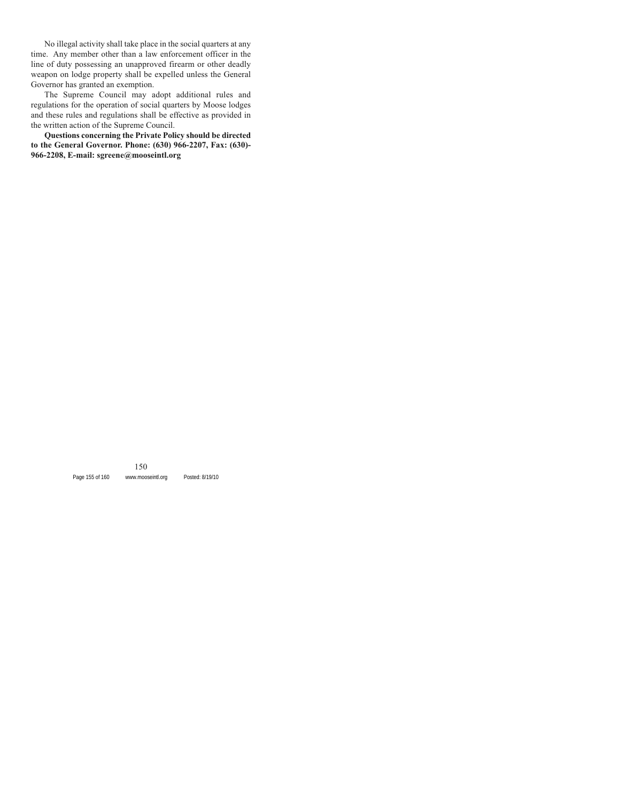No illegal activity shall take place in the social quarters at any time. Any member other than a law enforcement officer in the line of duty possessing an unapproved firearm or other deadly weapon on lodge property shall be expelled unless the General Governor has granted an exemption.

The Supreme Council may adopt additional rules and regulations for the operation of social quarters by Moose lodges and these rules and regulations shall be effective as provided in the written action of the Supreme Council.

**Questions concerning the Private Policy should be directed to the General Governor. Phone: (630) 966-2207, Fax: (630)- 966-2208, E-mail: sgreene@mooseintl.org**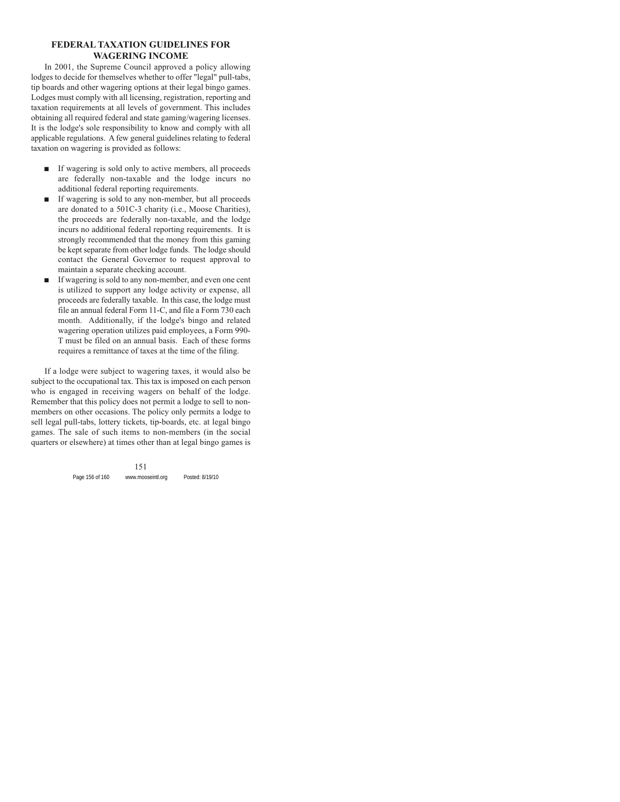### **FEDERAL TAXATION GUIDELINES FOR WAGERING INCOME**

In 2001, the Supreme Council approved a policy allowing lodges to decide for themselves whether to offer "legal" pull-tabs, tip boards and other wagering options at their legal bingo games. Lodges must comply with all licensing, registration, reporting and taxation requirements at all levels of government. This includes obtaining all required federal and state gaming/wagering licenses. It is the lodge's sole responsibility to know and comply with all applicable regulations. A few general guidelines relating to federal taxation on wagering is provided as follows:

- If wagering is sold only to active members, all proceeds are federally non-taxable and the lodge incurs no additional federal reporting requirements.
- If wagering is sold to any non-member, but all proceeds are donated to a 501C-3 charity (i.e., Moose Charities), the proceeds are federally non-taxable, and the lodge incurs no additional federal reporting requirements. It is strongly recommended that the money from this gaming be kept separate from other lodge funds. The lodge should contact the General Governor to request approval to maintain a separate checking account.
- If wagering is sold to any non-member, and even one cent is utilized to support any lodge activity or expense, all proceeds are federally taxable. In this case, the lodge must file an annual federal Form 11-C, and file a Form 730 each month. Additionally, if the lodge's bingo and related wagering operation utilizes paid employees, a Form 990- T must be filed on an annual basis. Each of these forms requires a remittance of taxes at the time of the filing.

If a lodge were subject to wagering taxes, it would also be subject to the occupational tax. This tax is imposed on each person who is engaged in receiving wagers on behalf of the lodge. Remember that this policy does not permit a lodge to sell to nonmembers on other occasions. The policy only permits a lodge to sell legal pull-tabs, lottery tickets, tip-boards, etc. at legal bingo games. The sale of such items to non-members (in the social quarters or elsewhere) at times other than at legal bingo games is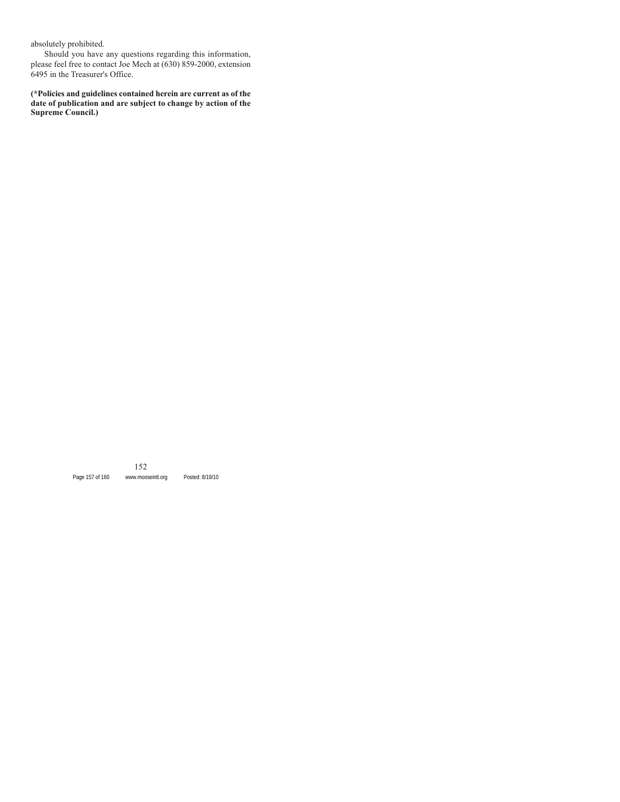absolutely prohibited.

Should you have any questions regarding this information, please feel free to contact Joe Mech at (630) 859-2000, extension 6495 in the Treasurer's Office.

**(\*Policies and guidelines contained herein are current as of the date of publication and are subject to change by action of the Supreme Council.)**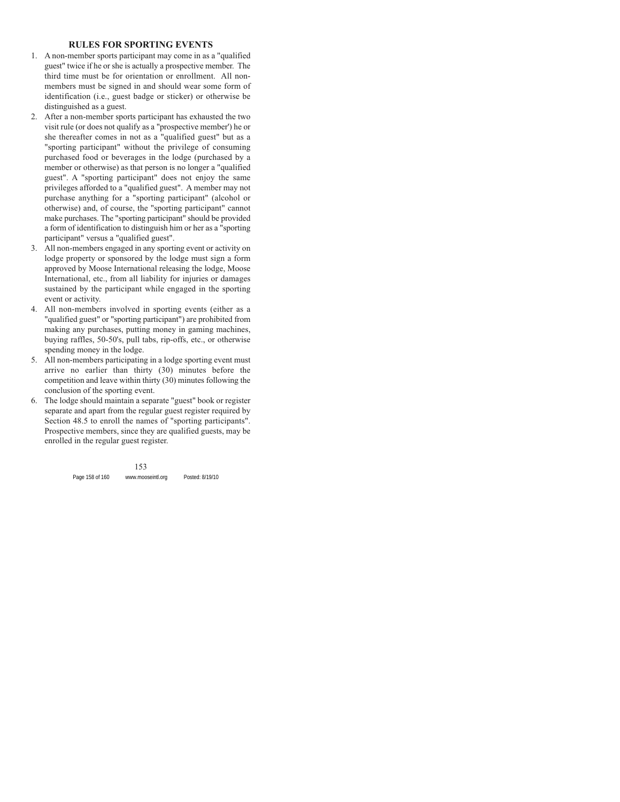### **RULES FOR SPORTING EVENTS**

- 1. A non-member sports participant may come in as a "qualified guest" twice if he or she is actually a prospective member. The third time must be for orientation or enrollment. All nonmembers must be signed in and should wear some form of identification (i.e., guest badge or sticker) or otherwise be distinguished as a guest.
- 2. After a non-member sports participant has exhausted the two visit rule (or does not qualify as a "prospective member') he or she thereafter comes in not as a "qualified guest" but as a "sporting participant" without the privilege of consuming purchased food or beverages in the lodge (purchased by a member or otherwise) as that person is no longer a "qualified guest". A "sporting participant" does not enjoy the same privileges afforded to a "qualified guest". A member may not purchase anything for a "sporting participant" (alcohol or otherwise) and, of course, the "sporting participant" cannot make purchases. The "sporting participant" should be provided a form of identification to distinguish him or her as a "sporting participant" versus a "qualified guest".
- 3. All non-members engaged in any sporting event or activity on lodge property or sponsored by the lodge must sign a form approved by Moose International releasing the lodge, Moose International, etc., from all liability for injuries or damages sustained by the participant while engaged in the sporting event or activity.
- 4. All non-members involved in sporting events (either as a "qualified guest" or "sporting participant") are prohibited from making any purchases, putting money in gaming machines, buying raffles, 50-50's, pull tabs, rip-offs, etc., or otherwise spending money in the lodge.
- 5. All non-members participating in a lodge sporting event must arrive no earlier than thirty (30) minutes before the competition and leave within thirty (30) minutes following the conclusion of the sporting event.
- 6. The lodge should maintain a separate "guest" book or register separate and apart from the regular guest register required by Section 48.5 to enroll the names of "sporting participants". Prospective members, since they are qualified guests, may be enrolled in the regular guest register.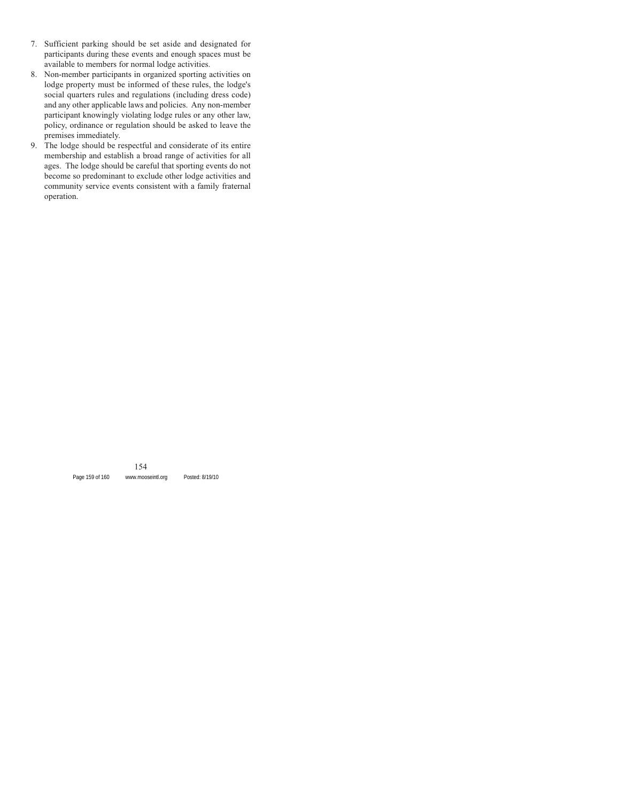- 7. Sufficient parking should be set aside and designated for participants during these events and enough spaces must be available to members for normal lodge activities.
- 8. Non-member participants in organized sporting activities on lodge property must be informed of these rules, the lodge's social quarters rules and regulations (including dress code) and any other applicable laws and policies. Any non-member participant knowingly violating lodge rules or any other law, policy, ordinance or regulation should be asked to leave the premises immediately.
- 9. The lodge should be respectful and considerate of its entire membership and establish a broad range of activities for all ages. The lodge should be careful that sporting events do not become so predominant to exclude other lodge activities and community service events consistent with a family fraternal operation.